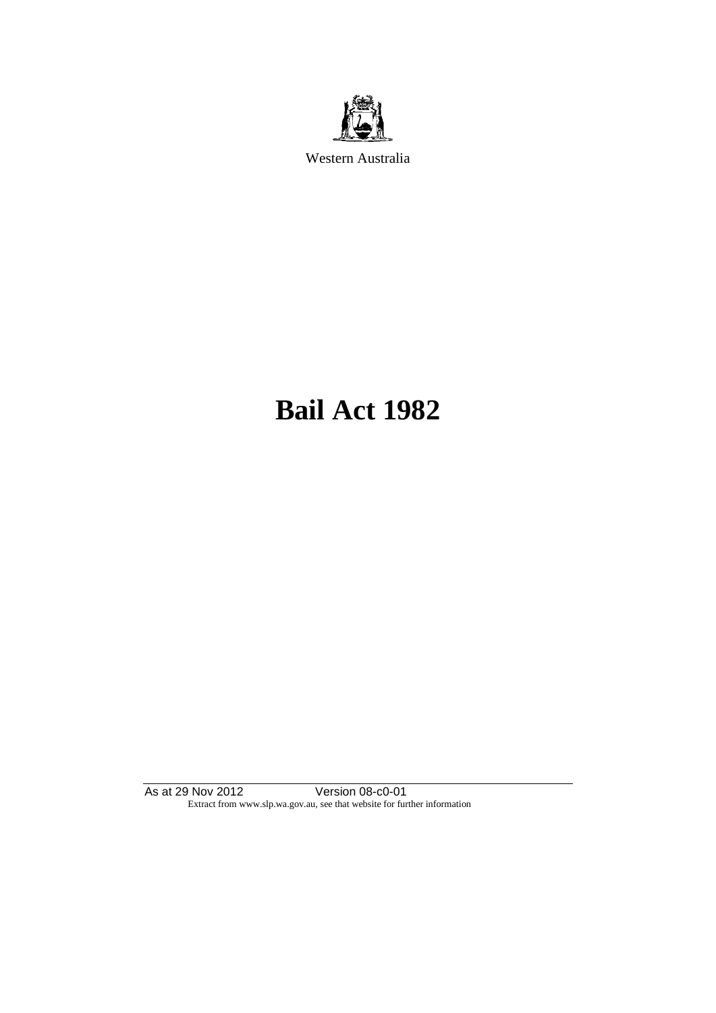

Western Australia

# **Bail Act 1982**

As at 29 Nov 2012 Version 08-c0-01 Extract from www.slp.wa.gov.au, see that website for further information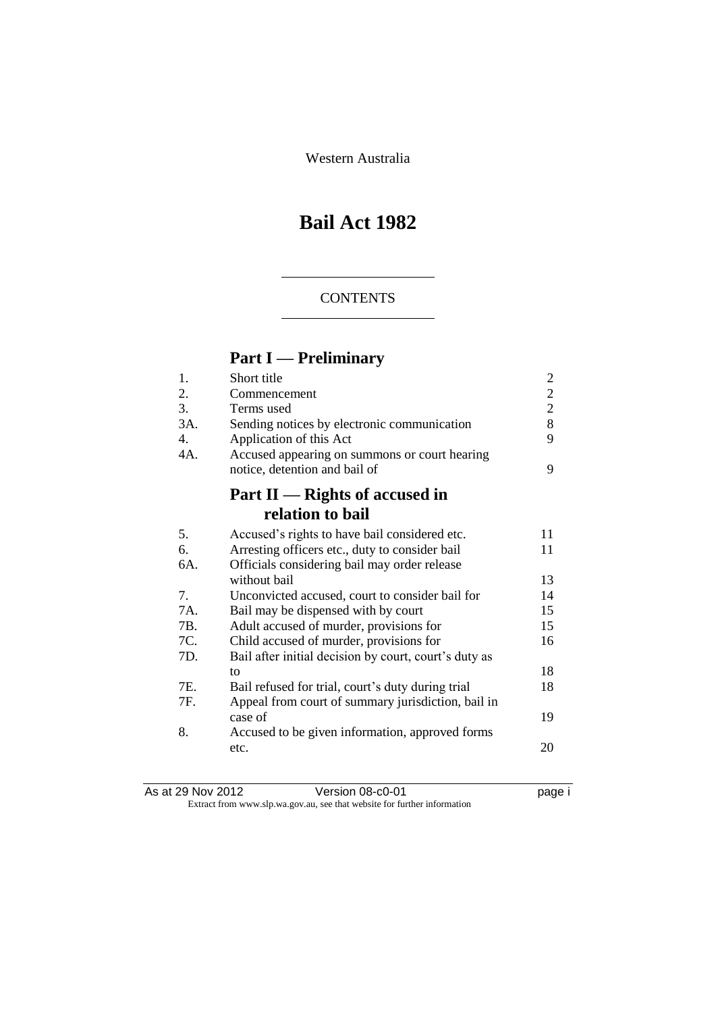Western Australia

## **Bail Act 1982**

### **CONTENTS**

### **Part I — Preliminary**

| 1.  | Short title                                           | 2              |
|-----|-------------------------------------------------------|----------------|
| 2.  | Commencement                                          | $\overline{2}$ |
| 3.  | Terms used                                            | $\overline{2}$ |
| 3A. | Sending notices by electronic communication           | 8              |
| 4.  | Application of this Act                               | 9              |
| 4A. | Accused appearing on summons or court hearing         |                |
|     | notice, detention and bail of                         | 9              |
|     | Part II — Rights of accused in                        |                |
|     | relation to bail                                      |                |
| 5.  | Accused's rights to have bail considered etc.         | 11             |
| 6.  | Arresting officers etc., duty to consider bail        | 11             |
| 6A. | Officials considering bail may order release          |                |
|     | without bail                                          | 13             |
| 7.  | Unconvicted accused, court to consider bail for       | 14             |
| 7A. | Bail may be dispensed with by court                   | 15             |
| 7B. | Adult accused of murder, provisions for               | 15             |
| 7C. | Child accused of murder, provisions for               | 16             |
| 7D. | Bail after initial decision by court, court's duty as |                |
|     | to                                                    | 18             |
| 7E. | Bail refused for trial, court's duty during trial     | 18             |
| 7F. | Appeal from court of summary jurisdiction, bail in    |                |
|     | case of                                               | 19             |
| 8.  | Accused to be given information, approved forms       |                |
|     | etc.                                                  | 20             |
|     |                                                       |                |

| As at 29 Nov 2012 | Version 08-c0-01                                                         | page i |
|-------------------|--------------------------------------------------------------------------|--------|
|                   | Extract from www.slp.wa.gov.au, see that website for further information |        |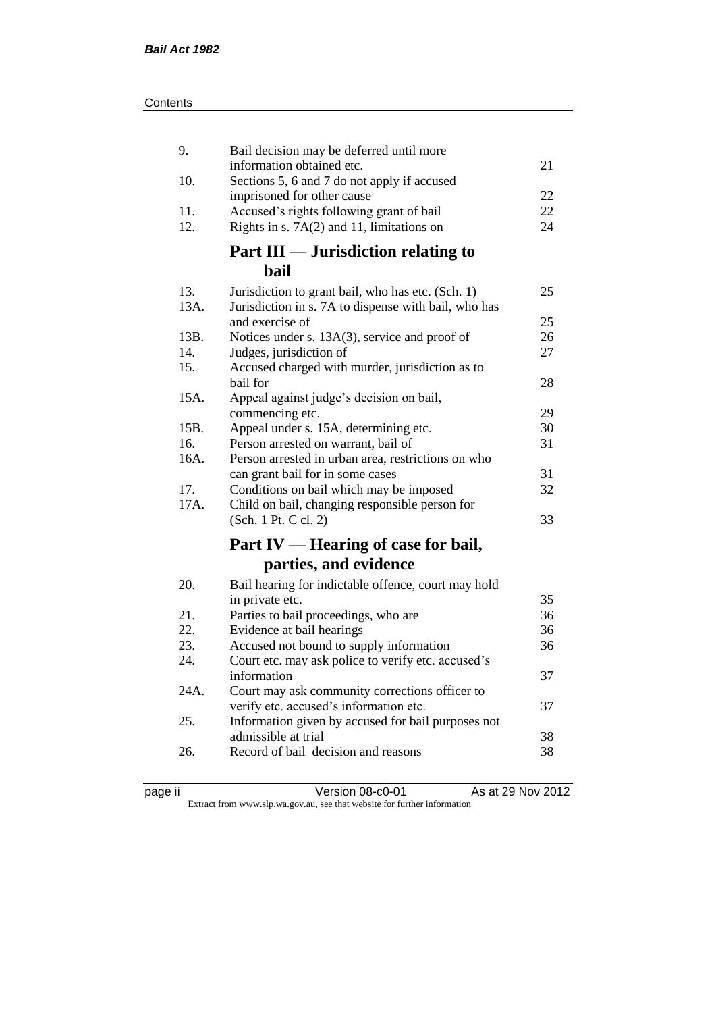| 9.         | Bail decision may be deferred until more                                                      |    |
|------------|-----------------------------------------------------------------------------------------------|----|
| 10.        | information obtained etc.<br>Sections 5, 6 and 7 do not apply if accused                      | 21 |
|            | imprisoned for other cause                                                                    | 22 |
| 11.        | Accused's rights following grant of bail                                                      | 22 |
| 12.        | Rights in s. $7A(2)$ and 11, limitations on                                                   | 24 |
|            | <b>Part III — Jurisdiction relating to</b>                                                    |    |
|            | bail                                                                                          |    |
| 13.        | Jurisdiction to grant bail, who has etc. (Sch. 1)                                             | 25 |
| 13A.       | Jurisdiction in s. 7A to dispense with bail, who has                                          |    |
|            | and exercise of                                                                               | 25 |
| 13B.       | Notices under s. 13A(3), service and proof of                                                 | 26 |
| 14.<br>15. | Judges, jurisdiction of<br>Accused charged with murder, jurisdiction as to                    | 27 |
|            | bail for                                                                                      | 28 |
| 15A.       | Appeal against judge's decision on bail,                                                      |    |
|            | commencing etc.                                                                               | 29 |
| 15B.       | Appeal under s. 15A, determining etc.                                                         | 30 |
| 16.        | Person arrested on warrant, bail of                                                           | 31 |
| 16A.       | Person arrested in urban area, restrictions on who                                            |    |
|            | can grant bail for in some cases                                                              | 31 |
| 17.        | Conditions on bail which may be imposed                                                       | 32 |
| 17A.       | Child on bail, changing responsible person for                                                |    |
|            | (Sch. 1 Pt. C cl. 2)                                                                          | 33 |
|            | Part IV — Hearing of case for bail,                                                           |    |
|            | parties, and evidence                                                                         |    |
| 20.        | Bail hearing for indictable offence, court may hold                                           |    |
|            | in private etc.                                                                               | 35 |
| 21.        | Parties to bail proceedings, who are                                                          | 36 |
| 22.        | Evidence at bail hearings                                                                     | 36 |
| 23.<br>24. | Accused not bound to supply information<br>Court etc. may ask police to verify etc. accused's | 36 |
|            | information                                                                                   | 37 |
| 24A.       | Court may ask community corrections officer to                                                |    |
|            | verify etc. accused's information etc.                                                        | 37 |
| 25.        | Information given by accused for bail purposes not                                            |    |
|            | admissible at trial                                                                           | 38 |
| 26.        | Record of bail decision and reasons                                                           | 38 |
|            |                                                                                               |    |

| . |  |
|---|--|
|   |  |

page ii Version 08-c0-01 As at 29 Nov 2012

Extract from www.slp.wa.gov.au, see that website for further information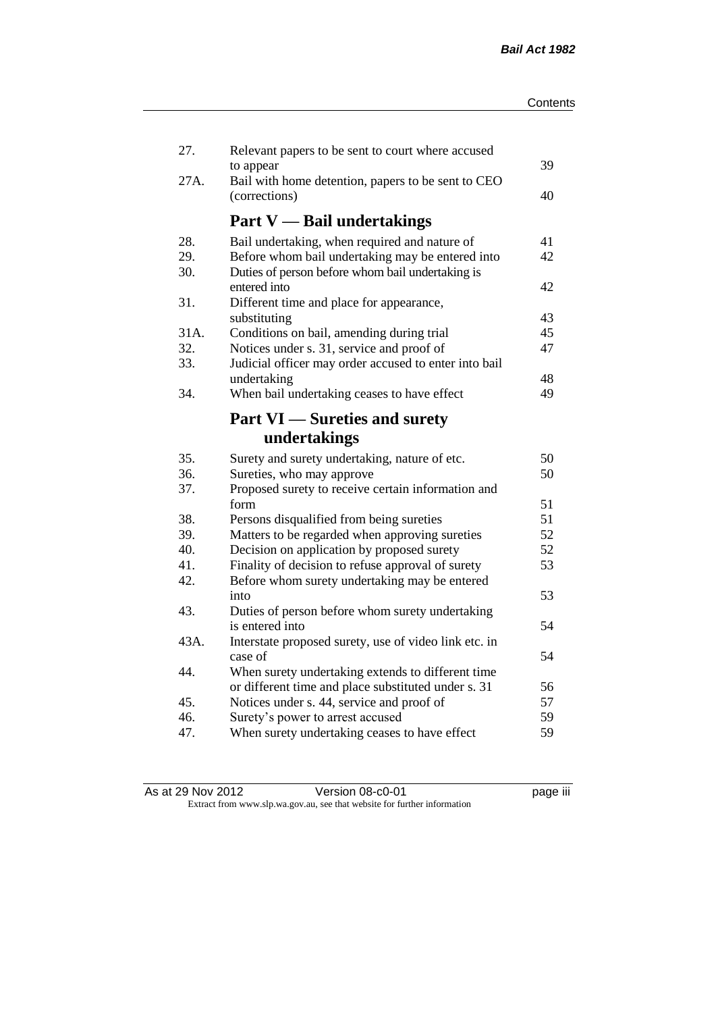| 27.  | Relevant papers to be sent to court where accused               |    |
|------|-----------------------------------------------------------------|----|
| 27A. | to appear<br>Bail with home detention, papers to be sent to CEO | 39 |
|      | (corrections)                                                   | 40 |
|      | <b>Part V</b> — Bail undertakings                               |    |
| 28.  | Bail undertaking, when required and nature of                   | 41 |
| 29.  | Before whom bail undertaking may be entered into                | 42 |
| 30.  | Duties of person before whom bail undertaking is                |    |
|      | entered into                                                    | 42 |
| 31.  | Different time and place for appearance,                        |    |
|      | substituting                                                    | 43 |
| 31A. | Conditions on bail, amending during trial                       | 45 |
| 32.  | Notices under s. 31, service and proof of                       | 47 |
| 33.  | Judicial officer may order accused to enter into bail           |    |
|      | undertaking                                                     | 48 |
| 34.  | When bail undertaking ceases to have effect                     | 49 |
|      | <b>Part VI</b> — Sureties and surety                            |    |
|      | undertakings                                                    |    |
| 35.  | Surety and surety undertaking, nature of etc.                   | 50 |
| 36.  | Sureties, who may approve                                       | 50 |
| 37.  | Proposed surety to receive certain information and              |    |
|      | form                                                            | 51 |
| 38.  | Persons disqualified from being sureties                        | 51 |
| 39.  | Matters to be regarded when approving sureties                  | 52 |
| 40.  | Decision on application by proposed surety                      | 52 |
| 41.  | Finality of decision to refuse approval of surety               | 53 |
| 42.  | Before whom surety undertaking may be entered                   |    |
|      | into                                                            | 53 |
| 43.  | Duties of person before whom surety undertaking                 |    |
|      | is entered into                                                 | 54 |
| 43A. | Interstate proposed surety, use of video link etc. in           |    |
|      | case of                                                         | 54 |
| 44.  | When surety undertaking extends to different time               |    |
|      | or different time and place substituted under s. 31             | 56 |
| 45.  | Notices under s. 44, service and proof of                       | 57 |
| 46.  | Surety's power to arrest accused                                | 59 |
| 47.  | When surety undertaking ceases to have effect                   | 59 |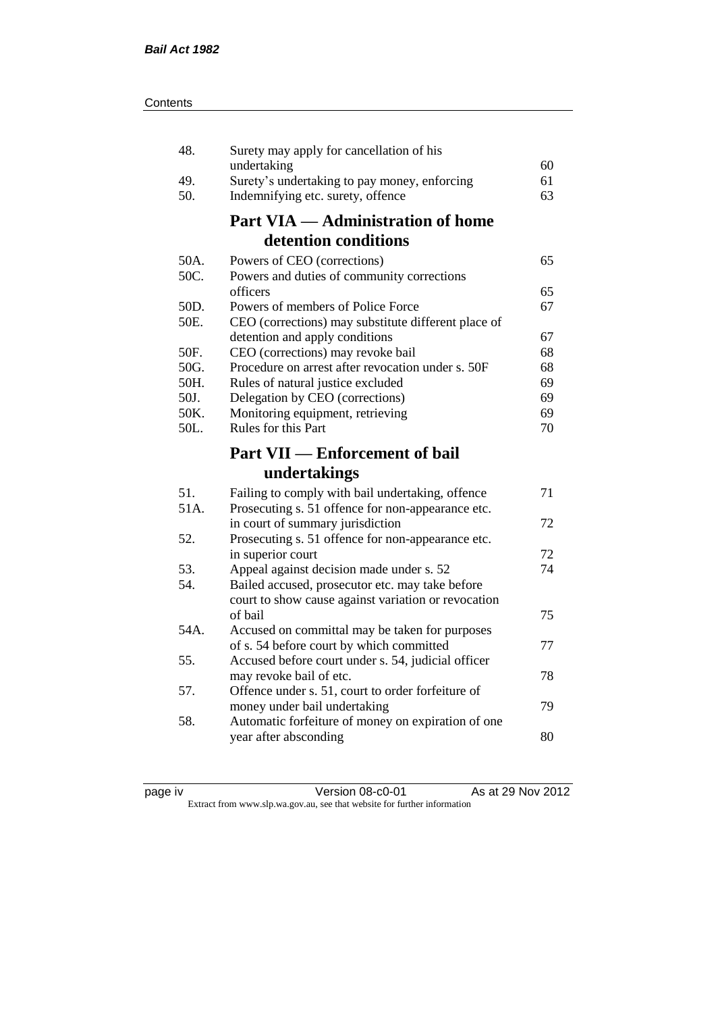| 48.  | Surety may apply for cancellation of his                                              |    |
|------|---------------------------------------------------------------------------------------|----|
|      | undertaking                                                                           | 60 |
| 49.  | Surety's undertaking to pay money, enforcing                                          | 61 |
| 50.  | Indemnifying etc. surety, offence                                                     | 63 |
|      | <b>Part VIA — Administration of home</b>                                              |    |
|      | detention conditions                                                                  |    |
| 50A. | Powers of CEO (corrections)                                                           | 65 |
| 50C. | Powers and duties of community corrections                                            |    |
|      | officers                                                                              | 65 |
| 50D. | Powers of members of Police Force                                                     | 67 |
| 50E. | CEO (corrections) may substitute different place of                                   |    |
|      | detention and apply conditions                                                        | 67 |
| 50F. | CEO (corrections) may revoke bail                                                     | 68 |
| 50G. | Procedure on arrest after revocation under s. 50F                                     | 68 |
| 50H. | Rules of natural justice excluded                                                     | 69 |
| 50J. | Delegation by CEO (corrections)                                                       | 69 |
| 50K. | Monitoring equipment, retrieving                                                      | 69 |
| 50L. | Rules for this Part                                                                   | 70 |
|      | <b>Part VII — Enforcement of bail</b>                                                 |    |
|      |                                                                                       |    |
|      | undertakings                                                                          |    |
| 51.  |                                                                                       | 71 |
| 51A. | Failing to comply with bail undertaking, offence                                      |    |
|      | Prosecuting s. 51 offence for non-appearance etc.<br>in court of summary jurisdiction | 72 |
| 52.  | Prosecuting s. 51 offence for non-appearance etc.                                     |    |
|      | in superior court                                                                     | 72 |
| 53.  | Appeal against decision made under s. 52                                              | 74 |
| 54.  | Bailed accused, prosecutor etc. may take before                                       |    |
|      | court to show cause against variation or revocation                                   |    |
|      | of bail                                                                               | 75 |
| 54A. | Accused on committal may be taken for purposes                                        |    |
|      | of s. 54 before court by which committed                                              | 77 |
| 55.  | Accused before court under s. 54, judicial officer                                    |    |
|      | may revoke bail of etc.                                                               | 78 |
| 57.  | Offence under s. 51, court to order forfeiture of                                     |    |
|      | money under bail undertaking                                                          | 79 |
| 58.  | Automatic forfeiture of money on expiration of one                                    |    |
|      | year after absconding                                                                 | 80 |

page iv Version 08-c0-01 As at 29 Nov 2012 Extract from www.slp.wa.gov.au, see that website for further information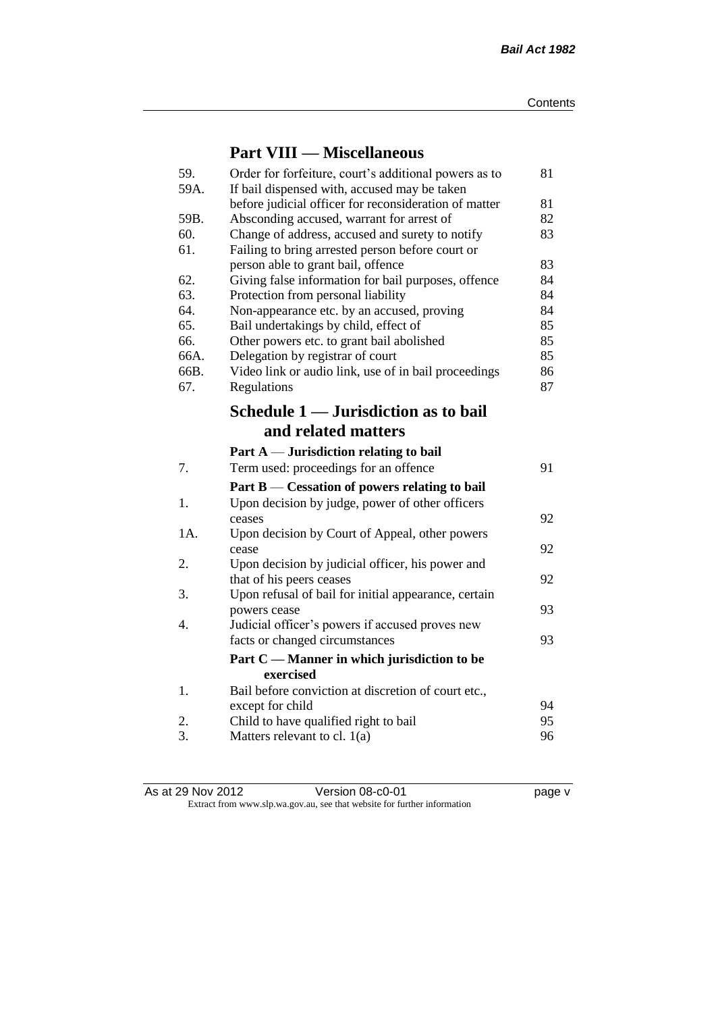### **Part VIII — Miscellaneous**

| 59.<br>59A. | Order for forfeiture, court's additional powers as to                                                 | 81 |
|-------------|-------------------------------------------------------------------------------------------------------|----|
|             | If bail dispensed with, accused may be taken<br>before judicial officer for reconsideration of matter | 81 |
| 59B.        | Absconding accused, warrant for arrest of                                                             | 82 |
| 60.         | Change of address, accused and surety to notify                                                       | 83 |
| 61.         | Failing to bring arrested person before court or                                                      |    |
|             | person able to grant bail, offence                                                                    | 83 |
| 62.         | Giving false information for bail purposes, offence                                                   | 84 |
| 63.         | Protection from personal liability                                                                    | 84 |
| 64.         | Non-appearance etc. by an accused, proving                                                            | 84 |
| 65.         | Bail undertakings by child, effect of                                                                 | 85 |
| 66.         | Other powers etc. to grant bail abolished                                                             | 85 |
| 66A.        | Delegation by registrar of court                                                                      | 85 |
| 66B.        | Video link or audio link, use of in bail proceedings                                                  | 86 |
| 67.         | Regulations                                                                                           | 87 |
|             | Schedule 1 — Jurisdiction as to bail                                                                  |    |
|             | and related matters                                                                                   |    |
|             | Part $A$ — Jurisdiction relating to bail                                                              |    |
| 7.          | Term used: proceedings for an offence                                                                 | 91 |
|             | Part $B$ — Cessation of powers relating to bail                                                       |    |
| 1.          | Upon decision by judge, power of other officers                                                       |    |
|             | ceases                                                                                                | 92 |
| 1A.         | Upon decision by Court of Appeal, other powers                                                        |    |
|             | cease                                                                                                 | 92 |
| 2.          | Upon decision by judicial officer, his power and                                                      |    |
|             | that of his peers ceases                                                                              | 92 |
| 3.          | Upon refusal of bail for initial appearance, certain                                                  |    |
|             | powers cease                                                                                          | 93 |
| 4.          | Judicial officer's powers if accused proves new                                                       |    |
|             | facts or changed circumstances                                                                        | 93 |
|             | Part C — Manner in which jurisdiction to be<br>exercised                                              |    |
| 1.          | Bail before conviction at discretion of court etc.,                                                   |    |
|             | except for child                                                                                      | 94 |
| 2.          | Child to have qualified right to bail                                                                 | 95 |
| 3.          | Matters relevant to cl. $1(a)$                                                                        | 96 |
|             |                                                                                                       |    |

As at 29 Nov 2012 **Details Accredit Version 08-c0-01** Page v Extract from www.slp.wa.gov.au, see that website for further information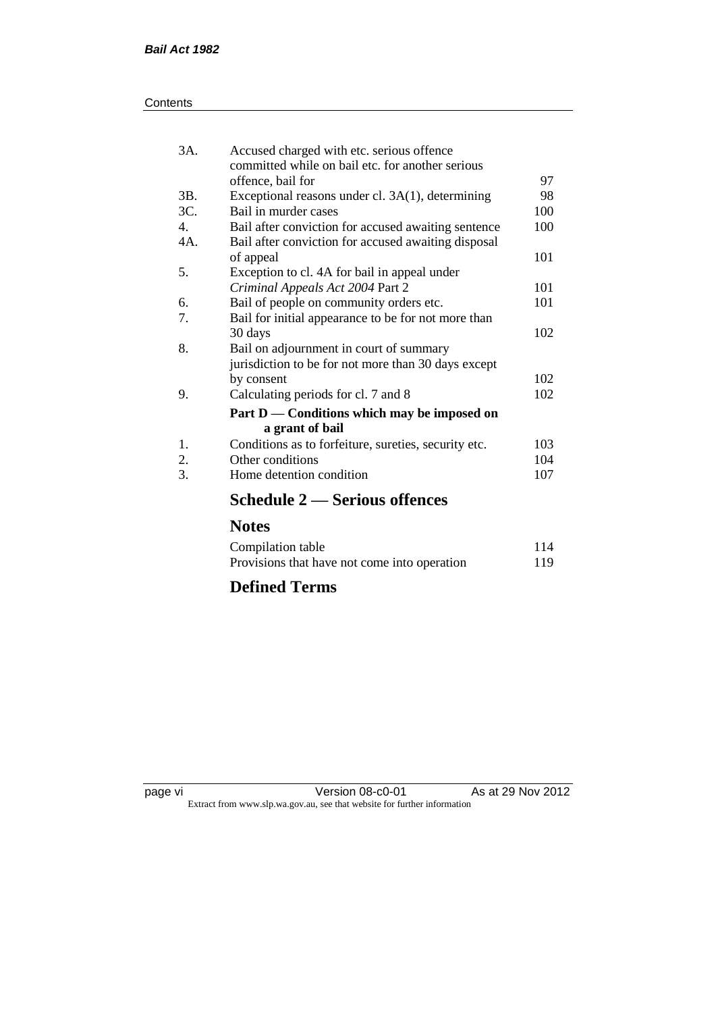| Contents |
|----------|
|----------|

| 3A. | Accused charged with etc. serious offence<br>committed while on bail etc. for another serious |     |
|-----|-----------------------------------------------------------------------------------------------|-----|
|     | offence, bail for                                                                             | 97  |
| 3B. | Exceptional reasons under cl. 3A(1), determining                                              | 98  |
| 3C. | Bail in murder cases                                                                          | 100 |
| 4.  | Bail after conviction for accused awaiting sentence                                           | 100 |
| 4A. | Bail after conviction for accused awaiting disposal                                           |     |
|     | of appeal                                                                                     | 101 |
| 5.  | Exception to cl. 4A for bail in appeal under                                                  |     |
|     | Criminal Appeals Act 2004 Part 2                                                              | 101 |
| 6.  | Bail of people on community orders etc.                                                       | 101 |
| 7.  | Bail for initial appearance to be for not more than                                           |     |
|     | 30 days                                                                                       | 102 |
| 8.  | Bail on adjournment in court of summary                                                       |     |
|     | jurisdiction to be for not more than 30 days except                                           |     |
|     | by consent                                                                                    | 102 |
| 9.  | Calculating periods for cl. 7 and 8                                                           | 102 |
|     | Part D — Conditions which may be imposed on                                                   |     |
|     | a grant of bail                                                                               |     |
| 1.  | Conditions as to forfeiture, sureties, security etc.                                          | 103 |
| 2.  | Other conditions                                                                              | 104 |
| 3.  | Home detention condition                                                                      | 107 |
|     | Schedule 2 — Serious offences                                                                 |     |

### **Notes**

| Compilation table                            | 114 |
|----------------------------------------------|-----|
| Provisions that have not come into operation | 119 |

### **Defined Terms**

page vi Version 08-c0-01 As at 29 Nov 2012 Extract from www.slp.wa.gov.au, see that website for further information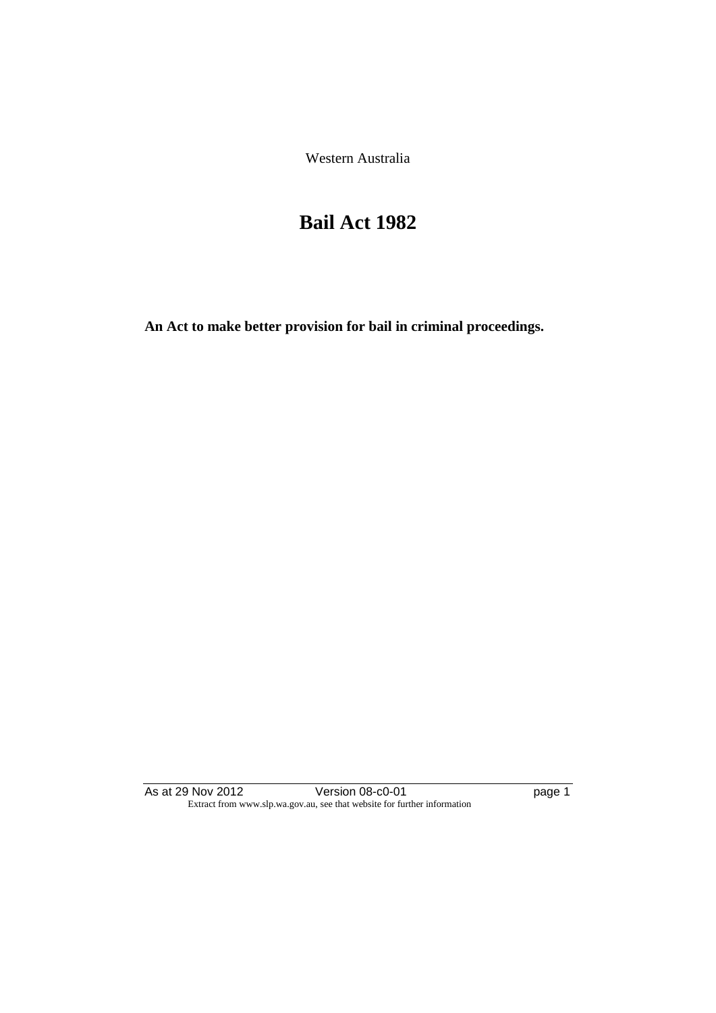Western Australia

## **Bail Act 1982**

**An Act to make better provision for bail in criminal proceedings.** 

As at 29 Nov 2012 **Disk Contract Contract Contract Provide** Page 1 Extract from www.slp.wa.gov.au, see that website for further information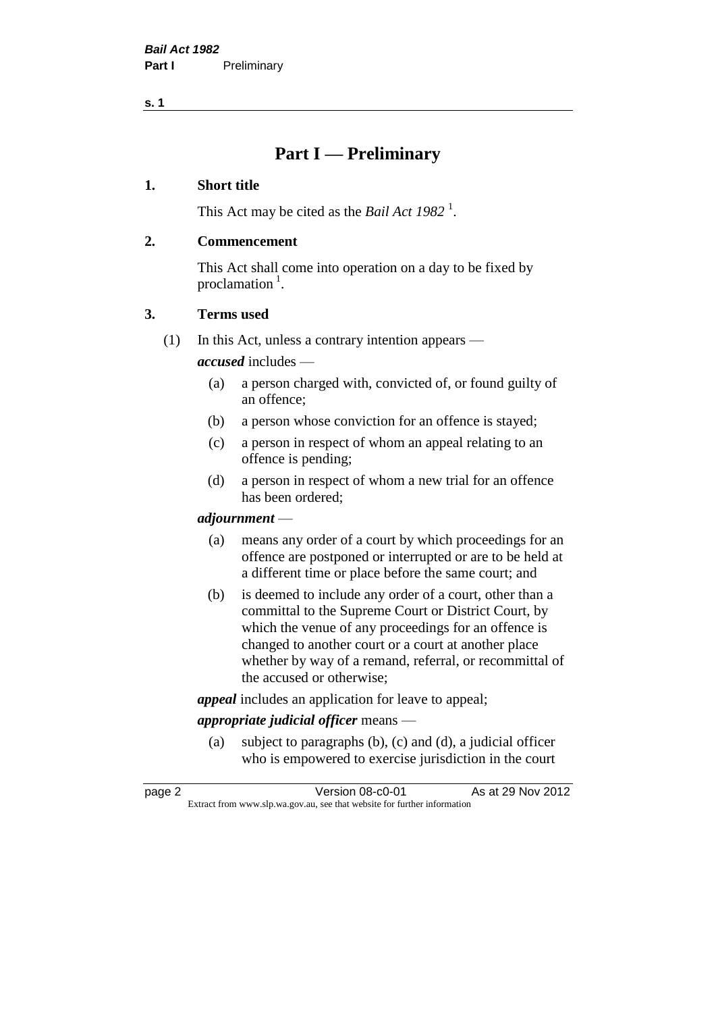**s. 1**

### **Part I — Preliminary**

#### **1. Short title**

This Act may be cited as the *Bail Act* 1982<sup>1</sup>.

#### **2. Commencement**

This Act shall come into operation on a day to be fixed by proclamation  $<sup>1</sup>$ .</sup>

#### **3. Terms used**

(1) In this Act, unless a contrary intention appears —

*accused* includes —

- (a) a person charged with, convicted of, or found guilty of an offence;
- (b) a person whose conviction for an offence is stayed;
- (c) a person in respect of whom an appeal relating to an offence is pending;
- (d) a person in respect of whom a new trial for an offence has been ordered;

#### *adjournment* —

- (a) means any order of a court by which proceedings for an offence are postponed or interrupted or are to be held at a different time or place before the same court; and
- (b) is deemed to include any order of a court, other than a committal to the Supreme Court or District Court, by which the venue of any proceedings for an offence is changed to another court or a court at another place whether by way of a remand, referral, or recommittal of the accused or otherwise;

*appeal* includes an application for leave to appeal;

#### *appropriate judicial officer* means —

(a) subject to paragraphs (b), (c) and (d), a judicial officer who is empowered to exercise jurisdiction in the court

| page 2 | Version 08-c0-01                                                         | As at 29 Nov 2012 |
|--------|--------------------------------------------------------------------------|-------------------|
|        | Extract from www.slp.wa.gov.au, see that website for further information |                   |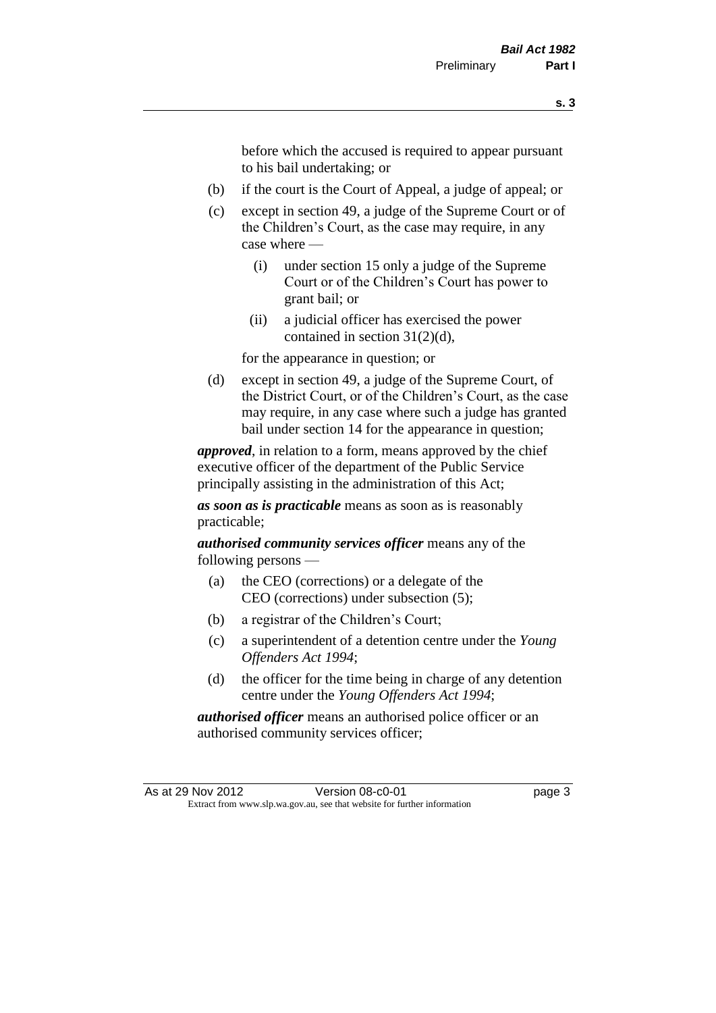before which the accused is required to appear pursuant to his bail undertaking; or

- (b) if the court is the Court of Appeal, a judge of appeal; or
- (c) except in section 49, a judge of the Supreme Court or of the Children's Court, as the case may require, in any case where —
	- (i) under section 15 only a judge of the Supreme Court or of the Children's Court has power to grant bail; or
	- (ii) a judicial officer has exercised the power contained in section 31(2)(d),

for the appearance in question; or

(d) except in section 49, a judge of the Supreme Court, of the District Court, or of the Children's Court, as the case may require, in any case where such a judge has granted bail under section 14 for the appearance in question;

*approved*, in relation to a form, means approved by the chief executive officer of the department of the Public Service principally assisting in the administration of this Act;

*as soon as is practicable* means as soon as is reasonably practicable;

*authorised community services officer* means any of the following persons —

- (a) the CEO (corrections) or a delegate of the CEO (corrections) under subsection (5);
- (b) a registrar of the Children's Court;
- (c) a superintendent of a detention centre under the *Young Offenders Act 1994*;
- (d) the officer for the time being in charge of any detention centre under the *Young Offenders Act 1994*;

*authorised officer* means an authorised police officer or an authorised community services officer;

As at 29 Nov 2012 Version 08-c0-01 page 3 Extract from www.slp.wa.gov.au, see that website for further information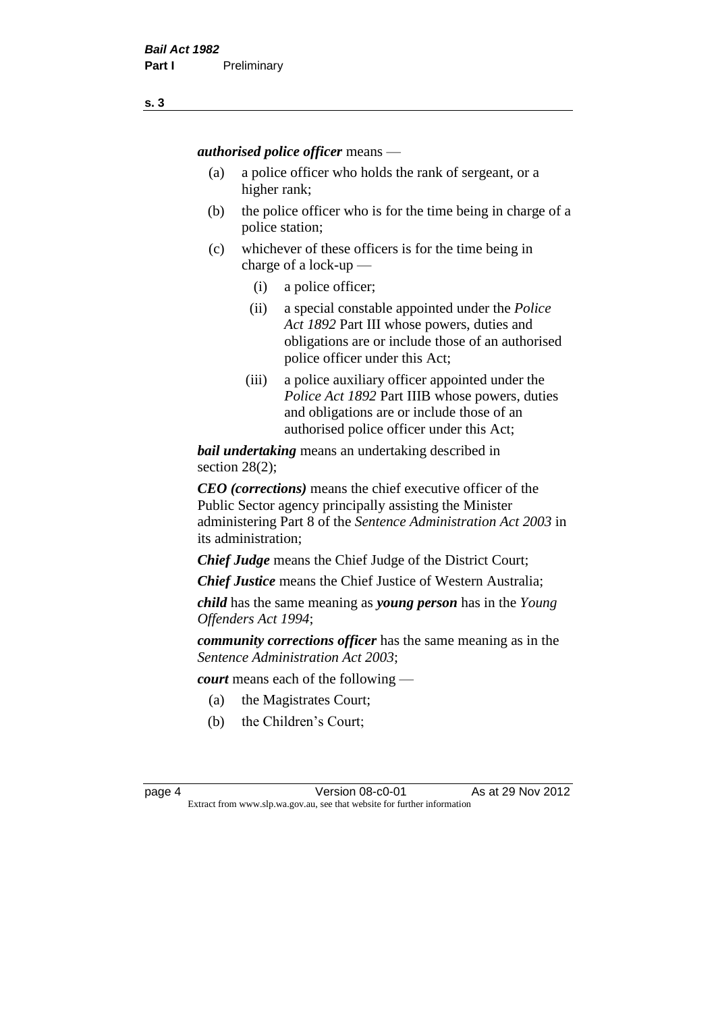*authorised police officer* means —

- (a) a police officer who holds the rank of sergeant, or a higher rank;
- (b) the police officer who is for the time being in charge of a police station;
- (c) whichever of these officers is for the time being in charge of a lock-up —
	- (i) a police officer;
	- (ii) a special constable appointed under the *Police Act 1892* Part III whose powers, duties and obligations are or include those of an authorised police officer under this Act;
	- (iii) a police auxiliary officer appointed under the *Police Act 1892* Part IIIB whose powers, duties and obligations are or include those of an authorised police officer under this Act;

*bail undertaking* means an undertaking described in section 28(2);

*CEO (corrections)* means the chief executive officer of the Public Sector agency principally assisting the Minister administering Part 8 of the *Sentence Administration Act 2003* in its administration;

*Chief Judge* means the Chief Judge of the District Court;

*Chief Justice* means the Chief Justice of Western Australia;

*child* has the same meaning as *young person* has in the *Young Offenders Act 1994*;

*community corrections officer* has the same meaning as in the *Sentence Administration Act 2003*;

*court* means each of the following —

- (a) the Magistrates Court;
- (b) the Children's Court;

page 4 **Version 08-c0-01** As at 29 Nov 2012 Extract from www.slp.wa.gov.au, see that website for further information

**s. 3**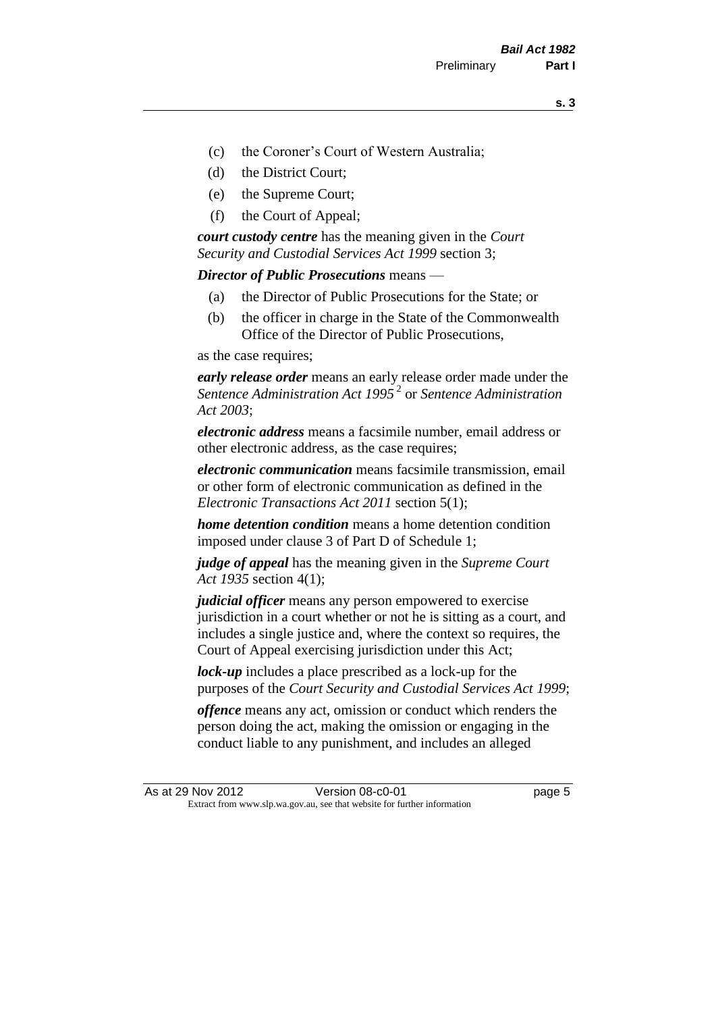- (c) the Coroner's Court of Western Australia;
- (d) the District Court;
- (e) the Supreme Court;
- (f) the Court of Appeal;

*court custody centre* has the meaning given in the *Court Security and Custodial Services Act 1999* section 3;

*Director of Public Prosecutions* means —

- (a) the Director of Public Prosecutions for the State; or
- (b) the officer in charge in the State of the Commonwealth Office of the Director of Public Prosecutions,

as the case requires;

*early release order* means an early release order made under the *Sentence Administration Act 1995* <sup>2</sup> or *Sentence Administration Act 2003*;

*electronic address* means a facsimile number, email address or other electronic address, as the case requires;

*electronic communication* means facsimile transmission, email or other form of electronic communication as defined in the *Electronic Transactions Act 2011* section 5(1);

*home detention condition* means a home detention condition imposed under clause 3 of Part D of Schedule 1;

*judge of appeal* has the meaning given in the *Supreme Court Act 1935* section 4(1);

*judicial officer* means any person empowered to exercise jurisdiction in a court whether or not he is sitting as a court, and includes a single justice and, where the context so requires, the Court of Appeal exercising jurisdiction under this Act;

*lock-up* includes a place prescribed as a lock-up for the purposes of the *Court Security and Custodial Services Act 1999*;

*offence* means any act, omission or conduct which renders the person doing the act, making the omission or engaging in the conduct liable to any punishment, and includes an alleged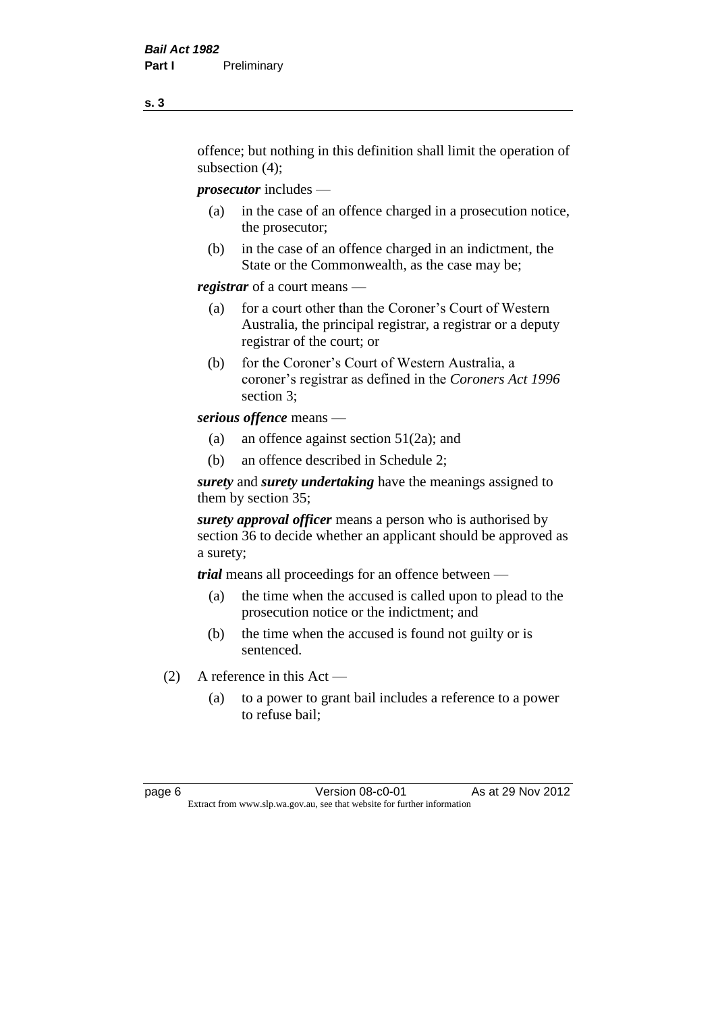offence; but nothing in this definition shall limit the operation of subsection (4);

*prosecutor* includes —

- (a) in the case of an offence charged in a prosecution notice, the prosecutor;
- (b) in the case of an offence charged in an indictment, the State or the Commonwealth, as the case may be;

*registrar* of a court means —

- (a) for a court other than the Coroner's Court of Western Australia, the principal registrar, a registrar or a deputy registrar of the court; or
- (b) for the Coroner's Court of Western Australia, a coroner's registrar as defined in the *Coroners Act 1996* section 3;

*serious offence* means —

- (a) an offence against section 51(2a); and
- (b) an offence described in Schedule 2;

*surety* and *surety undertaking* have the meanings assigned to them by section 35;

*surety approval officer* means a person who is authorised by section 36 to decide whether an applicant should be approved as a surety;

*trial* means all proceedings for an offence between —

- (a) the time when the accused is called upon to plead to the prosecution notice or the indictment; and
- (b) the time when the accused is found not guilty or is sentenced.
- (2) A reference in this Act
	- (a) to a power to grant bail includes a reference to a power to refuse bail;

page 6 **Version 08-c0-01** As at 29 Nov 2012 Extract from www.slp.wa.gov.au, see that website for further information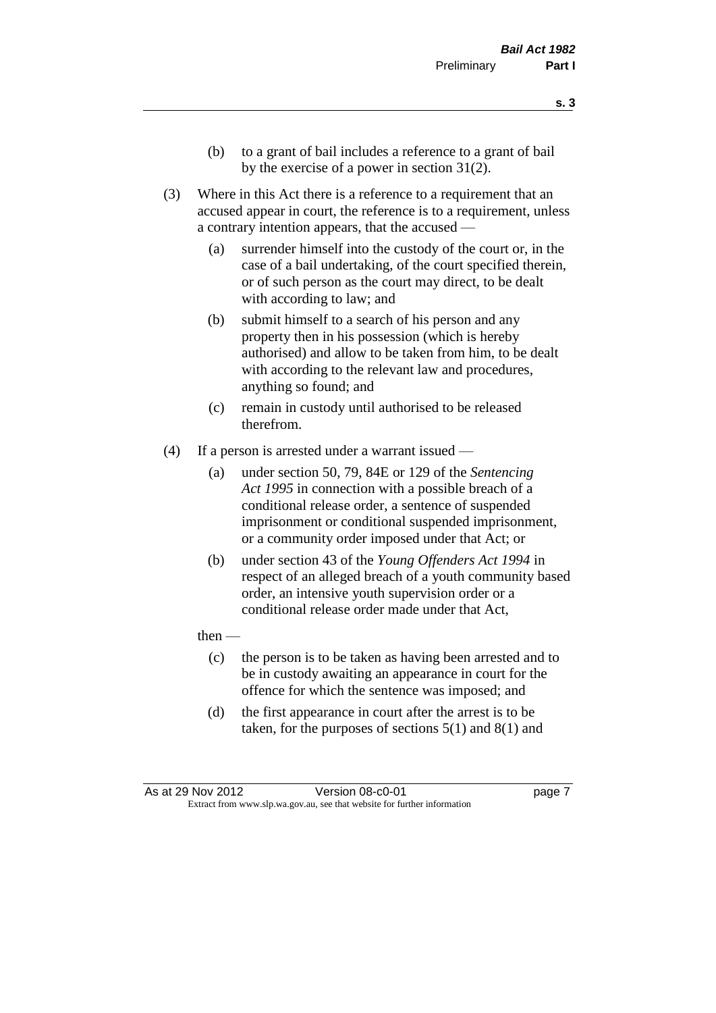- (b) to a grant of bail includes a reference to a grant of bail by the exercise of a power in section 31(2).
- (3) Where in this Act there is a reference to a requirement that an accused appear in court, the reference is to a requirement, unless a contrary intention appears, that the accused —
	- (a) surrender himself into the custody of the court or, in the case of a bail undertaking, of the court specified therein, or of such person as the court may direct, to be dealt with according to law; and
	- (b) submit himself to a search of his person and any property then in his possession (which is hereby authorised) and allow to be taken from him, to be dealt with according to the relevant law and procedures, anything so found; and
	- (c) remain in custody until authorised to be released therefrom.
- (4) If a person is arrested under a warrant issued
	- (a) under section 50, 79, 84E or 129 of the *Sentencing Act 1995* in connection with a possible breach of a conditional release order, a sentence of suspended imprisonment or conditional suspended imprisonment, or a community order imposed under that Act; or
	- (b) under section 43 of the *Young Offenders Act 1994* in respect of an alleged breach of a youth community based order, an intensive youth supervision order or a conditional release order made under that Act,
	- then
		- (c) the person is to be taken as having been arrested and to be in custody awaiting an appearance in court for the offence for which the sentence was imposed; and
		- (d) the first appearance in court after the arrest is to be taken, for the purposes of sections  $5(1)$  and  $8(1)$  and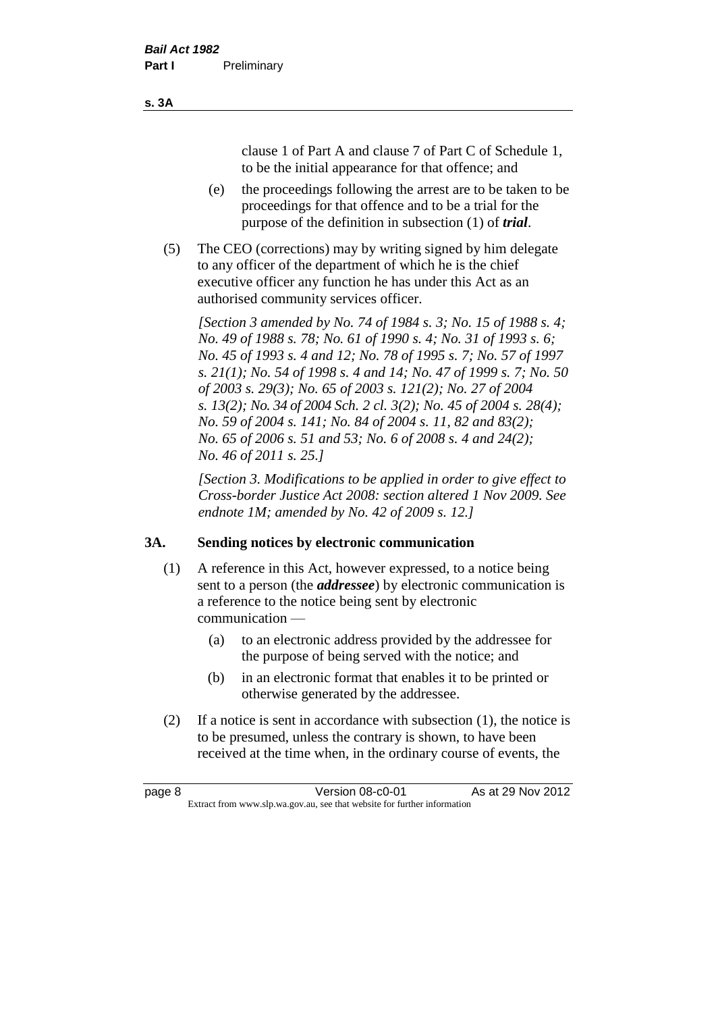clause 1 of Part A and clause 7 of Part C of Schedule 1, to be the initial appearance for that offence; and

- (e) the proceedings following the arrest are to be taken to be proceedings for that offence and to be a trial for the purpose of the definition in subsection (1) of *trial*.
- (5) The CEO (corrections) may by writing signed by him delegate to any officer of the department of which he is the chief executive officer any function he has under this Act as an authorised community services officer.

*[Section 3 amended by No. 74 of 1984 s. 3; No. 15 of 1988 s. 4; No. 49 of 1988 s. 78; No. 61 of 1990 s. 4; No. 31 of 1993 s. 6; No. 45 of 1993 s. 4 and 12; No. 78 of 1995 s. 7; No. 57 of 1997 s. 21(1); No. 54 of 1998 s. 4 and 14; No. 47 of 1999 s. 7; No. 50 of 2003 s. 29(3); No. 65 of 2003 s. 121(2); No. 27 of 2004 s. 13(2); No. 34 of 2004 Sch. 2 cl. 3(2); No. 45 of 2004 s. 28(4); No. 59 of 2004 s. 141; No. 84 of 2004 s. 11, 82 and 83(2); No. 65 of 2006 s. 51 and 53; No. 6 of 2008 s. 4 and 24(2); No. 46 of 2011 s. 25.]* 

*[Section 3. Modifications to be applied in order to give effect to Cross-border Justice Act 2008: section altered 1 Nov 2009. See endnote 1M; amended by No. 42 of 2009 s. 12.]*

#### **3A. Sending notices by electronic communication**

- (1) A reference in this Act, however expressed, to a notice being sent to a person (the *addressee*) by electronic communication is a reference to the notice being sent by electronic communication —
	- (a) to an electronic address provided by the addressee for the purpose of being served with the notice; and
	- (b) in an electronic format that enables it to be printed or otherwise generated by the addressee.
- (2) If a notice is sent in accordance with subsection (1), the notice is to be presumed, unless the contrary is shown, to have been received at the time when, in the ordinary course of events, the

| page 8 | Version 08-c0-01                                                         | As at 29 Nov 2012 |
|--------|--------------------------------------------------------------------------|-------------------|
|        | Extract from www.slp.wa.gov.au, see that website for further information |                   |

#### **s. 3A**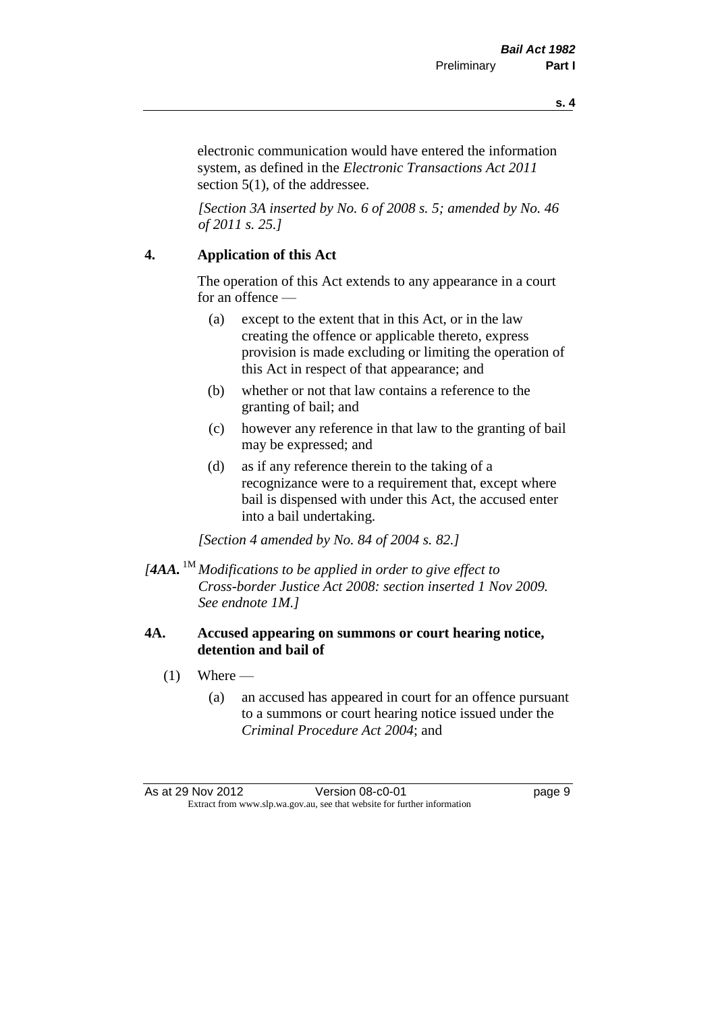**s. 4**

electronic communication would have entered the information system, as defined in the *Electronic Transactions Act 2011* section 5(1), of the addressee.

*[Section 3A inserted by No. 6 of 2008 s. 5; amended by No. 46 of 2011 s. 25.]*

#### **4. Application of this Act**

The operation of this Act extends to any appearance in a court for an offence —

- (a) except to the extent that in this Act, or in the law creating the offence or applicable thereto, express provision is made excluding or limiting the operation of this Act in respect of that appearance; and
- (b) whether or not that law contains a reference to the granting of bail; and
- (c) however any reference in that law to the granting of bail may be expressed; and
- (d) as if any reference therein to the taking of a recognizance were to a requirement that, except where bail is dispensed with under this Act, the accused enter into a bail undertaking.

*[Section 4 amended by No. 84 of 2004 s. 82.]*

*[4AA.* 1M *Modifications to be applied in order to give effect to Cross-border Justice Act 2008: section inserted 1 Nov 2009. See endnote 1M.]*

#### **4A. Accused appearing on summons or court hearing notice, detention and bail of**

- $(1)$  Where
	- (a) an accused has appeared in court for an offence pursuant to a summons or court hearing notice issued under the *Criminal Procedure Act 2004*; and

As at 29 Nov 2012 <br>
Version 08-c0-01 <br>
Dage 9 Extract from www.slp.wa.gov.au, see that website for further information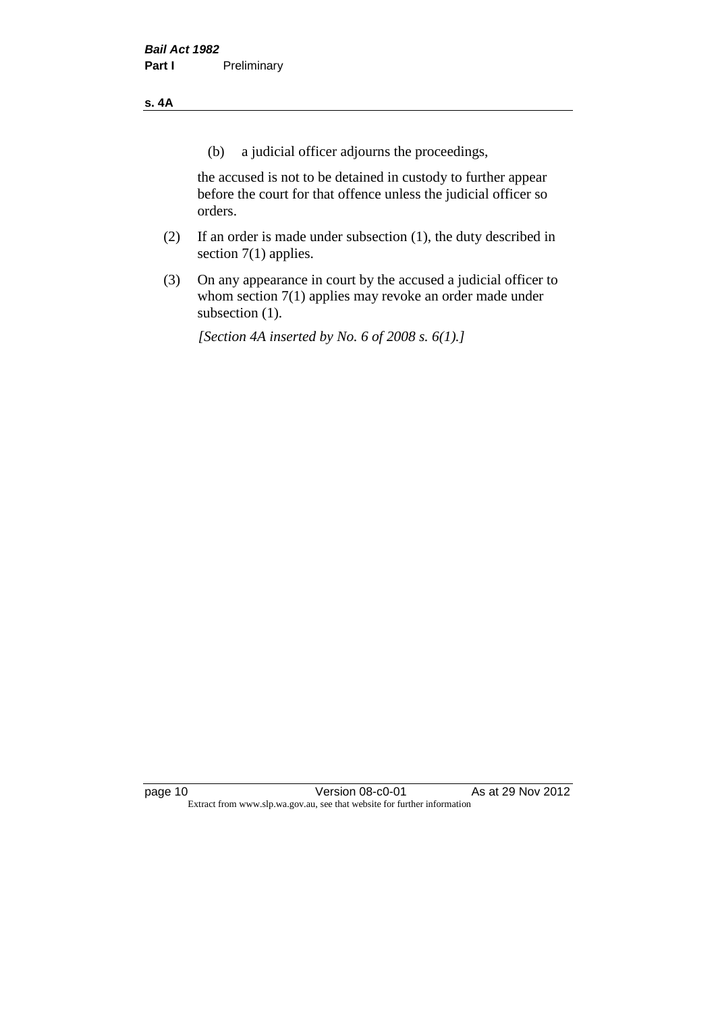#### **s. 4A**

(b) a judicial officer adjourns the proceedings,

the accused is not to be detained in custody to further appear before the court for that offence unless the judicial officer so orders.

- (2) If an order is made under subsection (1), the duty described in section 7(1) applies.
- (3) On any appearance in court by the accused a judicial officer to whom section 7(1) applies may revoke an order made under subsection (1).

*[Section 4A inserted by No. 6 of 2008 s. 6(1).]*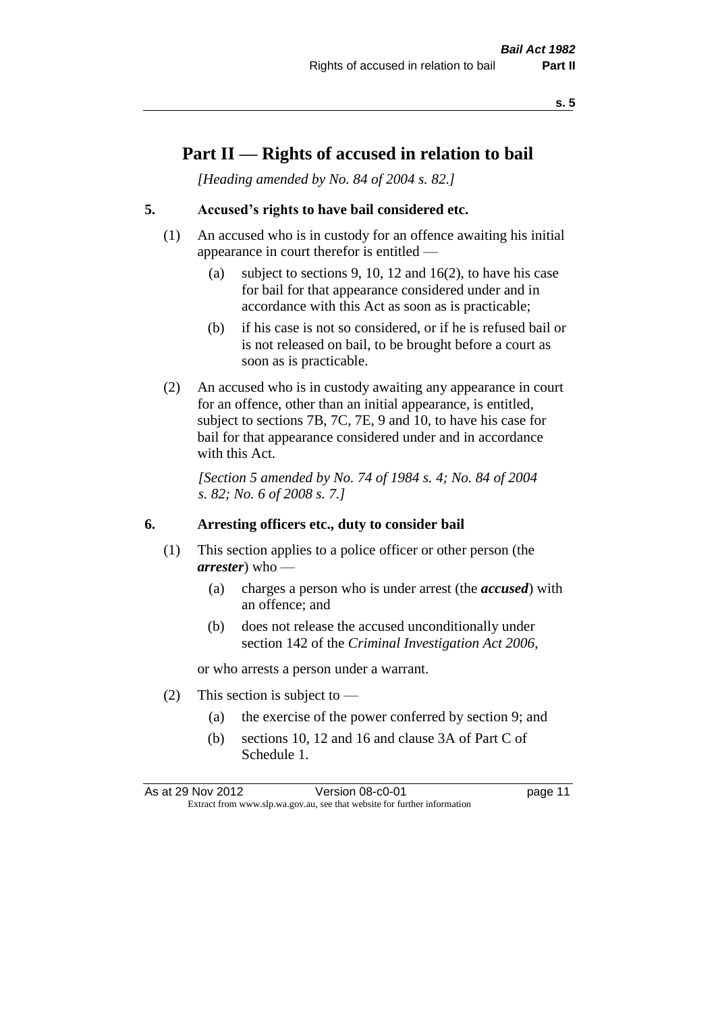### **Part II — Rights of accused in relation to bail**

*[Heading amended by No. 84 of 2004 s. 82.]* 

#### **5. Accused's rights to have bail considered etc.**

- (1) An accused who is in custody for an offence awaiting his initial appearance in court therefor is entitled —
	- (a) subject to sections 9, 10, 12 and 16(2), to have his case for bail for that appearance considered under and in accordance with this Act as soon as is practicable;
	- (b) if his case is not so considered, or if he is refused bail or is not released on bail, to be brought before a court as soon as is practicable.
- (2) An accused who is in custody awaiting any appearance in court for an offence, other than an initial appearance, is entitled, subject to sections 7B, 7C, 7E, 9 and 10, to have his case for bail for that appearance considered under and in accordance with this Act.

*[Section 5 amended by No. 74 of 1984 s. 4; No. 84 of 2004 s. 82; No. 6 of 2008 s. 7.]* 

#### **6. Arresting officers etc., duty to consider bail**

- (1) This section applies to a police officer or other person (the *arrester*) who —
	- (a) charges a person who is under arrest (the *accused*) with an offence; and
	- (b) does not release the accused unconditionally under section 142 of the *Criminal Investigation Act 2006*,

or who arrests a person under a warrant.

- (2) This section is subject to  $-$ 
	- (a) the exercise of the power conferred by section 9; and
	- (b) sections 10, 12 and 16 and clause 3A of Part C of Schedule 1.

As at 29 Nov 2012 **Version 08-c0-01 Dage 11** Extract from www.slp.wa.gov.au, see that website for further information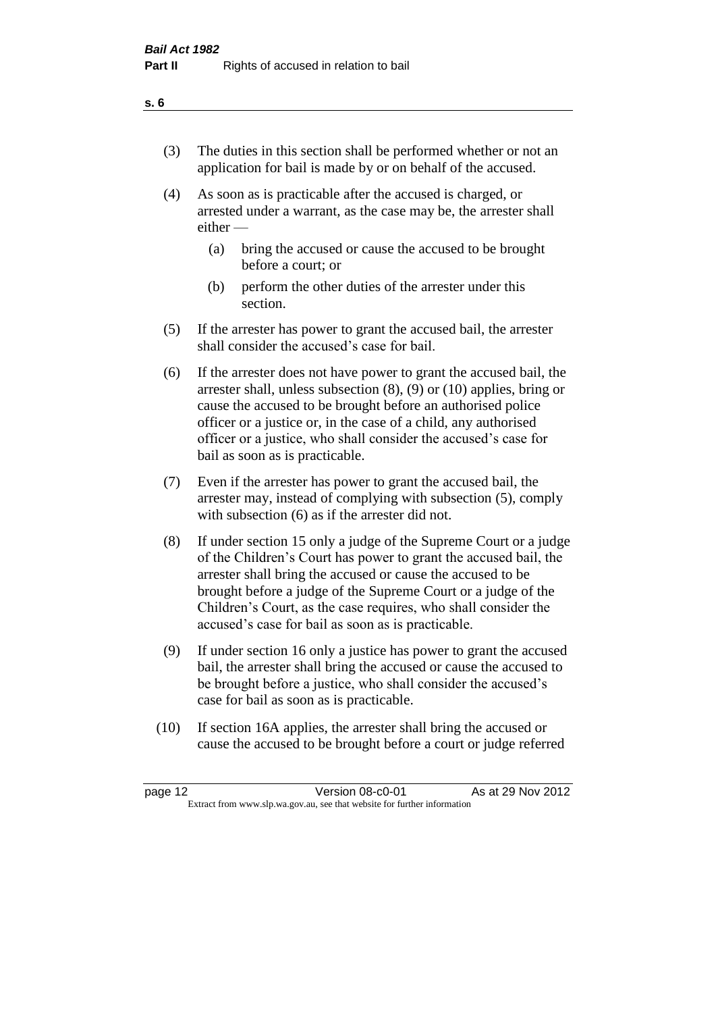- (3) The duties in this section shall be performed whether or not an application for bail is made by or on behalf of the accused.
- (4) As soon as is practicable after the accused is charged, or arrested under a warrant, as the case may be, the arrester shall either —
	- (a) bring the accused or cause the accused to be brought before a court; or
	- (b) perform the other duties of the arrester under this section.
- (5) If the arrester has power to grant the accused bail, the arrester shall consider the accused's case for bail.
- (6) If the arrester does not have power to grant the accused bail, the arrester shall, unless subsection (8), (9) or (10) applies, bring or cause the accused to be brought before an authorised police officer or a justice or, in the case of a child, any authorised officer or a justice, who shall consider the accused's case for bail as soon as is practicable.
- (7) Even if the arrester has power to grant the accused bail, the arrester may, instead of complying with subsection (5), comply with subsection (6) as if the arrester did not.
- (8) If under section 15 only a judge of the Supreme Court or a judge of the Children's Court has power to grant the accused bail, the arrester shall bring the accused or cause the accused to be brought before a judge of the Supreme Court or a judge of the Children's Court, as the case requires, who shall consider the accused's case for bail as soon as is practicable.
- (9) If under section 16 only a justice has power to grant the accused bail, the arrester shall bring the accused or cause the accused to be brought before a justice, who shall consider the accused's case for bail as soon as is practicable.
- (10) If section 16A applies, the arrester shall bring the accused or cause the accused to be brought before a court or judge referred

| page 12 | Version 08-c0-01                                                         | As at 29 Nov 2012 |
|---------|--------------------------------------------------------------------------|-------------------|
|         | Extract from www.slp.wa.gov.au, see that website for further information |                   |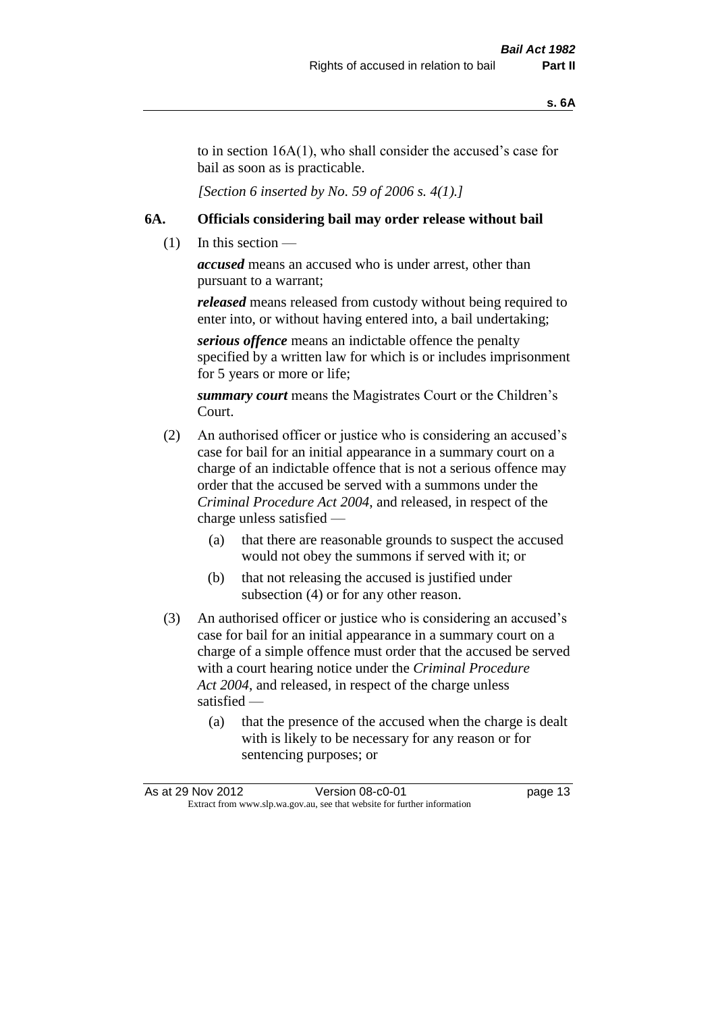to in section 16A(1), who shall consider the accused's case for bail as soon as is practicable.

*[Section 6 inserted by No. 59 of 2006 s. 4(1).]* 

#### **6A. Officials considering bail may order release without bail**

 $(1)$  In this section —

*accused* means an accused who is under arrest, other than pursuant to a warrant;

*released* means released from custody without being required to enter into, or without having entered into, a bail undertaking;

*serious offence* means an indictable offence the penalty specified by a written law for which is or includes imprisonment for 5 years or more or life;

*summary court* means the Magistrates Court or the Children's Court.

- (2) An authorised officer or justice who is considering an accused's case for bail for an initial appearance in a summary court on a charge of an indictable offence that is not a serious offence may order that the accused be served with a summons under the *Criminal Procedure Act 2004*, and released, in respect of the charge unless satisfied —
	- (a) that there are reasonable grounds to suspect the accused would not obey the summons if served with it; or
	- (b) that not releasing the accused is justified under subsection (4) or for any other reason.
- (3) An authorised officer or justice who is considering an accused's case for bail for an initial appearance in a summary court on a charge of a simple offence must order that the accused be served with a court hearing notice under the *Criminal Procedure Act 2004*, and released, in respect of the charge unless satisfied —
	- (a) that the presence of the accused when the charge is dealt with is likely to be necessary for any reason or for sentencing purposes; or

|                                                                          | As at 29 Nov 2012 | Version 08-c0-01 | page 13 |
|--------------------------------------------------------------------------|-------------------|------------------|---------|
| Extract from www.slp.wa.gov.au, see that website for further information |                   |                  |         |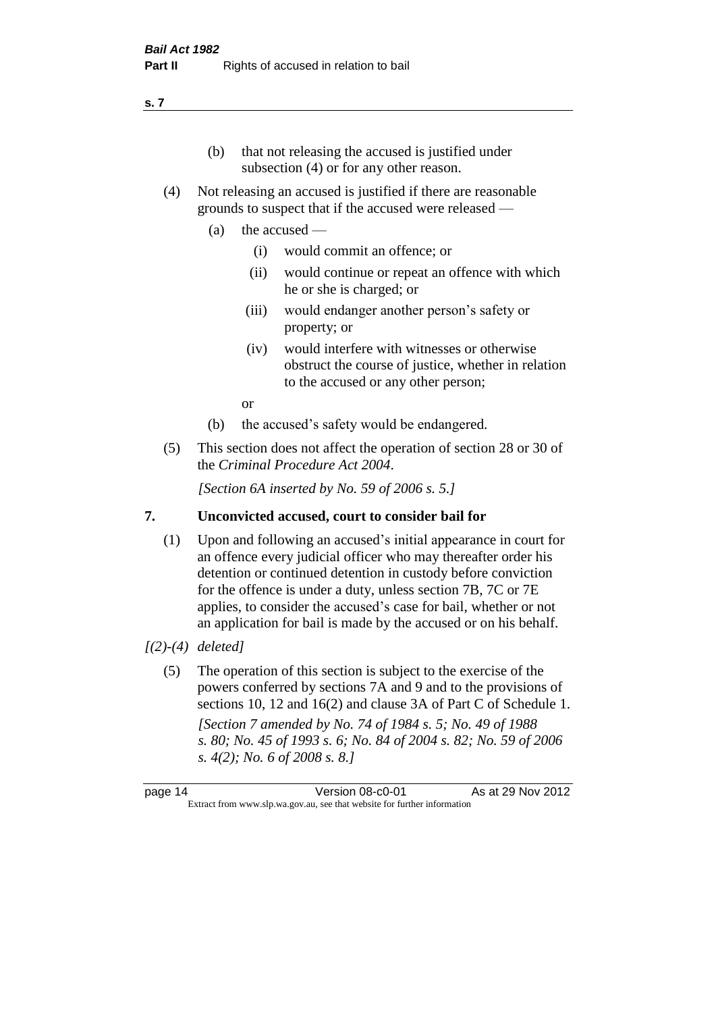#### (b) that not releasing the accused is justified under subsection (4) or for any other reason.

- (4) Not releasing an accused is justified if there are reasonable grounds to suspect that if the accused were released —
	- (a) the accused
		- (i) would commit an offence; or
		- (ii) would continue or repeat an offence with which he or she is charged; or
		- (iii) would endanger another person's safety or property; or
		- (iv) would interfere with witnesses or otherwise obstruct the course of justice, whether in relation to the accused or any other person;

or

- (b) the accused's safety would be endangered.
- (5) This section does not affect the operation of section 28 or 30 of the *Criminal Procedure Act 2004*.

*[Section 6A inserted by No. 59 of 2006 s. 5.]* 

#### **7. Unconvicted accused, court to consider bail for**

(1) Upon and following an accused's initial appearance in court for an offence every judicial officer who may thereafter order his detention or continued detention in custody before conviction for the offence is under a duty, unless section 7B, 7C or 7E applies, to consider the accused's case for bail, whether or not an application for bail is made by the accused or on his behalf.

#### *[(2)-(4) deleted]*

(5) The operation of this section is subject to the exercise of the powers conferred by sections 7A and 9 and to the provisions of sections 10, 12 and 16(2) and clause 3A of Part C of Schedule 1. *[Section 7 amended by No. 74 of 1984 s. 5; No. 49 of 1988 s. 80; No. 45 of 1993 s. 6; No. 84 of 2004 s. 82; No. 59 of 2006 s. 4(2); No. 6 of 2008 s. 8.]* 

page 14 Version 08-c0-01 As at 29 Nov 2012 Extract from www.slp.wa.gov.au, see that website for further information

#### **s. 7**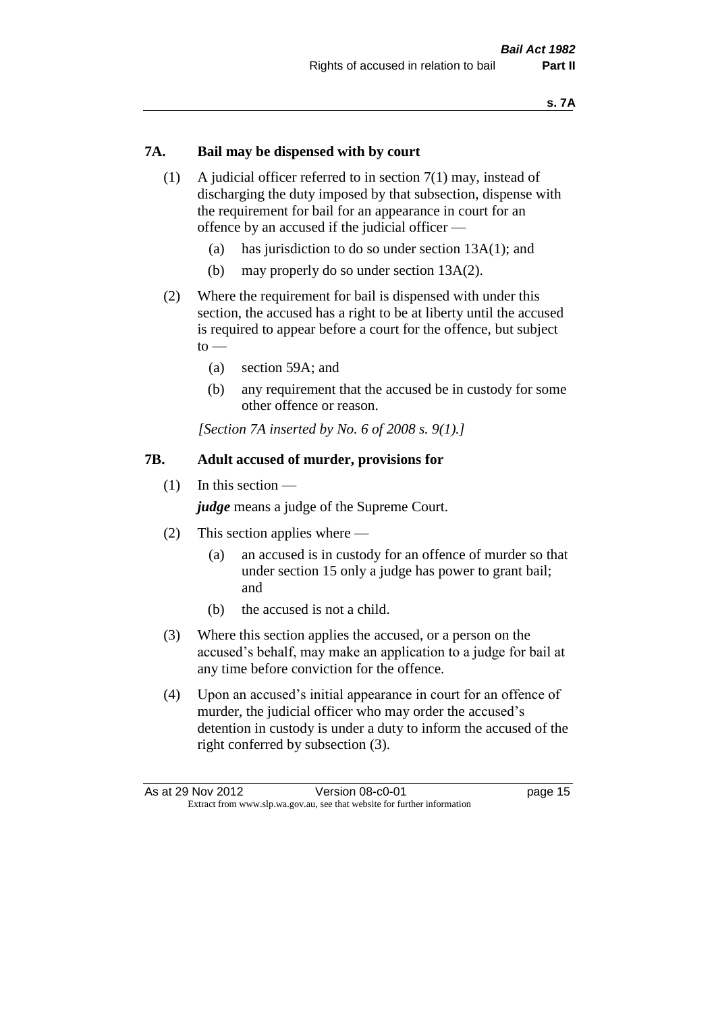#### **7A. Bail may be dispensed with by court**

- (1) A judicial officer referred to in section 7(1) may, instead of discharging the duty imposed by that subsection, dispense with the requirement for bail for an appearance in court for an offence by an accused if the judicial officer —
	- (a) has jurisdiction to do so under section 13A(1); and
	- (b) may properly do so under section 13A(2).
- (2) Where the requirement for bail is dispensed with under this section, the accused has a right to be at liberty until the accused is required to appear before a court for the offence, but subject  $to -$ 
	- (a) section 59A; and
	- (b) any requirement that the accused be in custody for some other offence or reason.

*[Section 7A inserted by No. 6 of 2008 s. 9(1).]*

#### **7B. Adult accused of murder, provisions for**

(1) In this section —

*judge* means a judge of the Supreme Court.

- (2) This section applies where
	- (a) an accused is in custody for an offence of murder so that under section 15 only a judge has power to grant bail; and
	- (b) the accused is not a child.
- (3) Where this section applies the accused, or a person on the accused's behalf, may make an application to a judge for bail at any time before conviction for the offence.
- (4) Upon an accused's initial appearance in court for an offence of murder, the judicial officer who may order the accused's detention in custody is under a duty to inform the accused of the right conferred by subsection (3).

| As at 29 Nov 2012                                                        | Version 08-c0-01 | page 15 |
|--------------------------------------------------------------------------|------------------|---------|
| Extract from www.slp.wa.gov.au, see that website for further information |                  |         |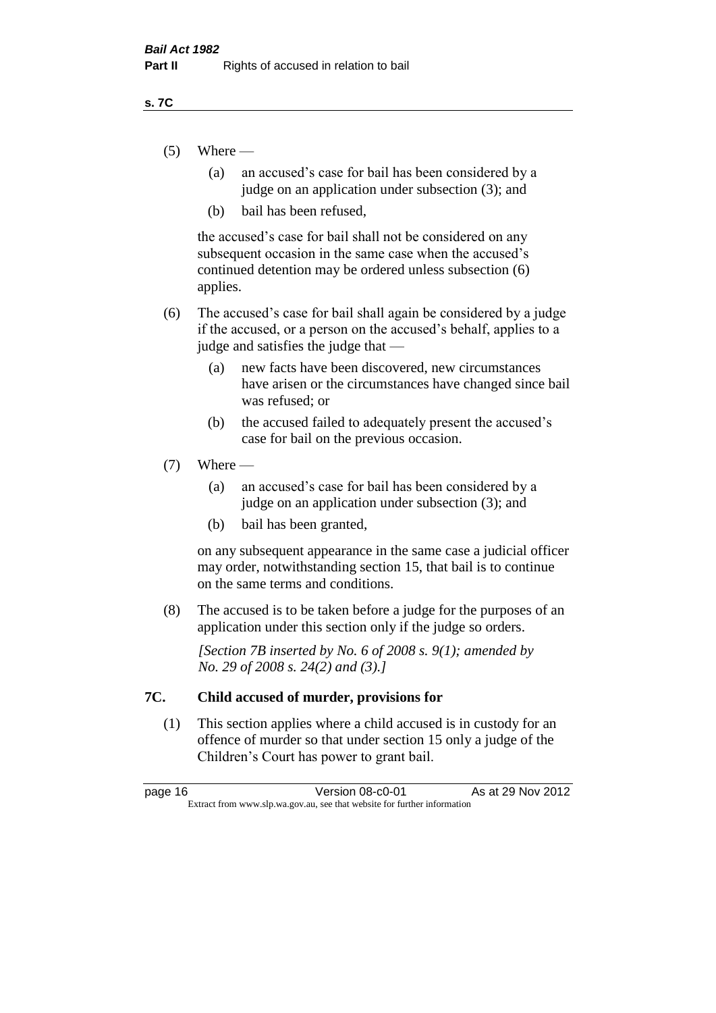#### **s. 7C**

- $(5)$  Where
	- (a) an accused's case for bail has been considered by a judge on an application under subsection (3); and
	- (b) bail has been refused,

the accused's case for bail shall not be considered on any subsequent occasion in the same case when the accused's continued detention may be ordered unless subsection (6) applies.

- (6) The accused's case for bail shall again be considered by a judge if the accused, or a person on the accused's behalf, applies to a judge and satisfies the judge that —
	- (a) new facts have been discovered, new circumstances have arisen or the circumstances have changed since bail was refused; or
	- (b) the accused failed to adequately present the accused's case for bail on the previous occasion.

#### $(7)$  Where —

- (a) an accused's case for bail has been considered by a judge on an application under subsection (3); and
- (b) bail has been granted,

on any subsequent appearance in the same case a judicial officer may order, notwithstanding section 15, that bail is to continue on the same terms and conditions.

(8) The accused is to be taken before a judge for the purposes of an application under this section only if the judge so orders.

*[Section 7B inserted by No. 6 of 2008 s. 9(1); amended by No. 29 of 2008 s. 24(2) and (3).]*

#### **7C. Child accused of murder, provisions for**

(1) This section applies where a child accused is in custody for an offence of murder so that under section 15 only a judge of the Children's Court has power to grant bail.

page 16 **Version 08-c0-01** As at 29 Nov 2012 Extract from www.slp.wa.gov.au, see that website for further information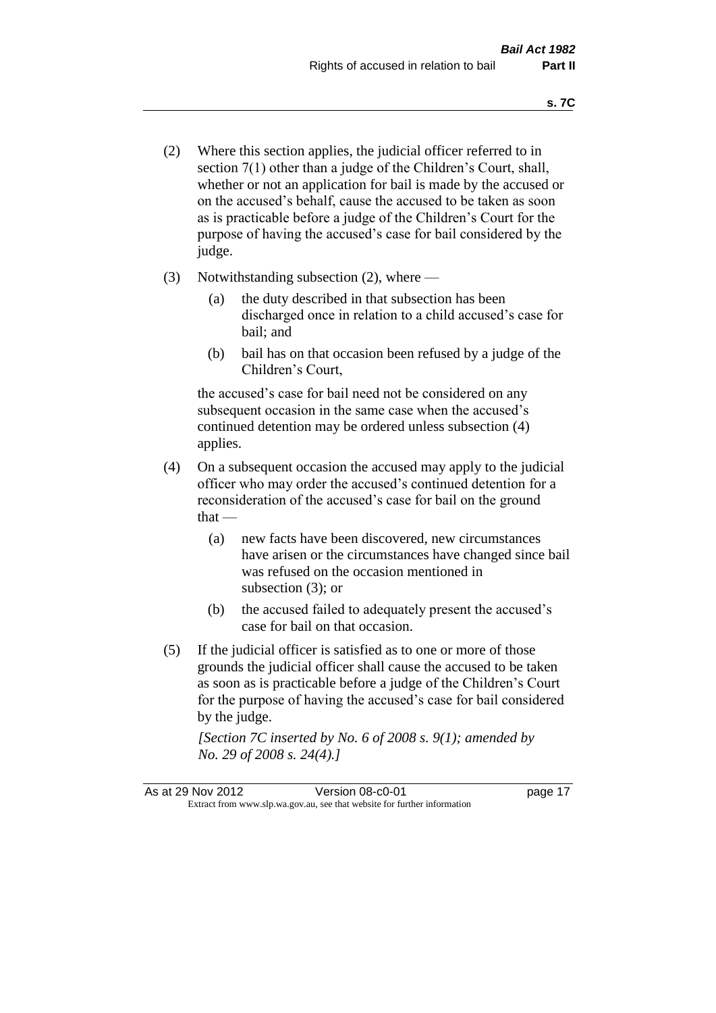- (2) Where this section applies, the judicial officer referred to in section 7(1) other than a judge of the Children's Court, shall, whether or not an application for bail is made by the accused or on the accused's behalf, cause the accused to be taken as soon as is practicable before a judge of the Children's Court for the purpose of having the accused's case for bail considered by the judge.
- (3) Notwithstanding subsection (2), where
	- (a) the duty described in that subsection has been discharged once in relation to a child accused's case for bail; and
	- (b) bail has on that occasion been refused by a judge of the Children's Court,

the accused's case for bail need not be considered on any subsequent occasion in the same case when the accused's continued detention may be ordered unless subsection (4) applies.

- (4) On a subsequent occasion the accused may apply to the judicial officer who may order the accused's continued detention for a reconsideration of the accused's case for bail on the ground  $that -$ 
	- (a) new facts have been discovered, new circumstances have arisen or the circumstances have changed since bail was refused on the occasion mentioned in subsection (3); or
	- (b) the accused failed to adequately present the accused's case for bail on that occasion.
- (5) If the judicial officer is satisfied as to one or more of those grounds the judicial officer shall cause the accused to be taken as soon as is practicable before a judge of the Children's Court for the purpose of having the accused's case for bail considered by the judge.

*[Section 7C inserted by No. 6 of 2008 s. 9(1); amended by No. 29 of 2008 s. 24(4).]*

As at 29 Nov 2012 **Version 08-c0-01 Dage 17** Extract from www.slp.wa.gov.au, see that website for further information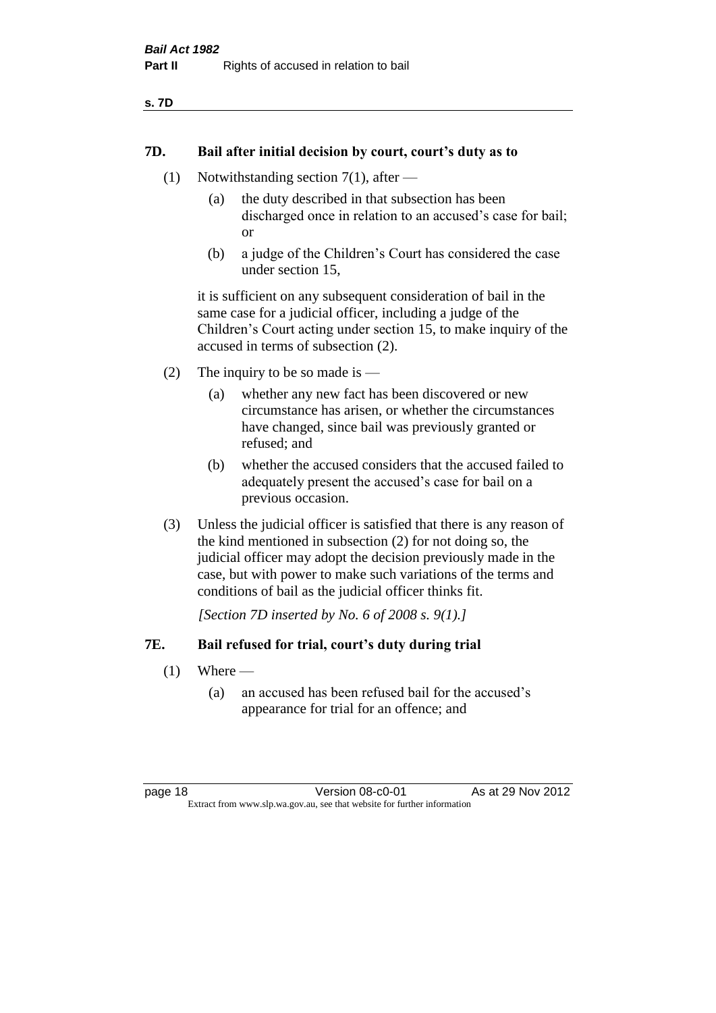#### **7D. Bail after initial decision by court, court's duty as to**

- (1) Notwithstanding section 7(1), after
	- (a) the duty described in that subsection has been discharged once in relation to an accused's case for bail; or
	- (b) a judge of the Children's Court has considered the case under section 15,

it is sufficient on any subsequent consideration of bail in the same case for a judicial officer, including a judge of the Children's Court acting under section 15, to make inquiry of the accused in terms of subsection (2).

- (2) The inquiry to be so made is  $-$ 
	- (a) whether any new fact has been discovered or new circumstance has arisen, or whether the circumstances have changed, since bail was previously granted or refused; and
	- (b) whether the accused considers that the accused failed to adequately present the accused's case for bail on a previous occasion.
- (3) Unless the judicial officer is satisfied that there is any reason of the kind mentioned in subsection (2) for not doing so, the judicial officer may adopt the decision previously made in the case, but with power to make such variations of the terms and conditions of bail as the judicial officer thinks fit.

*[Section 7D inserted by No. 6 of 2008 s. 9(1).]*

#### **7E. Bail refused for trial, court's duty during trial**

- $(1)$  Where
	- (a) an accused has been refused bail for the accused's appearance for trial for an offence; and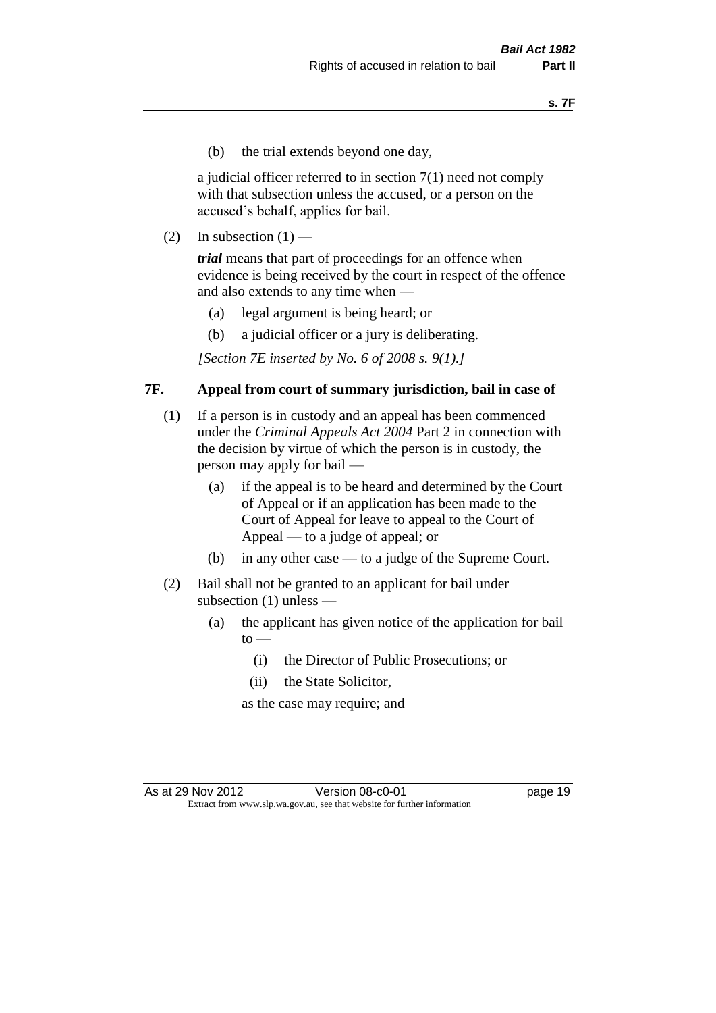(b) the trial extends beyond one day,

a judicial officer referred to in section 7(1) need not comply with that subsection unless the accused, or a person on the accused's behalf, applies for bail.

(2) In subsection  $(1)$  —

*trial* means that part of proceedings for an offence when evidence is being received by the court in respect of the offence and also extends to any time when —

- (a) legal argument is being heard; or
- (b) a judicial officer or a jury is deliberating.

*[Section 7E inserted by No. 6 of 2008 s. 9(1).]*

#### **7F. Appeal from court of summary jurisdiction, bail in case of**

- (1) If a person is in custody and an appeal has been commenced under the *Criminal Appeals Act 2004* Part 2 in connection with the decision by virtue of which the person is in custody, the person may apply for bail —
	- (a) if the appeal is to be heard and determined by the Court of Appeal or if an application has been made to the Court of Appeal for leave to appeal to the Court of Appeal — to a judge of appeal; or
	- (b) in any other case to a judge of the Supreme Court.
- (2) Bail shall not be granted to an applicant for bail under subsection (1) unless —
	- (a) the applicant has given notice of the application for bail  $to -$ 
		- (i) the Director of Public Prosecutions; or
		- (ii) the State Solicitor,

as the case may require; and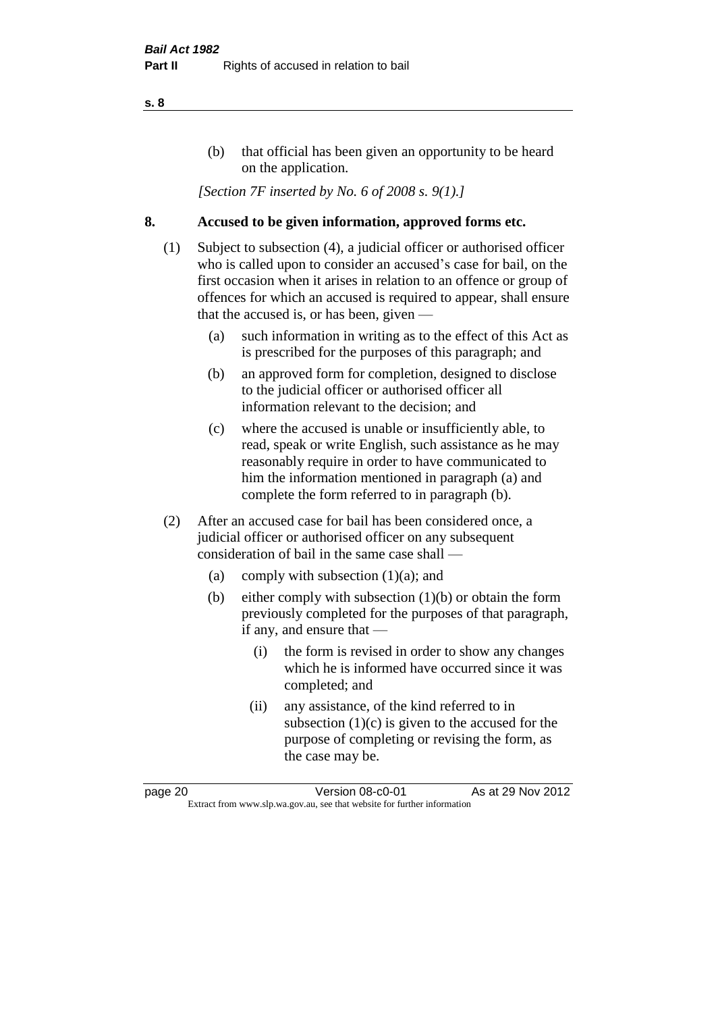#### (b) that official has been given an opportunity to be heard on the application.

*[Section 7F inserted by No. 6 of 2008 s. 9(1).]*

#### **8. Accused to be given information, approved forms etc.**

- (1) Subject to subsection (4), a judicial officer or authorised officer who is called upon to consider an accused's case for bail, on the first occasion when it arises in relation to an offence or group of offences for which an accused is required to appear, shall ensure that the accused is, or has been, given —
	- (a) such information in writing as to the effect of this Act as is prescribed for the purposes of this paragraph; and
	- (b) an approved form for completion, designed to disclose to the judicial officer or authorised officer all information relevant to the decision; and
	- (c) where the accused is unable or insufficiently able, to read, speak or write English, such assistance as he may reasonably require in order to have communicated to him the information mentioned in paragraph (a) and complete the form referred to in paragraph (b).
- (2) After an accused case for bail has been considered once, a judicial officer or authorised officer on any subsequent consideration of bail in the same case shall —
	- (a) comply with subsection (1)(a); and
	- (b) either comply with subsection (1)(b) or obtain the form previously completed for the purposes of that paragraph, if any, and ensure that —
		- (i) the form is revised in order to show any changes which he is informed have occurred since it was completed; and
		- (ii) any assistance, of the kind referred to in subsection  $(1)(c)$  is given to the accused for the purpose of completing or revising the form, as the case may be.

page 20 Version 08-c0-01 As at 29 Nov 2012 Extract from www.slp.wa.gov.au, see that website for further information

#### **s. 8**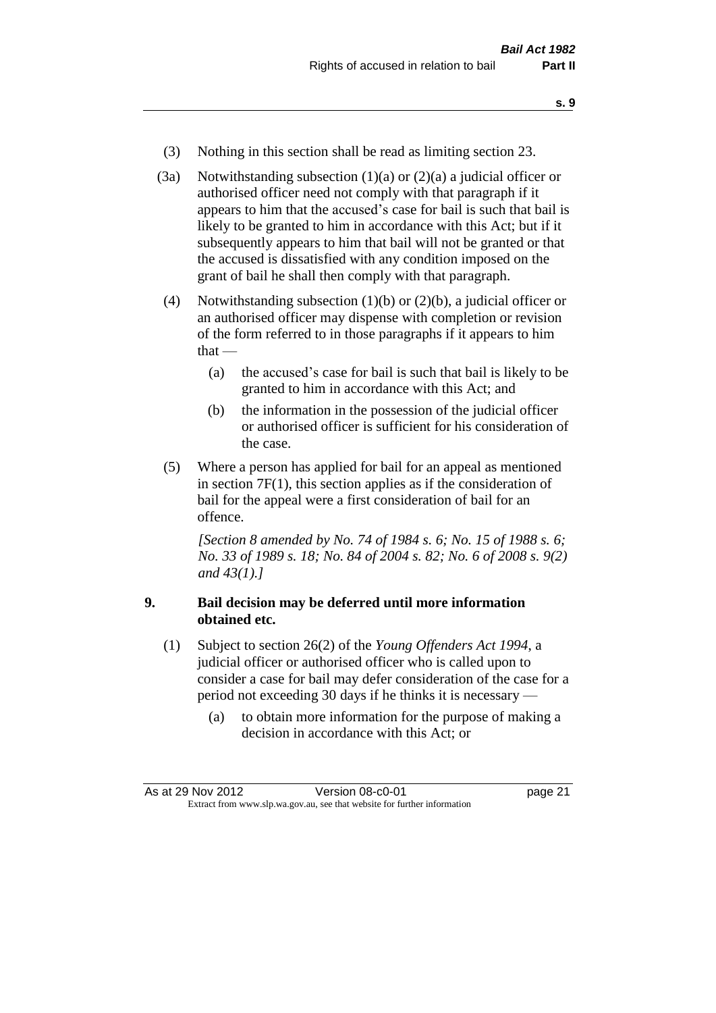- **s. 9**
- (3) Nothing in this section shall be read as limiting section 23.
- (3a) Notwithstanding subsection  $(1)(a)$  or  $(2)(a)$  a judicial officer or authorised officer need not comply with that paragraph if it appears to him that the accused's case for bail is such that bail is likely to be granted to him in accordance with this Act; but if it subsequently appears to him that bail will not be granted or that the accused is dissatisfied with any condition imposed on the grant of bail he shall then comply with that paragraph.
- (4) Notwithstanding subsection (1)(b) or (2)(b), a judicial officer or an authorised officer may dispense with completion or revision of the form referred to in those paragraphs if it appears to him that —
	- (a) the accused's case for bail is such that bail is likely to be granted to him in accordance with this Act; and
	- (b) the information in the possession of the judicial officer or authorised officer is sufficient for his consideration of the case.
- (5) Where a person has applied for bail for an appeal as mentioned in section 7F(1), this section applies as if the consideration of bail for the appeal were a first consideration of bail for an offence.

*[Section 8 amended by No. 74 of 1984 s. 6; No. 15 of 1988 s. 6; No. 33 of 1989 s. 18; No. 84 of 2004 s. 82; No. 6 of 2008 s. 9(2) and 43(1).]* 

#### **9. Bail decision may be deferred until more information obtained etc.**

- (1) Subject to section 26(2) of the *Young Offenders Act 1994*, a judicial officer or authorised officer who is called upon to consider a case for bail may defer consideration of the case for a period not exceeding 30 days if he thinks it is necessary —
	- (a) to obtain more information for the purpose of making a decision in accordance with this Act; or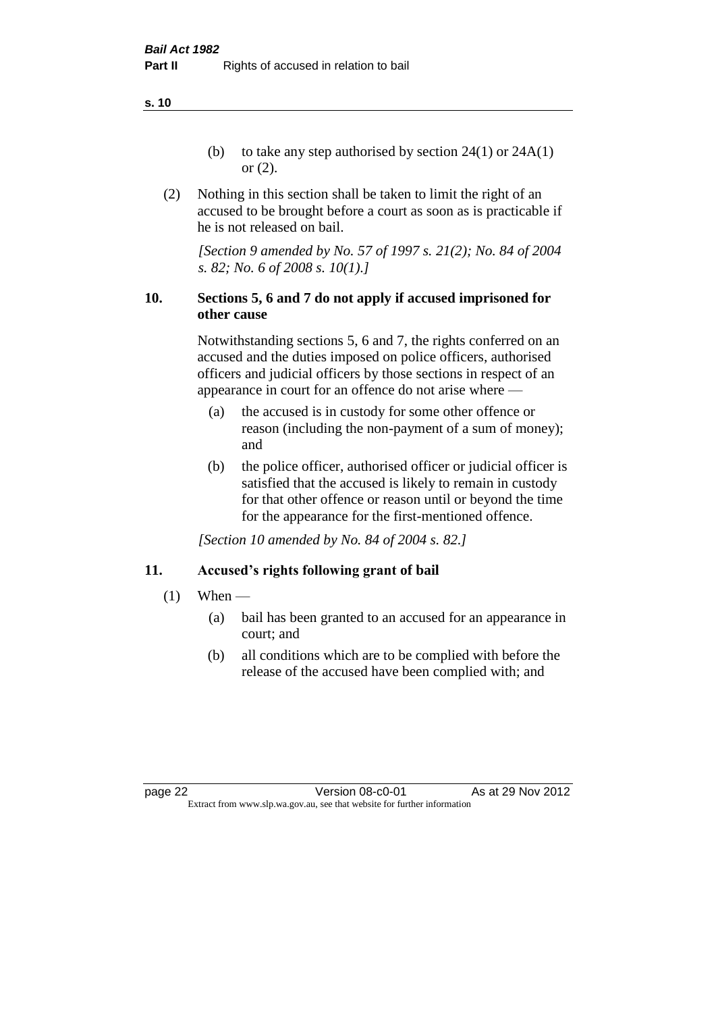**s. 10**

- (b) to take any step authorised by section  $24(1)$  or  $24A(1)$ or (2).
- (2) Nothing in this section shall be taken to limit the right of an accused to be brought before a court as soon as is practicable if he is not released on bail.

*[Section 9 amended by No. 57 of 1997 s. 21(2); No. 84 of 2004 s. 82; No. 6 of 2008 s. 10(1).]*

#### **10. Sections 5, 6 and 7 do not apply if accused imprisoned for other cause**

Notwithstanding sections 5, 6 and 7, the rights conferred on an accused and the duties imposed on police officers, authorised officers and judicial officers by those sections in respect of an appearance in court for an offence do not arise where —

- (a) the accused is in custody for some other offence or reason (including the non-payment of a sum of money); and
- (b) the police officer, authorised officer or judicial officer is satisfied that the accused is likely to remain in custody for that other offence or reason until or beyond the time for the appearance for the first-mentioned offence.

*[Section 10 amended by No. 84 of 2004 s. 82.]*

### **11. Accused's rights following grant of bail**

- $(1)$  When
	- (a) bail has been granted to an accused for an appearance in court; and
	- (b) all conditions which are to be complied with before the release of the accused have been complied with; and

page 22 Version 08-c0-01 As at 29 Nov 2012 Extract from www.slp.wa.gov.au, see that website for further information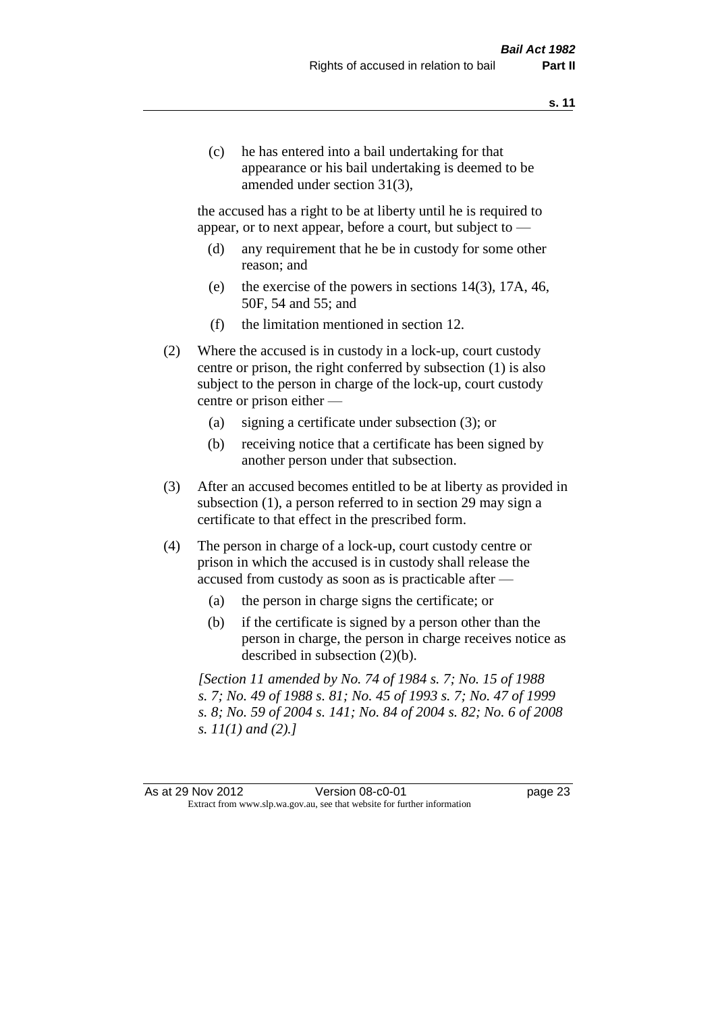(c) he has entered into a bail undertaking for that appearance or his bail undertaking is deemed to be amended under section 31(3),

the accused has a right to be at liberty until he is required to appear, or to next appear, before a court, but subject to —

- (d) any requirement that he be in custody for some other reason; and
- (e) the exercise of the powers in sections 14(3), 17A, 46, 50F, 54 and 55; and
- (f) the limitation mentioned in section 12.
- (2) Where the accused is in custody in a lock-up, court custody centre or prison, the right conferred by subsection (1) is also subject to the person in charge of the lock-up, court custody centre or prison either —
	- (a) signing a certificate under subsection (3); or
	- (b) receiving notice that a certificate has been signed by another person under that subsection.
- (3) After an accused becomes entitled to be at liberty as provided in subsection (1), a person referred to in section 29 may sign a certificate to that effect in the prescribed form.
- (4) The person in charge of a lock-up, court custody centre or prison in which the accused is in custody shall release the accused from custody as soon as is practicable after —
	- (a) the person in charge signs the certificate; or
	- (b) if the certificate is signed by a person other than the person in charge, the person in charge receives notice as described in subsection (2)(b).

*[Section 11 amended by No. 74 of 1984 s. 7; No. 15 of 1988 s. 7; No. 49 of 1988 s. 81; No. 45 of 1993 s. 7; No. 47 of 1999 s. 8; No. 59 of 2004 s. 141; No. 84 of 2004 s. 82; No. 6 of 2008 s. 11(1) and (2).]* 

As at 29 Nov 2012 **Version 08-c0-01 Dage 23** Extract from www.slp.wa.gov.au, see that website for further information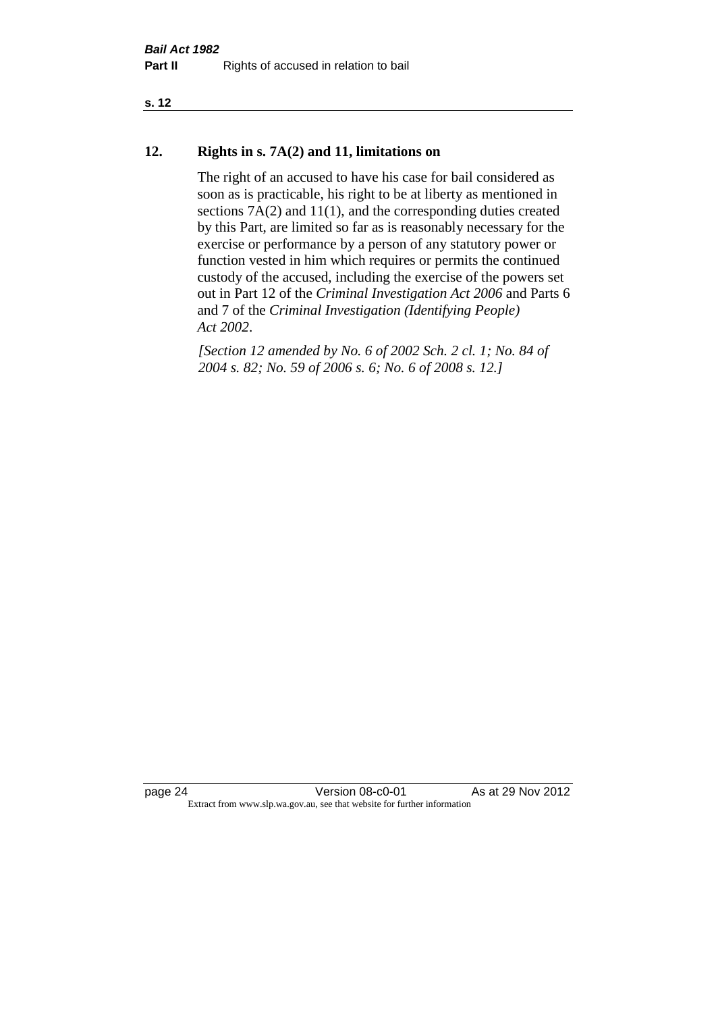#### **s. 12**

#### **12. Rights in s. 7A(2) and 11, limitations on**

The right of an accused to have his case for bail considered as soon as is practicable, his right to be at liberty as mentioned in sections 7A(2) and 11(1), and the corresponding duties created by this Part, are limited so far as is reasonably necessary for the exercise or performance by a person of any statutory power or function vested in him which requires or permits the continued custody of the accused, including the exercise of the powers set out in Part 12 of the *Criminal Investigation Act 2006* and Parts 6 and 7 of the *Criminal Investigation (Identifying People) Act 2002*.

*[Section 12 amended by No. 6 of 2002 Sch. 2 cl. 1; No. 84 of 2004 s. 82; No. 59 of 2006 s. 6; No. 6 of 2008 s. 12.]*

page 24 Version 08-c0-01 As at 29 Nov 2012 Extract from www.slp.wa.gov.au, see that website for further information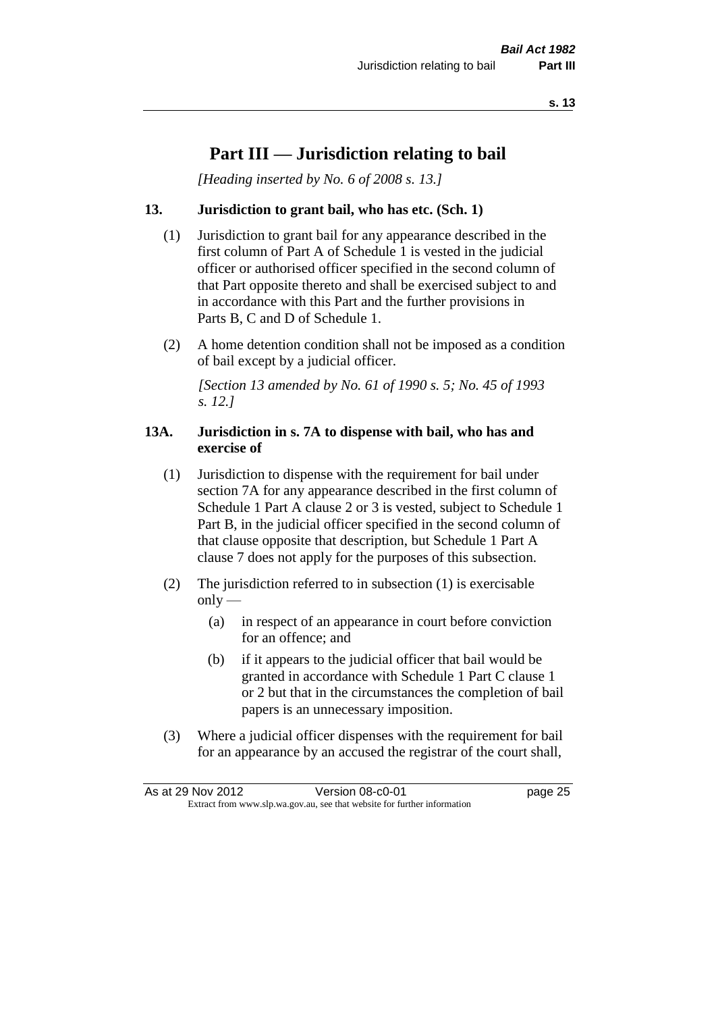### **Part III — Jurisdiction relating to bail**

*[Heading inserted by No. 6 of 2008 s. 13.]*

#### **13. Jurisdiction to grant bail, who has etc. (Sch. 1)**

- (1) Jurisdiction to grant bail for any appearance described in the first column of Part A of Schedule 1 is vested in the judicial officer or authorised officer specified in the second column of that Part opposite thereto and shall be exercised subject to and in accordance with this Part and the further provisions in Parts B, C and D of Schedule 1.
- (2) A home detention condition shall not be imposed as a condition of bail except by a judicial officer.

*[Section 13 amended by No. 61 of 1990 s. 5; No. 45 of 1993 s. 12.]* 

#### **13A. Jurisdiction in s. 7A to dispense with bail, who has and exercise of**

- (1) Jurisdiction to dispense with the requirement for bail under section 7A for any appearance described in the first column of Schedule 1 Part A clause 2 or 3 is vested, subject to Schedule 1 Part B, in the judicial officer specified in the second column of that clause opposite that description, but Schedule 1 Part A clause 7 does not apply for the purposes of this subsection.
- (2) The jurisdiction referred to in subsection (1) is exercisable  $only$ —
	- (a) in respect of an appearance in court before conviction for an offence; and
	- (b) if it appears to the judicial officer that bail would be granted in accordance with Schedule 1 Part C clause 1 or 2 but that in the circumstances the completion of bail papers is an unnecessary imposition.
- (3) Where a judicial officer dispenses with the requirement for bail for an appearance by an accused the registrar of the court shall,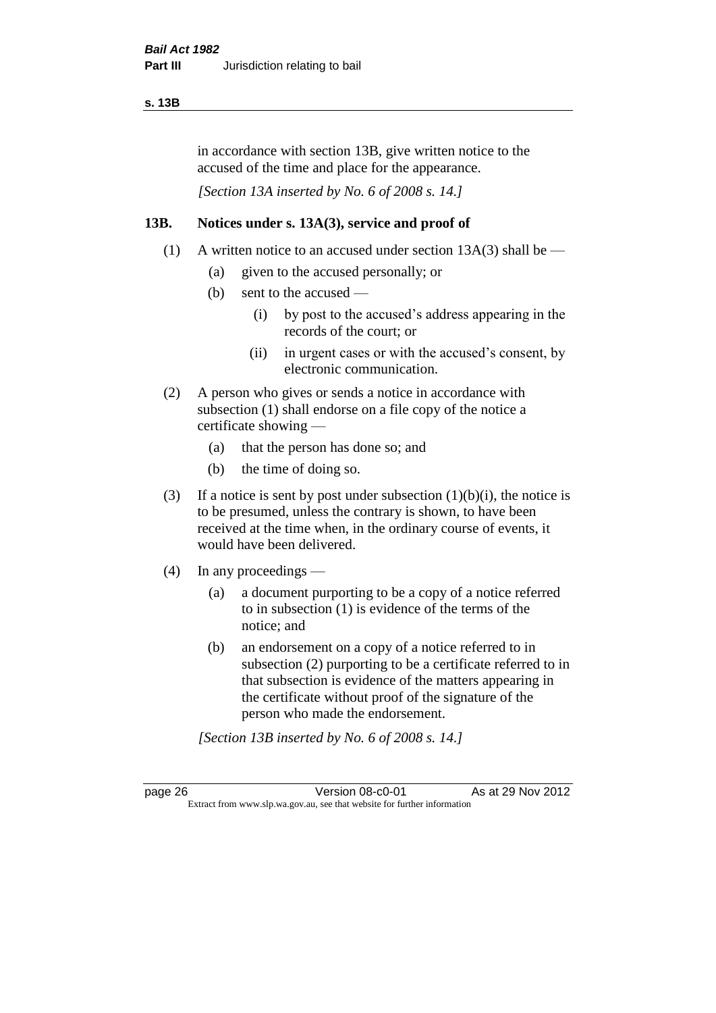#### **s. 13B**

in accordance with section 13B, give written notice to the accused of the time and place for the appearance.

*[Section 13A inserted by No. 6 of 2008 s. 14.]*

#### **13B. Notices under s. 13A(3), service and proof of**

- (1) A written notice to an accused under section  $13A(3)$  shall be
	- (a) given to the accused personally; or
	- (b) sent to the accused
		- (i) by post to the accused's address appearing in the records of the court; or
		- (ii) in urgent cases or with the accused's consent, by electronic communication.
- (2) A person who gives or sends a notice in accordance with subsection (1) shall endorse on a file copy of the notice a certificate showing —
	- (a) that the person has done so; and
	- (b) the time of doing so.
- (3) If a notice is sent by post under subsection  $(1)(b)(i)$ , the notice is to be presumed, unless the contrary is shown, to have been received at the time when, in the ordinary course of events, it would have been delivered.
- (4) In any proceedings
	- (a) a document purporting to be a copy of a notice referred to in subsection (1) is evidence of the terms of the notice; and
	- (b) an endorsement on a copy of a notice referred to in subsection (2) purporting to be a certificate referred to in that subsection is evidence of the matters appearing in the certificate without proof of the signature of the person who made the endorsement.

*[Section 13B inserted by No. 6 of 2008 s. 14.]*

page 26 Version 08-c0-01 As at 29 Nov 2012 Extract from www.slp.wa.gov.au, see that website for further information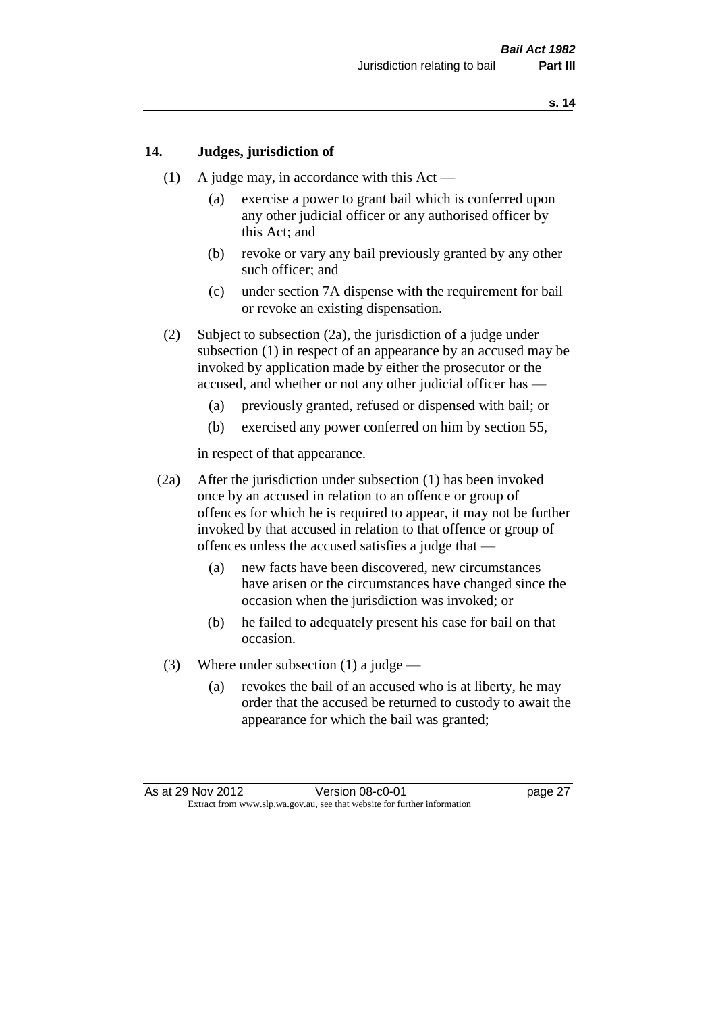#### **14. Judges, jurisdiction of**

- (1) A judge may, in accordance with this  $Act -$ 
	- (a) exercise a power to grant bail which is conferred upon any other judicial officer or any authorised officer by this Act; and
	- (b) revoke or vary any bail previously granted by any other such officer; and
	- (c) under section 7A dispense with the requirement for bail or revoke an existing dispensation.
- (2) Subject to subsection (2a), the jurisdiction of a judge under subsection (1) in respect of an appearance by an accused may be invoked by application made by either the prosecutor or the accused, and whether or not any other judicial officer has —
	- (a) previously granted, refused or dispensed with bail; or
	- (b) exercised any power conferred on him by section 55,

in respect of that appearance.

- (2a) After the jurisdiction under subsection (1) has been invoked once by an accused in relation to an offence or group of offences for which he is required to appear, it may not be further invoked by that accused in relation to that offence or group of offences unless the accused satisfies a judge that —
	- (a) new facts have been discovered, new circumstances have arisen or the circumstances have changed since the occasion when the jurisdiction was invoked; or
	- (b) he failed to adequately present his case for bail on that occasion.
- (3) Where under subsection (1) a judge
	- (a) revokes the bail of an accused who is at liberty, he may order that the accused be returned to custody to await the appearance for which the bail was granted;

As at 29 Nov 2012 Version 08-c0-01 page 27 Extract from www.slp.wa.gov.au, see that website for further information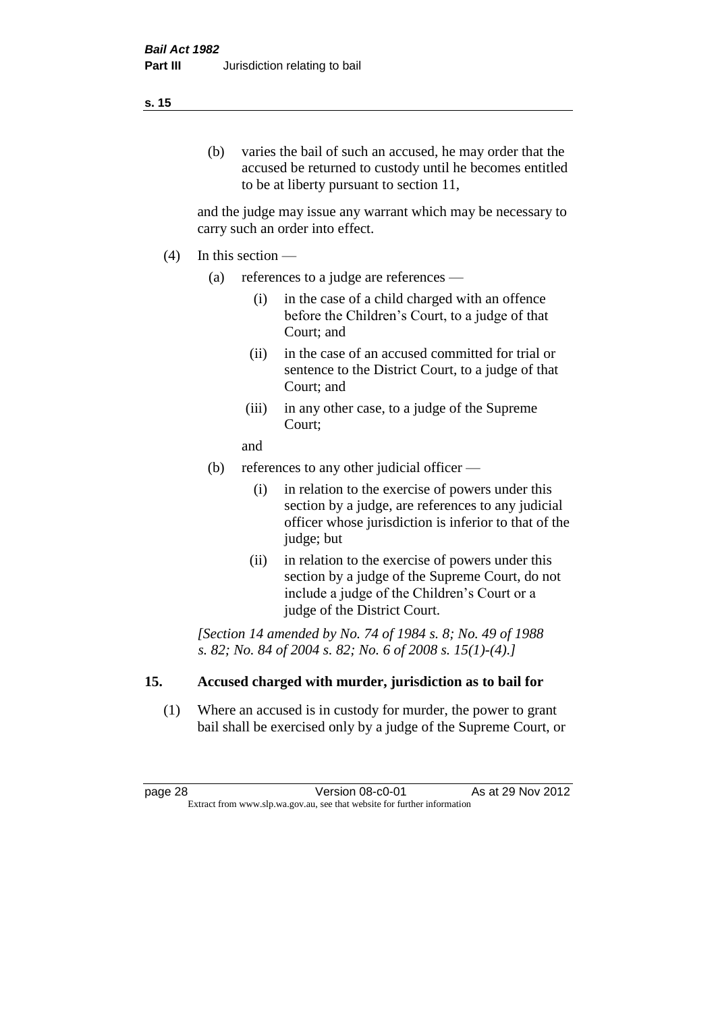#### (b) varies the bail of such an accused, he may order that the accused be returned to custody until he becomes entitled to be at liberty pursuant to section 11,

and the judge may issue any warrant which may be necessary to carry such an order into effect.

- (4) In this section
	- (a) references to a judge are references
		- (i) in the case of a child charged with an offence before the Children's Court, to a judge of that Court; and
		- (ii) in the case of an accused committed for trial or sentence to the District Court, to a judge of that Court; and
		- (iii) in any other case, to a judge of the Supreme Court;
		- and
	- (b) references to any other judicial officer
		- (i) in relation to the exercise of powers under this section by a judge, are references to any judicial officer whose jurisdiction is inferior to that of the judge; but
		- (ii) in relation to the exercise of powers under this section by a judge of the Supreme Court, do not include a judge of the Children's Court or a judge of the District Court.

*[Section 14 amended by No. 74 of 1984 s. 8; No. 49 of 1988 s. 82; No. 84 of 2004 s. 82; No. 6 of 2008 s. 15(1)-(4).]* 

#### **15. Accused charged with murder, jurisdiction as to bail for**

(1) Where an accused is in custody for murder, the power to grant bail shall be exercised only by a judge of the Supreme Court, or

page 28 **Version 08-c0-01** As at 29 Nov 2012 Extract from www.slp.wa.gov.au, see that website for further information

#### **s. 15**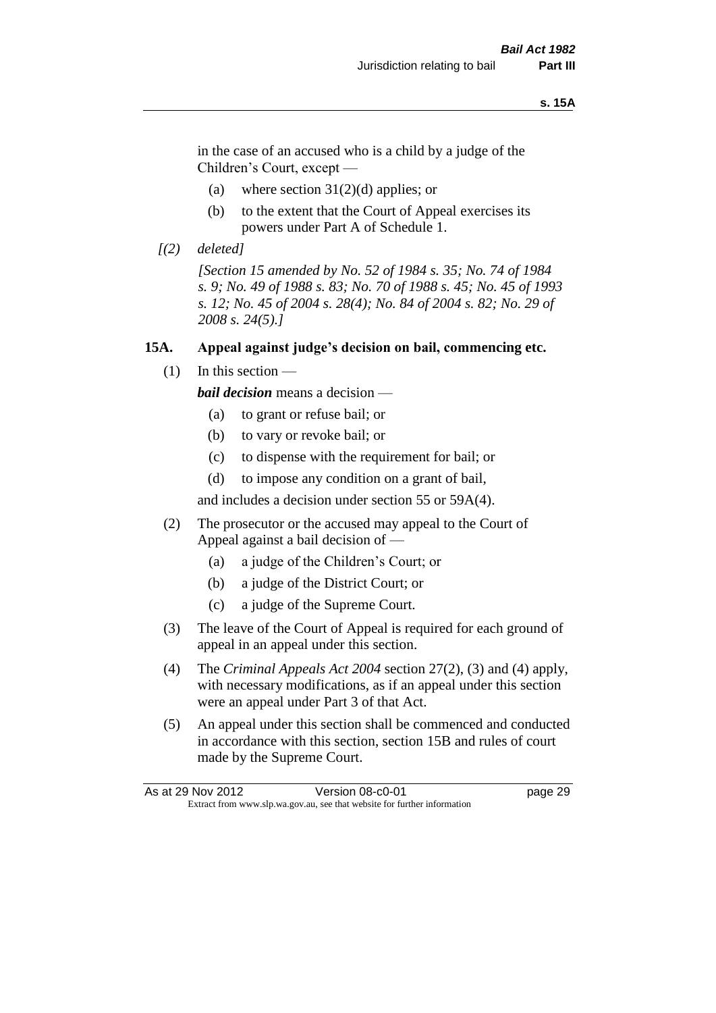#### **s. 15A**

in the case of an accused who is a child by a judge of the Children's Court, except —

- (a) where section  $31(2)(d)$  applies; or
- (b) to the extent that the Court of Appeal exercises its powers under Part A of Schedule 1.
- *[(2) deleted]*

*[Section 15 amended by No. 52 of 1984 s. 35; No. 74 of 1984 s. 9; No. 49 of 1988 s. 83; No. 70 of 1988 s. 45; No. 45 of 1993 s. 12; No. 45 of 2004 s. 28(4); No. 84 of 2004 s. 82; No. 29 of 2008 s. 24(5).]* 

#### **15A. Appeal against judge's decision on bail, commencing etc.**

 $(1)$  In this section —

*bail decision* means a decision —

- (a) to grant or refuse bail; or
- (b) to vary or revoke bail; or
- (c) to dispense with the requirement for bail; or
- (d) to impose any condition on a grant of bail,

and includes a decision under section 55 or 59A(4).

- (2) The prosecutor or the accused may appeal to the Court of Appeal against a bail decision of —
	- (a) a judge of the Children's Court; or
	- (b) a judge of the District Court; or
	- (c) a judge of the Supreme Court.
- (3) The leave of the Court of Appeal is required for each ground of appeal in an appeal under this section.
- (4) The *Criminal Appeals Act 2004* section 27(2), (3) and (4) apply, with necessary modifications, as if an appeal under this section were an appeal under Part 3 of that Act.
- (5) An appeal under this section shall be commenced and conducted in accordance with this section, section 15B and rules of court made by the Supreme Court.

| As at 29 Nov 2012 | Version 08-c0-01                                                         | page 29 |
|-------------------|--------------------------------------------------------------------------|---------|
|                   | Extract from www.slp.wa.gov.au, see that website for further information |         |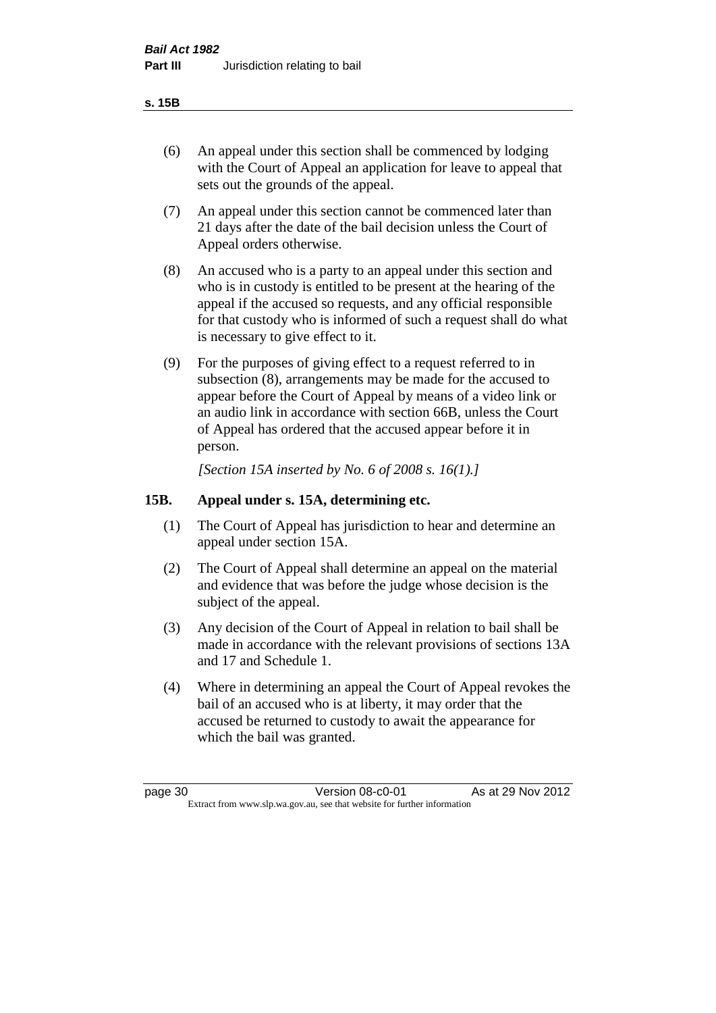#### **s. 15B**

- (6) An appeal under this section shall be commenced by lodging with the Court of Appeal an application for leave to appeal that sets out the grounds of the appeal.
- (7) An appeal under this section cannot be commenced later than 21 days after the date of the bail decision unless the Court of Appeal orders otherwise.
- (8) An accused who is a party to an appeal under this section and who is in custody is entitled to be present at the hearing of the appeal if the accused so requests, and any official responsible for that custody who is informed of such a request shall do what is necessary to give effect to it.
- (9) For the purposes of giving effect to a request referred to in subsection (8), arrangements may be made for the accused to appear before the Court of Appeal by means of a video link or an audio link in accordance with section 66B, unless the Court of Appeal has ordered that the accused appear before it in person.

*[Section 15A inserted by No. 6 of 2008 s. 16(1).]*

#### **15B. Appeal under s. 15A, determining etc.**

- (1) The Court of Appeal has jurisdiction to hear and determine an appeal under section 15A.
- (2) The Court of Appeal shall determine an appeal on the material and evidence that was before the judge whose decision is the subject of the appeal.
- (3) Any decision of the Court of Appeal in relation to bail shall be made in accordance with the relevant provisions of sections 13A and 17 and Schedule 1.
- (4) Where in determining an appeal the Court of Appeal revokes the bail of an accused who is at liberty, it may order that the accused be returned to custody to await the appearance for which the bail was granted.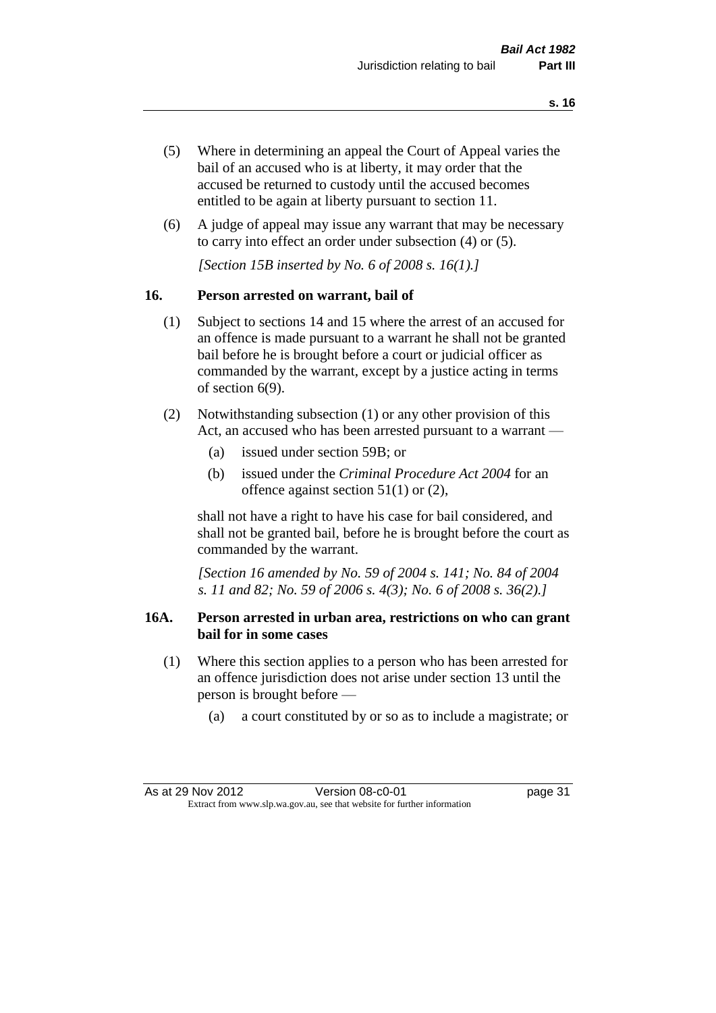- (5) Where in determining an appeal the Court of Appeal varies the bail of an accused who is at liberty, it may order that the accused be returned to custody until the accused becomes entitled to be again at liberty pursuant to section 11.
- (6) A judge of appeal may issue any warrant that may be necessary to carry into effect an order under subsection (4) or (5).

*[Section 15B inserted by No. 6 of 2008 s. 16(1).]*

#### **16. Person arrested on warrant, bail of**

- (1) Subject to sections 14 and 15 where the arrest of an accused for an offence is made pursuant to a warrant he shall not be granted bail before he is brought before a court or judicial officer as commanded by the warrant, except by a justice acting in terms of section 6(9).
- (2) Notwithstanding subsection (1) or any other provision of this Act, an accused who has been arrested pursuant to a warrant —
	- (a) issued under section 59B; or
	- (b) issued under the *Criminal Procedure Act 2004* for an offence against section 51(1) or (2),

shall not have a right to have his case for bail considered, and shall not be granted bail, before he is brought before the court as commanded by the warrant.

*[Section 16 amended by No. 59 of 2004 s. 141; No. 84 of 2004 s. 11 and 82; No. 59 of 2006 s. 4(3); No. 6 of 2008 s. 36(2).]*

#### **16A. Person arrested in urban area, restrictions on who can grant bail for in some cases**

- (1) Where this section applies to a person who has been arrested for an offence jurisdiction does not arise under section 13 until the person is brought before —
	- (a) a court constituted by or so as to include a magistrate; or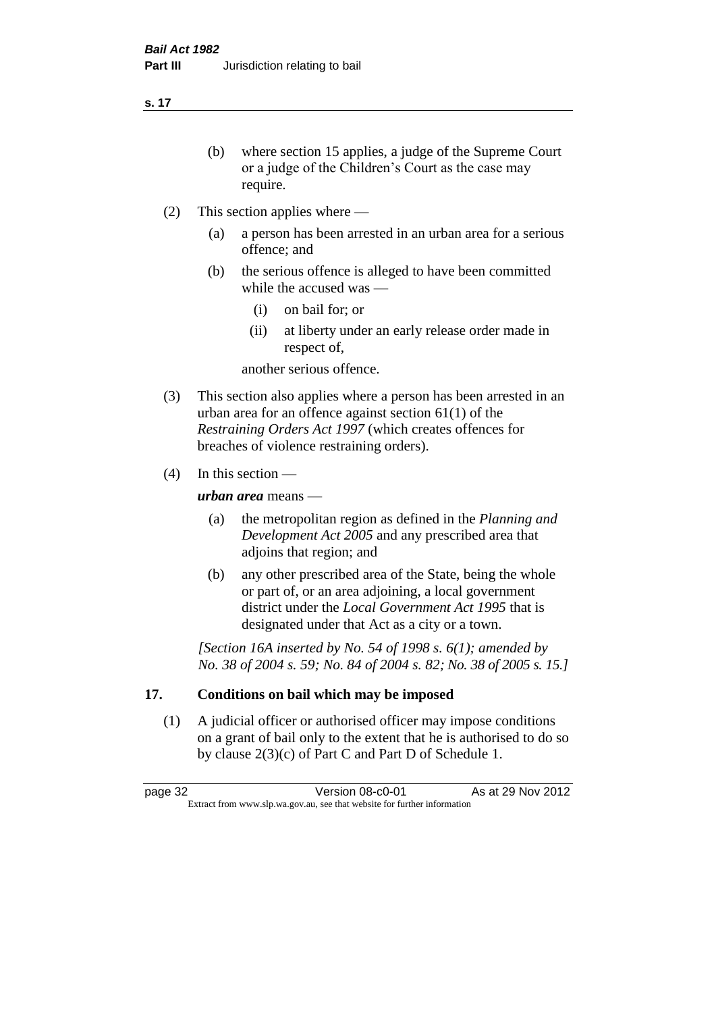**s. 17**

- (b) where section 15 applies, a judge of the Supreme Court or a judge of the Children's Court as the case may require.
- (2) This section applies where
	- (a) a person has been arrested in an urban area for a serious offence; and
	- (b) the serious offence is alleged to have been committed while the accused was —
		- (i) on bail for; or
		- (ii) at liberty under an early release order made in respect of,

another serious offence.

- (3) This section also applies where a person has been arrested in an urban area for an offence against section 61(1) of the *Restraining Orders Act 1997* (which creates offences for breaches of violence restraining orders).
- (4) In this section —

*urban area* means —

- (a) the metropolitan region as defined in the *Planning and Development Act 2005* and any prescribed area that adjoins that region; and
- (b) any other prescribed area of the State, being the whole or part of, or an area adjoining, a local government district under the *Local Government Act 1995* that is designated under that Act as a city or a town.

*[Section 16A inserted by No. 54 of 1998 s. 6(1); amended by No. 38 of 2004 s. 59; No. 84 of 2004 s. 82; No. 38 of 2005 s. 15.]*

# **17. Conditions on bail which may be imposed**

(1) A judicial officer or authorised officer may impose conditions on a grant of bail only to the extent that he is authorised to do so by clause 2(3)(c) of Part C and Part D of Schedule 1.

page 32 Version 08-c0-01 As at 29 Nov 2012 Extract from www.slp.wa.gov.au, see that website for further information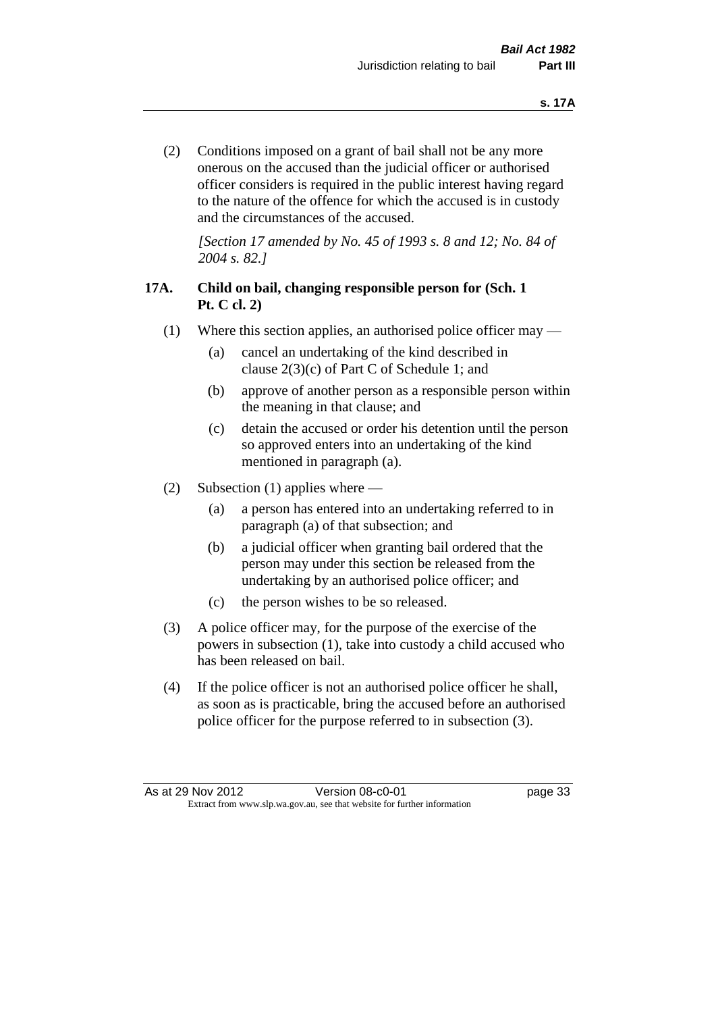(2) Conditions imposed on a grant of bail shall not be any more onerous on the accused than the judicial officer or authorised officer considers is required in the public interest having regard to the nature of the offence for which the accused is in custody and the circumstances of the accused.

*[Section 17 amended by No. 45 of 1993 s. 8 and 12; No. 84 of 2004 s. 82.]* 

# **17A. Child on bail, changing responsible person for (Sch. 1 Pt. C cl. 2)**

- (1) Where this section applies, an authorised police officer may
	- (a) cancel an undertaking of the kind described in clause 2(3)(c) of Part C of Schedule 1; and
	- (b) approve of another person as a responsible person within the meaning in that clause; and
	- (c) detain the accused or order his detention until the person so approved enters into an undertaking of the kind mentioned in paragraph (a).
- (2) Subsection (1) applies where
	- (a) a person has entered into an undertaking referred to in paragraph (a) of that subsection; and
	- (b) a judicial officer when granting bail ordered that the person may under this section be released from the undertaking by an authorised police officer; and
	- (c) the person wishes to be so released.
- (3) A police officer may, for the purpose of the exercise of the powers in subsection (1), take into custody a child accused who has been released on bail.
- (4) If the police officer is not an authorised police officer he shall, as soon as is practicable, bring the accused before an authorised police officer for the purpose referred to in subsection (3).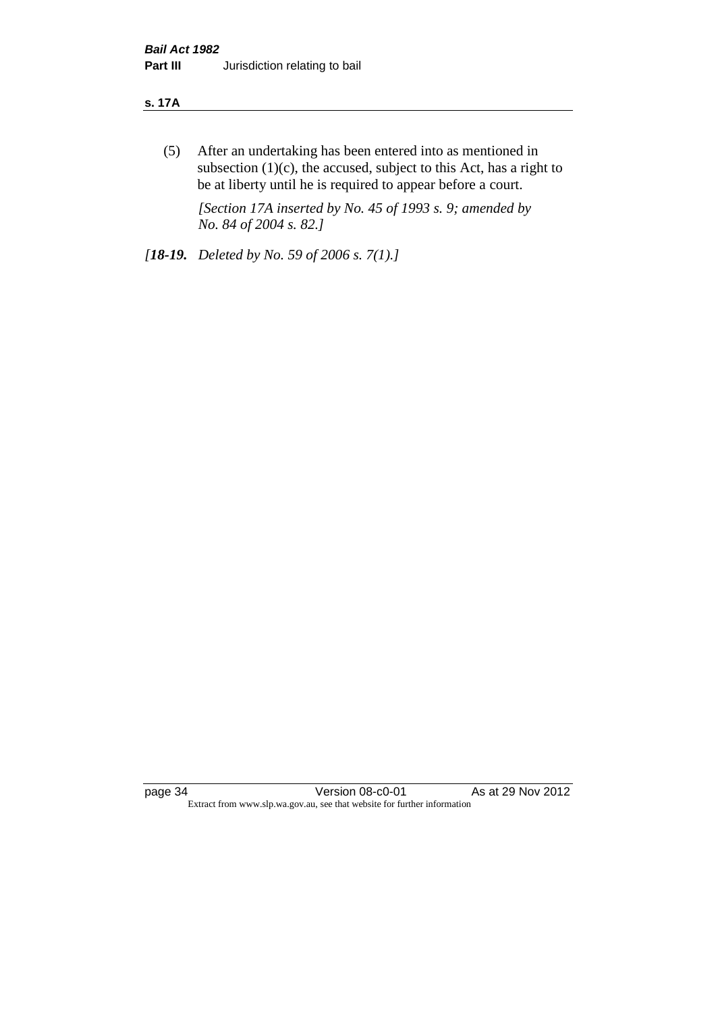#### **s. 17A**

(5) After an undertaking has been entered into as mentioned in subsection  $(1)(c)$ , the accused, subject to this Act, has a right to be at liberty until he is required to appear before a court.

*[Section 17A inserted by No. 45 of 1993 s. 9; amended by No. 84 of 2004 s. 82.]* 

*[18-19. Deleted by No. 59 of 2006 s. 7(1).]*

page 34 Version 08-c0-01 As at 29 Nov 2012 Extract from www.slp.wa.gov.au, see that website for further information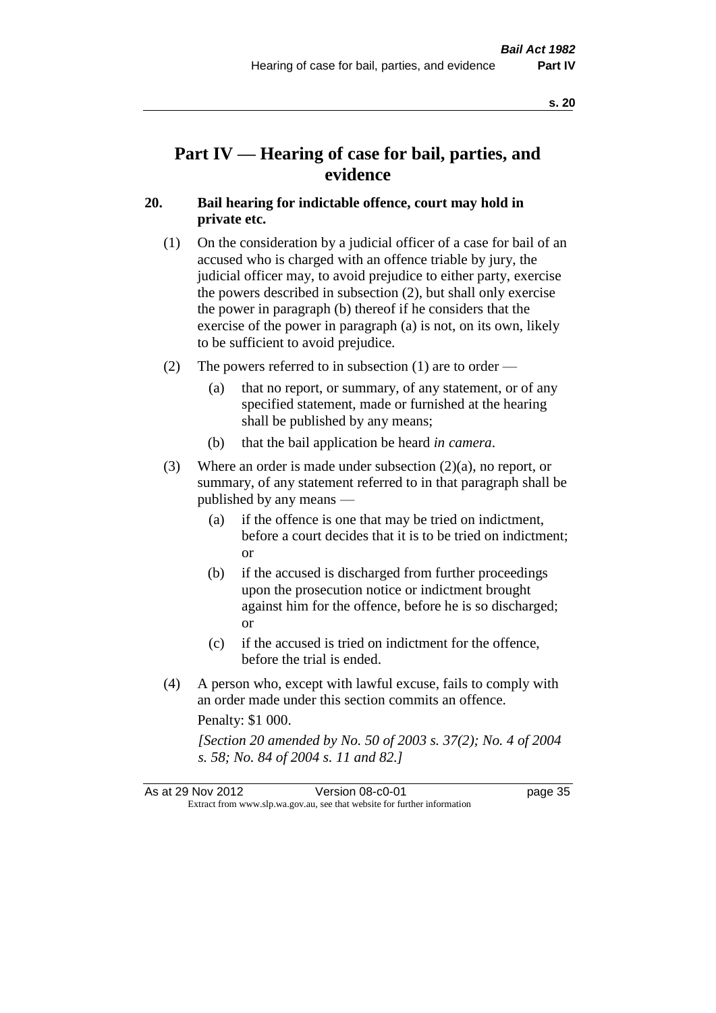# **Part IV — Hearing of case for bail, parties, and evidence**

#### **20. Bail hearing for indictable offence, court may hold in private etc.**

- (1) On the consideration by a judicial officer of a case for bail of an accused who is charged with an offence triable by jury, the judicial officer may, to avoid prejudice to either party, exercise the powers described in subsection (2), but shall only exercise the power in paragraph (b) thereof if he considers that the exercise of the power in paragraph (a) is not, on its own, likely to be sufficient to avoid prejudice.
- (2) The powers referred to in subsection (1) are to order
	- (a) that no report, or summary, of any statement, or of any specified statement, made or furnished at the hearing shall be published by any means;
	- (b) that the bail application be heard *in camera*.
- (3) Where an order is made under subsection (2)(a), no report, or summary, of any statement referred to in that paragraph shall be published by any means —
	- (a) if the offence is one that may be tried on indictment, before a court decides that it is to be tried on indictment; or
	- (b) if the accused is discharged from further proceedings upon the prosecution notice or indictment brought against him for the offence, before he is so discharged; or
	- (c) if the accused is tried on indictment for the offence, before the trial is ended.
- (4) A person who, except with lawful excuse, fails to comply with an order made under this section commits an offence.

Penalty: \$1 000.

*[Section 20 amended by No. 50 of 2003 s. 37(2); No. 4 of 2004 s. 58; No. 84 of 2004 s. 11 and 82.]*

| As at 29 Nov 2012 | Version 08-c0-01                                                         | page 35 |
|-------------------|--------------------------------------------------------------------------|---------|
|                   | Extract from www.slp.wa.gov.au, see that website for further information |         |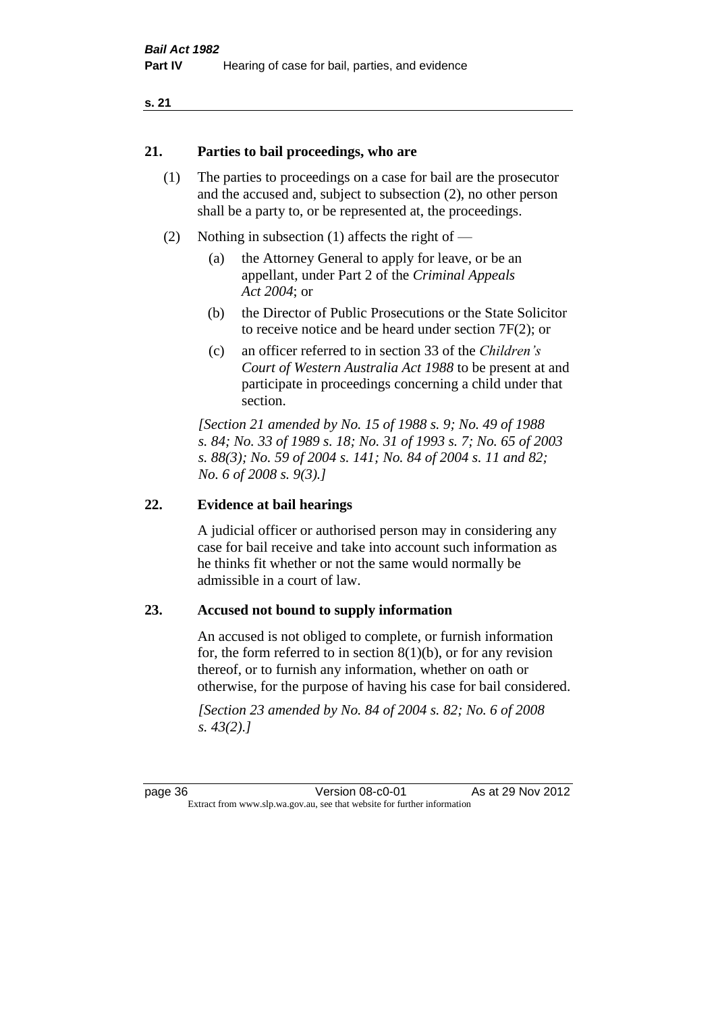#### **21. Parties to bail proceedings, who are**

- (1) The parties to proceedings on a case for bail are the prosecutor and the accused and, subject to subsection (2), no other person shall be a party to, or be represented at, the proceedings.
- (2) Nothing in subsection (1) affects the right of
	- (a) the Attorney General to apply for leave, or be an appellant, under Part 2 of the *Criminal Appeals Act 2004*; or
	- (b) the Director of Public Prosecutions or the State Solicitor to receive notice and be heard under section 7F(2); or
	- (c) an officer referred to in section 33 of the *Children's Court of Western Australia Act 1988* to be present at and participate in proceedings concerning a child under that section.

*[Section 21 amended by No. 15 of 1988 s. 9; No. 49 of 1988 s. 84; No. 33 of 1989 s. 18; No. 31 of 1993 s. 7; No. 65 of 2003 s. 88(3); No. 59 of 2004 s. 141; No. 84 of 2004 s. 11 and 82; No. 6 of 2008 s. 9(3).]* 

#### **22. Evidence at bail hearings**

A judicial officer or authorised person may in considering any case for bail receive and take into account such information as he thinks fit whether or not the same would normally be admissible in a court of law.

#### **23. Accused not bound to supply information**

An accused is not obliged to complete, or furnish information for, the form referred to in section  $8(1)(b)$ , or for any revision thereof, or to furnish any information, whether on oath or otherwise, for the purpose of having his case for bail considered.

*[Section 23 amended by No. 84 of 2004 s. 82; No. 6 of 2008 s. 43(2).]*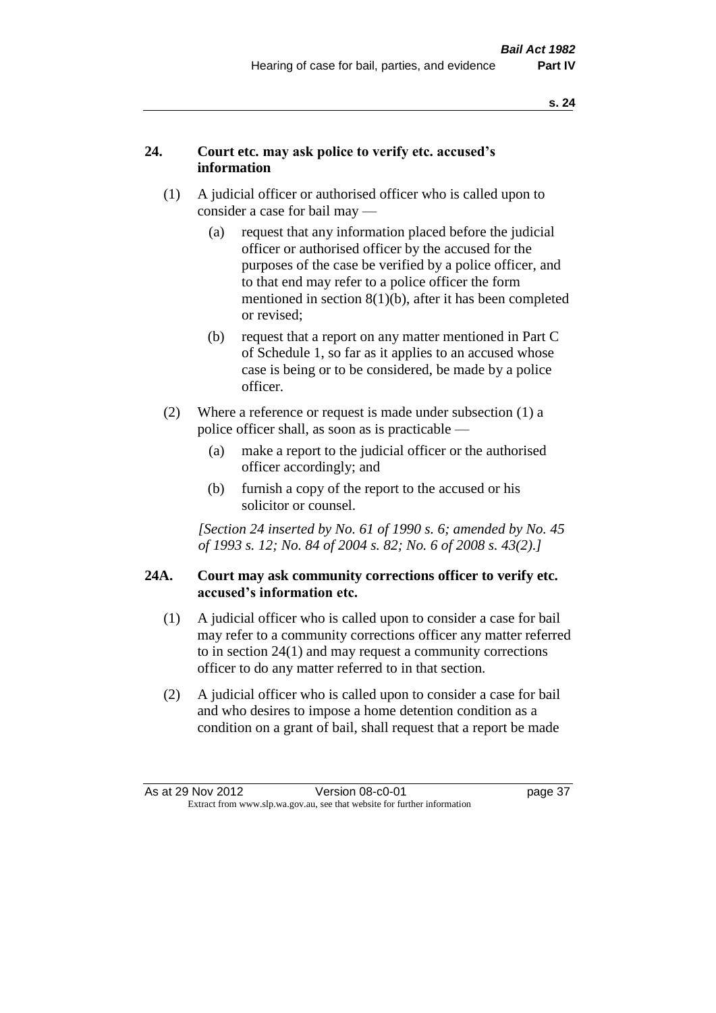# **24. Court etc. may ask police to verify etc. accused's information**

- (1) A judicial officer or authorised officer who is called upon to consider a case for bail may —
	- (a) request that any information placed before the judicial officer or authorised officer by the accused for the purposes of the case be verified by a police officer, and to that end may refer to a police officer the form mentioned in section 8(1)(b), after it has been completed or revised;
	- (b) request that a report on any matter mentioned in Part C of Schedule 1, so far as it applies to an accused whose case is being or to be considered, be made by a police officer.
- (2) Where a reference or request is made under subsection (1) a police officer shall, as soon as is practicable —
	- (a) make a report to the judicial officer or the authorised officer accordingly; and
	- (b) furnish a copy of the report to the accused or his solicitor or counsel.

*[Section 24 inserted by No. 61 of 1990 s. 6; amended by No. 45 of 1993 s. 12; No. 84 of 2004 s. 82; No. 6 of 2008 s. 43(2).]* 

# **24A. Court may ask community corrections officer to verify etc. accused's information etc.**

- (1) A judicial officer who is called upon to consider a case for bail may refer to a community corrections officer any matter referred to in section 24(1) and may request a community corrections officer to do any matter referred to in that section.
- (2) A judicial officer who is called upon to consider a case for bail and who desires to impose a home detention condition as a condition on a grant of bail, shall request that a report be made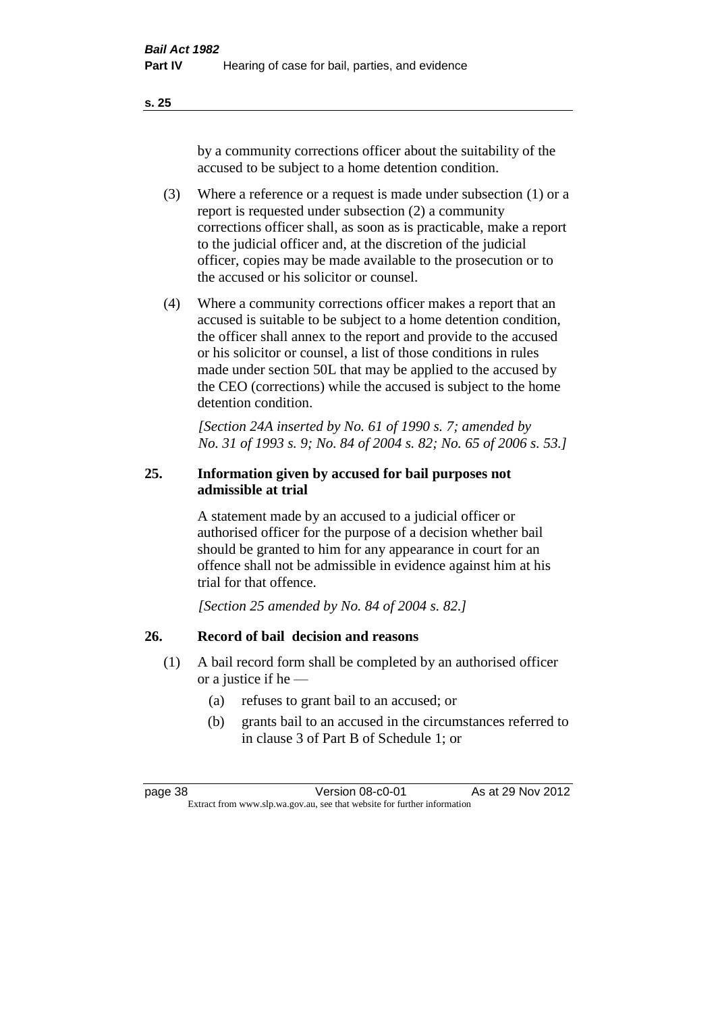**s. 25**

by a community corrections officer about the suitability of the accused to be subject to a home detention condition.

- (3) Where a reference or a request is made under subsection (1) or a report is requested under subsection (2) a community corrections officer shall, as soon as is practicable, make a report to the judicial officer and, at the discretion of the judicial officer, copies may be made available to the prosecution or to the accused or his solicitor or counsel.
- (4) Where a community corrections officer makes a report that an accused is suitable to be subject to a home detention condition, the officer shall annex to the report and provide to the accused or his solicitor or counsel, a list of those conditions in rules made under section 50L that may be applied to the accused by the CEO (corrections) while the accused is subject to the home detention condition.

*[Section 24A inserted by No. 61 of 1990 s. 7; amended by No. 31 of 1993 s. 9; No. 84 of 2004 s. 82; No. 65 of 2006 s. 53.]* 

# **25. Information given by accused for bail purposes not admissible at trial**

A statement made by an accused to a judicial officer or authorised officer for the purpose of a decision whether bail should be granted to him for any appearance in court for an offence shall not be admissible in evidence against him at his trial for that offence.

*[Section 25 amended by No. 84 of 2004 s. 82.]* 

# **26. Record of bail decision and reasons**

- (1) A bail record form shall be completed by an authorised officer or a justice if he —
	- (a) refuses to grant bail to an accused; or
	- (b) grants bail to an accused in the circumstances referred to in clause 3 of Part B of Schedule 1; or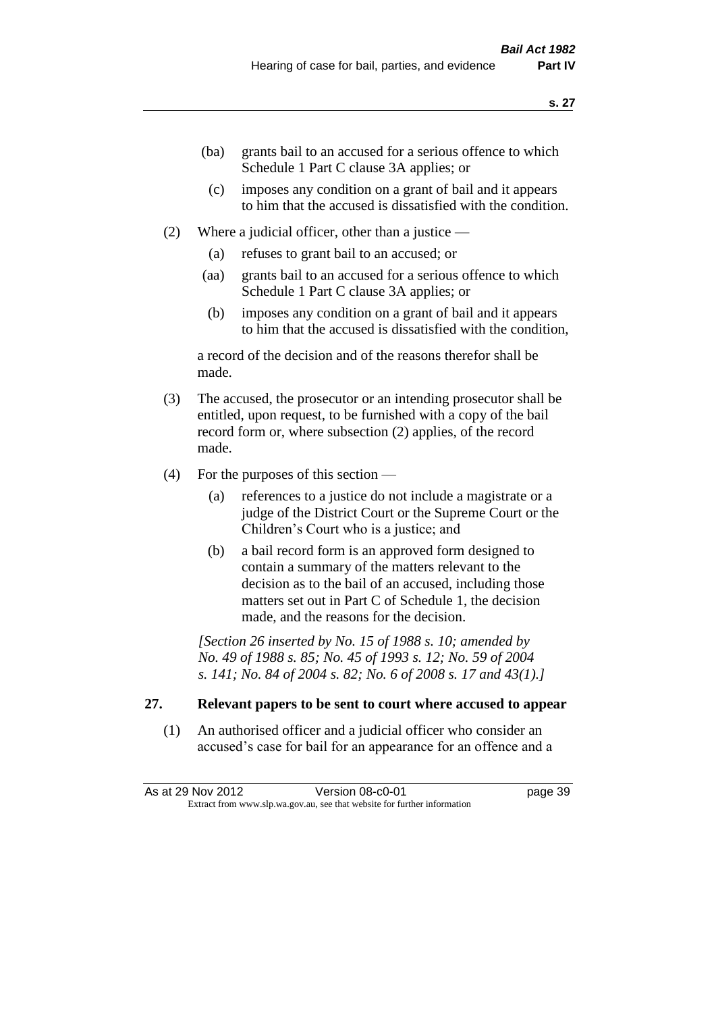- (ba) grants bail to an accused for a serious offence to which Schedule 1 Part C clause 3A applies; or
- (c) imposes any condition on a grant of bail and it appears to him that the accused is dissatisfied with the condition.
- (2) Where a judicial officer, other than a justice
	- (a) refuses to grant bail to an accused; or
	- (aa) grants bail to an accused for a serious offence to which Schedule 1 Part C clause 3A applies; or
	- (b) imposes any condition on a grant of bail and it appears to him that the accused is dissatisfied with the condition,

a record of the decision and of the reasons therefor shall be made.

- (3) The accused, the prosecutor or an intending prosecutor shall be entitled, upon request, to be furnished with a copy of the bail record form or, where subsection (2) applies, of the record made.
- (4) For the purposes of this section
	- (a) references to a justice do not include a magistrate or a judge of the District Court or the Supreme Court or the Children's Court who is a justice; and
	- (b) a bail record form is an approved form designed to contain a summary of the matters relevant to the decision as to the bail of an accused, including those matters set out in Part C of Schedule 1, the decision made, and the reasons for the decision.

*[Section 26 inserted by No. 15 of 1988 s. 10; amended by No. 49 of 1988 s. 85; No. 45 of 1993 s. 12; No. 59 of 2004 s. 141; No. 84 of 2004 s. 82; No. 6 of 2008 s. 17 and 43(1).]* 

# **27. Relevant papers to be sent to court where accused to appear**

(1) An authorised officer and a judicial officer who consider an accused's case for bail for an appearance for an offence and a

As at 29 Nov 2012 **Version 08-c0-01 Dage 39** Extract from www.slp.wa.gov.au, see that website for further information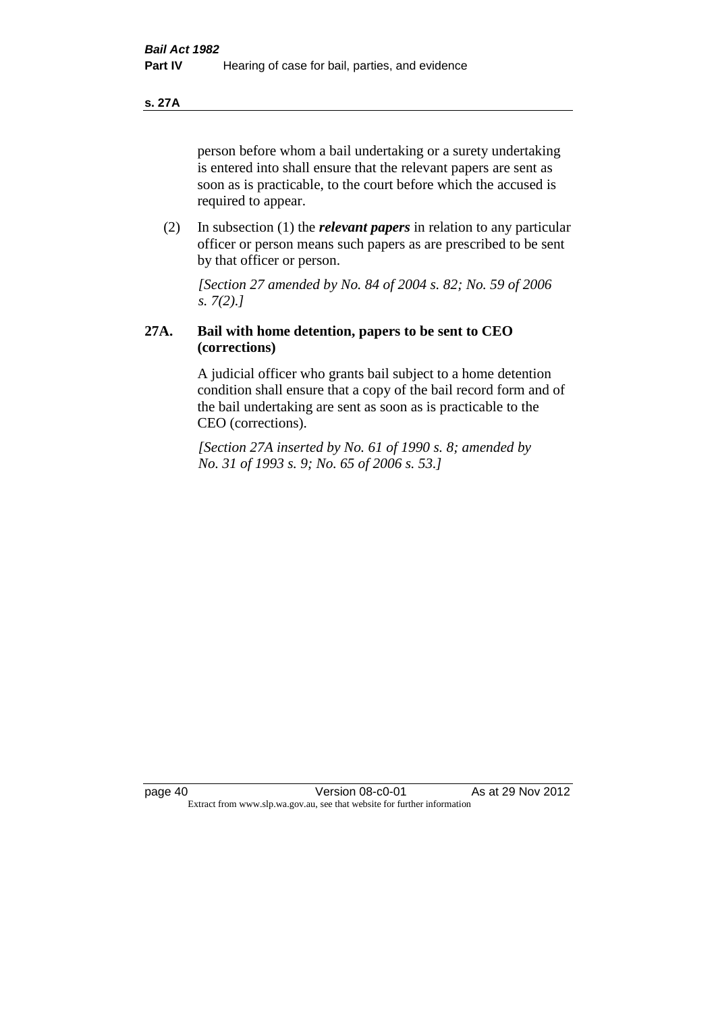**s. 27A**

person before whom a bail undertaking or a surety undertaking is entered into shall ensure that the relevant papers are sent as soon as is practicable, to the court before which the accused is required to appear.

(2) In subsection (1) the *relevant papers* in relation to any particular officer or person means such papers as are prescribed to be sent by that officer or person.

*[Section 27 amended by No. 84 of 2004 s. 82; No. 59 of 2006 s. 7(2).]* 

# **27A. Bail with home detention, papers to be sent to CEO (corrections)**

A judicial officer who grants bail subject to a home detention condition shall ensure that a copy of the bail record form and of the bail undertaking are sent as soon as is practicable to the CEO (corrections).

*[Section 27A inserted by No. 61 of 1990 s. 8; amended by No. 31 of 1993 s. 9; No. 65 of 2006 s. 53.]*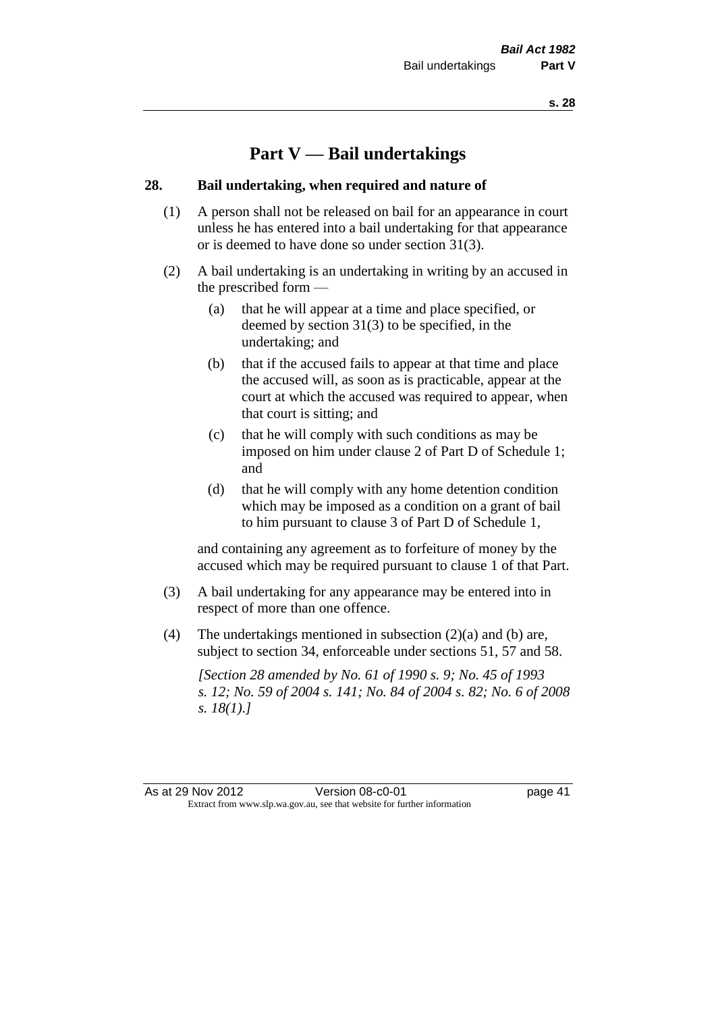# **Part V — Bail undertakings**

#### **28. Bail undertaking, when required and nature of**

- (1) A person shall not be released on bail for an appearance in court unless he has entered into a bail undertaking for that appearance or is deemed to have done so under section 31(3).
- (2) A bail undertaking is an undertaking in writing by an accused in the prescribed form —
	- (a) that he will appear at a time and place specified, or deemed by section 31(3) to be specified, in the undertaking; and
	- (b) that if the accused fails to appear at that time and place the accused will, as soon as is practicable, appear at the court at which the accused was required to appear, when that court is sitting; and
	- (c) that he will comply with such conditions as may be imposed on him under clause 2 of Part D of Schedule 1; and
	- (d) that he will comply with any home detention condition which may be imposed as a condition on a grant of bail to him pursuant to clause 3 of Part D of Schedule 1,

and containing any agreement as to forfeiture of money by the accused which may be required pursuant to clause 1 of that Part.

- (3) A bail undertaking for any appearance may be entered into in respect of more than one offence.
- (4) The undertakings mentioned in subsection (2)(a) and (b) are, subject to section 34, enforceable under sections 51, 57 and 58.

*[Section 28 amended by No. 61 of 1990 s. 9; No. 45 of 1993 s. 12; No. 59 of 2004 s. 141; No. 84 of 2004 s. 82; No. 6 of 2008 s. 18(1).]*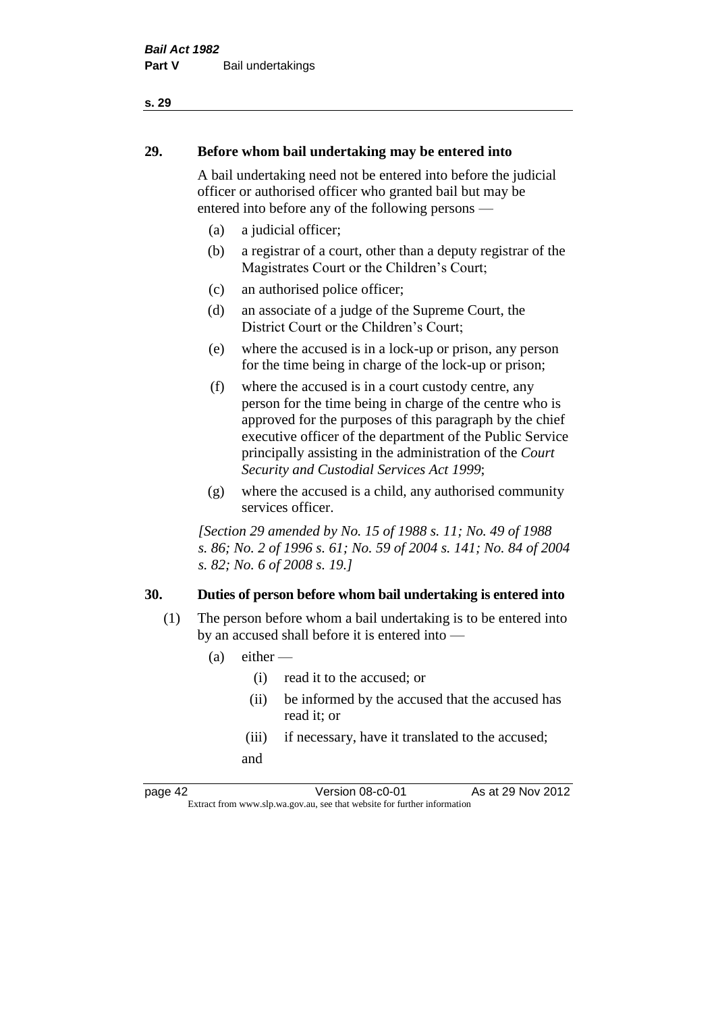# **29. Before whom bail undertaking may be entered into**

A bail undertaking need not be entered into before the judicial officer or authorised officer who granted bail but may be entered into before any of the following persons —

- (a) a judicial officer;
- (b) a registrar of a court, other than a deputy registrar of the Magistrates Court or the Children's Court;
- (c) an authorised police officer;
- (d) an associate of a judge of the Supreme Court, the District Court or the Children's Court;
- (e) where the accused is in a lock-up or prison, any person for the time being in charge of the lock-up or prison;
- (f) where the accused is in a court custody centre, any person for the time being in charge of the centre who is approved for the purposes of this paragraph by the chief executive officer of the department of the Public Service principally assisting in the administration of the *Court Security and Custodial Services Act 1999*;
- (g) where the accused is a child, any authorised community services officer.

*[Section 29 amended by No. 15 of 1988 s. 11; No. 49 of 1988 s. 86; No. 2 of 1996 s. 61; No. 59 of 2004 s. 141; No. 84 of 2004 s. 82; No. 6 of 2008 s. 19.]* 

# **30. Duties of person before whom bail undertaking is entered into**

- (1) The person before whom a bail undertaking is to be entered into by an accused shall before it is entered into —
	- $(a)$  either
		- (i) read it to the accused; or
		- (ii) be informed by the accused that the accused has read it; or
		- (iii) if necessary, have it translated to the accused; and

page 42 Version 08-c0-01 As at 29 Nov 2012 Extract from www.slp.wa.gov.au, see that website for further information

#### **s. 29**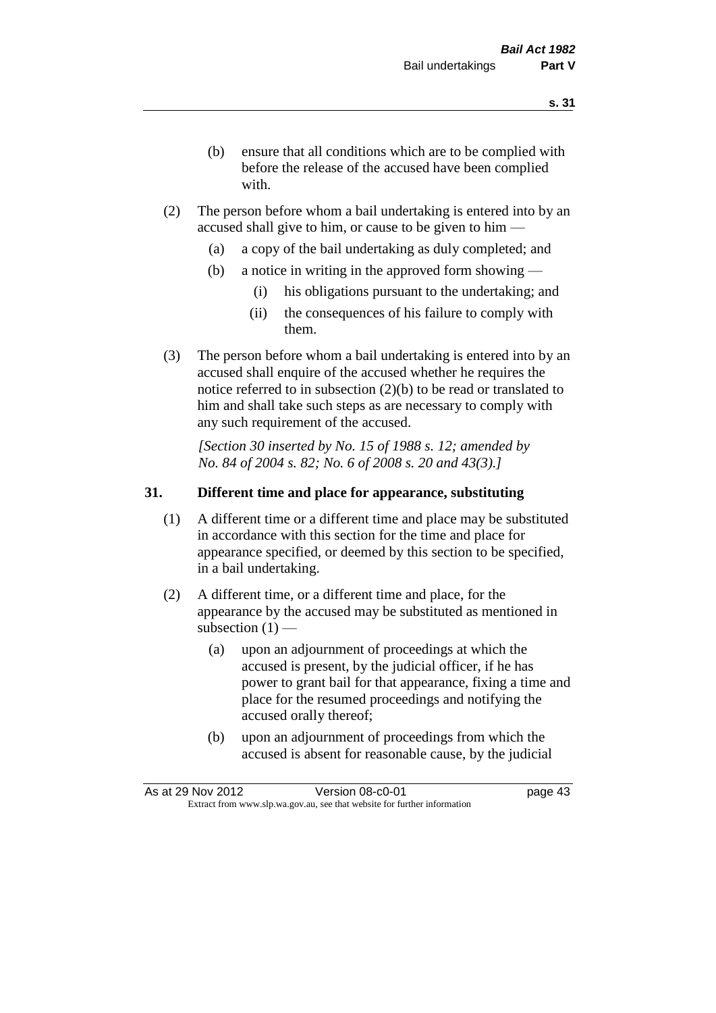- (b) ensure that all conditions which are to be complied with before the release of the accused have been complied with.
- (2) The person before whom a bail undertaking is entered into by an accused shall give to him, or cause to be given to him —
	- (a) a copy of the bail undertaking as duly completed; and
	- (b) a notice in writing in the approved form showing
		- (i) his obligations pursuant to the undertaking; and
		- (ii) the consequences of his failure to comply with them.
- (3) The person before whom a bail undertaking is entered into by an accused shall enquire of the accused whether he requires the notice referred to in subsection (2)(b) to be read or translated to him and shall take such steps as are necessary to comply with any such requirement of the accused.

*[Section 30 inserted by No. 15 of 1988 s. 12; amended by No. 84 of 2004 s. 82; No. 6 of 2008 s. 20 and 43(3).]* 

# **31. Different time and place for appearance, substituting**

- (1) A different time or a different time and place may be substituted in accordance with this section for the time and place for appearance specified, or deemed by this section to be specified, in a bail undertaking.
- (2) A different time, or a different time and place, for the appearance by the accused may be substituted as mentioned in subsection  $(1)$  —
	- (a) upon an adjournment of proceedings at which the accused is present, by the judicial officer, if he has power to grant bail for that appearance, fixing a time and place for the resumed proceedings and notifying the accused orally thereof;
	- (b) upon an adjournment of proceedings from which the accused is absent for reasonable cause, by the judicial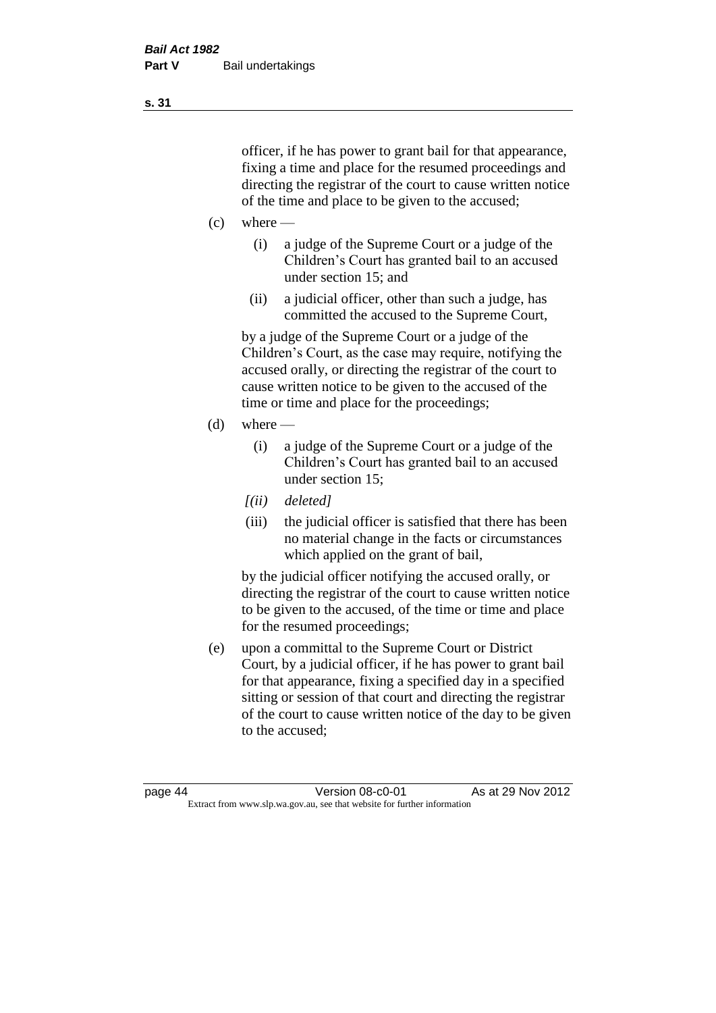officer, if he has power to grant bail for that appearance, fixing a time and place for the resumed proceedings and directing the registrar of the court to cause written notice of the time and place to be given to the accused;

- $(c)$  where
	- (i) a judge of the Supreme Court or a judge of the Children's Court has granted bail to an accused under section 15; and
	- (ii) a judicial officer, other than such a judge, has committed the accused to the Supreme Court,

by a judge of the Supreme Court or a judge of the Children's Court, as the case may require, notifying the accused orally, or directing the registrar of the court to cause written notice to be given to the accused of the time or time and place for the proceedings;

- $(d)$  where
	- (i) a judge of the Supreme Court or a judge of the Children's Court has granted bail to an accused under section 15;
	- *[(ii) deleted]*
	- (iii) the judicial officer is satisfied that there has been no material change in the facts or circumstances which applied on the grant of bail,

by the judicial officer notifying the accused orally, or directing the registrar of the court to cause written notice to be given to the accused, of the time or time and place for the resumed proceedings;

(e) upon a committal to the Supreme Court or District Court, by a judicial officer, if he has power to grant bail for that appearance, fixing a specified day in a specified sitting or session of that court and directing the registrar of the court to cause written notice of the day to be given to the accused;

**s. 31**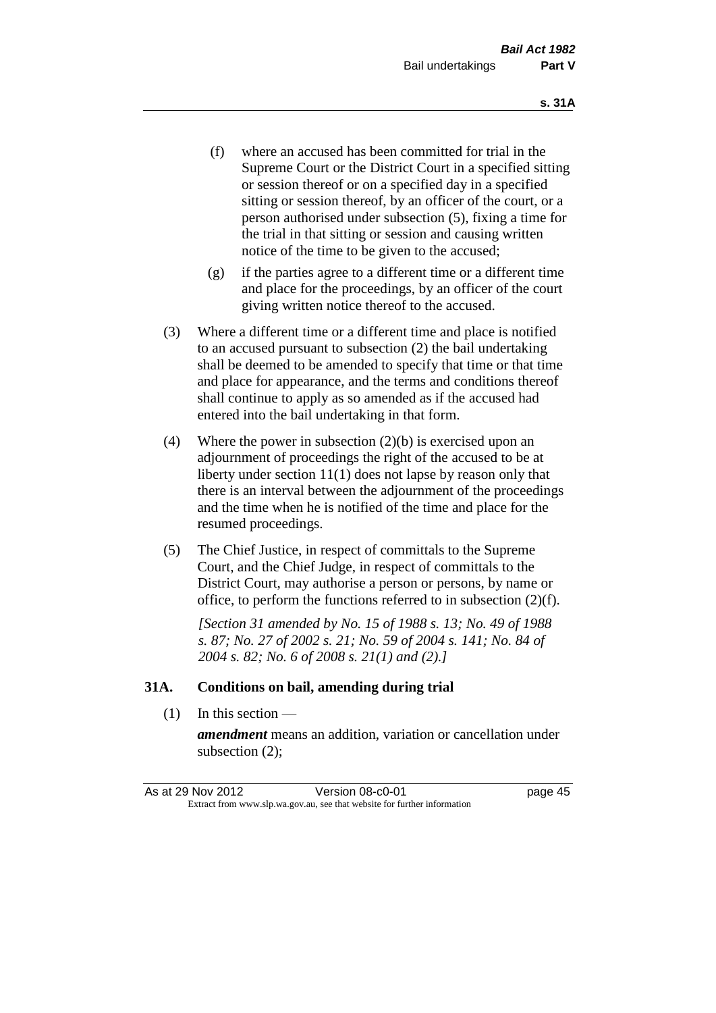- (f) where an accused has been committed for trial in the Supreme Court or the District Court in a specified sitting or session thereof or on a specified day in a specified sitting or session thereof, by an officer of the court, or a person authorised under subsection (5), fixing a time for the trial in that sitting or session and causing written notice of the time to be given to the accused;
- (g) if the parties agree to a different time or a different time and place for the proceedings, by an officer of the court giving written notice thereof to the accused.
- (3) Where a different time or a different time and place is notified to an accused pursuant to subsection (2) the bail undertaking shall be deemed to be amended to specify that time or that time and place for appearance, and the terms and conditions thereof shall continue to apply as so amended as if the accused had entered into the bail undertaking in that form.
- (4) Where the power in subsection (2)(b) is exercised upon an adjournment of proceedings the right of the accused to be at liberty under section 11(1) does not lapse by reason only that there is an interval between the adjournment of the proceedings and the time when he is notified of the time and place for the resumed proceedings.
- (5) The Chief Justice, in respect of committals to the Supreme Court, and the Chief Judge, in respect of committals to the District Court, may authorise a person or persons, by name or office, to perform the functions referred to in subsection (2)(f).

*[Section 31 amended by No. 15 of 1988 s. 13; No. 49 of 1988 s. 87; No. 27 of 2002 s. 21; No. 59 of 2004 s. 141; No. 84 of 2004 s. 82; No. 6 of 2008 s. 21(1) and (2).]* 

#### **31A. Conditions on bail, amending during trial**

(1) In this section —

*amendment* means an addition, variation or cancellation under subsection (2);

As at 29 Nov 2012 Version 08-c0-01 page 45 Extract from www.slp.wa.gov.au, see that website for further information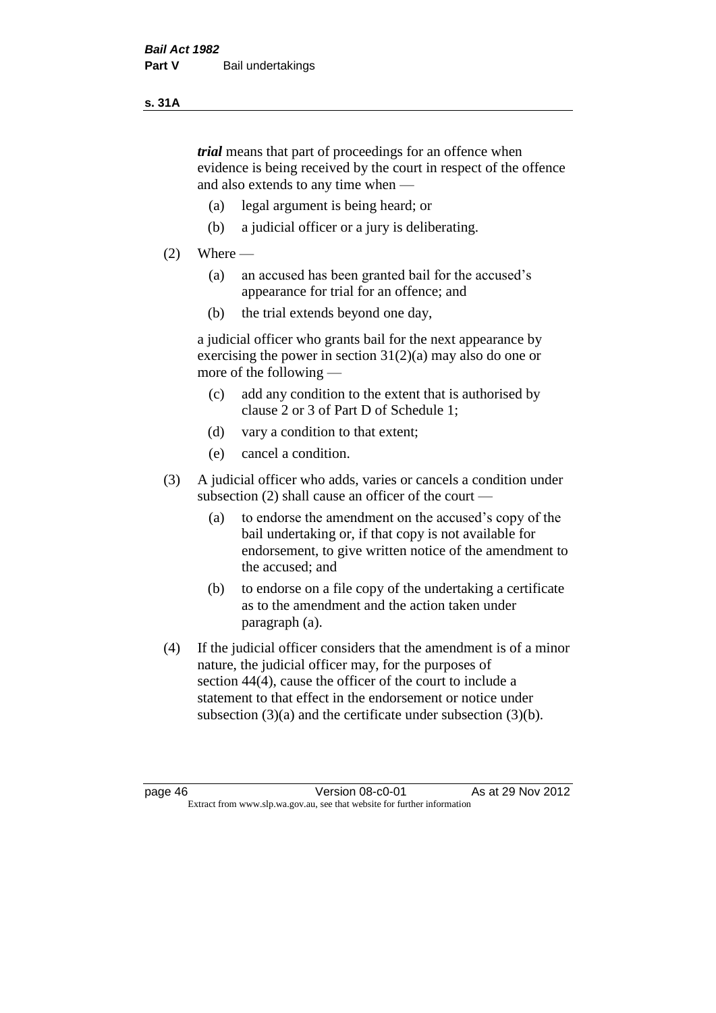#### **s. 31A**

*trial* means that part of proceedings for an offence when evidence is being received by the court in respect of the offence and also extends to any time when —

- (a) legal argument is being heard; or
- (b) a judicial officer or a jury is deliberating.

## $(2)$  Where —

- (a) an accused has been granted bail for the accused's appearance for trial for an offence; and
- (b) the trial extends beyond one day,

a judicial officer who grants bail for the next appearance by exercising the power in section  $31(2)(a)$  may also do one or more of the following —

- (c) add any condition to the extent that is authorised by clause 2 or 3 of Part D of Schedule 1;
- (d) vary a condition to that extent;
- (e) cancel a condition.
- (3) A judicial officer who adds, varies or cancels a condition under subsection (2) shall cause an officer of the court —
	- (a) to endorse the amendment on the accused's copy of the bail undertaking or, if that copy is not available for endorsement, to give written notice of the amendment to the accused; and
	- (b) to endorse on a file copy of the undertaking a certificate as to the amendment and the action taken under paragraph (a).
- (4) If the judicial officer considers that the amendment is of a minor nature, the judicial officer may, for the purposes of section 44(4), cause the officer of the court to include a statement to that effect in the endorsement or notice under subsection (3)(a) and the certificate under subsection (3)(b).

page 46 Version 08-c0-01 As at 29 Nov 2012 Extract from www.slp.wa.gov.au, see that website for further information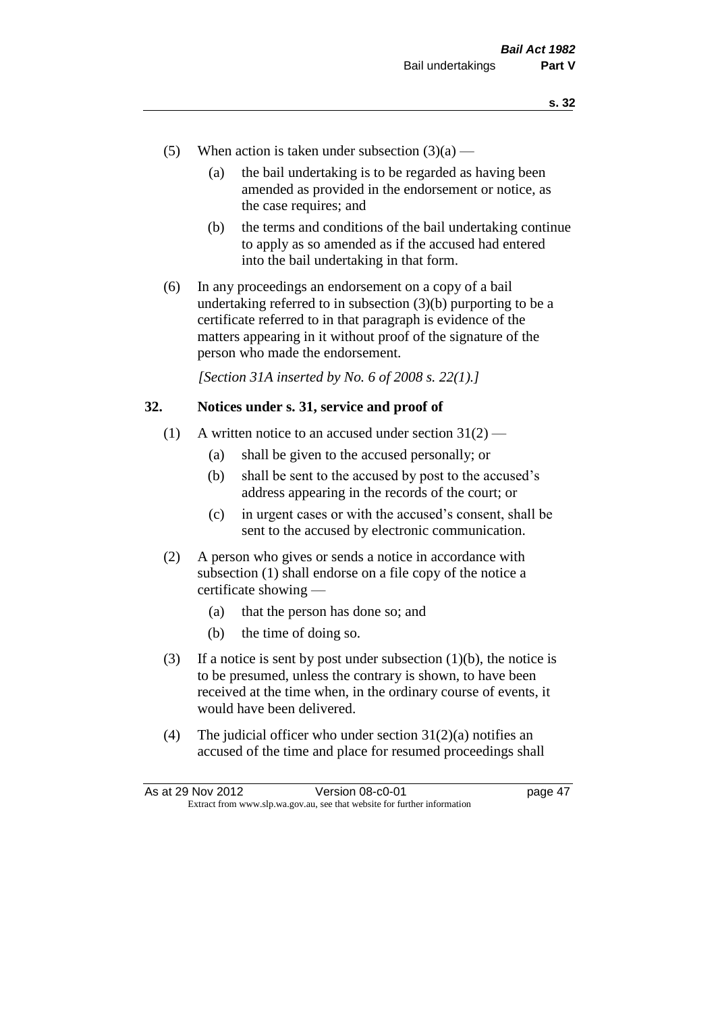- (5) When action is taken under subsection  $(3)(a)$ 
	- (a) the bail undertaking is to be regarded as having been amended as provided in the endorsement or notice, as the case requires; and
	- (b) the terms and conditions of the bail undertaking continue to apply as so amended as if the accused had entered into the bail undertaking in that form.
- (6) In any proceedings an endorsement on a copy of a bail undertaking referred to in subsection (3)(b) purporting to be a certificate referred to in that paragraph is evidence of the matters appearing in it without proof of the signature of the person who made the endorsement.

*[Section 31A inserted by No. 6 of 2008 s. 22(1).]*

#### **32. Notices under s. 31, service and proof of**

- (1) A written notice to an accused under section  $31(2)$ 
	- (a) shall be given to the accused personally; or
	- (b) shall be sent to the accused by post to the accused's address appearing in the records of the court; or
	- (c) in urgent cases or with the accused's consent, shall be sent to the accused by electronic communication.
- (2) A person who gives or sends a notice in accordance with subsection (1) shall endorse on a file copy of the notice a certificate showing —
	- (a) that the person has done so; and
	- (b) the time of doing so.
- (3) If a notice is sent by post under subsection  $(1)(b)$ , the notice is to be presumed, unless the contrary is shown, to have been received at the time when, in the ordinary course of events, it would have been delivered.
- (4) The judicial officer who under section  $31(2)(a)$  notifies an accused of the time and place for resumed proceedings shall

As at 29 Nov 2012 Version 08-c0-01 page 47 Extract from www.slp.wa.gov.au, see that website for further information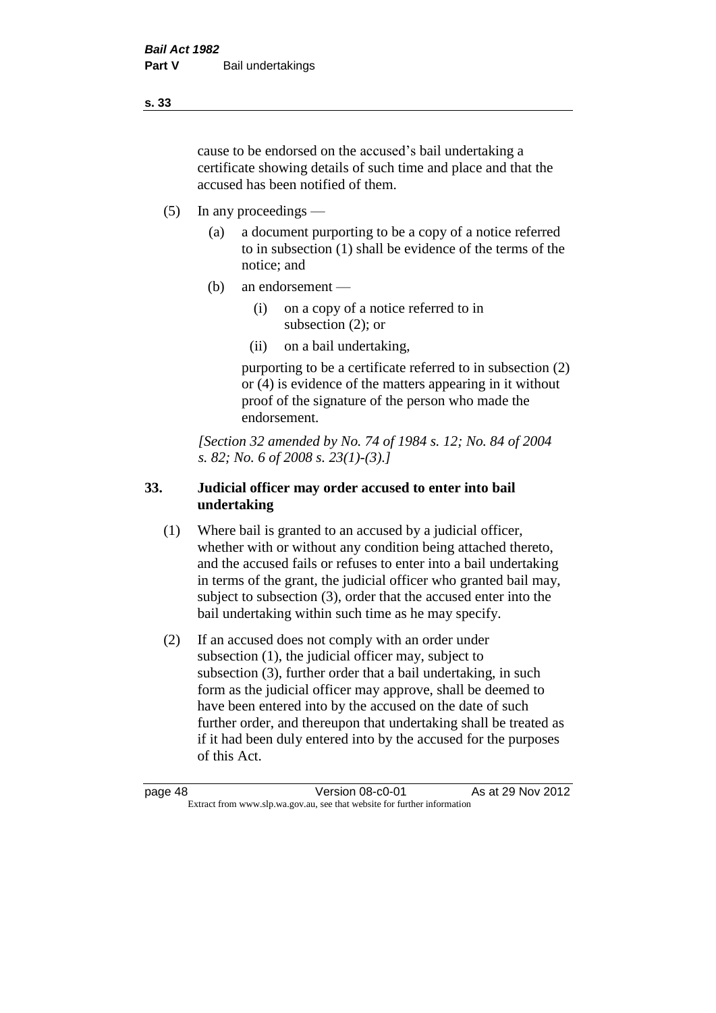cause to be endorsed on the accused's bail undertaking a certificate showing details of such time and place and that the accused has been notified of them.

- (5) In any proceedings
	- (a) a document purporting to be a copy of a notice referred to in subsection (1) shall be evidence of the terms of the notice; and
	- (b) an endorsement
		- (i) on a copy of a notice referred to in subsection (2); or
		- (ii) on a bail undertaking,

purporting to be a certificate referred to in subsection (2) or (4) is evidence of the matters appearing in it without proof of the signature of the person who made the endorsement.

*[Section 32 amended by No. 74 of 1984 s. 12; No. 84 of 2004 s. 82; No. 6 of 2008 s. 23(1)-(3).]* 

# **33. Judicial officer may order accused to enter into bail undertaking**

- (1) Where bail is granted to an accused by a judicial officer, whether with or without any condition being attached thereto, and the accused fails or refuses to enter into a bail undertaking in terms of the grant, the judicial officer who granted bail may, subject to subsection (3), order that the accused enter into the bail undertaking within such time as he may specify.
- (2) If an accused does not comply with an order under subsection (1), the judicial officer may, subject to subsection (3), further order that a bail undertaking, in such form as the judicial officer may approve, shall be deemed to have been entered into by the accused on the date of such further order, and thereupon that undertaking shall be treated as if it had been duly entered into by the accused for the purposes of this Act.

page 48 Version 08-c0-01 As at 29 Nov 2012 Extract from www.slp.wa.gov.au, see that website for further information

**s. 33**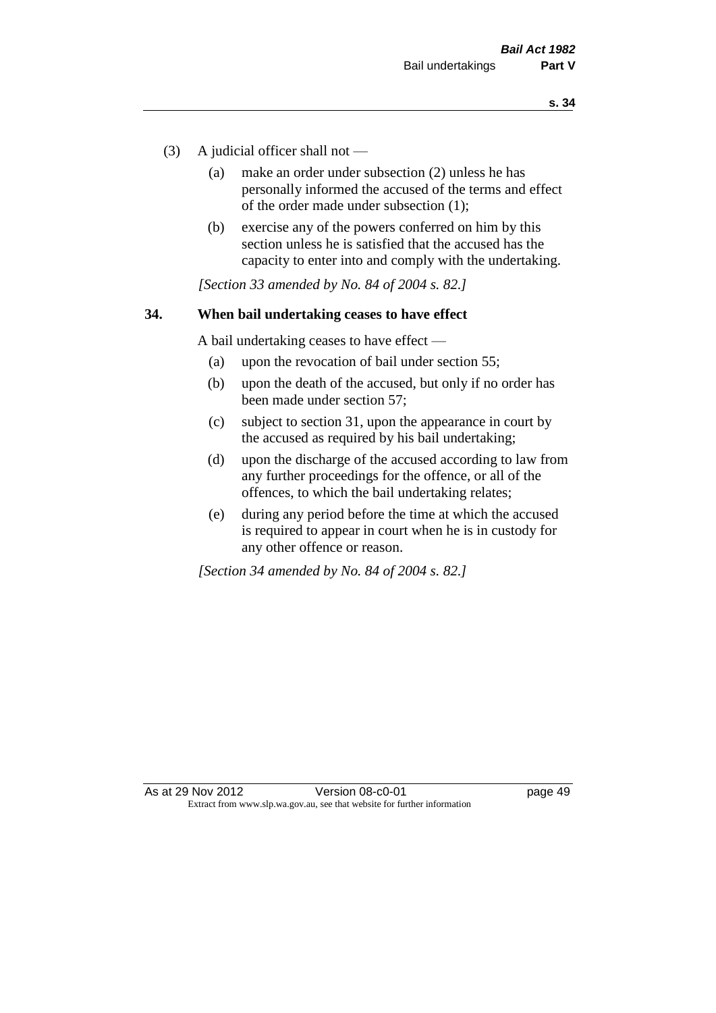- (3) A judicial officer shall not
	- (a) make an order under subsection (2) unless he has personally informed the accused of the terms and effect of the order made under subsection (1);
	- (b) exercise any of the powers conferred on him by this section unless he is satisfied that the accused has the capacity to enter into and comply with the undertaking.

*[Section 33 amended by No. 84 of 2004 s. 82.]* 

#### **34. When bail undertaking ceases to have effect**

A bail undertaking ceases to have effect —

- (a) upon the revocation of bail under section 55;
- (b) upon the death of the accused, but only if no order has been made under section 57;
- (c) subject to section 31, upon the appearance in court by the accused as required by his bail undertaking;
- (d) upon the discharge of the accused according to law from any further proceedings for the offence, or all of the offences, to which the bail undertaking relates;
- (e) during any period before the time at which the accused is required to appear in court when he is in custody for any other offence or reason.

*[Section 34 amended by No. 84 of 2004 s. 82.]*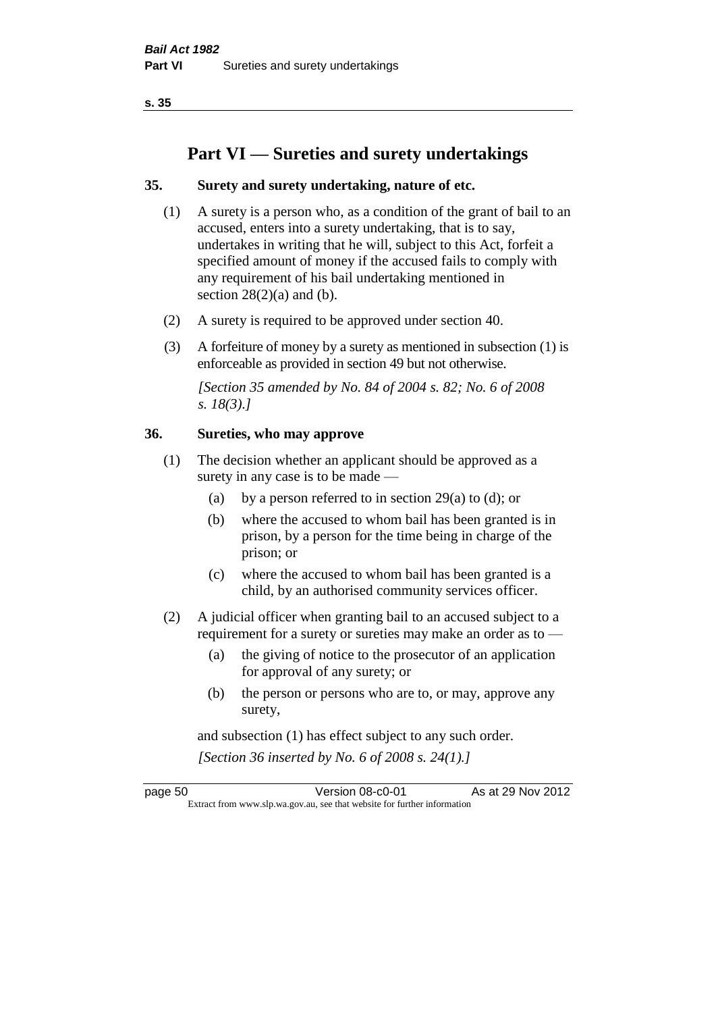**s. 35**

# **Part VI — Sureties and surety undertakings**

#### **35. Surety and surety undertaking, nature of etc.**

- (1) A surety is a person who, as a condition of the grant of bail to an accused, enters into a surety undertaking, that is to say, undertakes in writing that he will, subject to this Act, forfeit a specified amount of money if the accused fails to comply with any requirement of his bail undertaking mentioned in section  $28(2)(a)$  and (b).
- (2) A surety is required to be approved under section 40.
- (3) A forfeiture of money by a surety as mentioned in subsection (1) is enforceable as provided in section 49 but not otherwise.

*[Section 35 amended by No. 84 of 2004 s. 82; No. 6 of 2008 s. 18(3).]* 

#### **36. Sureties, who may approve**

- (1) The decision whether an applicant should be approved as a surety in any case is to be made —
	- (a) by a person referred to in section 29(a) to (d); or
	- (b) where the accused to whom bail has been granted is in prison, by a person for the time being in charge of the prison; or
	- (c) where the accused to whom bail has been granted is a child, by an authorised community services officer.
- (2) A judicial officer when granting bail to an accused subject to a requirement for a surety or sureties may make an order as to —
	- (a) the giving of notice to the prosecutor of an application for approval of any surety; or
	- (b) the person or persons who are to, or may, approve any surety,

and subsection (1) has effect subject to any such order. *[Section 36 inserted by No. 6 of 2008 s. 24(1).]*

page 50 Version 08-c0-01 As at 29 Nov 2012 Extract from www.slp.wa.gov.au, see that website for further information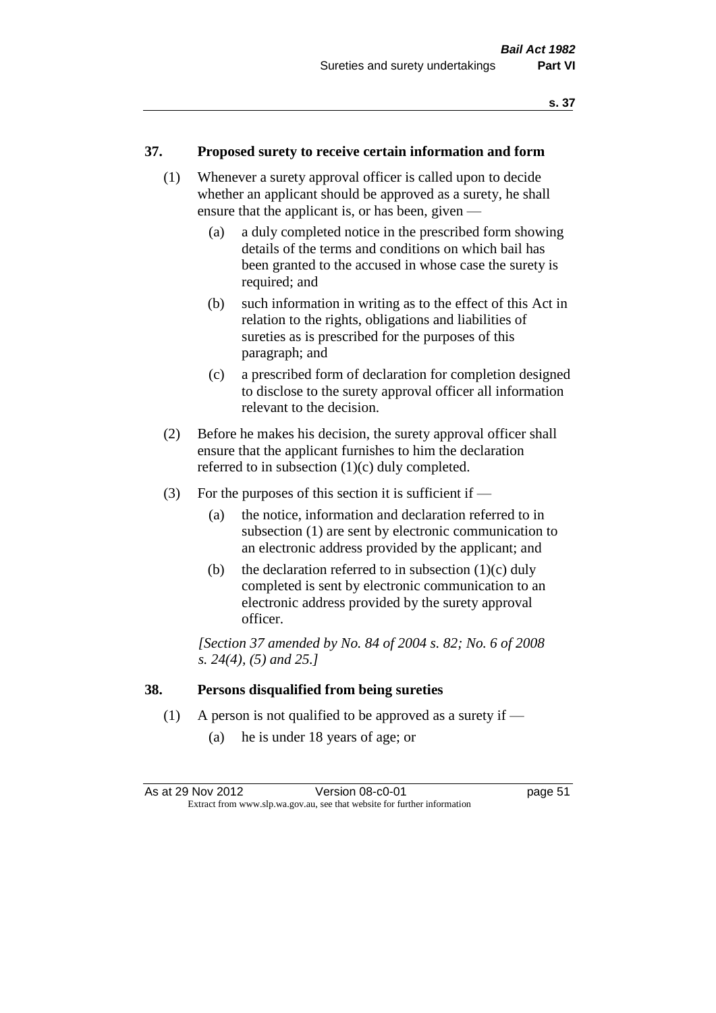#### **37. Proposed surety to receive certain information and form**

- (1) Whenever a surety approval officer is called upon to decide whether an applicant should be approved as a surety, he shall ensure that the applicant is, or has been, given —
	- (a) a duly completed notice in the prescribed form showing details of the terms and conditions on which bail has been granted to the accused in whose case the surety is required; and
	- (b) such information in writing as to the effect of this Act in relation to the rights, obligations and liabilities of sureties as is prescribed for the purposes of this paragraph; and
	- (c) a prescribed form of declaration for completion designed to disclose to the surety approval officer all information relevant to the decision.
- (2) Before he makes his decision, the surety approval officer shall ensure that the applicant furnishes to him the declaration referred to in subsection (1)(c) duly completed.
- (3) For the purposes of this section it is sufficient if  $-$ 
	- (a) the notice, information and declaration referred to in subsection (1) are sent by electronic communication to an electronic address provided by the applicant; and
	- (b) the declaration referred to in subsection  $(1)(c)$  duly completed is sent by electronic communication to an electronic address provided by the surety approval officer.

*[Section 37 amended by No. 84 of 2004 s. 82; No. 6 of 2008 s. 24(4), (5) and 25.]* 

#### **38. Persons disqualified from being sureties**

- (1) A person is not qualified to be approved as a surety if
	- (a) he is under 18 years of age; or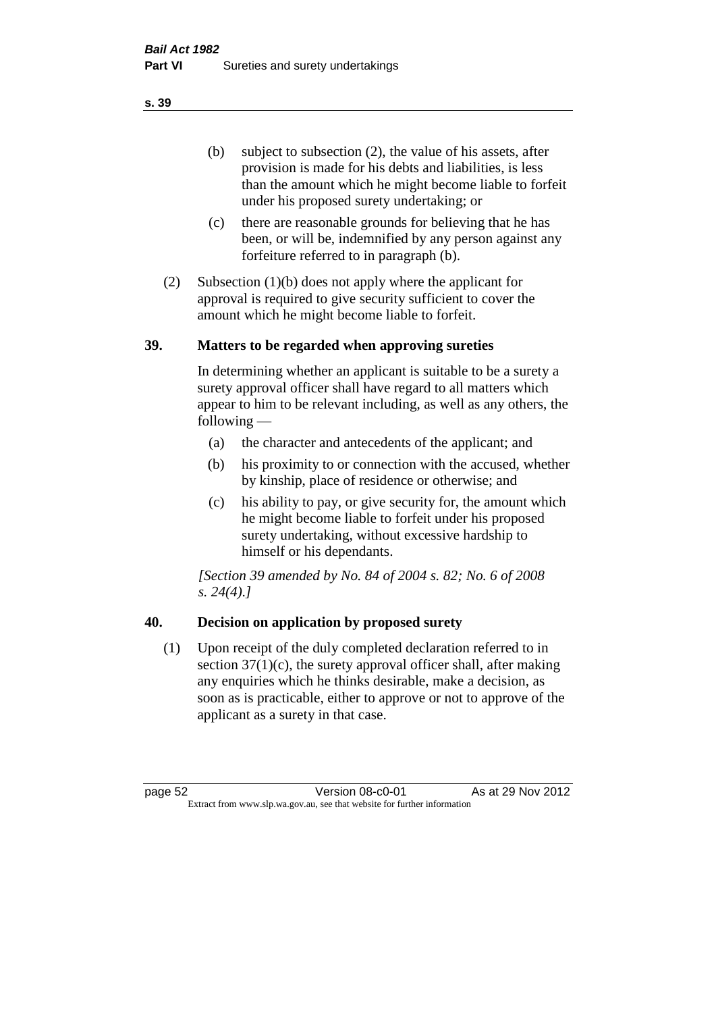(b) subject to subsection (2), the value of his assets, after provision is made for his debts and liabilities, is less than the amount which he might become liable to forfeit under his proposed surety undertaking; or

- (c) there are reasonable grounds for believing that he has been, or will be, indemnified by any person against any forfeiture referred to in paragraph (b).
- (2) Subsection (1)(b) does not apply where the applicant for approval is required to give security sufficient to cover the amount which he might become liable to forfeit.

#### **39. Matters to be regarded when approving sureties**

In determining whether an applicant is suitable to be a surety a surety approval officer shall have regard to all matters which appear to him to be relevant including, as well as any others, the following —

- (a) the character and antecedents of the applicant; and
- (b) his proximity to or connection with the accused, whether by kinship, place of residence or otherwise; and
- (c) his ability to pay, or give security for, the amount which he might become liable to forfeit under his proposed surety undertaking, without excessive hardship to himself or his dependants.

*[Section 39 amended by No. 84 of 2004 s. 82; No. 6 of 2008 s. 24(4).]* 

# **40. Decision on application by proposed surety**

(1) Upon receipt of the duly completed declaration referred to in section  $37(1)(c)$ , the surety approval officer shall, after making any enquiries which he thinks desirable, make a decision, as soon as is practicable, either to approve or not to approve of the applicant as a surety in that case.

page 52 Version 08-c0-01 As at 29 Nov 2012 Extract from www.slp.wa.gov.au, see that website for further information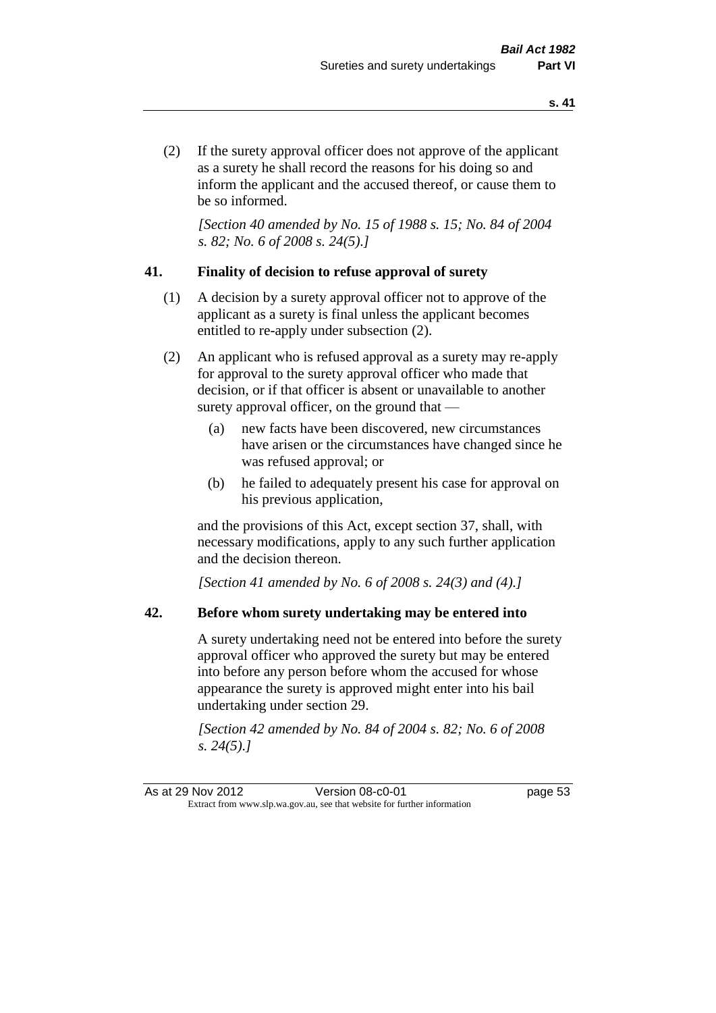(2) If the surety approval officer does not approve of the applicant as a surety he shall record the reasons for his doing so and inform the applicant and the accused thereof, or cause them to be so informed.

*[Section 40 amended by No. 15 of 1988 s. 15; No. 84 of 2004 s. 82; No. 6 of 2008 s. 24(5).]* 

#### **41. Finality of decision to refuse approval of surety**

- (1) A decision by a surety approval officer not to approve of the applicant as a surety is final unless the applicant becomes entitled to re-apply under subsection (2).
- (2) An applicant who is refused approval as a surety may re-apply for approval to the surety approval officer who made that decision, or if that officer is absent or unavailable to another surety approval officer, on the ground that —
	- (a) new facts have been discovered, new circumstances have arisen or the circumstances have changed since he was refused approval; or
	- (b) he failed to adequately present his case for approval on his previous application,

and the provisions of this Act, except section 37, shall, with necessary modifications, apply to any such further application and the decision thereon.

*[Section 41 amended by No. 6 of 2008 s. 24(3) and (4).]*

#### **42. Before whom surety undertaking may be entered into**

A surety undertaking need not be entered into before the surety approval officer who approved the surety but may be entered into before any person before whom the accused for whose appearance the surety is approved might enter into his bail undertaking under section 29.

*[Section 42 amended by No. 84 of 2004 s. 82; No. 6 of 2008 s. 24(5).]*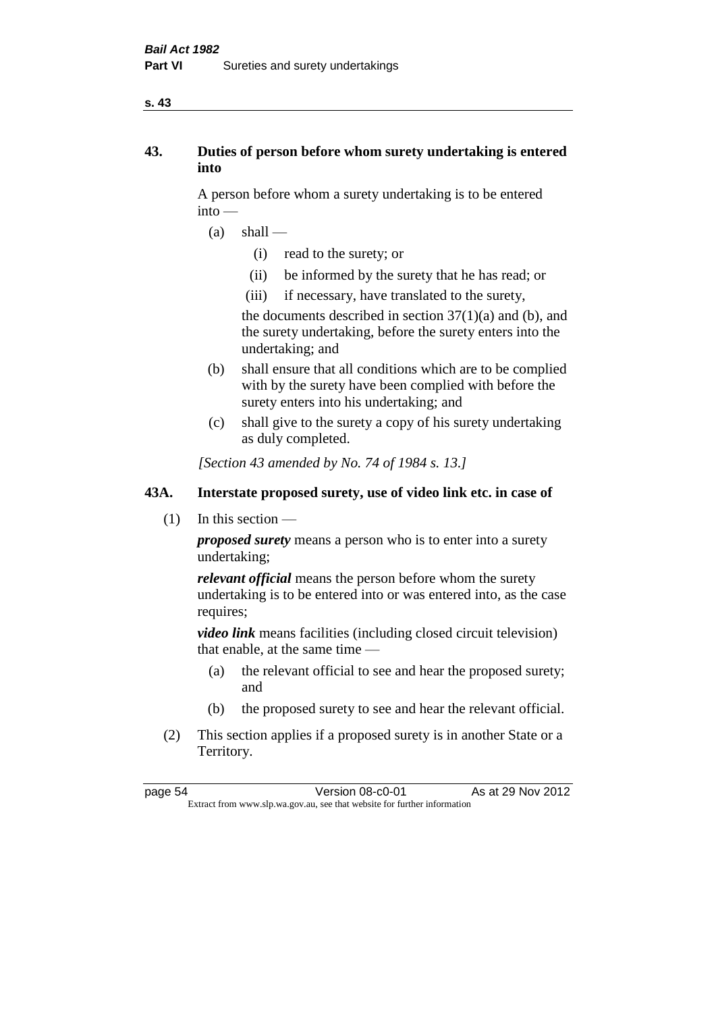#### **s. 43**

# **43. Duties of person before whom surety undertaking is entered into**

A person before whom a surety undertaking is to be entered into —

- $(a)$  shall
	- (i) read to the surety; or
	- (ii) be informed by the surety that he has read; or
	- (iii) if necessary, have translated to the surety,

the documents described in section  $37(1)(a)$  and (b), and the surety undertaking, before the surety enters into the undertaking; and

- (b) shall ensure that all conditions which are to be complied with by the surety have been complied with before the surety enters into his undertaking; and
- (c) shall give to the surety a copy of his surety undertaking as duly completed.

*[Section 43 amended by No. 74 of 1984 s. 13.]* 

# **43A. Interstate proposed surety, use of video link etc. in case of**

(1) In this section —

*proposed surety* means a person who is to enter into a surety undertaking;

*relevant official* means the person before whom the surety undertaking is to be entered into or was entered into, as the case requires;

*video link* means facilities (including closed circuit television) that enable, at the same time —

- (a) the relevant official to see and hear the proposed surety; and
- (b) the proposed surety to see and hear the relevant official.
- (2) This section applies if a proposed surety is in another State or a Territory.

page 54 Version 08-c0-01 As at 29 Nov 2012 Extract from www.slp.wa.gov.au, see that website for further information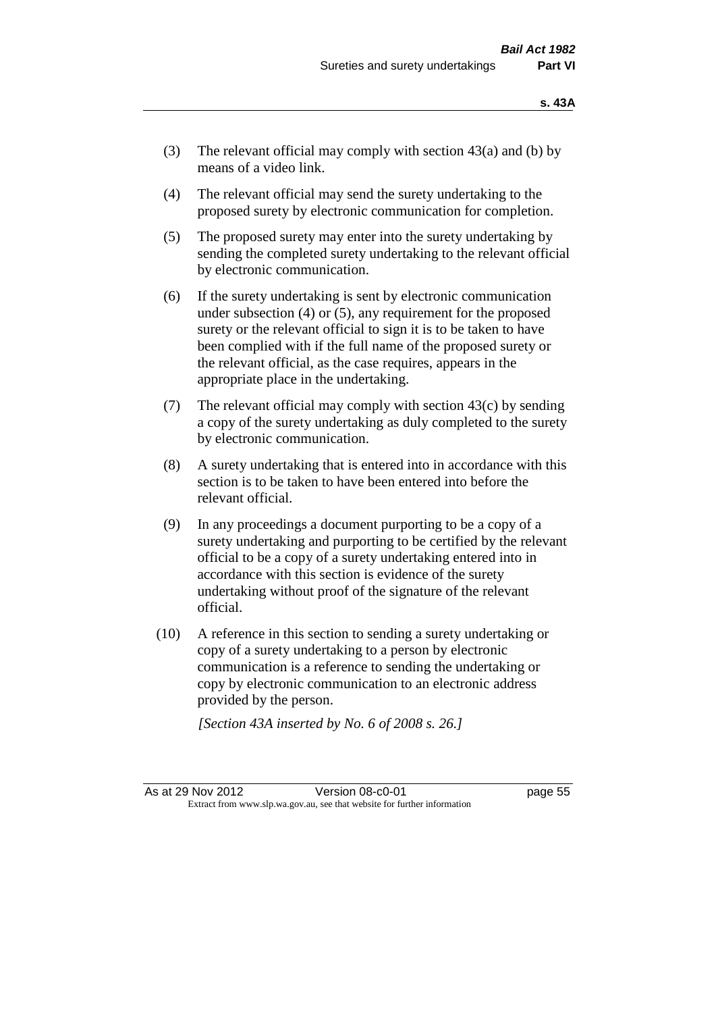- (3) The relevant official may comply with section  $43(a)$  and (b) by means of a video link.
- (4) The relevant official may send the surety undertaking to the proposed surety by electronic communication for completion.
- (5) The proposed surety may enter into the surety undertaking by sending the completed surety undertaking to the relevant official by electronic communication.
- (6) If the surety undertaking is sent by electronic communication under subsection (4) or (5), any requirement for the proposed surety or the relevant official to sign it is to be taken to have been complied with if the full name of the proposed surety or the relevant official, as the case requires, appears in the appropriate place in the undertaking.
- (7) The relevant official may comply with section 43(c) by sending a copy of the surety undertaking as duly completed to the surety by electronic communication.
- (8) A surety undertaking that is entered into in accordance with this section is to be taken to have been entered into before the relevant official.
- (9) In any proceedings a document purporting to be a copy of a surety undertaking and purporting to be certified by the relevant official to be a copy of a surety undertaking entered into in accordance with this section is evidence of the surety undertaking without proof of the signature of the relevant official.
- (10) A reference in this section to sending a surety undertaking or copy of a surety undertaking to a person by electronic communication is a reference to sending the undertaking or copy by electronic communication to an electronic address provided by the person.

*[Section 43A inserted by No. 6 of 2008 s. 26.]*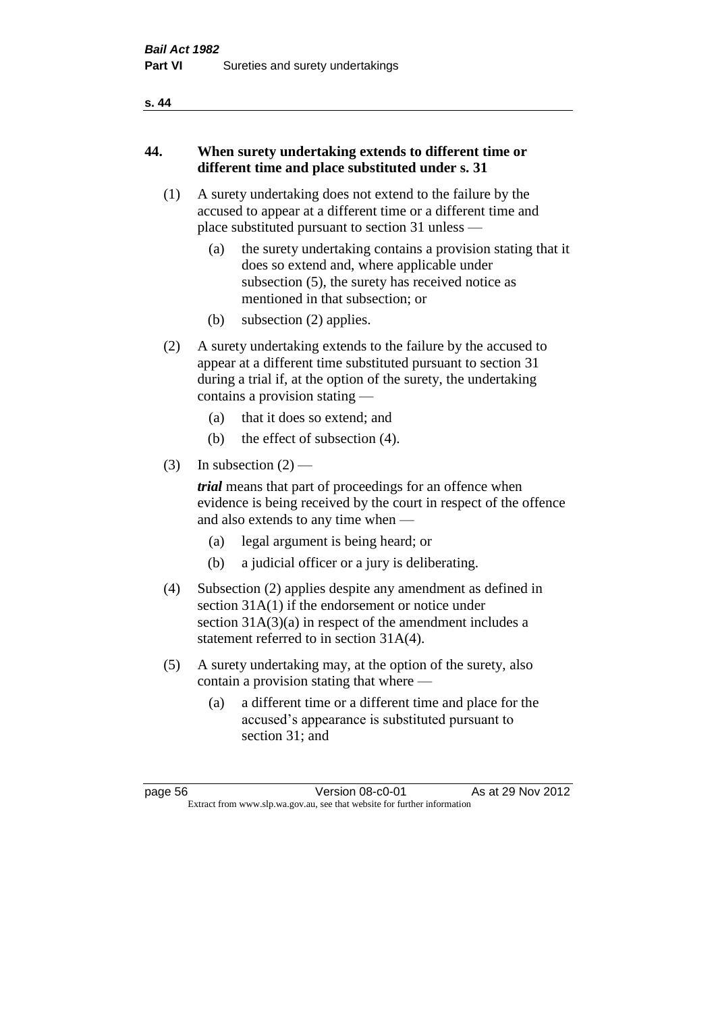#### **s. 44**

# **44. When surety undertaking extends to different time or different time and place substituted under s. 31**

- (1) A surety undertaking does not extend to the failure by the accused to appear at a different time or a different time and place substituted pursuant to section 31 unless —
	- (a) the surety undertaking contains a provision stating that it does so extend and, where applicable under subsection (5), the surety has received notice as mentioned in that subsection; or
	- (b) subsection (2) applies.
- (2) A surety undertaking extends to the failure by the accused to appear at a different time substituted pursuant to section 31 during a trial if, at the option of the surety, the undertaking contains a provision stating —
	- (a) that it does so extend; and
	- (b) the effect of subsection (4).
- (3) In subsection  $(2)$  —

*trial* means that part of proceedings for an offence when evidence is being received by the court in respect of the offence and also extends to any time when —

- (a) legal argument is being heard; or
- (b) a judicial officer or a jury is deliberating.
- (4) Subsection (2) applies despite any amendment as defined in section 31A(1) if the endorsement or notice under section 31A(3)(a) in respect of the amendment includes a statement referred to in section 31A(4).
- (5) A surety undertaking may, at the option of the surety, also contain a provision stating that where —
	- (a) a different time or a different time and place for the accused's appearance is substituted pursuant to section 31; and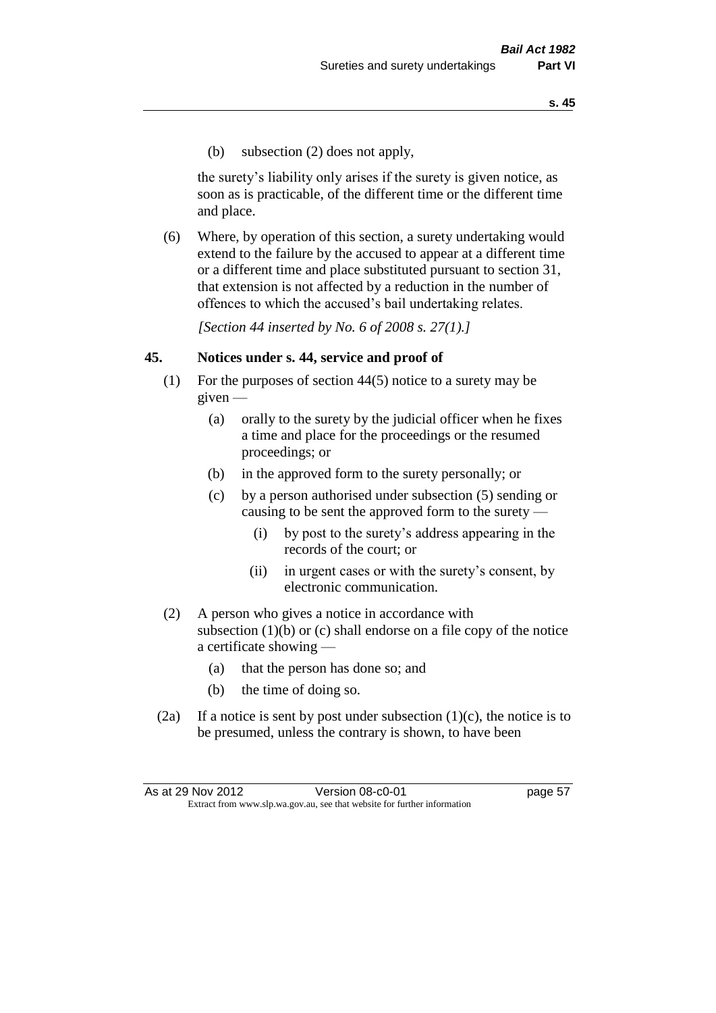(b) subsection (2) does not apply,

the surety's liability only arises if the surety is given notice, as soon as is practicable, of the different time or the different time and place.

(6) Where, by operation of this section, a surety undertaking would extend to the failure by the accused to appear at a different time or a different time and place substituted pursuant to section 31, that extension is not affected by a reduction in the number of offences to which the accused's bail undertaking relates.

*[Section 44 inserted by No. 6 of 2008 s. 27(1).]*

#### **45. Notices under s. 44, service and proof of**

- (1) For the purposes of section 44(5) notice to a surety may be given —
	- (a) orally to the surety by the judicial officer when he fixes a time and place for the proceedings or the resumed proceedings; or
	- (b) in the approved form to the surety personally; or
	- (c) by a person authorised under subsection (5) sending or causing to be sent the approved form to the surety —
		- (i) by post to the surety's address appearing in the records of the court; or
		- (ii) in urgent cases or with the surety's consent, by electronic communication.
- (2) A person who gives a notice in accordance with subsection  $(1)(b)$  or  $(c)$  shall endorse on a file copy of the notice a certificate showing —
	- (a) that the person has done so; and
	- (b) the time of doing so.
- (2a) If a notice is sent by post under subsection  $(1)(c)$ , the notice is to be presumed, unless the contrary is shown, to have been

As at 29 Nov 2012 **Version 08-c0-01 Dage 57** Extract from www.slp.wa.gov.au, see that website for further information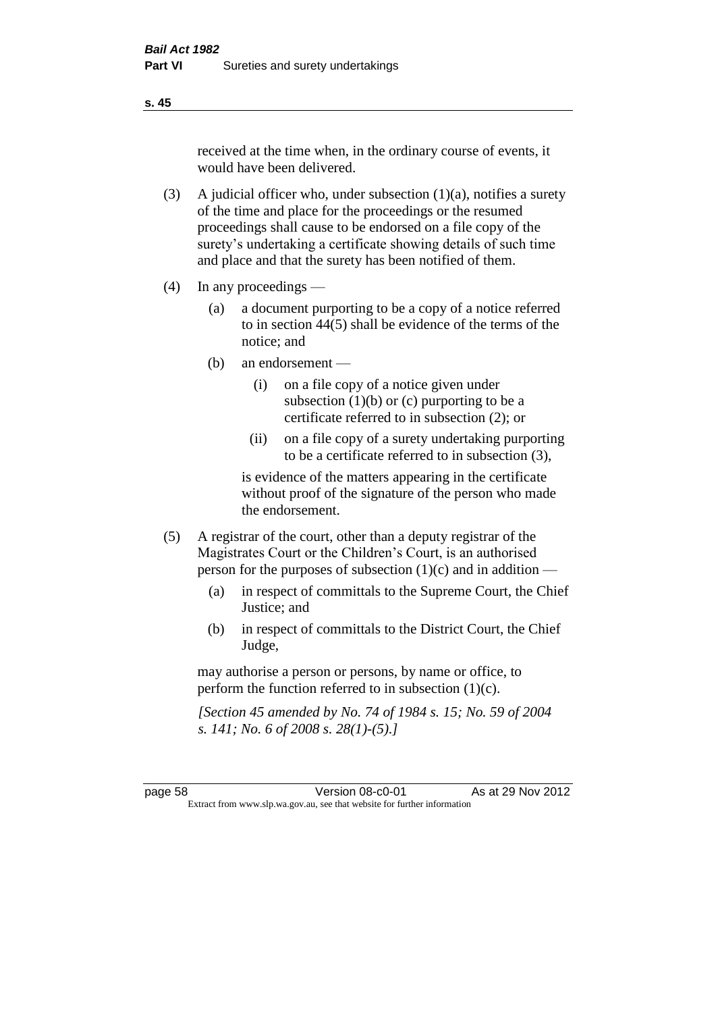received at the time when, in the ordinary course of events, it would have been delivered.

- (3) A judicial officer who, under subsection  $(1)(a)$ , notifies a surety of the time and place for the proceedings or the resumed proceedings shall cause to be endorsed on a file copy of the surety's undertaking a certificate showing details of such time and place and that the surety has been notified of them.
- (4) In any proceedings
	- (a) a document purporting to be a copy of a notice referred to in section 44(5) shall be evidence of the terms of the notice; and
	- (b) an endorsement
		- (i) on a file copy of a notice given under subsection  $(1)(b)$  or  $(c)$  purporting to be a certificate referred to in subsection (2); or
		- (ii) on a file copy of a surety undertaking purporting to be a certificate referred to in subsection (3),

is evidence of the matters appearing in the certificate without proof of the signature of the person who made the endorsement.

- (5) A registrar of the court, other than a deputy registrar of the Magistrates Court or the Children's Court, is an authorised person for the purposes of subsection (1)(c) and in addition —
	- (a) in respect of committals to the Supreme Court, the Chief Justice; and
	- (b) in respect of committals to the District Court, the Chief Judge,

may authorise a person or persons, by name or office, to perform the function referred to in subsection (1)(c).

*[Section 45 amended by No. 74 of 1984 s. 15; No. 59 of 2004 s. 141; No. 6 of 2008 s. 28(1)-(5).]* 

**s. 45**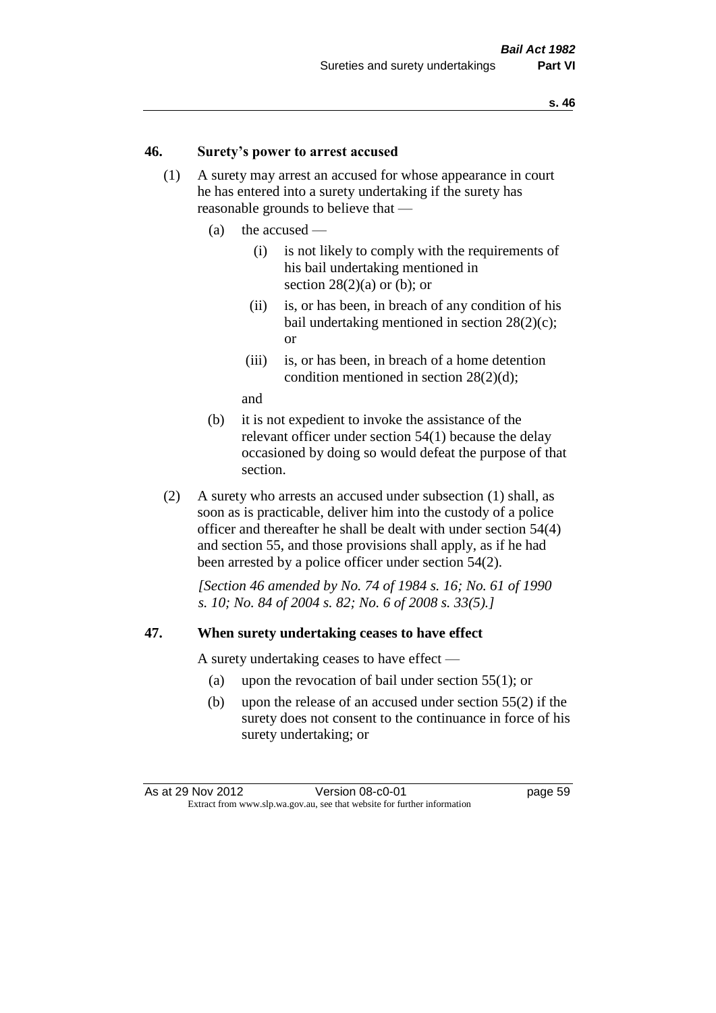#### **46. Surety's power to arrest accused**

- (1) A surety may arrest an accused for whose appearance in court he has entered into a surety undertaking if the surety has reasonable grounds to believe that —
	- (a) the accused
		- (i) is not likely to comply with the requirements of his bail undertaking mentioned in section  $28(2)(a)$  or (b); or
		- (ii) is, or has been, in breach of any condition of his bail undertaking mentioned in section 28(2)(c); or
		- (iii) is, or has been, in breach of a home detention condition mentioned in section 28(2)(d);

and

- (b) it is not expedient to invoke the assistance of the relevant officer under section 54(1) because the delay occasioned by doing so would defeat the purpose of that section.
- (2) A surety who arrests an accused under subsection (1) shall, as soon as is practicable, deliver him into the custody of a police officer and thereafter he shall be dealt with under section 54(4) and section 55, and those provisions shall apply, as if he had been arrested by a police officer under section 54(2).

*[Section 46 amended by No. 74 of 1984 s. 16; No. 61 of 1990 s. 10; No. 84 of 2004 s. 82; No. 6 of 2008 s. 33(5).]* 

#### **47. When surety undertaking ceases to have effect**

A surety undertaking ceases to have effect —

- (a) upon the revocation of bail under section 55(1); or
- (b) upon the release of an accused under section 55(2) if the surety does not consent to the continuance in force of his surety undertaking; or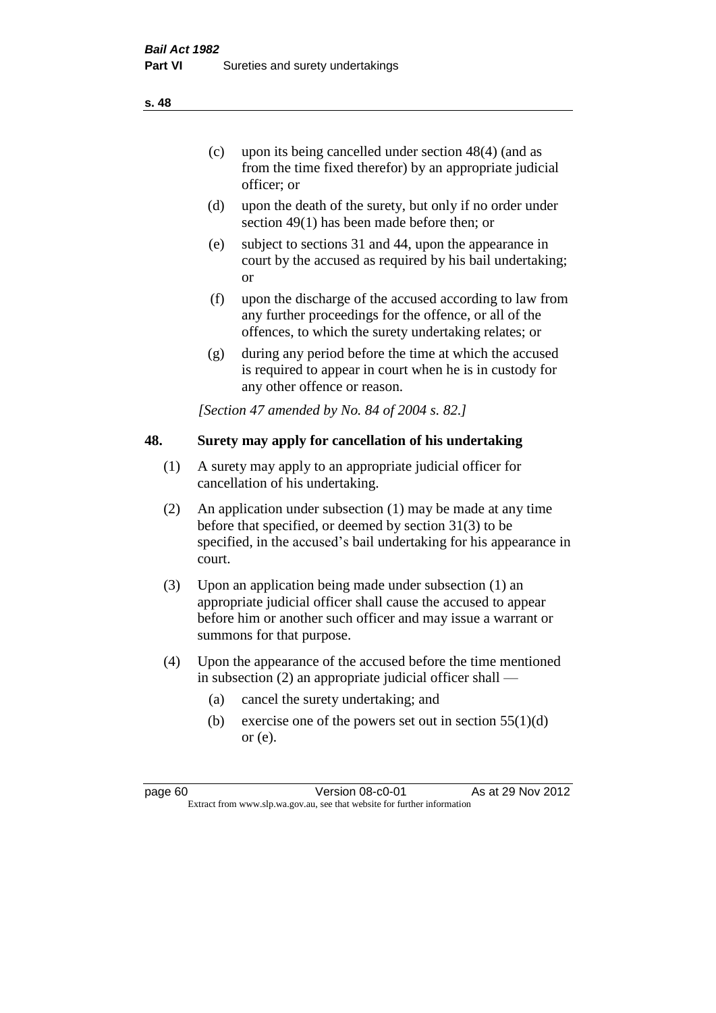- (d) upon the death of the surety, but only if no order under section 49(1) has been made before then; or
- (e) subject to sections 31 and 44, upon the appearance in court by the accused as required by his bail undertaking; or
- (f) upon the discharge of the accused according to law from any further proceedings for the offence, or all of the offences, to which the surety undertaking relates; or
- (g) during any period before the time at which the accused is required to appear in court when he is in custody for any other offence or reason.

*[Section 47 amended by No. 84 of 2004 s. 82.]* 

# **48. Surety may apply for cancellation of his undertaking**

- (1) A surety may apply to an appropriate judicial officer for cancellation of his undertaking.
- (2) An application under subsection (1) may be made at any time before that specified, or deemed by section 31(3) to be specified, in the accused's bail undertaking for his appearance in court.
- (3) Upon an application being made under subsection (1) an appropriate judicial officer shall cause the accused to appear before him or another such officer and may issue a warrant or summons for that purpose.
- (4) Upon the appearance of the accused before the time mentioned in subsection (2) an appropriate judicial officer shall —
	- (a) cancel the surety undertaking; and
	- (b) exercise one of the powers set out in section  $55(1)(d)$ or (e).

page 60 Version 08-c0-01 As at 29 Nov 2012 Extract from www.slp.wa.gov.au, see that website for further information

#### **s. 48**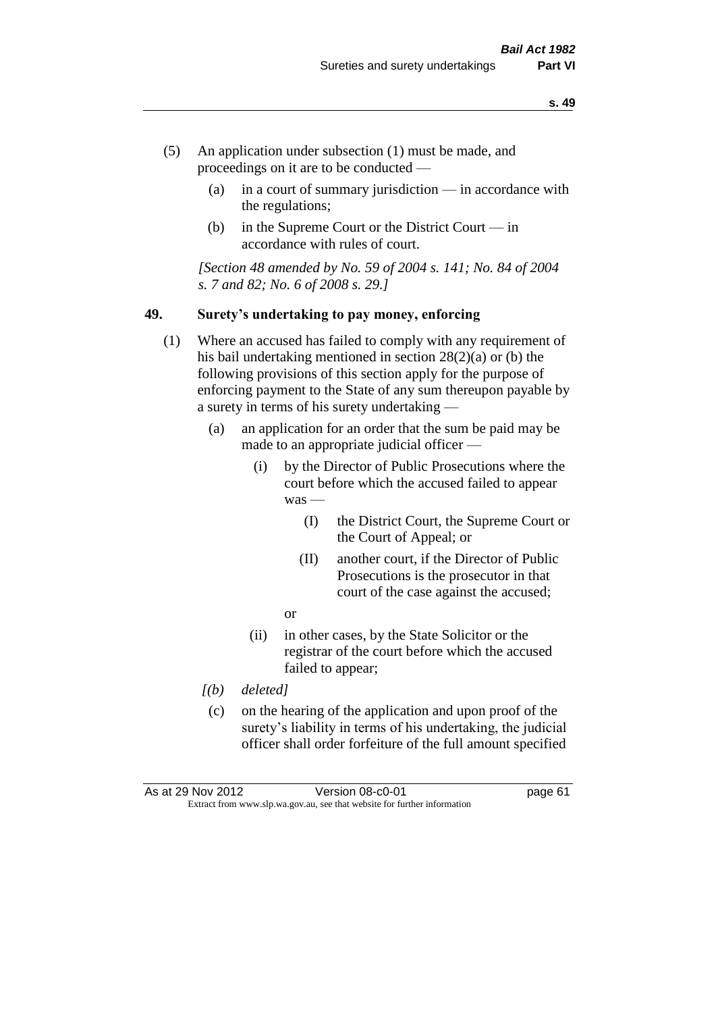- (5) An application under subsection (1) must be made, and proceedings on it are to be conducted —
	- (a) in a court of summary jurisdiction in accordance with the regulations;
	- (b) in the Supreme Court or the District Court in accordance with rules of court.

*[Section 48 amended by No. 59 of 2004 s. 141; No. 84 of 2004 s. 7 and 82; No. 6 of 2008 s. 29.]* 

#### **49. Surety's undertaking to pay money, enforcing**

- (1) Where an accused has failed to comply with any requirement of his bail undertaking mentioned in section 28(2)(a) or (b) the following provisions of this section apply for the purpose of enforcing payment to the State of any sum thereupon payable by a surety in terms of his surety undertaking —
	- (a) an application for an order that the sum be paid may be made to an appropriate judicial officer —
		- (i) by the Director of Public Prosecutions where the court before which the accused failed to appear was —
			- (I) the District Court, the Supreme Court or the Court of Appeal; or
			- (II) another court, if the Director of Public Prosecutions is the prosecutor in that court of the case against the accused;
			- or
		- (ii) in other cases, by the State Solicitor or the registrar of the court before which the accused failed to appear;
	- *[(b) deleted]*
	- (c) on the hearing of the application and upon proof of the surety's liability in terms of his undertaking, the judicial officer shall order forfeiture of the full amount specified

| As at 29 Nov 2012 | Version 08-c0-01                                                         | page 61 |
|-------------------|--------------------------------------------------------------------------|---------|
|                   | Extract from www.slp.wa.gov.au, see that website for further information |         |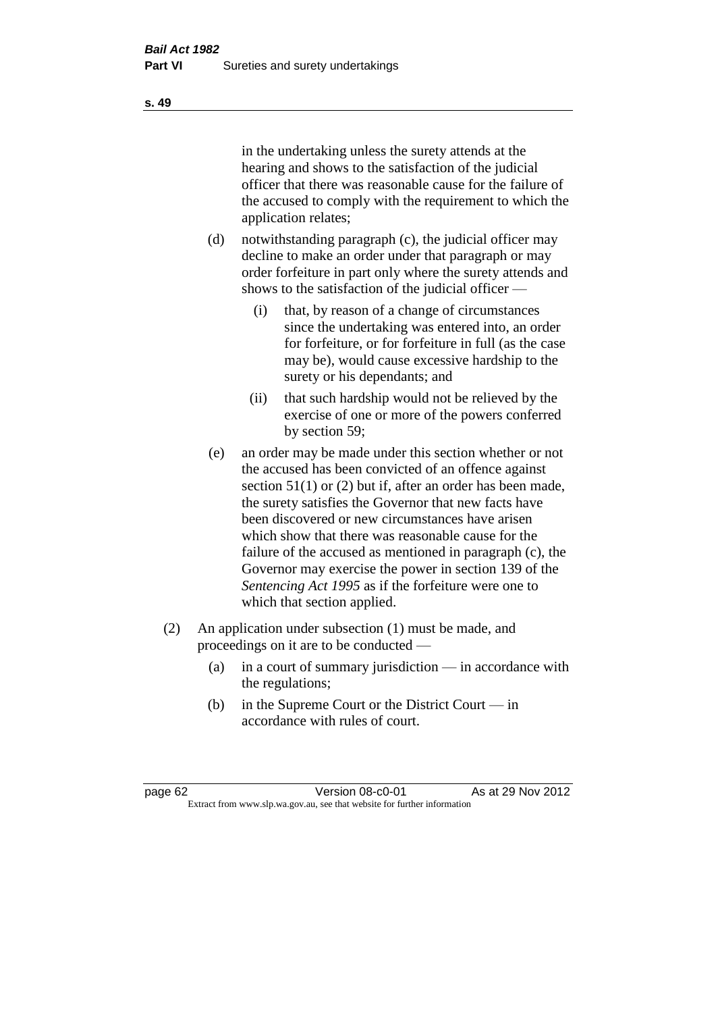in the undertaking unless the surety attends at the hearing and shows to the satisfaction of the judicial officer that there was reasonable cause for the failure of the accused to comply with the requirement to which the application relates;

- (d) notwithstanding paragraph (c), the judicial officer may decline to make an order under that paragraph or may order forfeiture in part only where the surety attends and shows to the satisfaction of the judicial officer —
	- (i) that, by reason of a change of circumstances since the undertaking was entered into, an order for forfeiture, or for forfeiture in full (as the case may be), would cause excessive hardship to the surety or his dependants; and
	- (ii) that such hardship would not be relieved by the exercise of one or more of the powers conferred by section 59;
- (e) an order may be made under this section whether or not the accused has been convicted of an offence against section 51(1) or (2) but if, after an order has been made, the surety satisfies the Governor that new facts have been discovered or new circumstances have arisen which show that there was reasonable cause for the failure of the accused as mentioned in paragraph (c), the Governor may exercise the power in section 139 of the *Sentencing Act 1995* as if the forfeiture were one to which that section applied.
- (2) An application under subsection (1) must be made, and proceedings on it are to be conducted —
	- (a) in a court of summary jurisdiction in accordance with the regulations;
	- (b) in the Supreme Court or the District Court in accordance with rules of court.

page 62 Version 08-c0-01 As at 29 Nov 2012 Extract from www.slp.wa.gov.au, see that website for further information

**s. 49**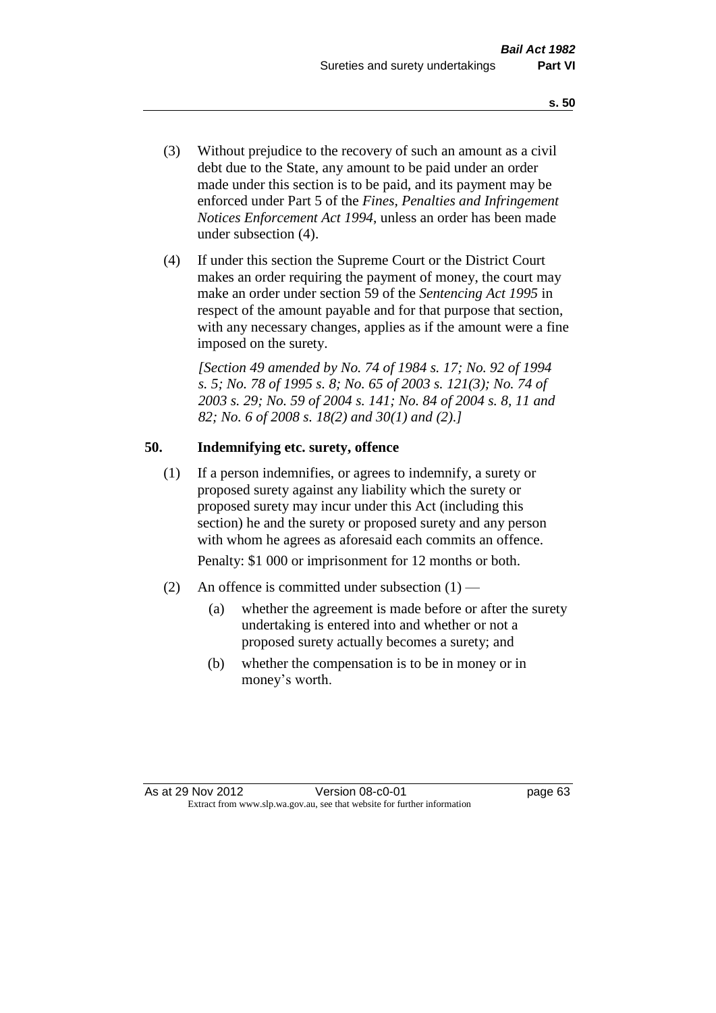- (3) Without prejudice to the recovery of such an amount as a civil debt due to the State, any amount to be paid under an order made under this section is to be paid, and its payment may be enforced under Part 5 of the *Fines, Penalties and Infringement Notices Enforcement Act 1994*, unless an order has been made under subsection (4).
- (4) If under this section the Supreme Court or the District Court makes an order requiring the payment of money, the court may make an order under section 59 of the *Sentencing Act 1995* in respect of the amount payable and for that purpose that section, with any necessary changes, applies as if the amount were a fine imposed on the surety.

*[Section 49 amended by No. 74 of 1984 s. 17; No. 92 of 1994 s. 5; No. 78 of 1995 s. 8; No. 65 of 2003 s. 121(3); No. 74 of 2003 s. 29; No. 59 of 2004 s. 141; No. 84 of 2004 s. 8, 11 and 82; No. 6 of 2008 s. 18(2) and 30(1) and (2).]* 

# **50. Indemnifying etc. surety, offence**

(1) If a person indemnifies, or agrees to indemnify, a surety or proposed surety against any liability which the surety or proposed surety may incur under this Act (including this section) he and the surety or proposed surety and any person with whom he agrees as aforesaid each commits an offence.

Penalty: \$1 000 or imprisonment for 12 months or both.

- (2) An offence is committed under subsection  $(1)$ 
	- (a) whether the agreement is made before or after the surety undertaking is entered into and whether or not a proposed surety actually becomes a surety; and
	- (b) whether the compensation is to be in money or in money's worth.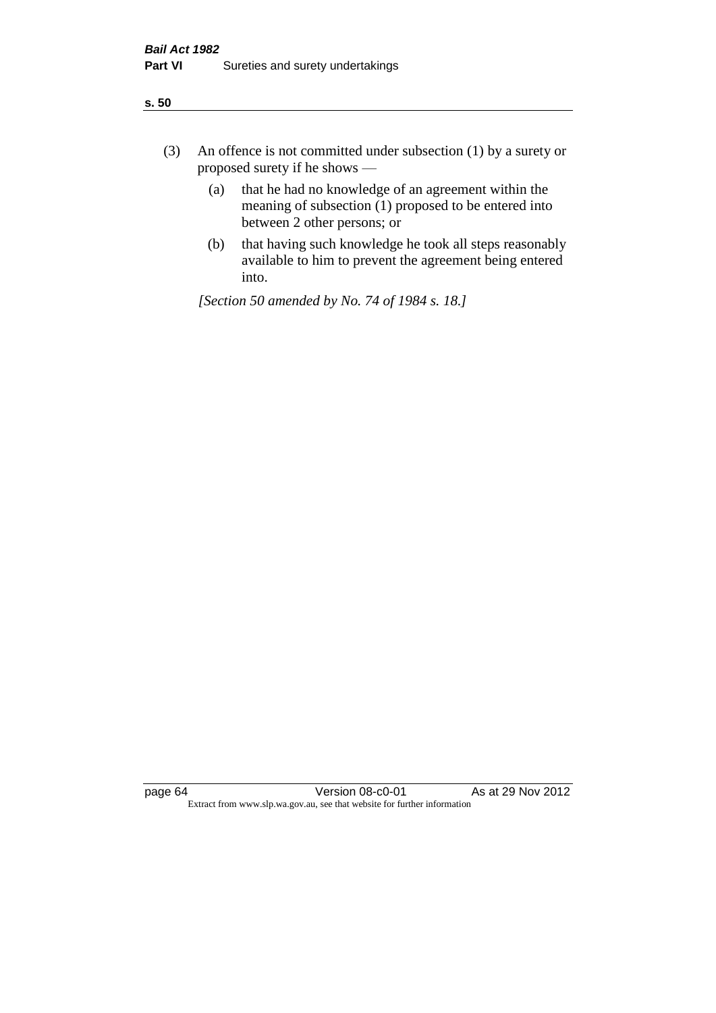| ÷<br>×<br>I<br>. .<br>×<br>۰.<br>×<br>۰.<br>v |
|-----------------------------------------------|
|-----------------------------------------------|

- (3) An offence is not committed under subsection (1) by a surety or proposed surety if he shows —
	- (a) that he had no knowledge of an agreement within the meaning of subsection  $(1)$  proposed to be entered into between 2 other persons; or
	- (b) that having such knowledge he took all steps reasonably available to him to prevent the agreement being entered into.

*[Section 50 amended by No. 74 of 1984 s. 18.]*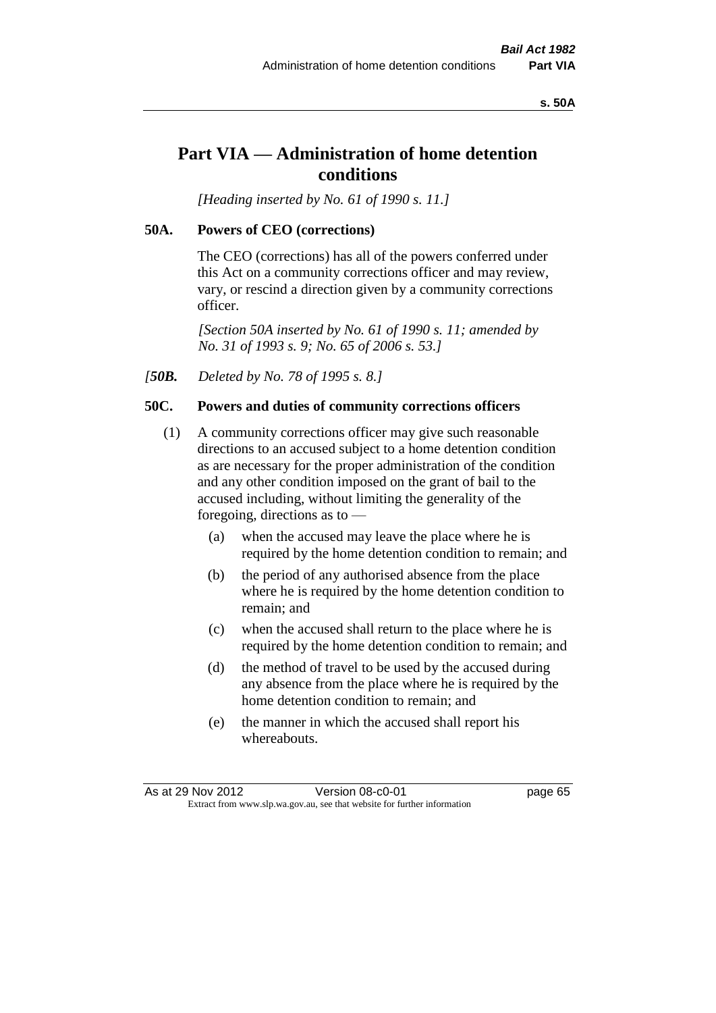#### **s. 50A**

# **Part VIA — Administration of home detention conditions**

*[Heading inserted by No. 61 of 1990 s. 11.]* 

## **50A. Powers of CEO (corrections)**

The CEO (corrections) has all of the powers conferred under this Act on a community corrections officer and may review, vary, or rescind a direction given by a community corrections officer.

*[Section 50A inserted by No. 61 of 1990 s. 11; amended by No. 31 of 1993 s. 9; No. 65 of 2006 s. 53.]* 

*[50B. Deleted by No. 78 of 1995 s. 8.]* 

## **50C. Powers and duties of community corrections officers**

- (1) A community corrections officer may give such reasonable directions to an accused subject to a home detention condition as are necessary for the proper administration of the condition and any other condition imposed on the grant of bail to the accused including, without limiting the generality of the foregoing, directions as to —
	- (a) when the accused may leave the place where he is required by the home detention condition to remain; and
	- (b) the period of any authorised absence from the place where he is required by the home detention condition to remain; and
	- (c) when the accused shall return to the place where he is required by the home detention condition to remain; and
	- (d) the method of travel to be used by the accused during any absence from the place where he is required by the home detention condition to remain; and
	- (e) the manner in which the accused shall report his whereabouts.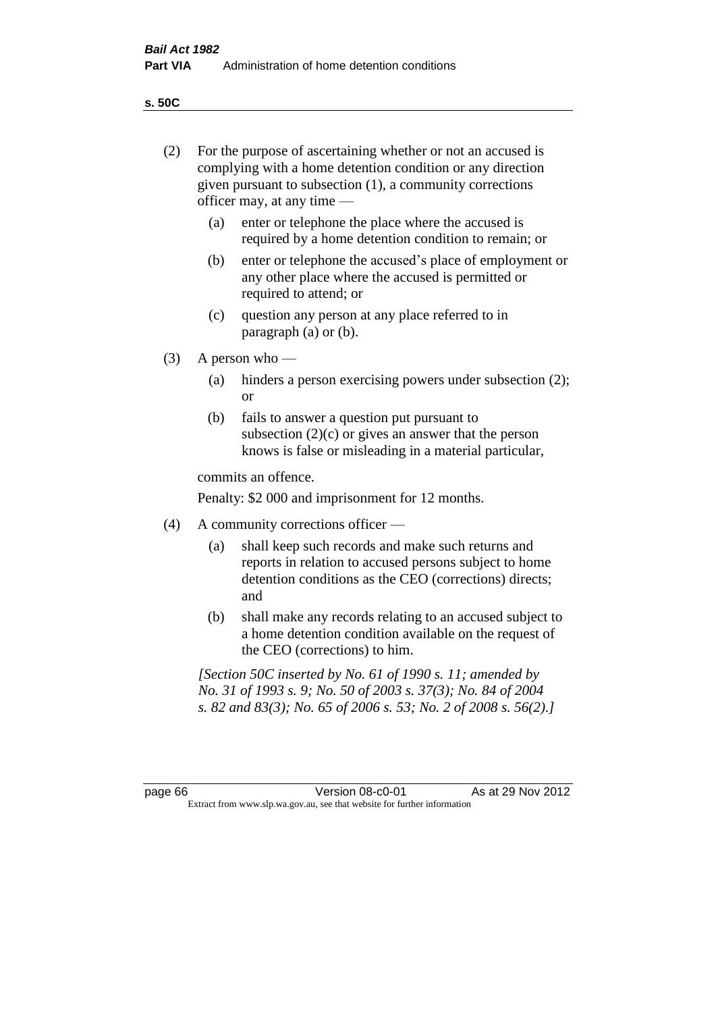**s. 50C**

| (2)     | For the purpose of ascertaining whether or not an accused is<br>complying with a home detention condition or any direction<br>given pursuant to subsection (1), a community corrections<br>officer may, at any time — |                                                                                                                                                                                              |  |
|---------|-----------------------------------------------------------------------------------------------------------------------------------------------------------------------------------------------------------------------|----------------------------------------------------------------------------------------------------------------------------------------------------------------------------------------------|--|
|         | (a)                                                                                                                                                                                                                   | enter or telephone the place where the accused is<br>required by a home detention condition to remain; or                                                                                    |  |
|         | (b)                                                                                                                                                                                                                   | enter or telephone the accused's place of employment or<br>any other place where the accused is permitted or<br>required to attend; or                                                       |  |
|         | (c)                                                                                                                                                                                                                   | question any person at any place referred to in<br>paragraph $(a)$ or $(b)$ .                                                                                                                |  |
| (3)     |                                                                                                                                                                                                                       | A person who $-$                                                                                                                                                                             |  |
|         | (a)                                                                                                                                                                                                                   | hinders a person exercising powers under subsection (2);<br><sub>or</sub>                                                                                                                    |  |
|         | (b)                                                                                                                                                                                                                   | fails to answer a question put pursuant to<br>subsection $(2)(c)$ or gives an answer that the person<br>knows is false or misleading in a material particular,                               |  |
|         |                                                                                                                                                                                                                       | commits an offence.                                                                                                                                                                          |  |
|         |                                                                                                                                                                                                                       | Penalty: \$2 000 and imprisonment for 12 months.                                                                                                                                             |  |
| (4)     |                                                                                                                                                                                                                       | A community corrections officer -                                                                                                                                                            |  |
|         | (a)                                                                                                                                                                                                                   | shall keep such records and make such returns and<br>reports in relation to accused persons subject to home<br>detention conditions as the CEO (corrections) directs;<br>and                 |  |
|         | (b)                                                                                                                                                                                                                   | shall make any records relating to an accused subject to<br>a home detention condition available on the request of<br>the CEO (corrections) to him.                                          |  |
|         |                                                                                                                                                                                                                       | [Section 50C inserted by No. 61 of 1990 s. 11; amended by<br>No. 31 of 1993 s. 9; No. 50 of 2003 s. 37(3); No. 84 of 2004<br>s. 82 and 83(3); No. 65 of 2006 s. 53; No. 2 of 2008 s. 56(2).] |  |
|         |                                                                                                                                                                                                                       |                                                                                                                                                                                              |  |
| page 66 |                                                                                                                                                                                                                       | Version 08-c0-01<br>As at 29 Nov 2012<br>Extract from www.slp.wa.gov.au, see that website for further information                                                                            |  |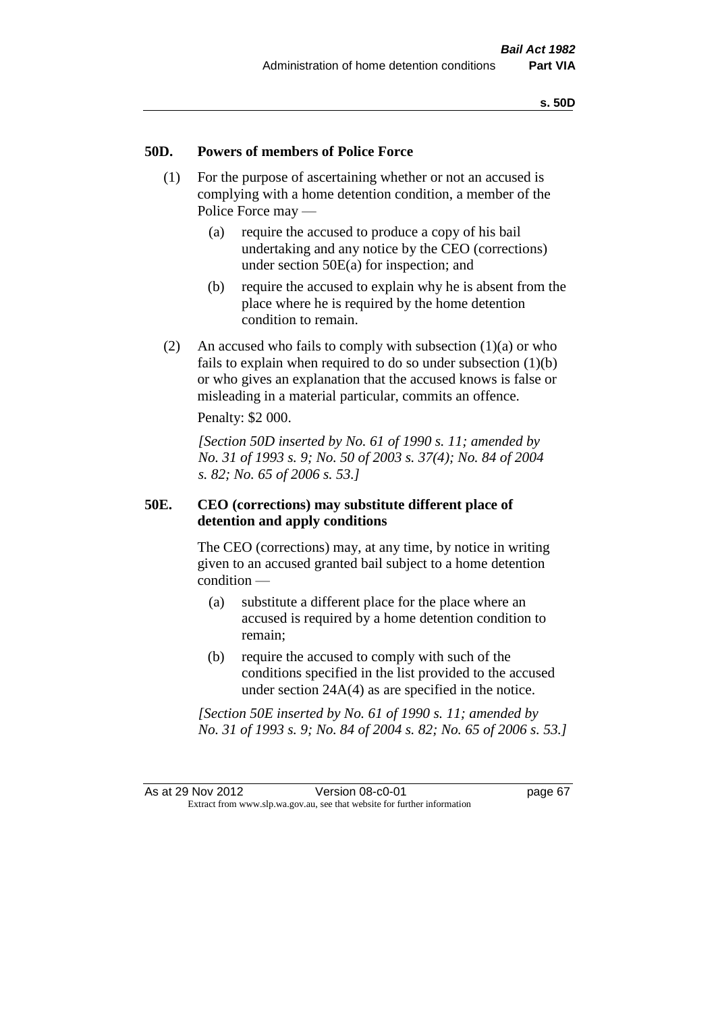## **50D. Powers of members of Police Force**

- (1) For the purpose of ascertaining whether or not an accused is complying with a home detention condition, a member of the Police Force may —
	- (a) require the accused to produce a copy of his bail undertaking and any notice by the CEO (corrections) under section 50E(a) for inspection; and
	- (b) require the accused to explain why he is absent from the place where he is required by the home detention condition to remain.
- (2) An accused who fails to comply with subsection  $(1)(a)$  or who fails to explain when required to do so under subsection  $(1)(b)$ or who gives an explanation that the accused knows is false or misleading in a material particular, commits an offence.

Penalty: \$2 000.

*[Section 50D inserted by No. 61 of 1990 s. 11; amended by No. 31 of 1993 s. 9; No. 50 of 2003 s. 37(4); No. 84 of 2004 s. 82; No. 65 of 2006 s. 53.]* 

## **50E. CEO (corrections) may substitute different place of detention and apply conditions**

The CEO (corrections) may, at any time, by notice in writing given to an accused granted bail subject to a home detention condition —

- (a) substitute a different place for the place where an accused is required by a home detention condition to remain;
- (b) require the accused to comply with such of the conditions specified in the list provided to the accused under section 24A(4) as are specified in the notice.

*[Section 50E inserted by No. 61 of 1990 s. 11; amended by No. 31 of 1993 s. 9; No. 84 of 2004 s. 82; No. 65 of 2006 s. 53.]*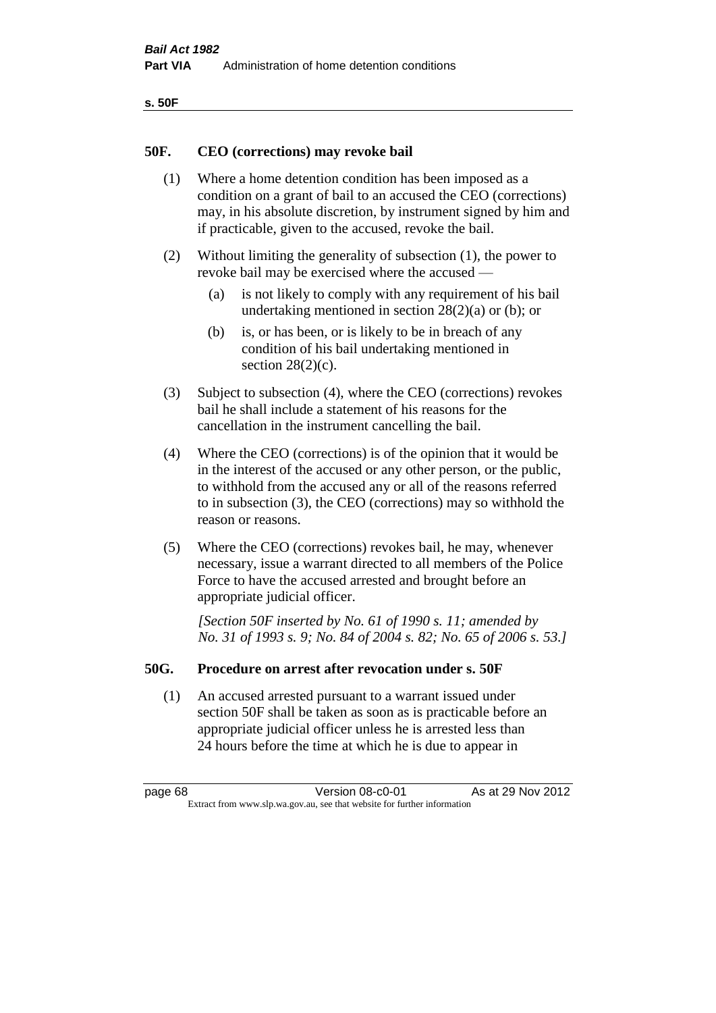| ۰.<br>×<br>-<br>۰.<br>× |  |
|-------------------------|--|
|-------------------------|--|

## **50F. CEO (corrections) may revoke bail**

- (1) Where a home detention condition has been imposed as a condition on a grant of bail to an accused the CEO (corrections) may, in his absolute discretion, by instrument signed by him and if practicable, given to the accused, revoke the bail.
- (2) Without limiting the generality of subsection (1), the power to revoke bail may be exercised where the accused —
	- (a) is not likely to comply with any requirement of his bail undertaking mentioned in section 28(2)(a) or (b); or
	- (b) is, or has been, or is likely to be in breach of any condition of his bail undertaking mentioned in section  $28(2)(c)$ .
- (3) Subject to subsection (4), where the CEO (corrections) revokes bail he shall include a statement of his reasons for the cancellation in the instrument cancelling the bail.
- (4) Where the CEO (corrections) is of the opinion that it would be in the interest of the accused or any other person, or the public, to withhold from the accused any or all of the reasons referred to in subsection (3), the CEO (corrections) may so withhold the reason or reasons.
- (5) Where the CEO (corrections) revokes bail, he may, whenever necessary, issue a warrant directed to all members of the Police Force to have the accused arrested and brought before an appropriate judicial officer.

*[Section 50F inserted by No. 61 of 1990 s. 11; amended by No. 31 of 1993 s. 9; No. 84 of 2004 s. 82; No. 65 of 2006 s. 53.]* 

## **50G. Procedure on arrest after revocation under s. 50F**

(1) An accused arrested pursuant to a warrant issued under section 50F shall be taken as soon as is practicable before an appropriate judicial officer unless he is arrested less than 24 hours before the time at which he is due to appear in

page 68 Version 08-c0-01 As at 29 Nov 2012 Extract from www.slp.wa.gov.au, see that website for further information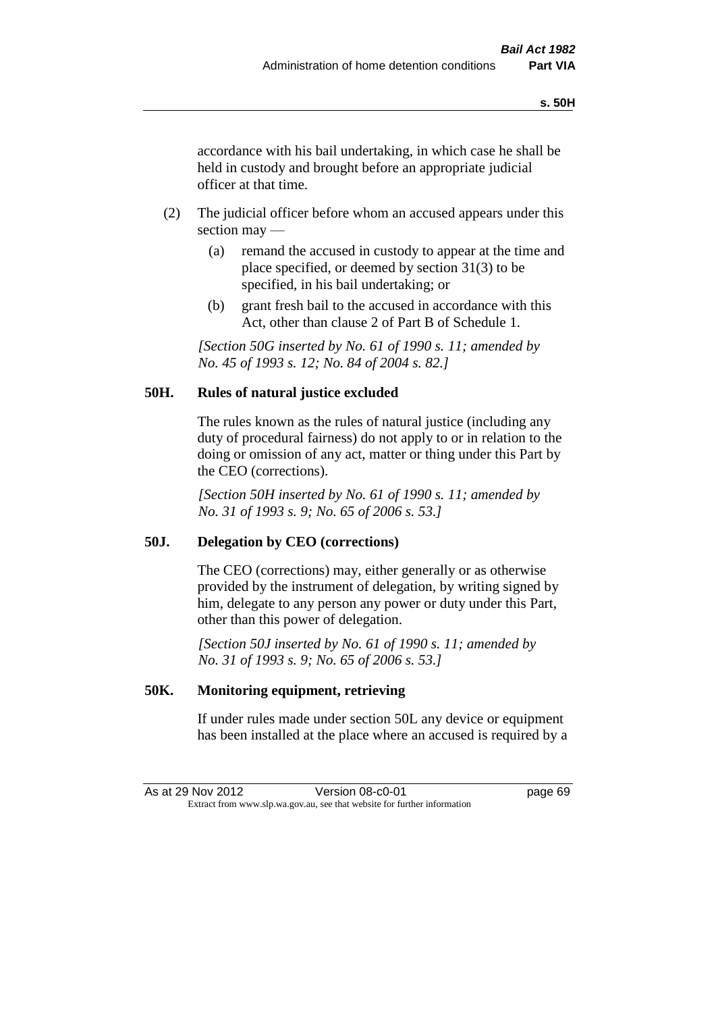accordance with his bail undertaking, in which case he shall be held in custody and brought before an appropriate judicial officer at that time.

- (2) The judicial officer before whom an accused appears under this section may —
	- (a) remand the accused in custody to appear at the time and place specified, or deemed by section 31(3) to be specified, in his bail undertaking; or
	- (b) grant fresh bail to the accused in accordance with this Act, other than clause 2 of Part B of Schedule 1.

*[Section 50G inserted by No. 61 of 1990 s. 11; amended by No. 45 of 1993 s. 12; No. 84 of 2004 s. 82.]* 

# **50H. Rules of natural justice excluded**

The rules known as the rules of natural justice (including any duty of procedural fairness) do not apply to or in relation to the doing or omission of any act, matter or thing under this Part by the CEO (corrections).

*[Section 50H inserted by No. 61 of 1990 s. 11; amended by No. 31 of 1993 s. 9; No. 65 of 2006 s. 53.]* 

## **50J. Delegation by CEO (corrections)**

The CEO (corrections) may, either generally or as otherwise provided by the instrument of delegation, by writing signed by him, delegate to any person any power or duty under this Part, other than this power of delegation.

*[Section 50J inserted by No. 61 of 1990 s. 11; amended by No. 31 of 1993 s. 9; No. 65 of 2006 s. 53.]* 

## **50K. Monitoring equipment, retrieving**

If under rules made under section 50L any device or equipment has been installed at the place where an accused is required by a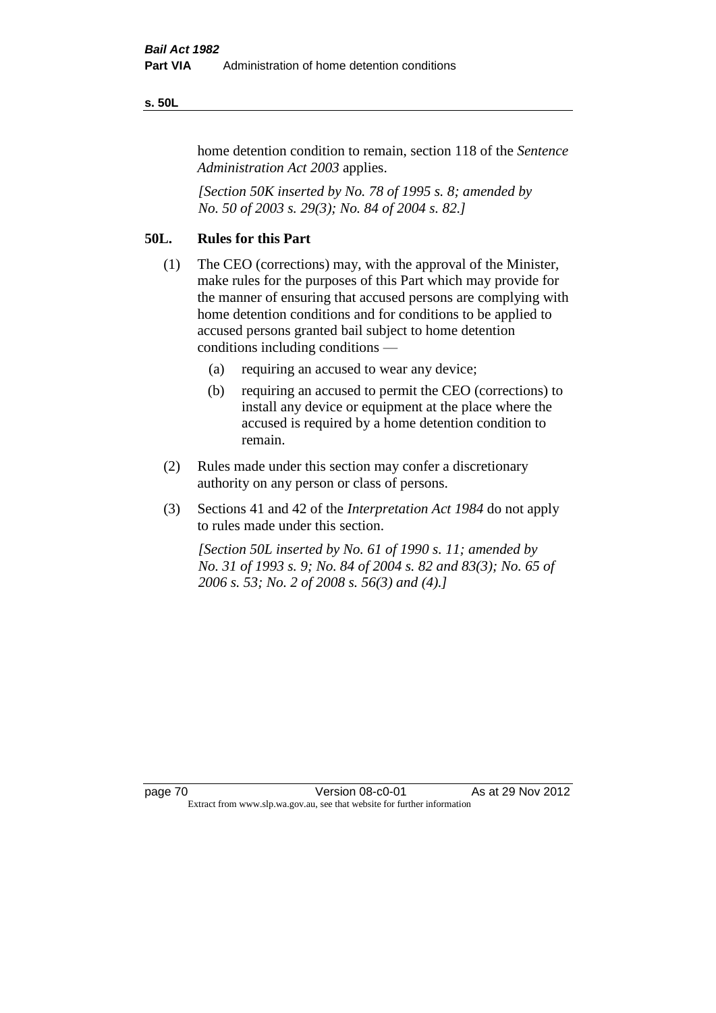#### **s. 50L**

home detention condition to remain, section 118 of the *Sentence Administration Act 2003* applies.

*[Section 50K inserted by No. 78 of 1995 s. 8; amended by No. 50 of 2003 s. 29(3); No. 84 of 2004 s. 82.]* 

# **50L. Rules for this Part**

- (1) The CEO (corrections) may, with the approval of the Minister, make rules for the purposes of this Part which may provide for the manner of ensuring that accused persons are complying with home detention conditions and for conditions to be applied to accused persons granted bail subject to home detention conditions including conditions —
	- (a) requiring an accused to wear any device;
	- (b) requiring an accused to permit the CEO (corrections) to install any device or equipment at the place where the accused is required by a home detention condition to remain.
- (2) Rules made under this section may confer a discretionary authority on any person or class of persons.
- (3) Sections 41 and 42 of the *Interpretation Act 1984* do not apply to rules made under this section.

*[Section 50L inserted by No. 61 of 1990 s. 11; amended by No. 31 of 1993 s. 9; No. 84 of 2004 s. 82 and 83(3); No. 65 of 2006 s. 53; No. 2 of 2008 s. 56(3) and (4).]*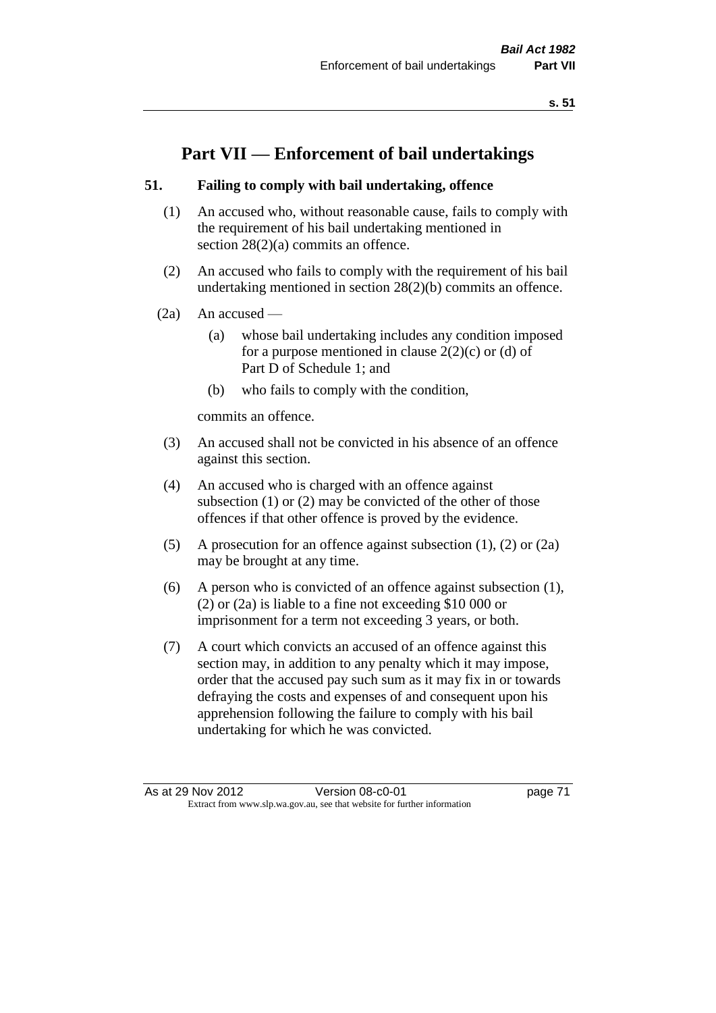# **Part VII — Enforcement of bail undertakings**

## **51. Failing to comply with bail undertaking, offence**

- (1) An accused who, without reasonable cause, fails to comply with the requirement of his bail undertaking mentioned in section 28(2)(a) commits an offence.
- (2) An accused who fails to comply with the requirement of his bail undertaking mentioned in section 28(2)(b) commits an offence.
- $(2a)$  An accused
	- (a) whose bail undertaking includes any condition imposed for a purpose mentioned in clause  $2(2)(c)$  or (d) of Part D of Schedule 1; and
	- (b) who fails to comply with the condition,

commits an offence.

- (3) An accused shall not be convicted in his absence of an offence against this section.
- (4) An accused who is charged with an offence against subsection (1) or (2) may be convicted of the other of those offences if that other offence is proved by the evidence.
- (5) A prosecution for an offence against subsection (1), (2) or (2a) may be brought at any time.
- (6) A person who is convicted of an offence against subsection (1), (2) or (2a) is liable to a fine not exceeding \$10 000 or imprisonment for a term not exceeding 3 years, or both.
- (7) A court which convicts an accused of an offence against this section may, in addition to any penalty which it may impose, order that the accused pay such sum as it may fix in or towards defraying the costs and expenses of and consequent upon his apprehension following the failure to comply with his bail undertaking for which he was convicted.

As at 29 Nov 2012 Version 08-c0-01 page 71 Extract from www.slp.wa.gov.au, see that website for further information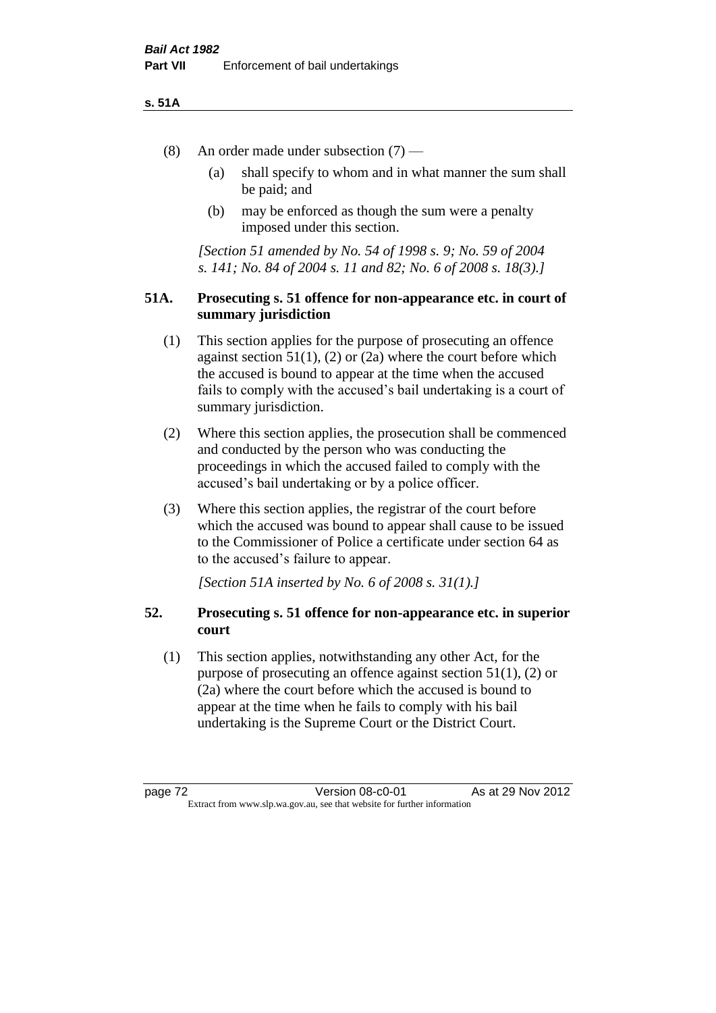#### **s. 51A**

- (8) An order made under subsection (7)
	- (a) shall specify to whom and in what manner the sum shall be paid; and
	- (b) may be enforced as though the sum were a penalty imposed under this section.

*[Section 51 amended by No. 54 of 1998 s. 9; No. 59 of 2004 s. 141; No. 84 of 2004 s. 11 and 82; No. 6 of 2008 s. 18(3).]*

## **51A. Prosecuting s. 51 offence for non-appearance etc. in court of summary jurisdiction**

- (1) This section applies for the purpose of prosecuting an offence against section  $51(1)$ ,  $(2)$  or  $(2a)$  where the court before which the accused is bound to appear at the time when the accused fails to comply with the accused's bail undertaking is a court of summary jurisdiction.
- (2) Where this section applies, the prosecution shall be commenced and conducted by the person who was conducting the proceedings in which the accused failed to comply with the accused's bail undertaking or by a police officer.
- (3) Where this section applies, the registrar of the court before which the accused was bound to appear shall cause to be issued to the Commissioner of Police a certificate under section 64 as to the accused's failure to appear.

*[Section 51A inserted by No. 6 of 2008 s. 31(1).]*

## **52. Prosecuting s. 51 offence for non-appearance etc. in superior court**

(1) This section applies, notwithstanding any other Act, for the purpose of prosecuting an offence against section 51(1), (2) or (2a) where the court before which the accused is bound to appear at the time when he fails to comply with his bail undertaking is the Supreme Court or the District Court.

page 72 Version 08-c0-01 As at 29 Nov 2012 Extract from www.slp.wa.gov.au, see that website for further information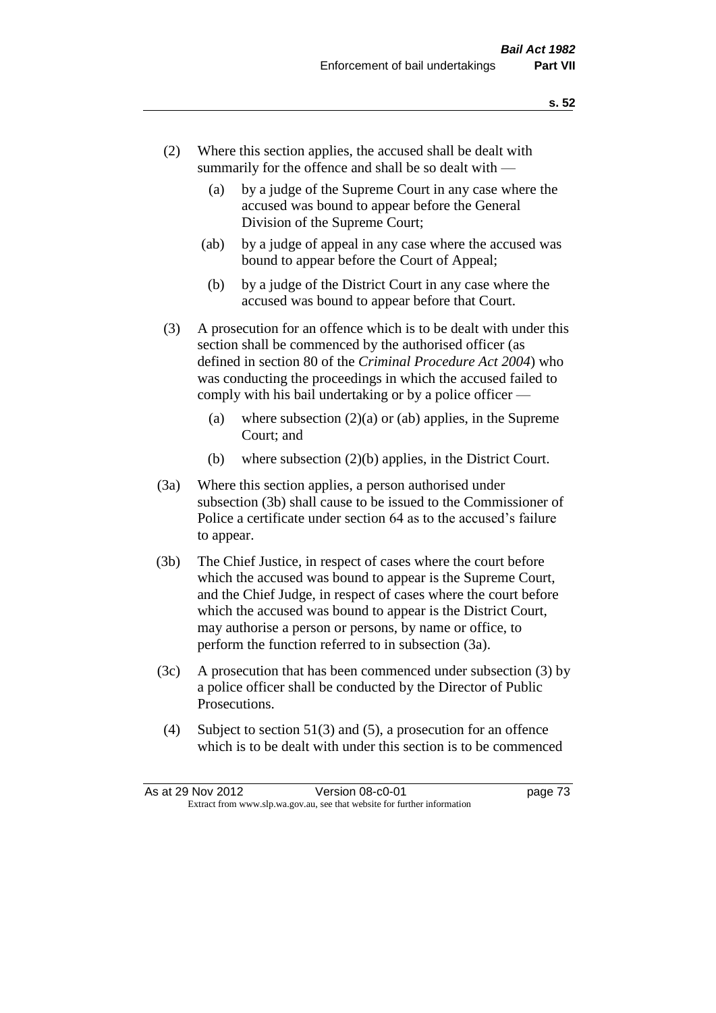- (2) Where this section applies, the accused shall be dealt with summarily for the offence and shall be so dealt with —
	- (a) by a judge of the Supreme Court in any case where the accused was bound to appear before the General Division of the Supreme Court;
	- (ab) by a judge of appeal in any case where the accused was bound to appear before the Court of Appeal;
	- (b) by a judge of the District Court in any case where the accused was bound to appear before that Court.
- (3) A prosecution for an offence which is to be dealt with under this section shall be commenced by the authorised officer (as defined in section 80 of the *Criminal Procedure Act 2004*) who was conducting the proceedings in which the accused failed to comply with his bail undertaking or by a police officer —
	- (a) where subsection  $(2)(a)$  or (ab) applies, in the Supreme Court; and
	- (b) where subsection (2)(b) applies, in the District Court.
- (3a) Where this section applies, a person authorised under subsection (3b) shall cause to be issued to the Commissioner of Police a certificate under section 64 as to the accused's failure to appear.
- (3b) The Chief Justice, in respect of cases where the court before which the accused was bound to appear is the Supreme Court, and the Chief Judge, in respect of cases where the court before which the accused was bound to appear is the District Court, may authorise a person or persons, by name or office, to perform the function referred to in subsection (3a).
- (3c) A prosecution that has been commenced under subsection (3) by a police officer shall be conducted by the Director of Public Prosecutions.
- (4) Subject to section 51(3) and (5), a prosecution for an offence which is to be dealt with under this section is to be commenced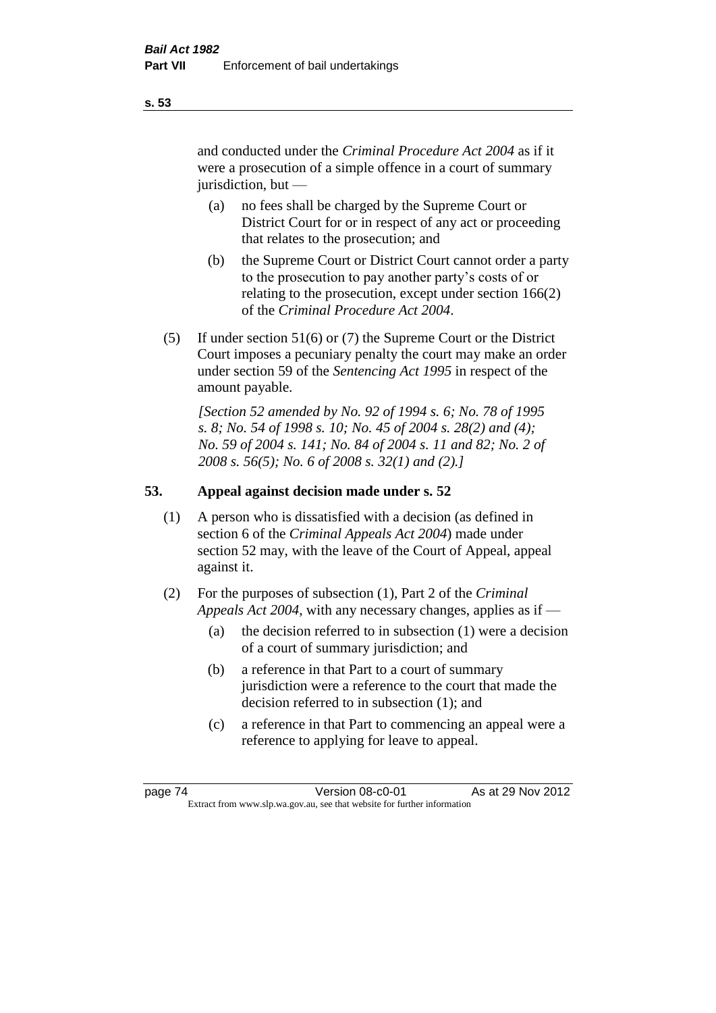and conducted under the *Criminal Procedure Act 2004* as if it were a prosecution of a simple offence in a court of summary jurisdiction, but —

- (a) no fees shall be charged by the Supreme Court or District Court for or in respect of any act or proceeding that relates to the prosecution; and
- (b) the Supreme Court or District Court cannot order a party to the prosecution to pay another party's costs of or relating to the prosecution, except under section 166(2) of the *Criminal Procedure Act 2004*.
- (5) If under section 51(6) or (7) the Supreme Court or the District Court imposes a pecuniary penalty the court may make an order under section 59 of the *Sentencing Act 1995* in respect of the amount payable.

*[Section 52 amended by No. 92 of 1994 s. 6; No. 78 of 1995 s. 8; No. 54 of 1998 s. 10; No. 45 of 2004 s. 28(2) and (4); No. 59 of 2004 s. 141; No. 84 of 2004 s. 11 and 82; No. 2 of 2008 s. 56(5); No. 6 of 2008 s. 32(1) and (2).]* 

# **53. Appeal against decision made under s. 52**

- (1) A person who is dissatisfied with a decision (as defined in section 6 of the *Criminal Appeals Act 2004*) made under section 52 may, with the leave of the Court of Appeal, appeal against it.
- (2) For the purposes of subsection (1), Part 2 of the *Criminal Appeals Act 2004*, with any necessary changes, applies as if —
	- (a) the decision referred to in subsection (1) were a decision of a court of summary jurisdiction; and
	- (b) a reference in that Part to a court of summary jurisdiction were a reference to the court that made the decision referred to in subsection (1); and
	- (c) a reference in that Part to commencing an appeal were a reference to applying for leave to appeal.

**s. 53**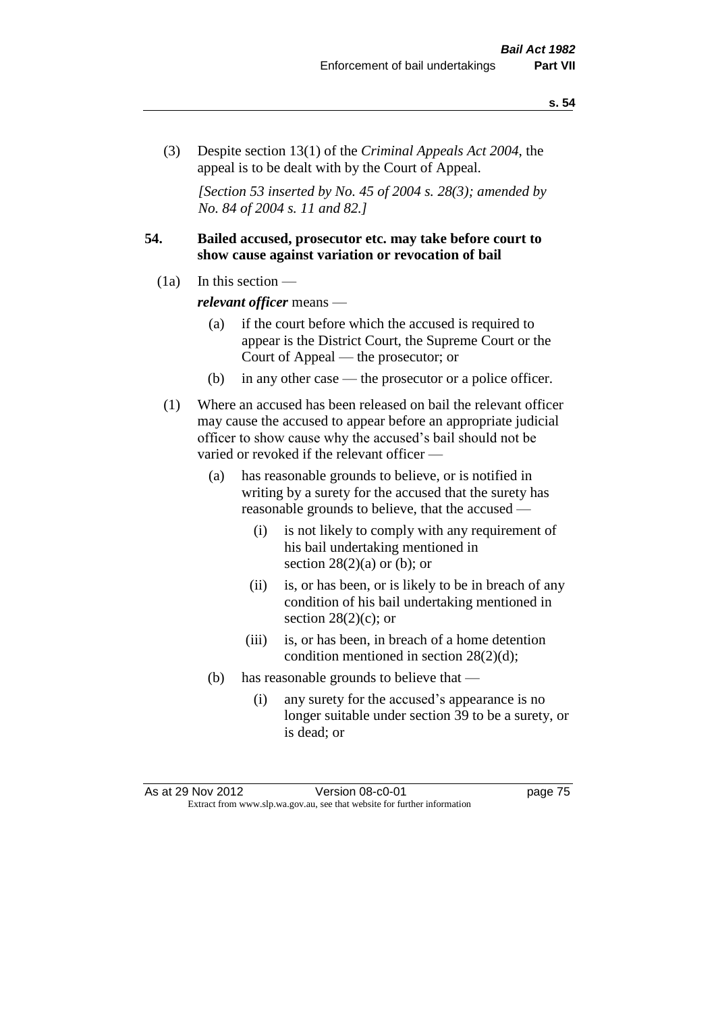(3) Despite section 13(1) of the *Criminal Appeals Act 2004*, the appeal is to be dealt with by the Court of Appeal.

*[Section 53 inserted by No. 45 of 2004 s. 28(3); amended by No. 84 of 2004 s. 11 and 82.]*

## **54. Bailed accused, prosecutor etc. may take before court to show cause against variation or revocation of bail**

 $(1a)$  In this section —

*relevant officer* means —

- (a) if the court before which the accused is required to appear is the District Court, the Supreme Court or the Court of Appeal — the prosecutor; or
- (b) in any other case the prosecutor or a police officer.
- (1) Where an accused has been released on bail the relevant officer may cause the accused to appear before an appropriate judicial officer to show cause why the accused's bail should not be varied or revoked if the relevant officer —
	- (a) has reasonable grounds to believe, or is notified in writing by a surety for the accused that the surety has reasonable grounds to believe, that the accused —
		- (i) is not likely to comply with any requirement of his bail undertaking mentioned in section  $28(2)(a)$  or (b); or
		- (ii) is, or has been, or is likely to be in breach of any condition of his bail undertaking mentioned in section  $28(2)(c)$ ; or
		- (iii) is, or has been, in breach of a home detention condition mentioned in section 28(2)(d);
	- (b) has reasonable grounds to believe that
		- (i) any surety for the accused's appearance is no longer suitable under section 39 to be a surety, or is dead; or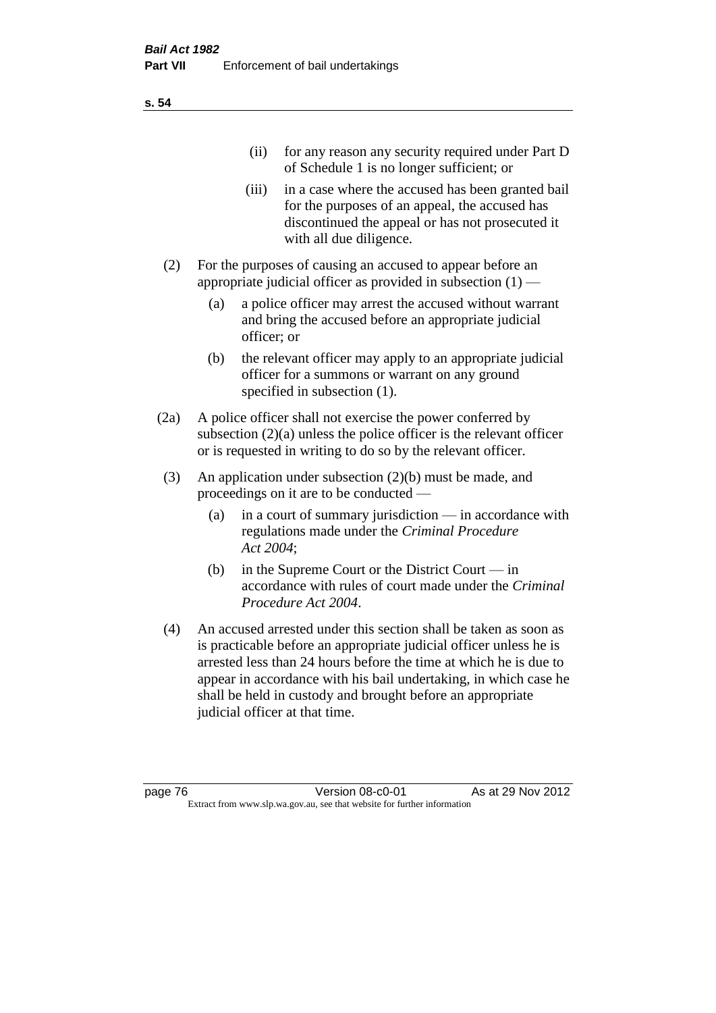| (11)  | for any reason any security required under Part D<br>of Schedule 1 is no longer sufficient; or                                                                                     |
|-------|------------------------------------------------------------------------------------------------------------------------------------------------------------------------------------|
| (iii) | in a case where the accused has been granted bail<br>for the purposes of an appeal, the accused has<br>discontinued the appeal or has not prosecuted it<br>with all due diligence. |

- (2) For the purposes of causing an accused to appear before an appropriate judicial officer as provided in subsection  $(1)$  —
	- (a) a police officer may arrest the accused without warrant and bring the accused before an appropriate judicial officer; or
	- (b) the relevant officer may apply to an appropriate judicial officer for a summons or warrant on any ground specified in subsection  $(1)$ .
- (2a) A police officer shall not exercise the power conferred by subsection (2)(a) unless the police officer is the relevant officer or is requested in writing to do so by the relevant officer.
- (3) An application under subsection (2)(b) must be made, and proceedings on it are to be conducted —
	- (a) in a court of summary jurisdiction in accordance with regulations made under the *Criminal Procedure Act 2004*;
	- (b) in the Supreme Court or the District Court in accordance with rules of court made under the *Criminal Procedure Act 2004*.
- (4) An accused arrested under this section shall be taken as soon as is practicable before an appropriate judicial officer unless he is arrested less than 24 hours before the time at which he is due to appear in accordance with his bail undertaking, in which case he shall be held in custody and brought before an appropriate judicial officer at that time.

**s. 54**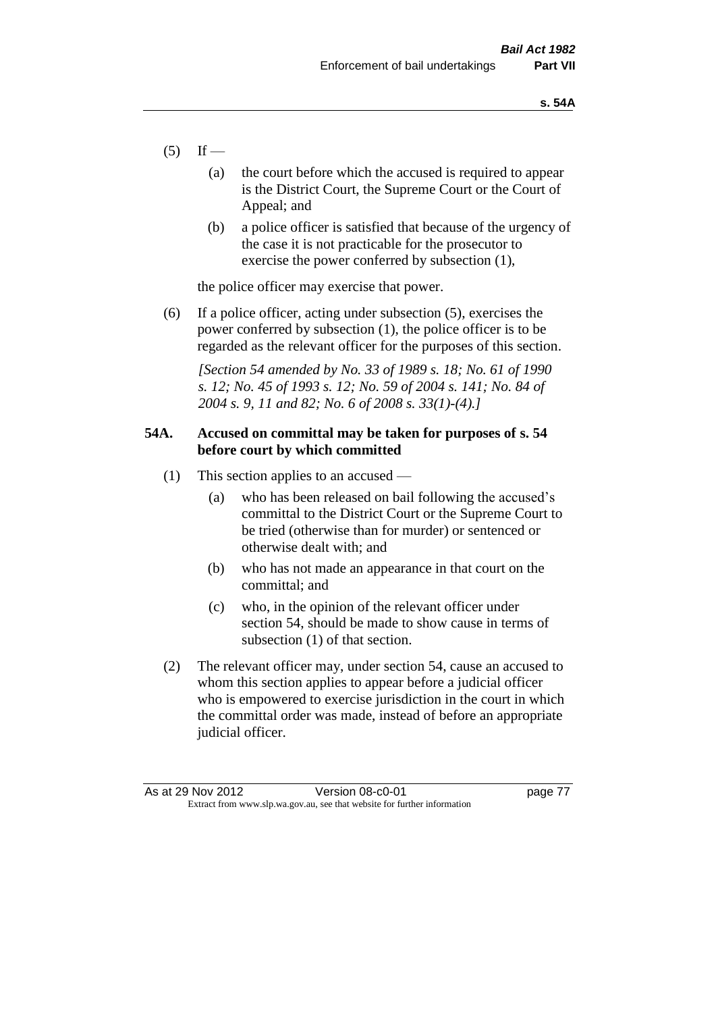- $(5)$  If
	- (a) the court before which the accused is required to appear is the District Court, the Supreme Court or the Court of Appeal; and
	- (b) a police officer is satisfied that because of the urgency of the case it is not practicable for the prosecutor to exercise the power conferred by subsection (1),

the police officer may exercise that power.

(6) If a police officer, acting under subsection (5), exercises the power conferred by subsection (1), the police officer is to be regarded as the relevant officer for the purposes of this section.

*[Section 54 amended by No. 33 of 1989 s. 18; No. 61 of 1990 s. 12; No. 45 of 1993 s. 12; No. 59 of 2004 s. 141; No. 84 of 2004 s. 9, 11 and 82; No. 6 of 2008 s. 33(1)-(4).]* 

## **54A. Accused on committal may be taken for purposes of s. 54 before court by which committed**

- (1) This section applies to an accused
	- (a) who has been released on bail following the accused's committal to the District Court or the Supreme Court to be tried (otherwise than for murder) or sentenced or otherwise dealt with; and
	- (b) who has not made an appearance in that court on the committal; and
	- (c) who, in the opinion of the relevant officer under section 54, should be made to show cause in terms of subsection (1) of that section.
- (2) The relevant officer may, under section 54, cause an accused to whom this section applies to appear before a judicial officer who is empowered to exercise jurisdiction in the court in which the committal order was made, instead of before an appropriate judicial officer.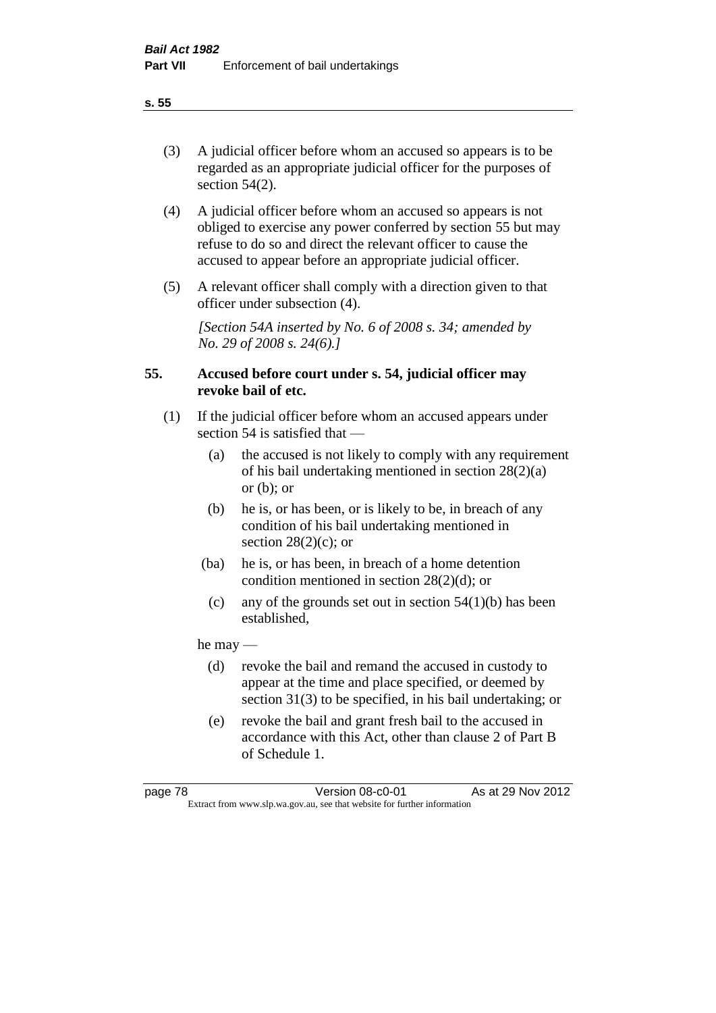(3) A judicial officer before whom an accused so appears is to be regarded as an appropriate judicial officer for the purposes of section 54(2).

- (4) A judicial officer before whom an accused so appears is not obliged to exercise any power conferred by section 55 but may refuse to do so and direct the relevant officer to cause the accused to appear before an appropriate judicial officer.
- (5) A relevant officer shall comply with a direction given to that officer under subsection (4).

*[Section 54A inserted by No. 6 of 2008 s. 34; amended by No. 29 of 2008 s. 24(6).]*

## **55. Accused before court under s. 54, judicial officer may revoke bail of etc.**

- (1) If the judicial officer before whom an accused appears under section 54 is satisfied that —
	- (a) the accused is not likely to comply with any requirement of his bail undertaking mentioned in section 28(2)(a) or  $(b)$ ; or
	- (b) he is, or has been, or is likely to be, in breach of any condition of his bail undertaking mentioned in section  $28(2)(c)$ ; or
	- (ba) he is, or has been, in breach of a home detention condition mentioned in section 28(2)(d); or
	- (c) any of the grounds set out in section  $54(1)(b)$  has been established,

he may —

- (d) revoke the bail and remand the accused in custody to appear at the time and place specified, or deemed by section 31(3) to be specified, in his bail undertaking; or
- (e) revoke the bail and grant fresh bail to the accused in accordance with this Act, other than clause 2 of Part B of Schedule 1.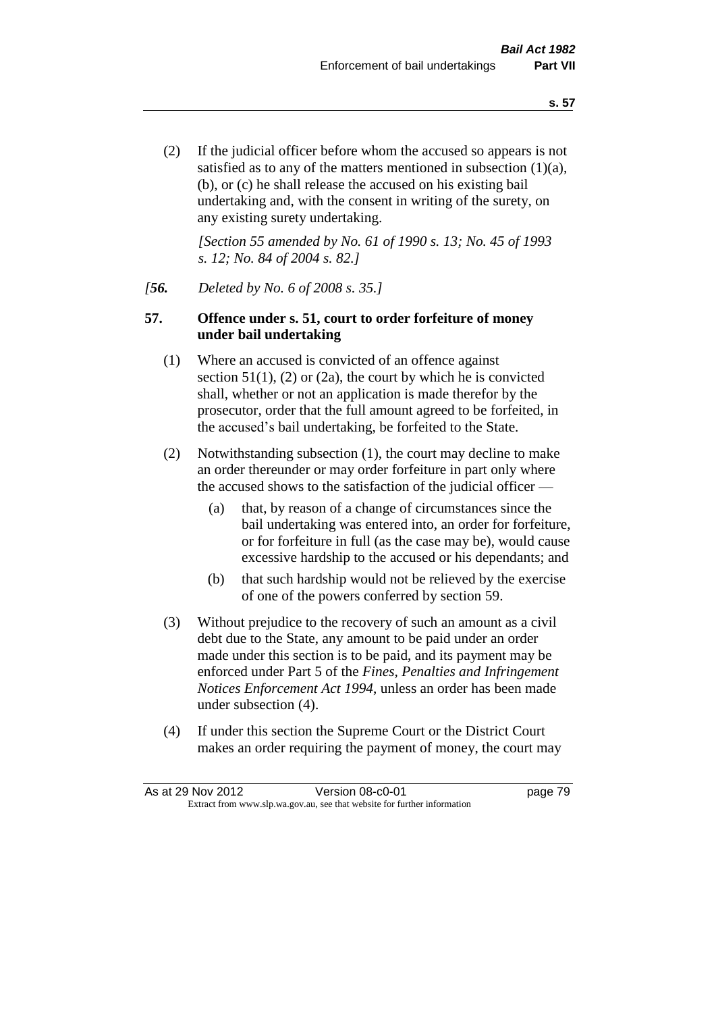(2) If the judicial officer before whom the accused so appears is not satisfied as to any of the matters mentioned in subsection (1)(a), (b), or (c) he shall release the accused on his existing bail undertaking and, with the consent in writing of the surety, on any existing surety undertaking.

*[Section 55 amended by No. 61 of 1990 s. 13; No. 45 of 1993 s. 12; No. 84 of 2004 s. 82.]* 

## *[56. Deleted by No. 6 of 2008 s. 35.]*

## **57. Offence under s. 51, court to order forfeiture of money under bail undertaking**

- (1) Where an accused is convicted of an offence against section  $51(1)$ ,  $(2)$  or  $(2a)$ , the court by which he is convicted shall, whether or not an application is made therefor by the prosecutor, order that the full amount agreed to be forfeited, in the accused's bail undertaking, be forfeited to the State.
- (2) Notwithstanding subsection (1), the court may decline to make an order thereunder or may order forfeiture in part only where the accused shows to the satisfaction of the judicial officer —
	- (a) that, by reason of a change of circumstances since the bail undertaking was entered into, an order for forfeiture, or for forfeiture in full (as the case may be), would cause excessive hardship to the accused or his dependants; and
	- (b) that such hardship would not be relieved by the exercise of one of the powers conferred by section 59.
- (3) Without prejudice to the recovery of such an amount as a civil debt due to the State, any amount to be paid under an order made under this section is to be paid, and its payment may be enforced under Part 5 of the *Fines, Penalties and Infringement Notices Enforcement Act 1994*, unless an order has been made under subsection (4).
- (4) If under this section the Supreme Court or the District Court makes an order requiring the payment of money, the court may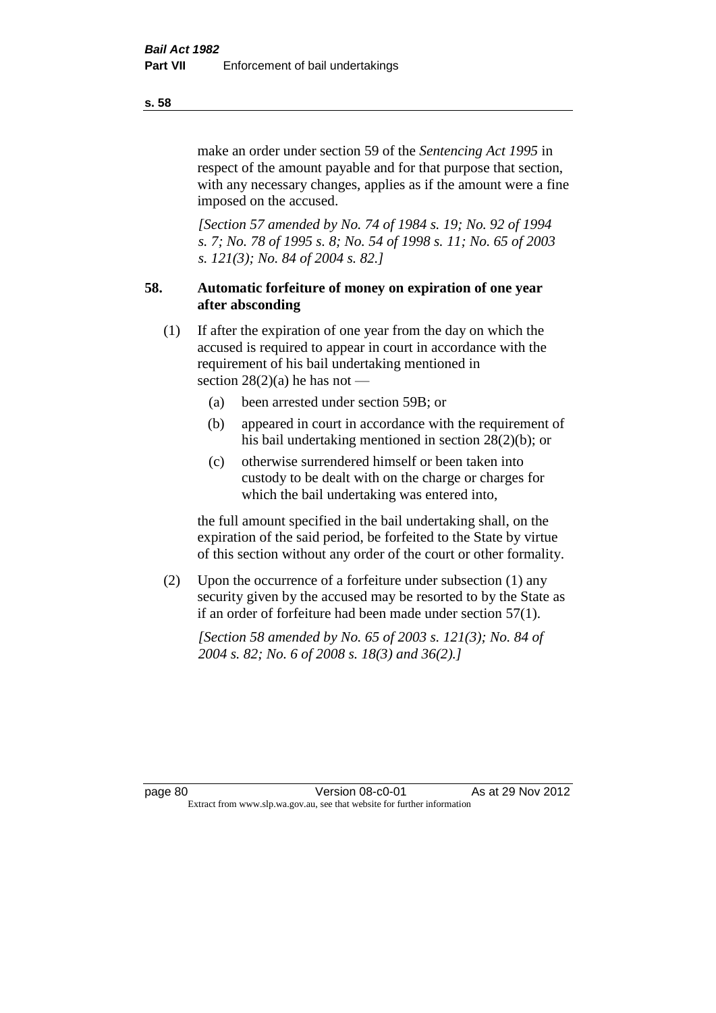make an order under section 59 of the *Sentencing Act 1995* in respect of the amount payable and for that purpose that section, with any necessary changes, applies as if the amount were a fine imposed on the accused.

*[Section 57 amended by No. 74 of 1984 s. 19; No. 92 of 1994 s. 7; No. 78 of 1995 s. 8; No. 54 of 1998 s. 11; No. 65 of 2003 s. 121(3); No. 84 of 2004 s. 82.]* 

# **58. Automatic forfeiture of money on expiration of one year after absconding**

- (1) If after the expiration of one year from the day on which the accused is required to appear in court in accordance with the requirement of his bail undertaking mentioned in section  $28(2)(a)$  he has not —
	- (a) been arrested under section 59B; or
	- (b) appeared in court in accordance with the requirement of his bail undertaking mentioned in section 28(2)(b); or
	- (c) otherwise surrendered himself or been taken into custody to be dealt with on the charge or charges for which the bail undertaking was entered into,

the full amount specified in the bail undertaking shall, on the expiration of the said period, be forfeited to the State by virtue of this section without any order of the court or other formality.

(2) Upon the occurrence of a forfeiture under subsection (1) any security given by the accused may be resorted to by the State as if an order of forfeiture had been made under section 57(1).

*[Section 58 amended by No. 65 of 2003 s. 121(3); No. 84 of 2004 s. 82; No. 6 of 2008 s. 18(3) and 36(2).]*

page 80 Version 08-c0-01 As at 29 Nov 2012 Extract from www.slp.wa.gov.au, see that website for further information

**s. 58**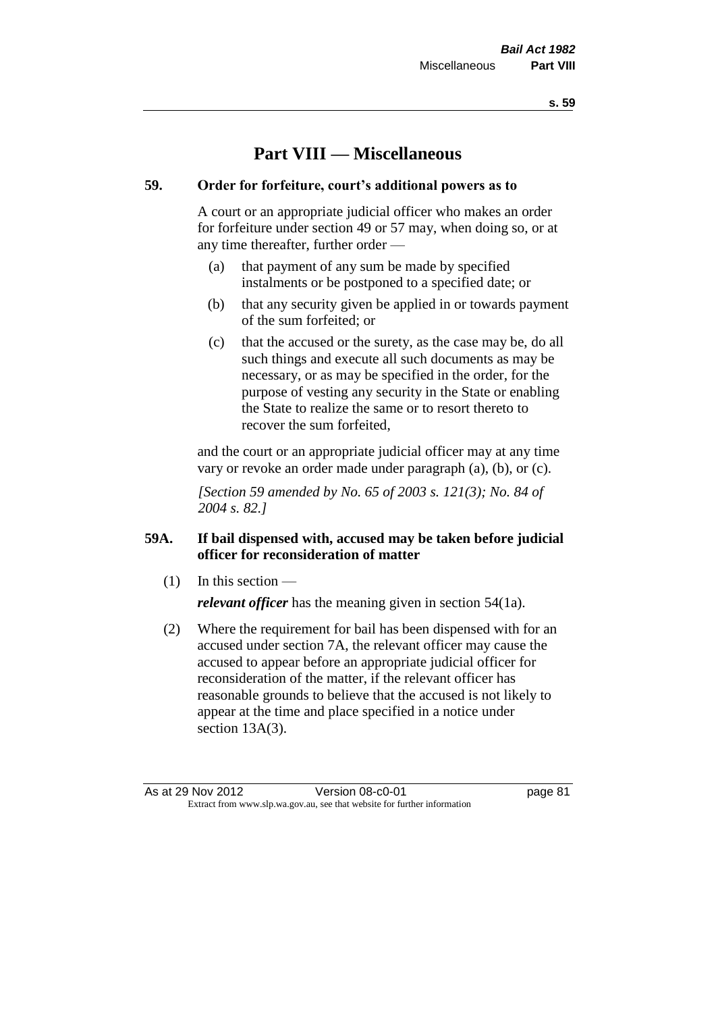# **Part VIII — Miscellaneous**

## **59. Order for forfeiture, court's additional powers as to**

A court or an appropriate judicial officer who makes an order for forfeiture under section 49 or 57 may, when doing so, or at any time thereafter, further order —

- (a) that payment of any sum be made by specified instalments or be postponed to a specified date; or
- (b) that any security given be applied in or towards payment of the sum forfeited; or
- (c) that the accused or the surety, as the case may be, do all such things and execute all such documents as may be necessary, or as may be specified in the order, for the purpose of vesting any security in the State or enabling the State to realize the same or to resort thereto to recover the sum forfeited,

and the court or an appropriate judicial officer may at any time vary or revoke an order made under paragraph (a), (b), or (c).

*[Section 59 amended by No. 65 of 2003 s. 121(3); No. 84 of 2004 s. 82.]*

# **59A. If bail dispensed with, accused may be taken before judicial officer for reconsideration of matter**

(1) In this section —

*relevant officer* has the meaning given in section 54(1a).

(2) Where the requirement for bail has been dispensed with for an accused under section 7A, the relevant officer may cause the accused to appear before an appropriate judicial officer for reconsideration of the matter, if the relevant officer has reasonable grounds to believe that the accused is not likely to appear at the time and place specified in a notice under section 13A(3).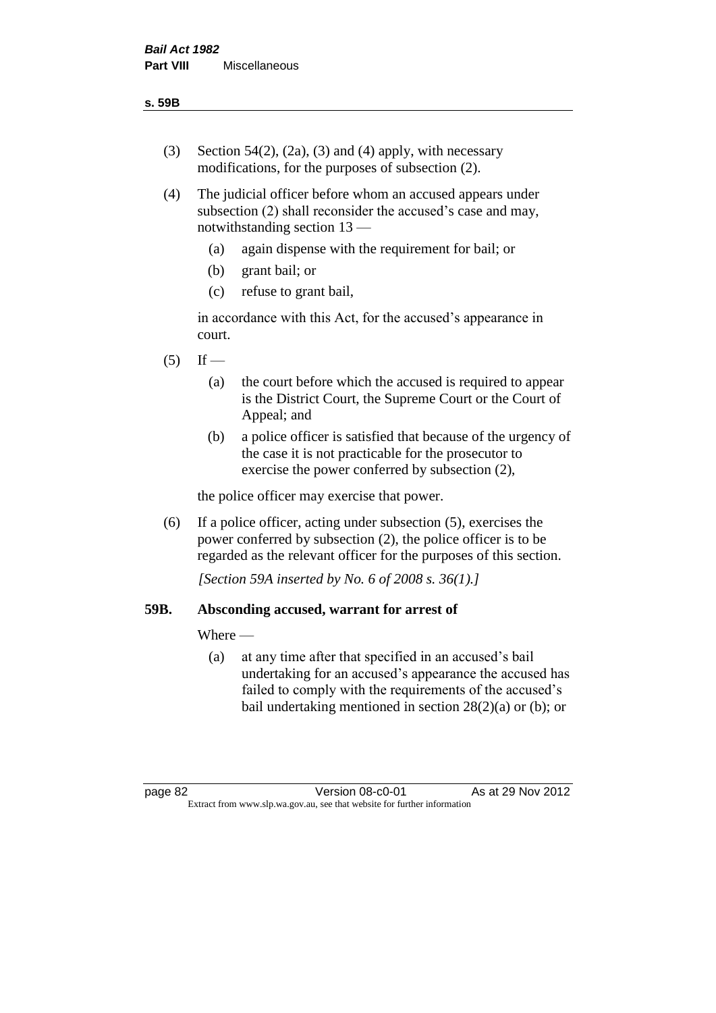- (3) Section 54(2), (2a), (3) and (4) apply, with necessary modifications, for the purposes of subsection (2).
- (4) The judicial officer before whom an accused appears under subsection (2) shall reconsider the accused's case and may, notwithstanding section 13 —
	- (a) again dispense with the requirement for bail; or
	- (b) grant bail; or
	- (c) refuse to grant bail,

in accordance with this Act, for the accused's appearance in court.

- $(5)$  If
	- (a) the court before which the accused is required to appear is the District Court, the Supreme Court or the Court of Appeal; and
	- (b) a police officer is satisfied that because of the urgency of the case it is not practicable for the prosecutor to exercise the power conferred by subsection (2),

the police officer may exercise that power.

(6) If a police officer, acting under subsection (5), exercises the power conferred by subsection (2), the police officer is to be regarded as the relevant officer for the purposes of this section.

*[Section 59A inserted by No. 6 of 2008 s. 36(1).]*

## **59B. Absconding accused, warrant for arrest of**

Where —

(a) at any time after that specified in an accused's bail undertaking for an accused's appearance the accused has failed to comply with the requirements of the accused's bail undertaking mentioned in section  $28(2)(a)$  or (b); or

page 82 Version 08-c0-01 As at 29 Nov 2012 Extract from www.slp.wa.gov.au, see that website for further information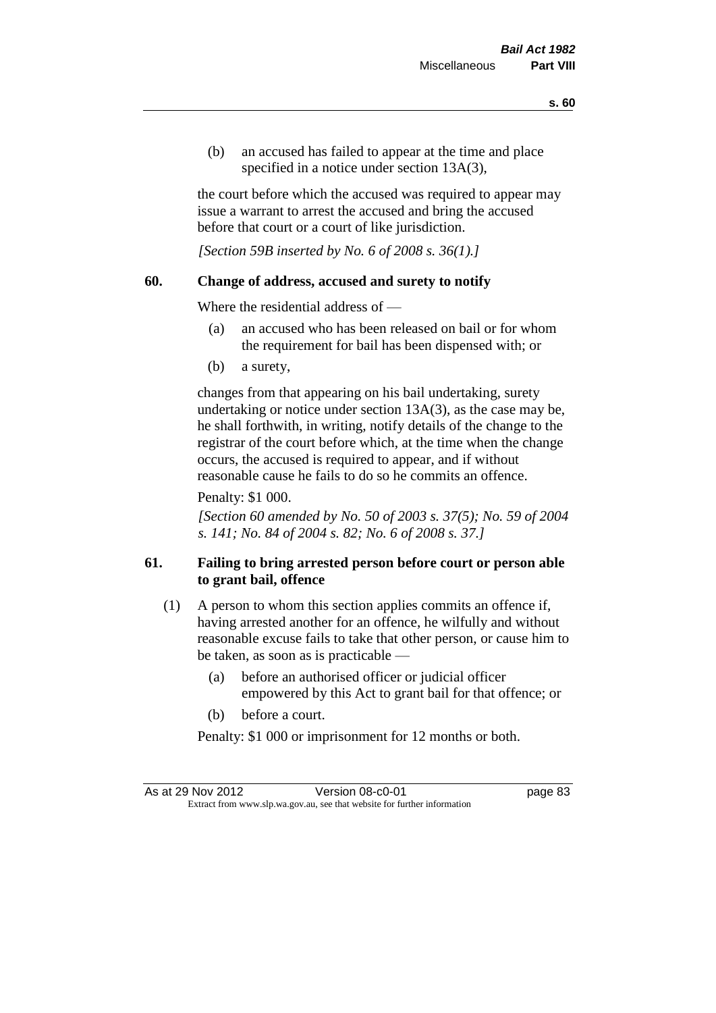(b) an accused has failed to appear at the time and place specified in a notice under section 13A(3).

the court before which the accused was required to appear may issue a warrant to arrest the accused and bring the accused before that court or a court of like jurisdiction.

*[Section 59B inserted by No. 6 of 2008 s. 36(1).]*

## **60. Change of address, accused and surety to notify**

Where the residential address of —

- (a) an accused who has been released on bail or for whom the requirement for bail has been dispensed with; or
- (b) a surety,

changes from that appearing on his bail undertaking, surety undertaking or notice under section 13A(3), as the case may be, he shall forthwith, in writing, notify details of the change to the registrar of the court before which, at the time when the change occurs, the accused is required to appear, and if without reasonable cause he fails to do so he commits an offence.

Penalty: \$1 000.

*[Section 60 amended by No. 50 of 2003 s. 37(5); No. 59 of 2004 s. 141; No. 84 of 2004 s. 82; No. 6 of 2008 s. 37.]*

# **61. Failing to bring arrested person before court or person able to grant bail, offence**

- (1) A person to whom this section applies commits an offence if, having arrested another for an offence, he wilfully and without reasonable excuse fails to take that other person, or cause him to be taken, as soon as is practicable —
	- (a) before an authorised officer or judicial officer empowered by this Act to grant bail for that offence; or
	- (b) before a court.

Penalty: \$1 000 or imprisonment for 12 months or both.

As at 29 Nov 2012 Version 08-c0-01 Page 83 Extract from www.slp.wa.gov.au, see that website for further information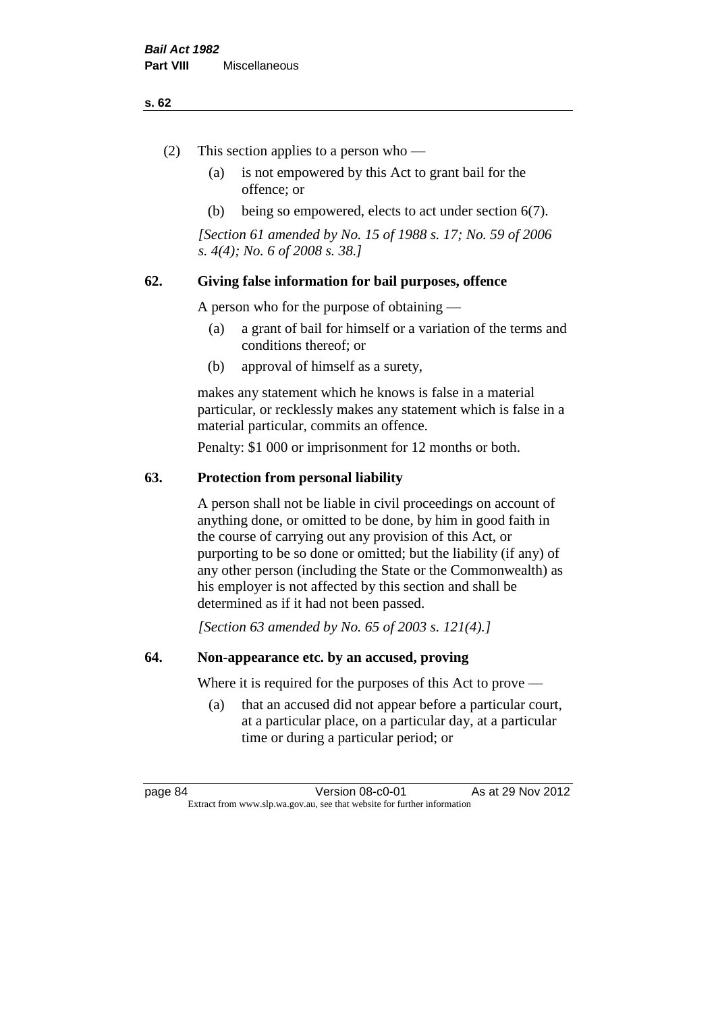#### **s. 62**

- (2) This section applies to a person who
	- (a) is not empowered by this Act to grant bail for the offence; or
	- (b) being so empowered, elects to act under section 6(7).

*[Section 61 amended by No. 15 of 1988 s. 17; No. 59 of 2006 s. 4(4); No. 6 of 2008 s. 38.]* 

## **62. Giving false information for bail purposes, offence**

A person who for the purpose of obtaining —

- (a) a grant of bail for himself or a variation of the terms and conditions thereof; or
- (b) approval of himself as a surety,

makes any statement which he knows is false in a material particular, or recklessly makes any statement which is false in a material particular, commits an offence.

Penalty: \$1 000 or imprisonment for 12 months or both.

## **63. Protection from personal liability**

A person shall not be liable in civil proceedings on account of anything done, or omitted to be done, by him in good faith in the course of carrying out any provision of this Act, or purporting to be so done or omitted; but the liability (if any) of any other person (including the State or the Commonwealth) as his employer is not affected by this section and shall be determined as if it had not been passed.

*[Section 63 amended by No. 65 of 2003 s. 121(4).]*

## **64. Non-appearance etc. by an accused, proving**

Where it is required for the purposes of this Act to prove —

(a) that an accused did not appear before a particular court, at a particular place, on a particular day, at a particular time or during a particular period; or

page 84 Version 08-c0-01 As at 29 Nov 2012 Extract from www.slp.wa.gov.au, see that website for further information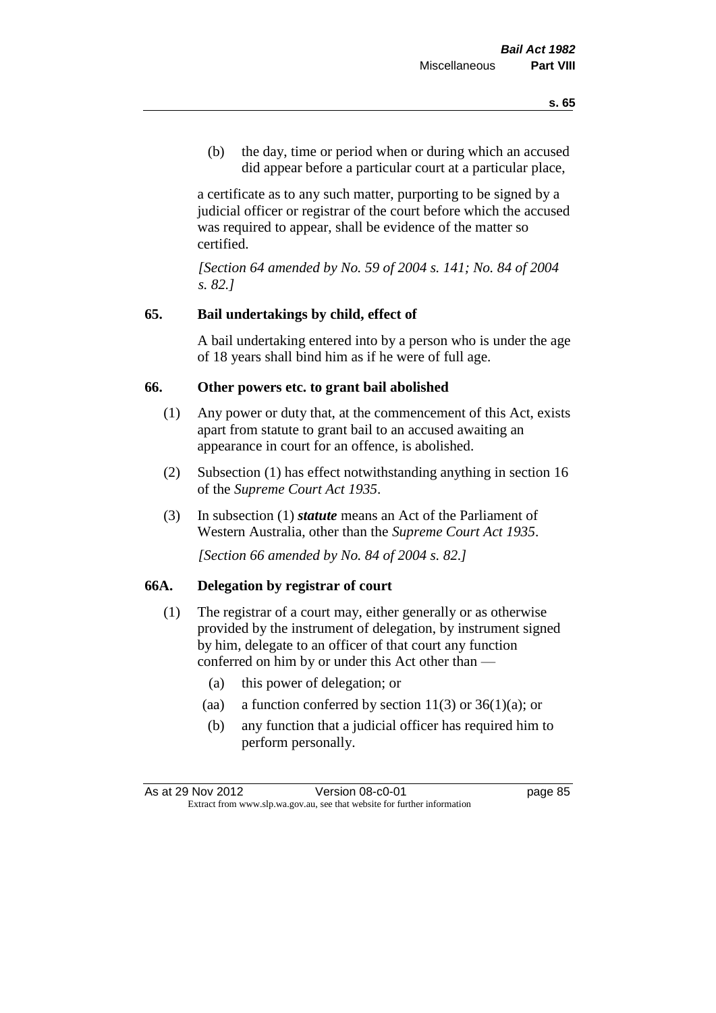(b) the day, time or period when or during which an accused did appear before a particular court at a particular place,

a certificate as to any such matter, purporting to be signed by a judicial officer or registrar of the court before which the accused was required to appear, shall be evidence of the matter so certified.

*[Section 64 amended by No. 59 of 2004 s. 141; No. 84 of 2004 s. 82.]* 

## **65. Bail undertakings by child, effect of**

A bail undertaking entered into by a person who is under the age of 18 years shall bind him as if he were of full age.

#### **66. Other powers etc. to grant bail abolished**

- (1) Any power or duty that, at the commencement of this Act, exists apart from statute to grant bail to an accused awaiting an appearance in court for an offence, is abolished.
- (2) Subsection (1) has effect notwithstanding anything in section 16 of the *Supreme Court Act 1935*.
- (3) In subsection (1) *statute* means an Act of the Parliament of Western Australia, other than the *Supreme Court Act 1935*.

*[Section 66 amended by No. 84 of 2004 s. 82.]*

## **66A. Delegation by registrar of court**

- (1) The registrar of a court may, either generally or as otherwise provided by the instrument of delegation, by instrument signed by him, delegate to an officer of that court any function conferred on him by or under this Act other than —
	- (a) this power of delegation; or
	- (aa) a function conferred by section  $11(3)$  or  $36(1)(a)$ ; or
	- (b) any function that a judicial officer has required him to perform personally.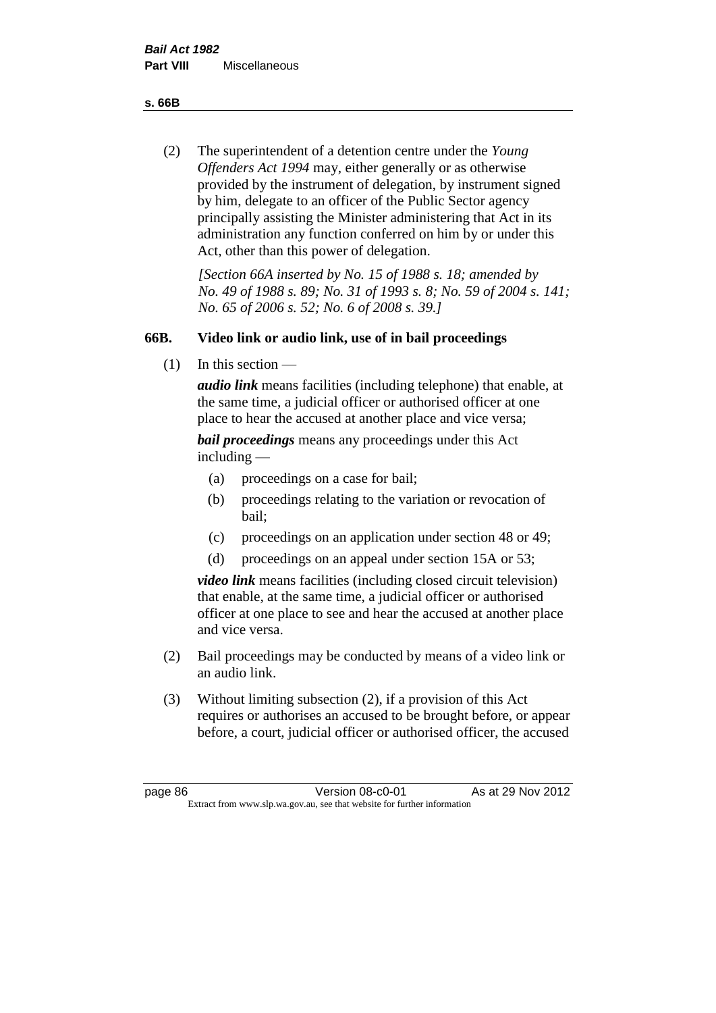**s. 66B**

(2) The superintendent of a detention centre under the *Young Offenders Act 1994* may, either generally or as otherwise provided by the instrument of delegation, by instrument signed by him, delegate to an officer of the Public Sector agency principally assisting the Minister administering that Act in its administration any function conferred on him by or under this Act, other than this power of delegation.

*[Section 66A inserted by No. 15 of 1988 s. 18; amended by No. 49 of 1988 s. 89; No. 31 of 1993 s. 8; No. 59 of 2004 s. 141; No. 65 of 2006 s. 52; No. 6 of 2008 s. 39.]* 

# **66B. Video link or audio link, use of in bail proceedings**

(1) In this section —

*audio link* means facilities (including telephone) that enable, at the same time, a judicial officer or authorised officer at one place to hear the accused at another place and vice versa;

*bail proceedings* means any proceedings under this Act including —

- (a) proceedings on a case for bail;
- (b) proceedings relating to the variation or revocation of bail;
- (c) proceedings on an application under section 48 or 49;
- (d) proceedings on an appeal under section 15A or 53;

*video link* means facilities (including closed circuit television) that enable, at the same time, a judicial officer or authorised officer at one place to see and hear the accused at another place and vice versa.

- (2) Bail proceedings may be conducted by means of a video link or an audio link.
- (3) Without limiting subsection (2), if a provision of this Act requires or authorises an accused to be brought before, or appear before, a court, judicial officer or authorised officer, the accused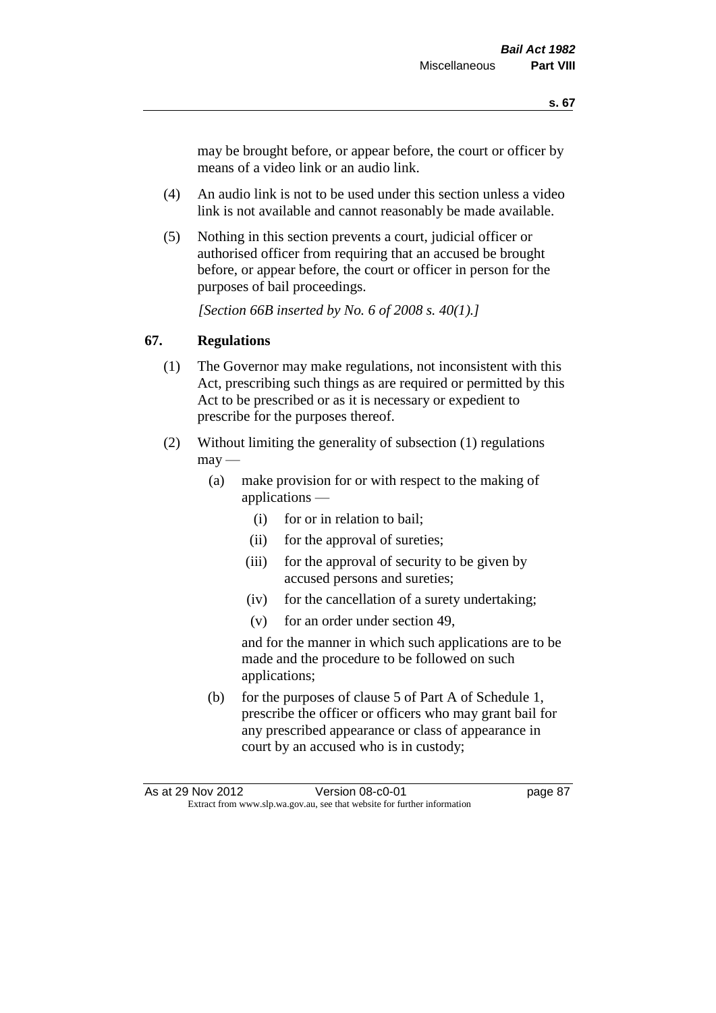may be brought before, or appear before, the court or officer by means of a video link or an audio link.

- (4) An audio link is not to be used under this section unless a video link is not available and cannot reasonably be made available.
- (5) Nothing in this section prevents a court, judicial officer or authorised officer from requiring that an accused be brought before, or appear before, the court or officer in person for the purposes of bail proceedings.

*[Section 66B inserted by No. 6 of 2008 s. 40(1).]*

## **67. Regulations**

- (1) The Governor may make regulations, not inconsistent with this Act, prescribing such things as are required or permitted by this Act to be prescribed or as it is necessary or expedient to prescribe for the purposes thereof.
- (2) Without limiting the generality of subsection (1) regulations  $\text{max}$  —
	- (a) make provision for or with respect to the making of applications —
		- (i) for or in relation to bail;
		- (ii) for the approval of sureties;
		- (iii) for the approval of security to be given by accused persons and sureties;
		- (iv) for the cancellation of a surety undertaking;
		- (v) for an order under section 49,

and for the manner in which such applications are to be made and the procedure to be followed on such applications;

(b) for the purposes of clause 5 of Part A of Schedule 1, prescribe the officer or officers who may grant bail for any prescribed appearance or class of appearance in court by an accused who is in custody;

As at 29 Nov 2012 **Version 08-c0-01 Dage 87** Extract from www.slp.wa.gov.au, see that website for further information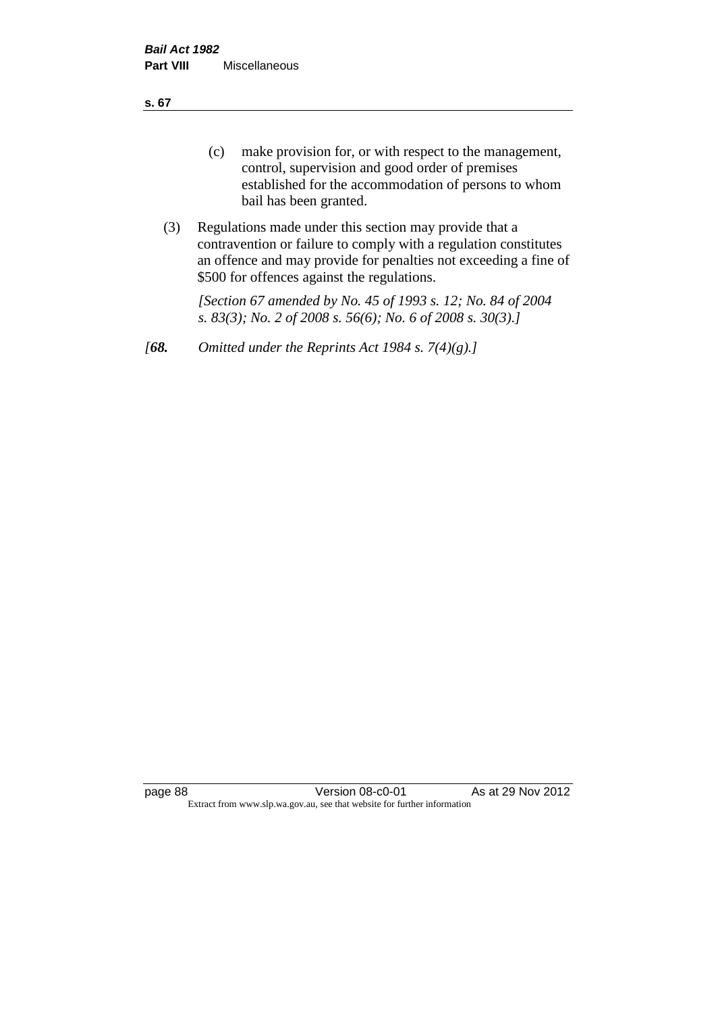**s. 67**

- (c) make provision for, or with respect to the management, control, supervision and good order of premises established for the accommodation of persons to whom bail has been granted.
- (3) Regulations made under this section may provide that a contravention or failure to comply with a regulation constitutes an offence and may provide for penalties not exceeding a fine of \$500 for offences against the regulations.

*[Section 67 amended by No. 45 of 1993 s. 12; No. 84 of 2004 s. 83(3); No. 2 of 2008 s. 56(6); No. 6 of 2008 s. 30(3).]* 

*[68. Omitted under the Reprints Act 1984 s. 7(4)(g).]*

page 88 Version 08-c0-01 As at 29 Nov 2012 Extract from www.slp.wa.gov.au, see that website for further information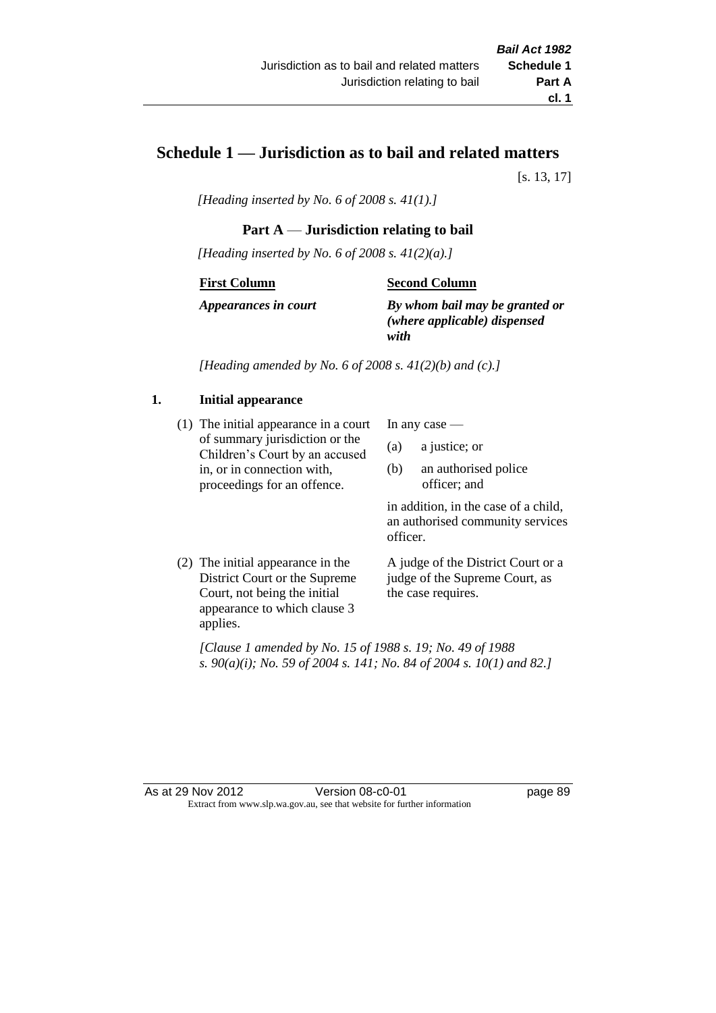# **Schedule 1 — Jurisdiction as to bail and related matters**

[s. 13, 17]

*[Heading inserted by No. 6 of 2008 s. 41(1).]*

## **Part A** — **Jurisdiction relating to bail**

*[Heading inserted by No. 6 of 2008 s. 41(2)(a).]*

#### **First Column**

#### **Second Column**

*Appearances in court*

*By whom bail may be granted or (where applicable) dispensed with*

*[Heading amended by No. 6 of 2008 s. 41(2)(b) and (c).]*

## **1. Initial appearance**

(1) The initial appearance in a court of summary jurisdiction or the Children's Court by an accused in, or in connection with, proceedings for an offence.

In any case —

- (a) a justice; or
- (b) an authorised police officer; and

in addition, in the case of a child, an authorised community services officer.

(2) The initial appearance in the District Court or the Supreme Court, not being the initial appearance to which clause 3 applies.

A judge of the District Court or a judge of the Supreme Court, as the case requires.

*[Clause 1 amended by No. 15 of 1988 s. 19; No. 49 of 1988 s. 90(a)(i); No. 59 of 2004 s. 141; No. 84 of 2004 s. 10(1) and 82.]*

As at 29 Nov 2012 Version 08-c0-01 page 89 Extract from www.slp.wa.gov.au, see that website for further information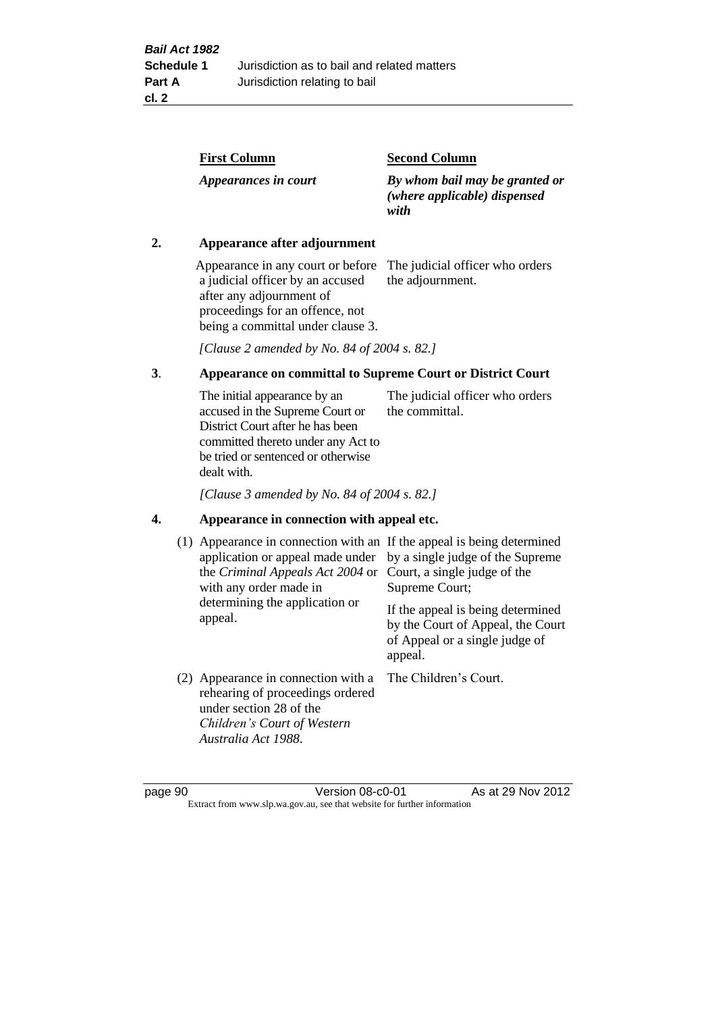| <b>First Column</b>  | <b>Second Column</b>                                                   |
|----------------------|------------------------------------------------------------------------|
| Appearances in court | By whom bail may be granted or<br>(where applicable) dispensed<br>with |

## **2. Appearance after adjournment**

Appearance in any court or before The judicial officer who orders a judicial officer by an accused after any adjournment of proceedings for an offence, not being a committal under clause 3.

the adjournment.

*[Clause 2 amended by No. 84 of 2004 s. 82.]*

## **3**. **Appearance on committal to Supreme Court or District Court**

The initial appearance by an accused in the Supreme Court or District Court after he has been committed thereto under any Act to be tried or sentenced or otherwise dealt with. The judicial officer who orders the committal.

*[Clause 3 amended by No. 84 of 2004 s. 82.]*

#### **4. Appearance in connection with appeal etc.**

| (1) Appearance in connection with an If the appeal is being determined<br>application or appeal made under<br>the Criminal Appeals Act 2004 or<br>with any order made in<br>determining the application or<br>appeal. | by a single judge of the Supreme<br>Court, a single judge of the<br>Supreme Court;<br>If the appeal is being determined<br>by the Court of Appeal, the Court<br>of Appeal or a single judge of<br>appeal. |
|-----------------------------------------------------------------------------------------------------------------------------------------------------------------------------------------------------------------------|-----------------------------------------------------------------------------------------------------------------------------------------------------------------------------------------------------------|
| (2) Appearance in connection with a<br>rehearing of proceedings ordered<br>under section 28 of the<br>Children's Court of Western<br>Australia Act 1988.                                                              | The Children's Court.                                                                                                                                                                                     |

page 90 Version 08-c0-01 As at 29 Nov 2012 Extract from www.slp.wa.gov.au, see that website for further information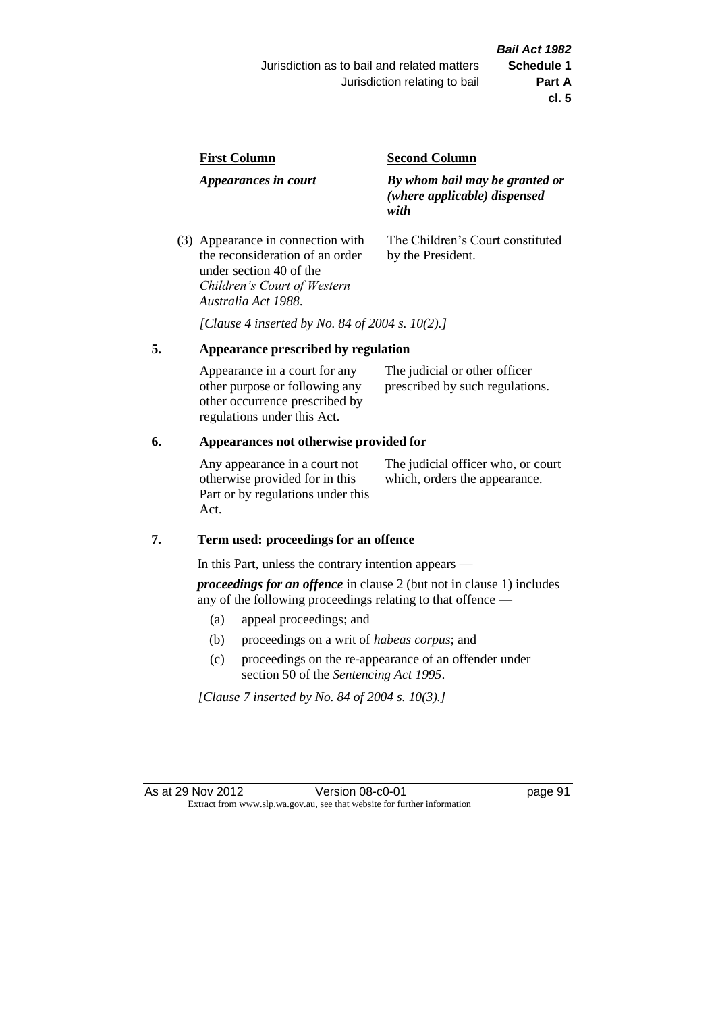| <b>First Column</b>                                                  | <b>Second Column</b>                                                   |  |
|----------------------------------------------------------------------|------------------------------------------------------------------------|--|
| Appearances in court                                                 | By whom bail may be granted or<br>(where applicable) dispensed<br>with |  |
| (3) Appearance in connection with<br>the reconsideration of an order | The Children's Court constituted<br>by the President.                  |  |

*[Clause 4 inserted by No. 84 of 2004 s. 10(2).]*

## **5. Appearance prescribed by regulation**

under section 40 of the *Children's Court of Western* 

*Australia Act 1988*.

| Appearance in a court for any  | The judicial or other officer   |
|--------------------------------|---------------------------------|
| other purpose or following any | prescribed by such regulations. |
| other occurrence prescribed by |                                 |
| regulations under this Act.    |                                 |

## **6. Appearances not otherwise provided for**

Any appearance in a court not otherwise provided for in this Part or by regulations under this Act.

The judicial officer who, or court which, orders the appearance.

#### **7. Term used: proceedings for an offence**

In this Part, unless the contrary intention appears —

*proceedings for an offence* in clause 2 (but not in clause 1) includes any of the following proceedings relating to that offence —

- (a) appeal proceedings; and
- (b) proceedings on a writ of *habeas corpus*; and
- (c) proceedings on the re-appearance of an offender under section 50 of the *Sentencing Act 1995*.

*[Clause 7 inserted by No. 84 of 2004 s. 10(3).]*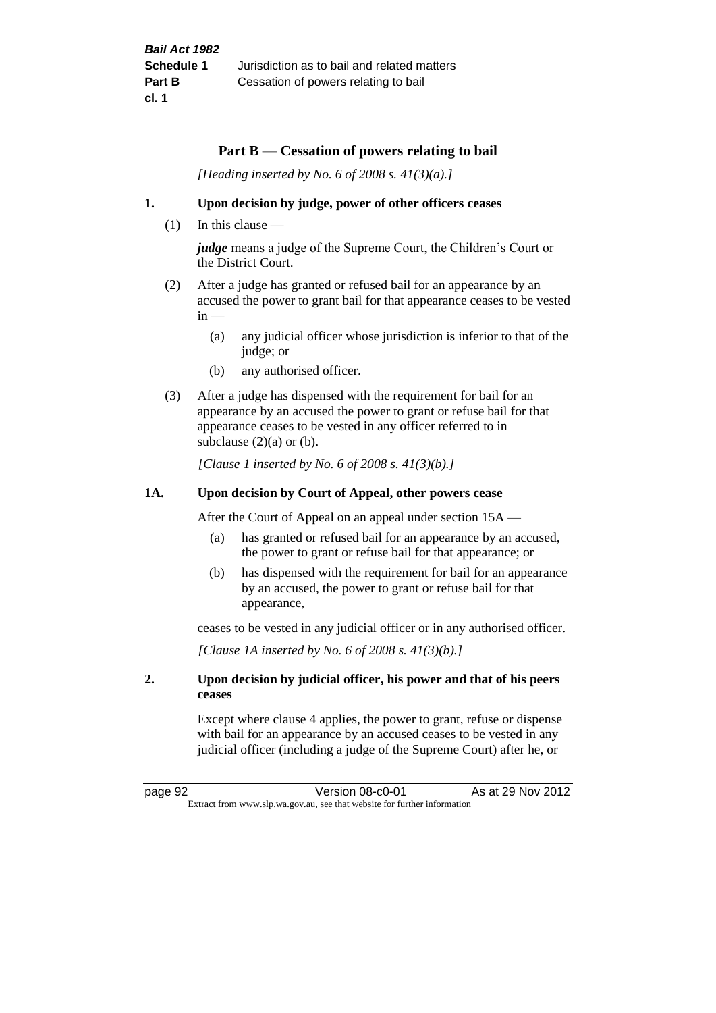## **Part B** — **Cessation of powers relating to bail**

*[Heading inserted by No. 6 of 2008 s. 41(3)(a).]*

#### **1. Upon decision by judge, power of other officers ceases**

 $(1)$  In this clause —

*judge* means a judge of the Supreme Court, the Children's Court or the District Court.

- (2) After a judge has granted or refused bail for an appearance by an accused the power to grant bail for that appearance ceases to be vested  $in -$ 
	- (a) any judicial officer whose jurisdiction is inferior to that of the judge; or
	- (b) any authorised officer.
- (3) After a judge has dispensed with the requirement for bail for an appearance by an accused the power to grant or refuse bail for that appearance ceases to be vested in any officer referred to in subclause  $(2)(a)$  or  $(b)$ .

*[Clause 1 inserted by No. 6 of 2008 s. 41(3)(b).]*

#### **1A. Upon decision by Court of Appeal, other powers cease**

After the Court of Appeal on an appeal under section 15A —

- (a) has granted or refused bail for an appearance by an accused, the power to grant or refuse bail for that appearance; or
- (b) has dispensed with the requirement for bail for an appearance by an accused, the power to grant or refuse bail for that appearance,

ceases to be vested in any judicial officer or in any authorised officer.

*[Clause 1A inserted by No. 6 of 2008 s. 41(3)(b).]*

### **2. Upon decision by judicial officer, his power and that of his peers ceases**

Except where clause 4 applies, the power to grant, refuse or dispense with bail for an appearance by an accused ceases to be vested in any judicial officer (including a judge of the Supreme Court) after he, or

page 92 Version 08-c0-01 As at 29 Nov 2012 Extract from www.slp.wa.gov.au, see that website for further information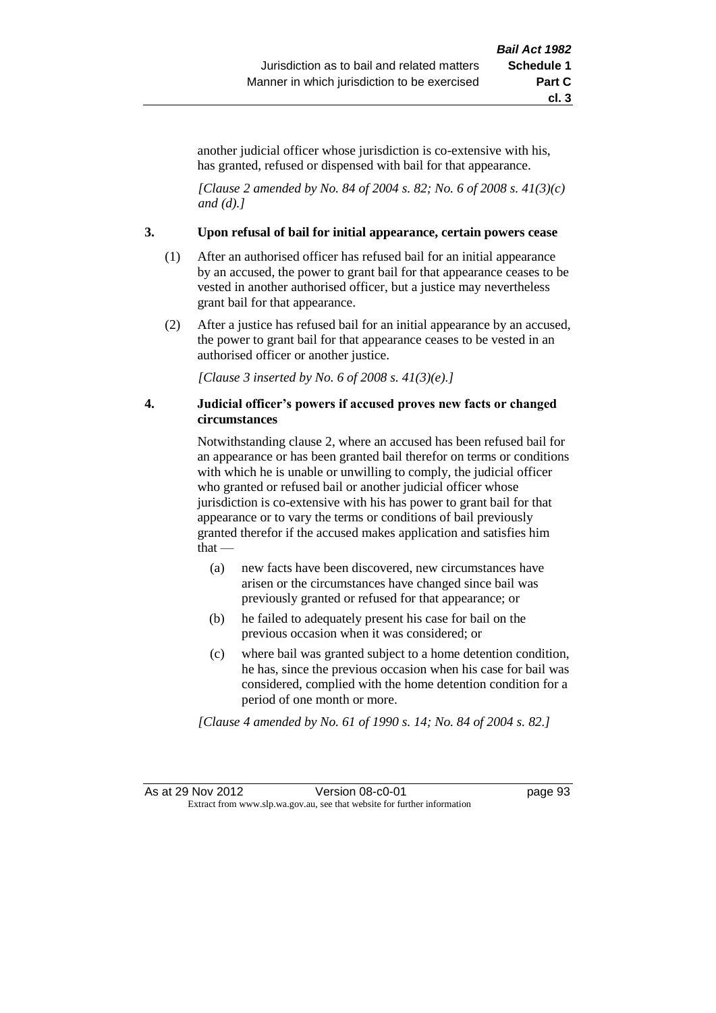another judicial officer whose jurisdiction is co-extensive with his, has granted, refused or dispensed with bail for that appearance.

*[Clause 2 amended by No. 84 of 2004 s. 82; No. 6 of 2008 s. 41(3)(c) and (d).]*

#### **3. Upon refusal of bail for initial appearance, certain powers cease**

- (1) After an authorised officer has refused bail for an initial appearance by an accused, the power to grant bail for that appearance ceases to be vested in another authorised officer, but a justice may nevertheless grant bail for that appearance.
- (2) After a justice has refused bail for an initial appearance by an accused, the power to grant bail for that appearance ceases to be vested in an authorised officer or another justice.

*[Clause 3 inserted by No. 6 of 2008 s. 41(3)(e).]*

#### **4. Judicial officer's powers if accused proves new facts or changed circumstances**

Notwithstanding clause 2, where an accused has been refused bail for an appearance or has been granted bail therefor on terms or conditions with which he is unable or unwilling to comply, the judicial officer who granted or refused bail or another judicial officer whose jurisdiction is co-extensive with his has power to grant bail for that appearance or to vary the terms or conditions of bail previously granted therefor if the accused makes application and satisfies him that —

- (a) new facts have been discovered, new circumstances have arisen or the circumstances have changed since bail was previously granted or refused for that appearance; or
- (b) he failed to adequately present his case for bail on the previous occasion when it was considered; or
- (c) where bail was granted subject to a home detention condition, he has, since the previous occasion when his case for bail was considered, complied with the home detention condition for a period of one month or more.

*[Clause 4 amended by No. 61 of 1990 s. 14; No. 84 of 2004 s. 82.]*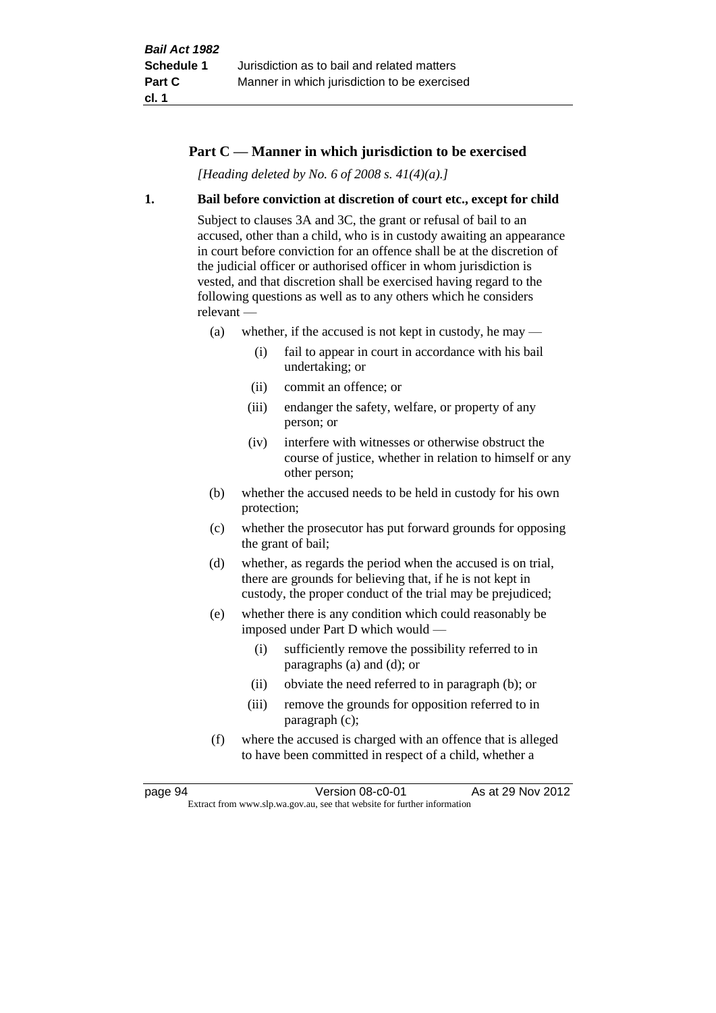## **Part C — Manner in which jurisdiction to be exercised**

*[Heading deleted by No. 6 of 2008 s. 41(4)(a).]*

#### **1. Bail before conviction at discretion of court etc., except for child**

Subject to clauses 3A and 3C, the grant or refusal of bail to an accused, other than a child, who is in custody awaiting an appearance in court before conviction for an offence shall be at the discretion of the judicial officer or authorised officer in whom jurisdiction is vested, and that discretion shall be exercised having regard to the following questions as well as to any others which he considers relevant —

- (a) whether, if the accused is not kept in custody, he may
	- (i) fail to appear in court in accordance with his bail undertaking; or
	- (ii) commit an offence; or
	- (iii) endanger the safety, welfare, or property of any person; or
	- (iv) interfere with witnesses or otherwise obstruct the course of justice, whether in relation to himself or any other person;
- (b) whether the accused needs to be held in custody for his own protection;
- (c) whether the prosecutor has put forward grounds for opposing the grant of bail;
- (d) whether, as regards the period when the accused is on trial, there are grounds for believing that, if he is not kept in custody, the proper conduct of the trial may be prejudiced;
- (e) whether there is any condition which could reasonably be imposed under Part D which would —
	- (i) sufficiently remove the possibility referred to in paragraphs (a) and (d); or
	- (ii) obviate the need referred to in paragraph (b); or
	- (iii) remove the grounds for opposition referred to in paragraph (c);
- (f) where the accused is charged with an offence that is alleged to have been committed in respect of a child, whether a

page 94 Version 08-c0-01 As at 29 Nov 2012 Extract from www.slp.wa.gov.au, see that website for further information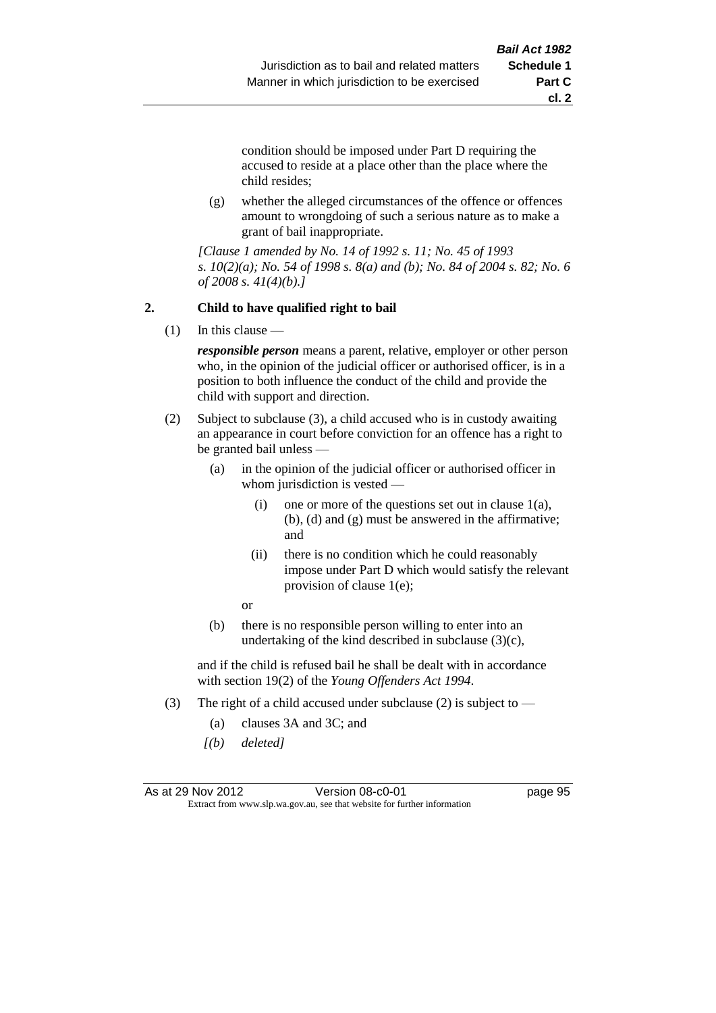**cl. 2**

condition should be imposed under Part D requiring the accused to reside at a place other than the place where the child resides;

(g) whether the alleged circumstances of the offence or offences amount to wrongdoing of such a serious nature as to make a grant of bail inappropriate.

*[Clause 1 amended by No. 14 of 1992 s. 11; No. 45 of 1993 s. 10(2)(a); No. 54 of 1998 s. 8(a) and (b); No. 84 of 2004 s. 82; No. 6 of 2008 s. 41(4)(b).]*

## **2. Child to have qualified right to bail**

(1) In this clause —

*responsible person* means a parent, relative, employer or other person who, in the opinion of the judicial officer or authorised officer, is in a position to both influence the conduct of the child and provide the child with support and direction.

- (2) Subject to subclause (3), a child accused who is in custody awaiting an appearance in court before conviction for an offence has a right to be granted bail unless —
	- (a) in the opinion of the judicial officer or authorised officer in whom jurisdiction is vested —
		- (i) one or more of the questions set out in clause  $1(a)$ , (b), (d) and (g) must be answered in the affirmative; and
		- (ii) there is no condition which he could reasonably impose under Part D which would satisfy the relevant provision of clause 1(e);

or

(b) there is no responsible person willing to enter into an undertaking of the kind described in subclause  $(3)(c)$ ,

and if the child is refused bail he shall be dealt with in accordance with section 19(2) of the *Young Offenders Act 1994*.

- (3) The right of a child accused under subclause (2) is subject to  $-$ 
	- (a) clauses 3A and 3C; and
	- *[(b) deleted]*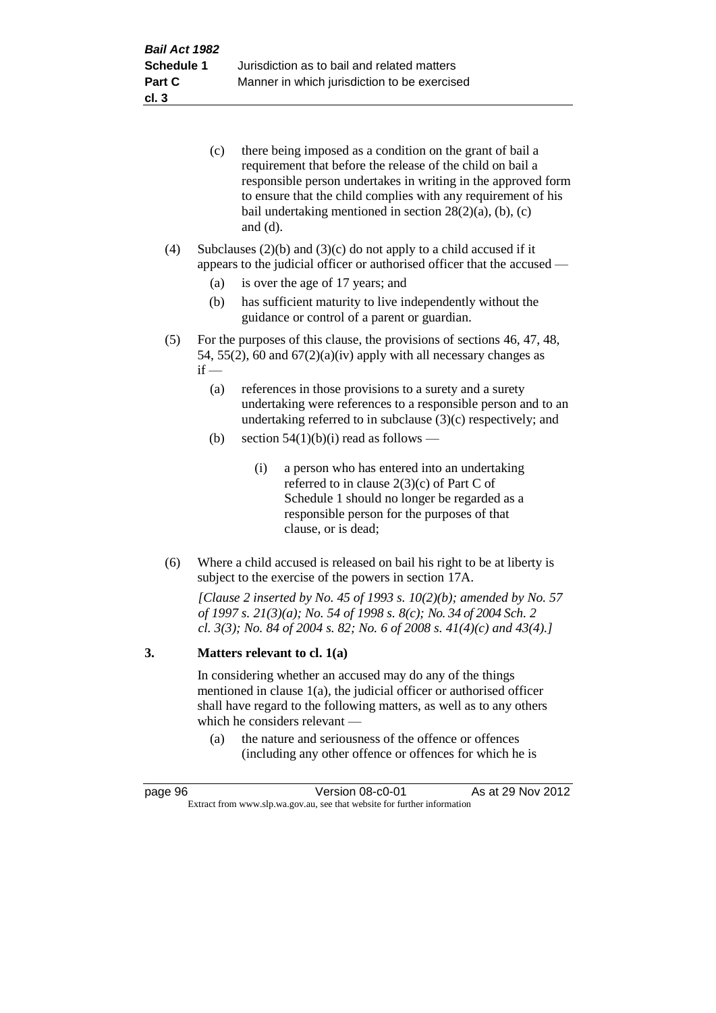| (c) | there being imposed as a condition on the grant of bail a<br>requirement that before the release of the child on bail a |
|-----|-------------------------------------------------------------------------------------------------------------------------|
|     | responsible person undertakes in writing in the approved form                                                           |
|     | to ensure that the child complies with any requirement of his                                                           |
|     | bail undertaking mentioned in section $28(2)(a)$ , (b), (c)                                                             |
|     | and $(d)$ .                                                                                                             |

(4) Subclauses  $(2)(b)$  and  $(3)(c)$  do not apply to a child accused if it appears to the judicial officer or authorised officer that the accused —

- (a) is over the age of 17 years; and
- (b) has sufficient maturity to live independently without the guidance or control of a parent or guardian.
- (5) For the purposes of this clause, the provisions of sections 46, 47, 48, 54, 55(2), 60 and  $67(2)(a)(iv)$  apply with all necessary changes as  $if -$ 
	- (a) references in those provisions to a surety and a surety undertaking were references to a responsible person and to an undertaking referred to in subclause (3)(c) respectively; and
	- (b) section  $54(1)(b)(i)$  read as follows
		- (i) a person who has entered into an undertaking referred to in clause 2(3)(c) of Part C of Schedule 1 should no longer be regarded as a responsible person for the purposes of that clause, or is dead;
- (6) Where a child accused is released on bail his right to be at liberty is subject to the exercise of the powers in section 17A.

*[Clause 2 inserted by No. 45 of 1993 s. 10(2)(b); amended by No. 57 of 1997 s. 21(3)(a); No. 54 of 1998 s. 8(c); No. 34 of 2004 Sch. 2 cl. 3(3); No. 84 of 2004 s. 82; No. 6 of 2008 s. 41(4)(c) and 43(4).]*

#### **3. Matters relevant to cl. 1(a)**

In considering whether an accused may do any of the things mentioned in clause 1(a), the judicial officer or authorised officer shall have regard to the following matters, as well as to any others which he considers relevant —

(a) the nature and seriousness of the offence or offences (including any other offence or offences for which he is

| page 96                                                                  | Version 08-c0-01 | As at 29 Nov 2012 |
|--------------------------------------------------------------------------|------------------|-------------------|
| Extract from www.slp.wa.gov.au, see that website for further information |                  |                   |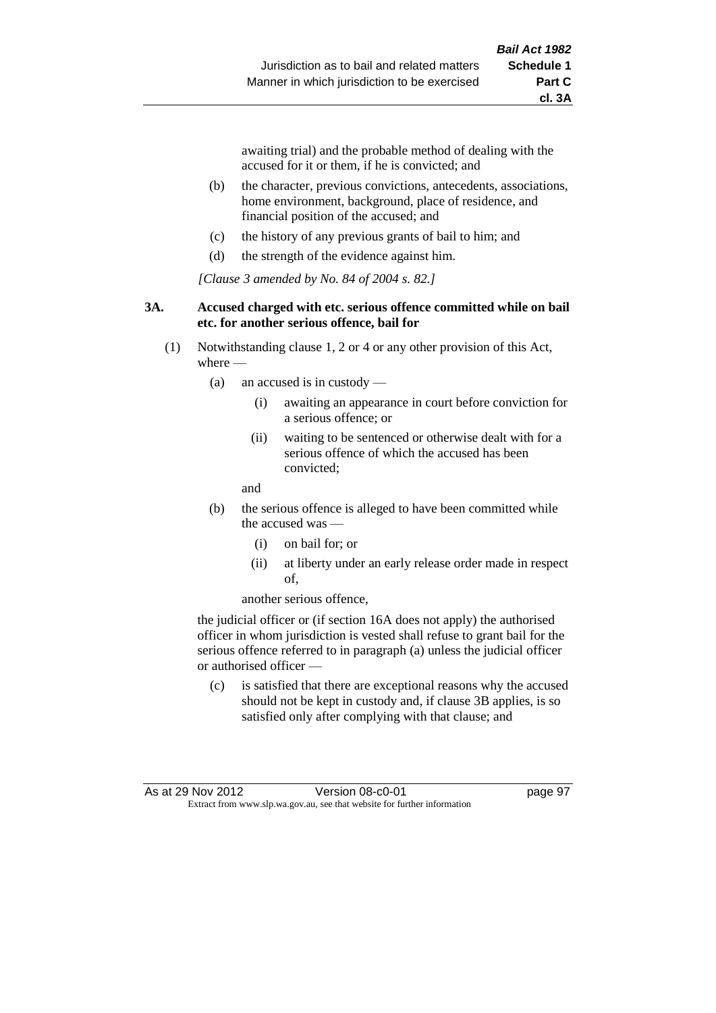awaiting trial) and the probable method of dealing with the accused for it or them, if he is convicted; and

- (b) the character, previous convictions, antecedents, associations, home environment, background, place of residence, and financial position of the accused; and
- (c) the history of any previous grants of bail to him; and
- (d) the strength of the evidence against him.

*[Clause 3 amended by No. 84 of 2004 s. 82.]*

#### **3A. Accused charged with etc. serious offence committed while on bail etc. for another serious offence, bail for**

- (1) Notwithstanding clause 1, 2 or 4 or any other provision of this Act, where -
	- (a) an accused is in custody
		- (i) awaiting an appearance in court before conviction for a serious offence; or
		- (ii) waiting to be sentenced or otherwise dealt with for a serious offence of which the accused has been convicted;

and

- (b) the serious offence is alleged to have been committed while the accused was
	- (i) on bail for; or
	- (ii) at liberty under an early release order made in respect of,

another serious offence,

the judicial officer or (if section 16A does not apply) the authorised officer in whom jurisdiction is vested shall refuse to grant bail for the serious offence referred to in paragraph (a) unless the judicial officer or authorised officer —

(c) is satisfied that there are exceptional reasons why the accused should not be kept in custody and, if clause 3B applies, is so satisfied only after complying with that clause; and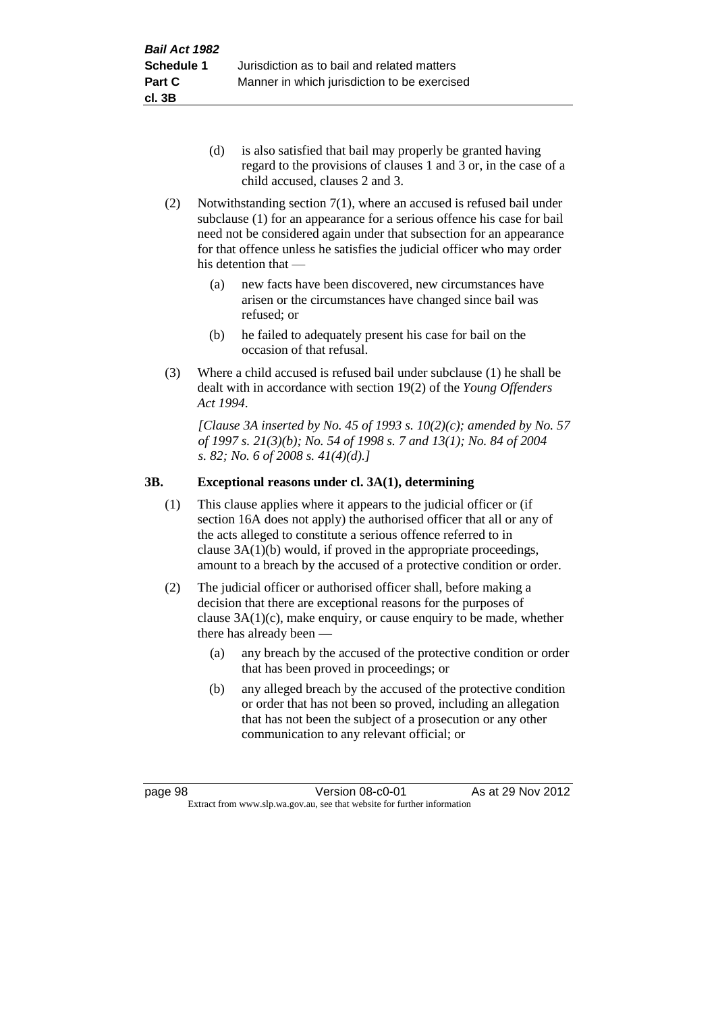- (d) is also satisfied that bail may properly be granted having regard to the provisions of clauses 1 and 3 or, in the case of a child accused, clauses 2 and 3.
- (2) Notwithstanding section 7(1), where an accused is refused bail under subclause (1) for an appearance for a serious offence his case for bail need not be considered again under that subsection for an appearance for that offence unless he satisfies the judicial officer who may order his detention that —
	- (a) new facts have been discovered, new circumstances have arisen or the circumstances have changed since bail was refused; or
	- (b) he failed to adequately present his case for bail on the occasion of that refusal.
- (3) Where a child accused is refused bail under subclause (1) he shall be dealt with in accordance with section 19(2) of the *Young Offenders Act 1994*.

*[Clause 3A inserted by No. 45 of 1993 s. 10(2)(c); amended by No. 57 of 1997 s. 21(3)(b); No. 54 of 1998 s. 7 and 13(1); No. 84 of 2004 s. 82; No. 6 of 2008 s. 41(4)(d).]*

## **3B. Exceptional reasons under cl. 3A(1), determining**

- (1) This clause applies where it appears to the judicial officer or (if section 16A does not apply) the authorised officer that all or any of the acts alleged to constitute a serious offence referred to in clause 3A(1)(b) would, if proved in the appropriate proceedings, amount to a breach by the accused of a protective condition or order.
- (2) The judicial officer or authorised officer shall, before making a decision that there are exceptional reasons for the purposes of clause  $3A(1)(c)$ , make enquiry, or cause enquiry to be made, whether there has already been —
	- (a) any breach by the accused of the protective condition or order that has been proved in proceedings; or
	- (b) any alleged breach by the accused of the protective condition or order that has not been so proved, including an allegation that has not been the subject of a prosecution or any other communication to any relevant official; or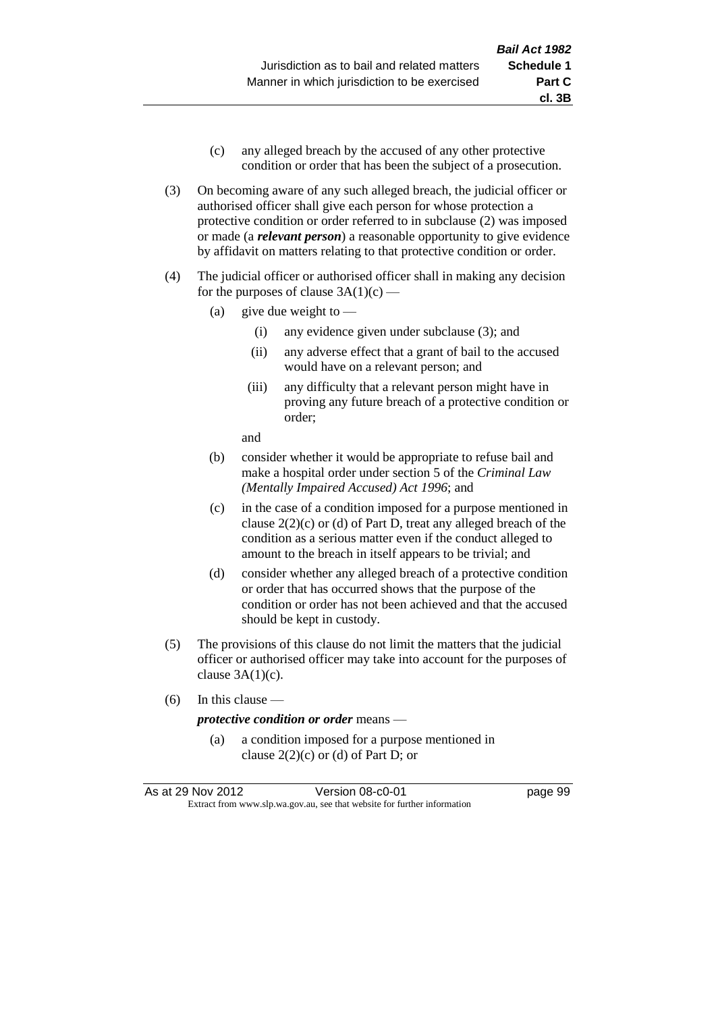- (c) any alleged breach by the accused of any other protective condition or order that has been the subject of a prosecution.
- (3) On becoming aware of any such alleged breach, the judicial officer or authorised officer shall give each person for whose protection a protective condition or order referred to in subclause (2) was imposed or made (a *relevant person*) a reasonable opportunity to give evidence by affidavit on matters relating to that protective condition or order.
- (4) The judicial officer or authorised officer shall in making any decision for the purposes of clause  $3A(1)(c)$  —
	- (a) give due weight to  $-$ 
		- (i) any evidence given under subclause (3); and
		- (ii) any adverse effect that a grant of bail to the accused would have on a relevant person; and
		- (iii) any difficulty that a relevant person might have in proving any future breach of a protective condition or order;

and

- (b) consider whether it would be appropriate to refuse bail and make a hospital order under section 5 of the *Criminal Law (Mentally Impaired Accused) Act 1996*; and
- (c) in the case of a condition imposed for a purpose mentioned in clause 2(2)(c) or (d) of Part D, treat any alleged breach of the condition as a serious matter even if the conduct alleged to amount to the breach in itself appears to be trivial; and
- (d) consider whether any alleged breach of a protective condition or order that has occurred shows that the purpose of the condition or order has not been achieved and that the accused should be kept in custody.
- (5) The provisions of this clause do not limit the matters that the judicial officer or authorised officer may take into account for the purposes of clause  $3A(1)(c)$ .
- (6) In this clause —

#### *protective condition or order* means —

(a) a condition imposed for a purpose mentioned in clause  $2(2)(c)$  or (d) of Part D; or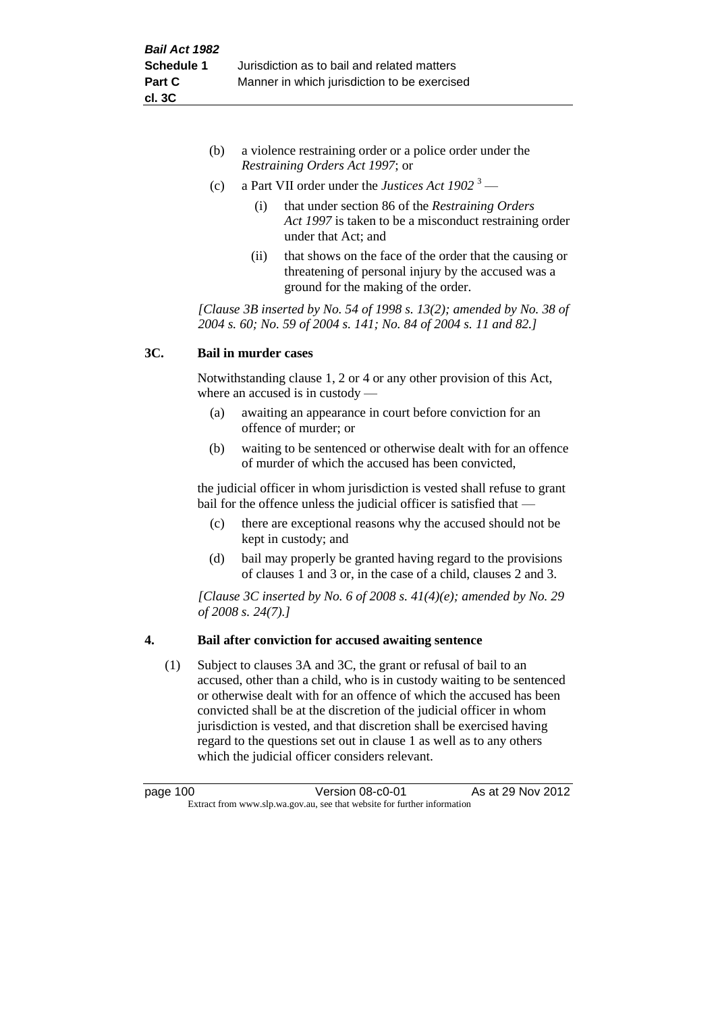- (b) a violence restraining order or a police order under the *Restraining Orders Act 1997*; or
- (c) a Part VII order under the *Justices Act 1902* <sup>3</sup>
	- (i) that under section 86 of the *Restraining Orders Act 1997* is taken to be a misconduct restraining order under that Act; and
	- (ii) that shows on the face of the order that the causing or threatening of personal injury by the accused was a ground for the making of the order.

*[Clause 3B inserted by No. 54 of 1998 s. 13(2); amended by No. 38 of 2004 s. 60; No. 59 of 2004 s. 141; No. 84 of 2004 s. 11 and 82.]*

## **3C. Bail in murder cases**

Notwithstanding clause 1, 2 or 4 or any other provision of this Act, where an accused is in custody —

- (a) awaiting an appearance in court before conviction for an offence of murder; or
- (b) waiting to be sentenced or otherwise dealt with for an offence of murder of which the accused has been convicted,

the judicial officer in whom jurisdiction is vested shall refuse to grant bail for the offence unless the judicial officer is satisfied that —

- (c) there are exceptional reasons why the accused should not be kept in custody; and
- (d) bail may properly be granted having regard to the provisions of clauses 1 and 3 or, in the case of a child, clauses 2 and 3.

*[Clause 3C inserted by No. 6 of 2008 s. 41(4)(e); amended by No. 29 of 2008 s. 24(7).]*

## **4. Bail after conviction for accused awaiting sentence**

(1) Subject to clauses 3A and 3C, the grant or refusal of bail to an accused, other than a child, who is in custody waiting to be sentenced or otherwise dealt with for an offence of which the accused has been convicted shall be at the discretion of the judicial officer in whom jurisdiction is vested, and that discretion shall be exercised having regard to the questions set out in clause 1 as well as to any others which the judicial officer considers relevant.

| page 100                                                                 | Version 08-c0-01 | As at 29 Nov 2012 |
|--------------------------------------------------------------------------|------------------|-------------------|
| Extract from www.slp.wa.gov.au, see that website for further information |                  |                   |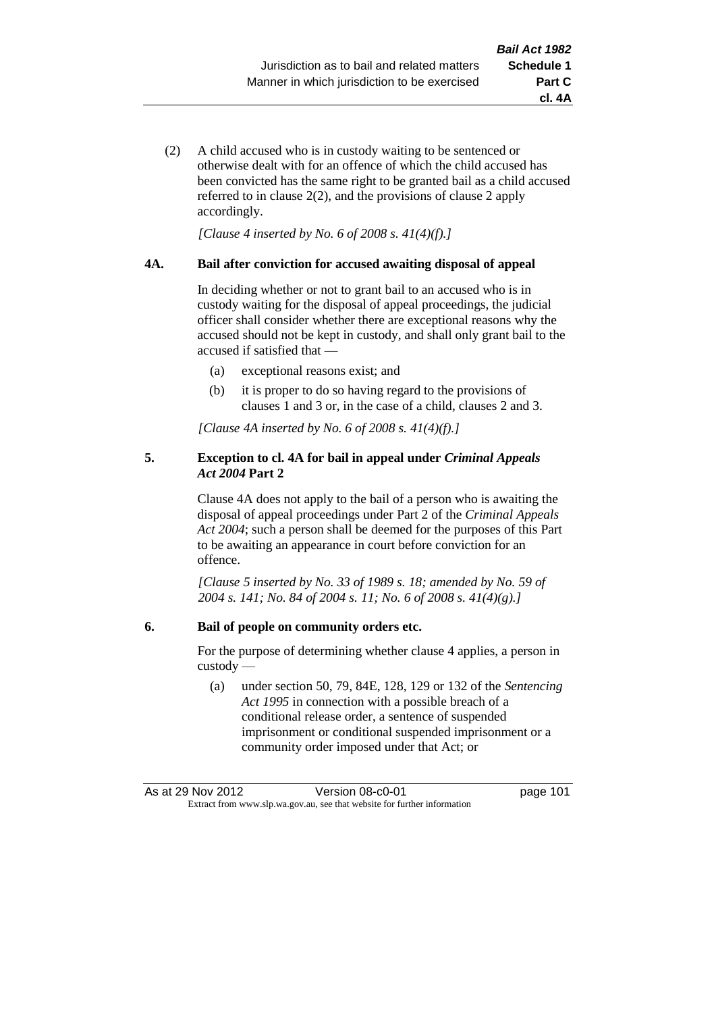- **cl. 4A**
- (2) A child accused who is in custody waiting to be sentenced or otherwise dealt with for an offence of which the child accused has been convicted has the same right to be granted bail as a child accused referred to in clause 2(2), and the provisions of clause 2 apply accordingly.

*[Clause 4 inserted by No. 6 of 2008 s. 41(4)(f).]*

#### **4A. Bail after conviction for accused awaiting disposal of appeal**

In deciding whether or not to grant bail to an accused who is in custody waiting for the disposal of appeal proceedings, the judicial officer shall consider whether there are exceptional reasons why the accused should not be kept in custody, and shall only grant bail to the accused if satisfied that —

- (a) exceptional reasons exist; and
- (b) it is proper to do so having regard to the provisions of clauses 1 and 3 or, in the case of a child, clauses 2 and 3.

*[Clause 4A inserted by No. 6 of 2008 s. 41(4)(f).]*

#### **5. Exception to cl. 4A for bail in appeal under** *Criminal Appeals Act 2004* **Part 2**

Clause 4A does not apply to the bail of a person who is awaiting the disposal of appeal proceedings under Part 2 of the *Criminal Appeals Act 2004*; such a person shall be deemed for the purposes of this Part to be awaiting an appearance in court before conviction for an offence.

*[Clause 5 inserted by No. 33 of 1989 s. 18; amended by No. 59 of 2004 s. 141; No. 84 of 2004 s. 11; No. 6 of 2008 s. 41(4)(g).]*

#### **6. Bail of people on community orders etc.**

For the purpose of determining whether clause 4 applies, a person in custody —

(a) under section 50, 79, 84E, 128, 129 or 132 of the *Sentencing Act 1995* in connection with a possible breach of a conditional release order, a sentence of suspended imprisonment or conditional suspended imprisonment or a community order imposed under that Act; or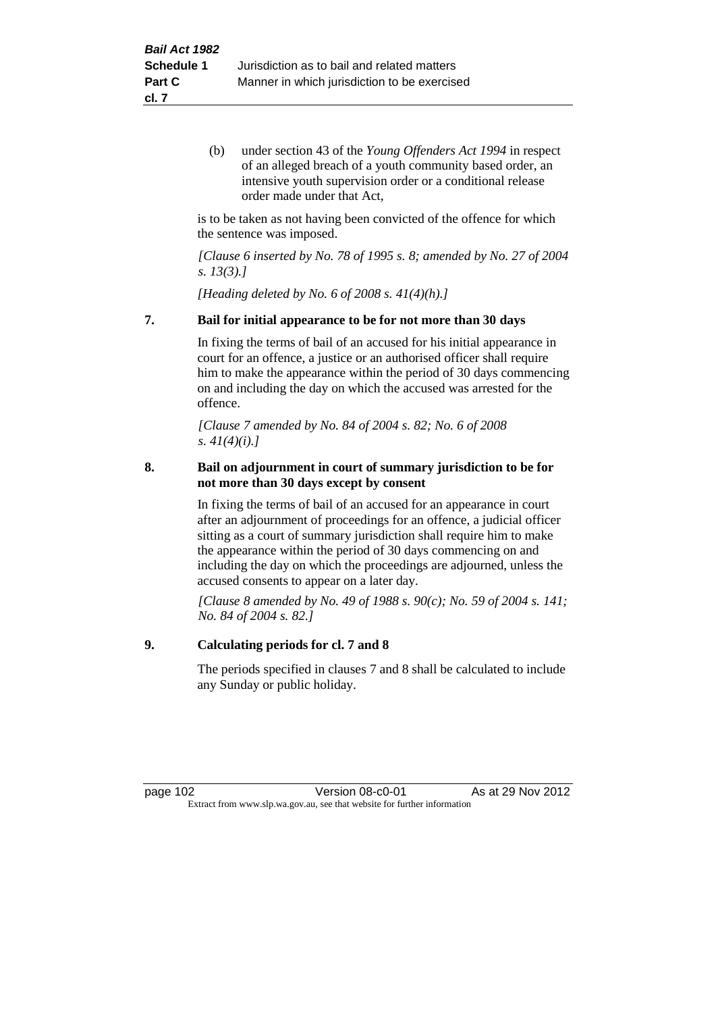(b) under section 43 of the *Young Offenders Act 1994* in respect of an alleged breach of a youth community based order, an intensive youth supervision order or a conditional release order made under that Act,

is to be taken as not having been convicted of the offence for which the sentence was imposed.

*[Clause 6 inserted by No. 78 of 1995 s. 8; amended by No. 27 of 2004 s. 13(3).]*

*[Heading deleted by No. 6 of 2008 s. 41(4)(h).]*

#### **7. Bail for initial appearance to be for not more than 30 days**

In fixing the terms of bail of an accused for his initial appearance in court for an offence, a justice or an authorised officer shall require him to make the appearance within the period of 30 days commencing on and including the day on which the accused was arrested for the offence.

*[Clause 7 amended by No. 84 of 2004 s. 82; No. 6 of 2008 s. 41(4)(i).]*

#### **8. Bail on adjournment in court of summary jurisdiction to be for not more than 30 days except by consent**

In fixing the terms of bail of an accused for an appearance in court after an adjournment of proceedings for an offence, a judicial officer sitting as a court of summary jurisdiction shall require him to make the appearance within the period of 30 days commencing on and including the day on which the proceedings are adjourned, unless the accused consents to appear on a later day.

*[Clause 8 amended by No. 49 of 1988 s. 90(c); No. 59 of 2004 s. 141; No. 84 of 2004 s. 82.]*

#### **9. Calculating periods for cl. 7 and 8**

The periods specified in clauses 7 and 8 shall be calculated to include any Sunday or public holiday.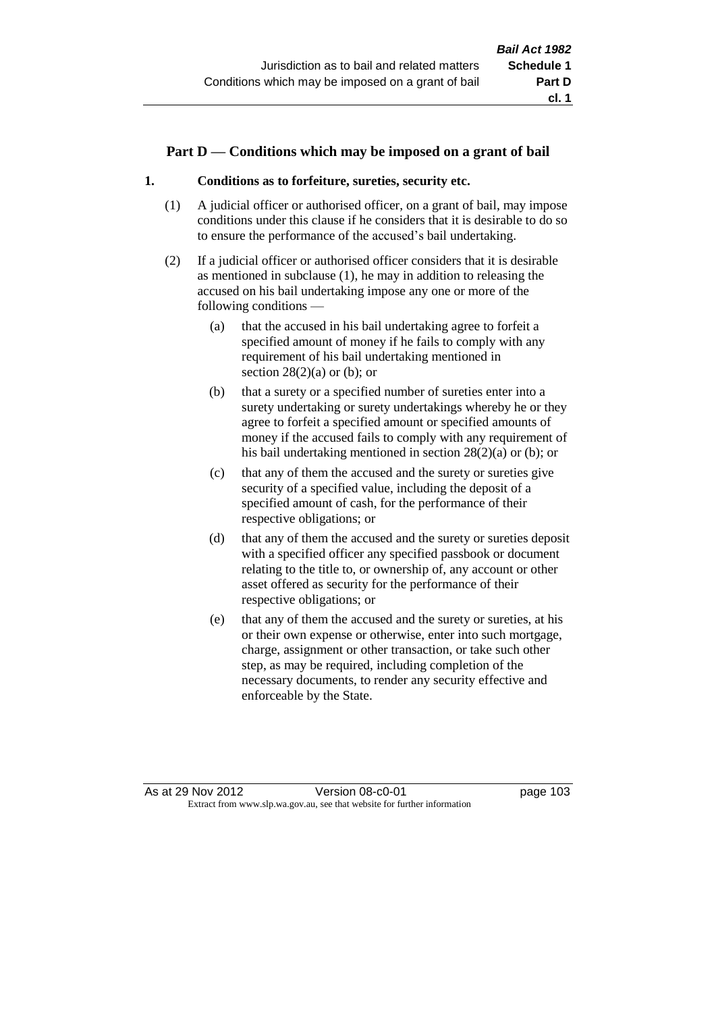#### **Part D — Conditions which may be imposed on a grant of bail**

#### **1. Conditions as to forfeiture, sureties, security etc.**

- (1) A judicial officer or authorised officer, on a grant of bail, may impose conditions under this clause if he considers that it is desirable to do so to ensure the performance of the accused's bail undertaking.
- (2) If a judicial officer or authorised officer considers that it is desirable as mentioned in subclause (1), he may in addition to releasing the accused on his bail undertaking impose any one or more of the following conditions —
	- (a) that the accused in his bail undertaking agree to forfeit a specified amount of money if he fails to comply with any requirement of his bail undertaking mentioned in section  $28(2)(a)$  or (b); or
	- (b) that a surety or a specified number of sureties enter into a surety undertaking or surety undertakings whereby he or they agree to forfeit a specified amount or specified amounts of money if the accused fails to comply with any requirement of his bail undertaking mentioned in section 28(2)(a) or (b); or
	- (c) that any of them the accused and the surety or sureties give security of a specified value, including the deposit of a specified amount of cash, for the performance of their respective obligations; or
	- (d) that any of them the accused and the surety or sureties deposit with a specified officer any specified passbook or document relating to the title to, or ownership of, any account or other asset offered as security for the performance of their respective obligations; or
	- (e) that any of them the accused and the surety or sureties, at his or their own expense or otherwise, enter into such mortgage, charge, assignment or other transaction, or take such other step, as may be required, including completion of the necessary documents, to render any security effective and enforceable by the State.

As at 29 Nov 2012 Version 08-c0-01 page 103 Extract from www.slp.wa.gov.au, see that website for further information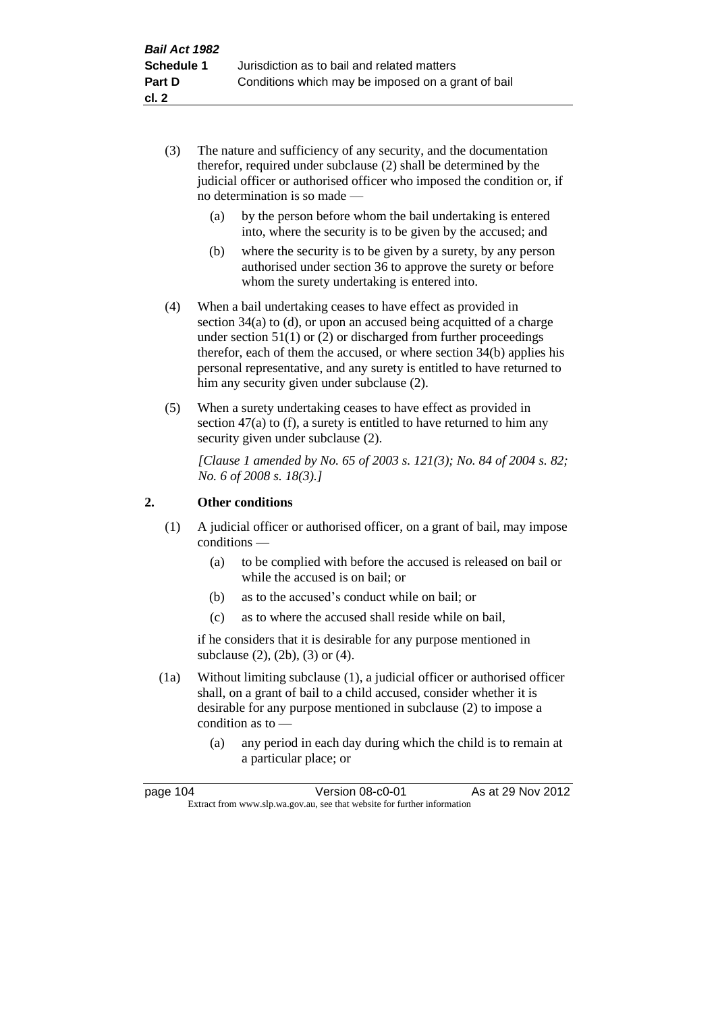- (3) The nature and sufficiency of any security, and the documentation therefor, required under subclause (2) shall be determined by the judicial officer or authorised officer who imposed the condition or, if no determination is so made —
	- (a) by the person before whom the bail undertaking is entered into, where the security is to be given by the accused; and
	- (b) where the security is to be given by a surety, by any person authorised under section 36 to approve the surety or before whom the surety undertaking is entered into.
- (4) When a bail undertaking ceases to have effect as provided in section 34(a) to (d), or upon an accused being acquitted of a charge under section 51(1) or (2) or discharged from further proceedings therefor, each of them the accused, or where section 34(b) applies his personal representative, and any surety is entitled to have returned to him any security given under subclause (2).
- (5) When a surety undertaking ceases to have effect as provided in section 47(a) to (f), a surety is entitled to have returned to him any security given under subclause  $(2)$ .

*[Clause 1 amended by No. 65 of 2003 s. 121(3); No. 84 of 2004 s. 82; No. 6 of 2008 s. 18(3).]*

### **2. Other conditions**

- (1) A judicial officer or authorised officer, on a grant of bail, may impose conditions —
	- (a) to be complied with before the accused is released on bail or while the accused is on bail; or
	- (b) as to the accused's conduct while on bail; or
	- (c) as to where the accused shall reside while on bail,

if he considers that it is desirable for any purpose mentioned in subclause (2), (2b), (3) or (4).

- (1a) Without limiting subclause (1), a judicial officer or authorised officer shall, on a grant of bail to a child accused, consider whether it is desirable for any purpose mentioned in subclause (2) to impose a condition as to —
	- (a) any period in each day during which the child is to remain at a particular place; or

| page 104 | Version 08-c0-01                                                         | As at 29 Nov 2012 |
|----------|--------------------------------------------------------------------------|-------------------|
|          | Extract from www.slp.wa.gov.au, see that website for further information |                   |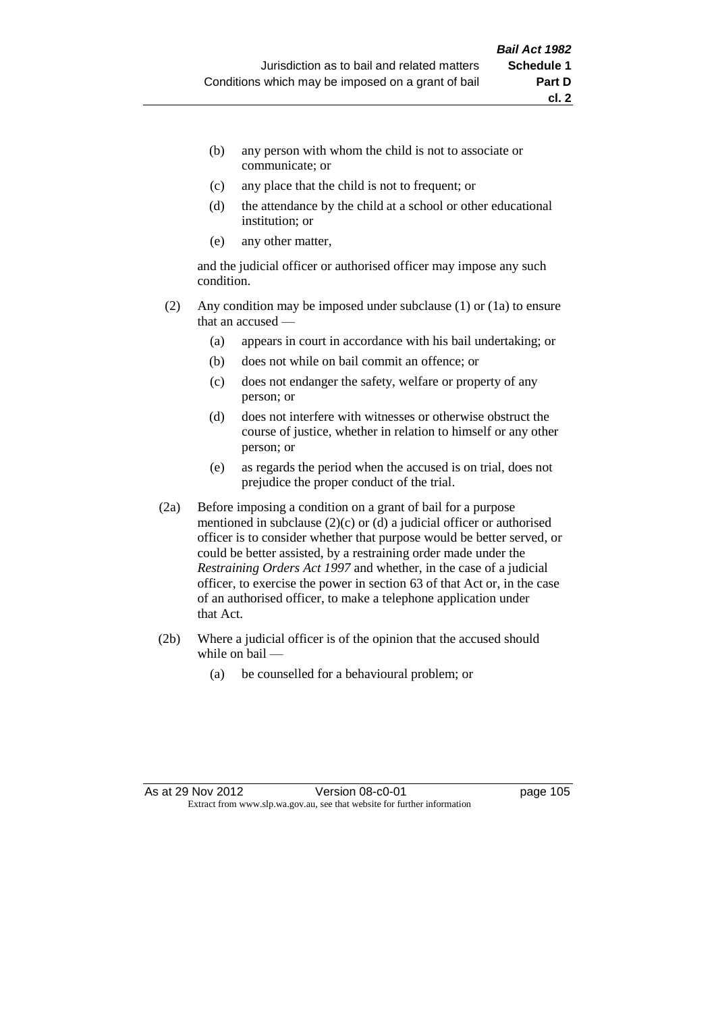- (b) any person with whom the child is not to associate or communicate; or
- (c) any place that the child is not to frequent; or
- (d) the attendance by the child at a school or other educational institution; or
- (e) any other matter,

and the judicial officer or authorised officer may impose any such condition.

- (2) Any condition may be imposed under subclause (1) or (1a) to ensure that an accused —
	- (a) appears in court in accordance with his bail undertaking; or
	- (b) does not while on bail commit an offence; or
	- (c) does not endanger the safety, welfare or property of any person; or
	- (d) does not interfere with witnesses or otherwise obstruct the course of justice, whether in relation to himself or any other person; or
	- (e) as regards the period when the accused is on trial, does not prejudice the proper conduct of the trial.
- (2a) Before imposing a condition on a grant of bail for a purpose mentioned in subclause (2)(c) or (d) a judicial officer or authorised officer is to consider whether that purpose would be better served, or could be better assisted, by a restraining order made under the *Restraining Orders Act 1997* and whether, in the case of a judicial officer, to exercise the power in section 63 of that Act or, in the case of an authorised officer, to make a telephone application under that Act.
- (2b) Where a judicial officer is of the opinion that the accused should while on bail —
	- (a) be counselled for a behavioural problem; or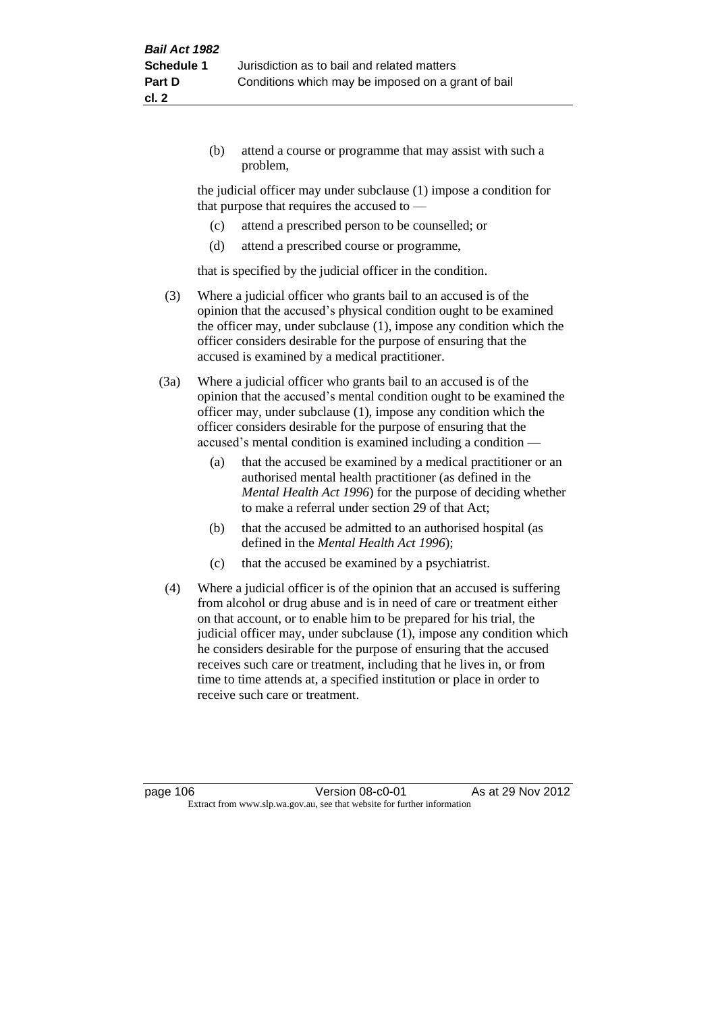(b) attend a course or programme that may assist with such a problem,

the judicial officer may under subclause (1) impose a condition for that purpose that requires the accused to —

- (c) attend a prescribed person to be counselled; or
- (d) attend a prescribed course or programme,

that is specified by the judicial officer in the condition.

- (3) Where a judicial officer who grants bail to an accused is of the opinion that the accused's physical condition ought to be examined the officer may, under subclause (1), impose any condition which the officer considers desirable for the purpose of ensuring that the accused is examined by a medical practitioner.
- (3a) Where a judicial officer who grants bail to an accused is of the opinion that the accused's mental condition ought to be examined the officer may, under subclause (1), impose any condition which the officer considers desirable for the purpose of ensuring that the accused's mental condition is examined including a condition —
	- (a) that the accused be examined by a medical practitioner or an authorised mental health practitioner (as defined in the *Mental Health Act 1996*) for the purpose of deciding whether to make a referral under section 29 of that Act;
	- (b) that the accused be admitted to an authorised hospital (as defined in the *Mental Health Act 1996*);
	- (c) that the accused be examined by a psychiatrist.
- (4) Where a judicial officer is of the opinion that an accused is suffering from alcohol or drug abuse and is in need of care or treatment either on that account, or to enable him to be prepared for his trial, the judicial officer may, under subclause (1), impose any condition which he considers desirable for the purpose of ensuring that the accused receives such care or treatment, including that he lives in, or from time to time attends at, a specified institution or place in order to receive such care or treatment.

page 106 **Version 08-c0-01** As at 29 Nov 2012 Extract from www.slp.wa.gov.au, see that website for further information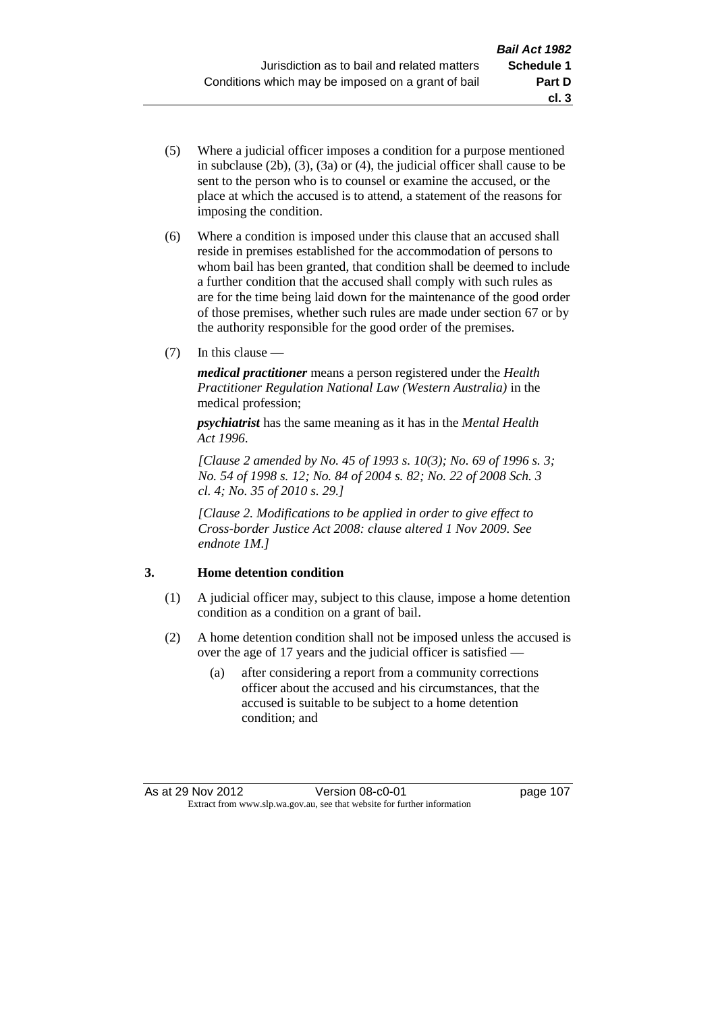- (5) Where a judicial officer imposes a condition for a purpose mentioned in subclause (2b), (3), (3a) or (4), the judicial officer shall cause to be sent to the person who is to counsel or examine the accused, or the place at which the accused is to attend, a statement of the reasons for imposing the condition.
- (6) Where a condition is imposed under this clause that an accused shall reside in premises established for the accommodation of persons to whom bail has been granted, that condition shall be deemed to include a further condition that the accused shall comply with such rules as are for the time being laid down for the maintenance of the good order of those premises, whether such rules are made under section 67 or by the authority responsible for the good order of the premises.
- (7) In this clause —

*medical practitioner* means a person registered under the *Health Practitioner Regulation National Law (Western Australia)* in the medical profession;

*psychiatrist* has the same meaning as it has in the *Mental Health Act 1996*.

*[Clause 2 amended by No. 45 of 1993 s. 10(3); No. 69 of 1996 s. 3; No. 54 of 1998 s. 12; No. 84 of 2004 s. 82; No. 22 of 2008 Sch. 3 cl. 4; No. 35 of 2010 s. 29.]*

*[Clause 2. Modifications to be applied in order to give effect to Cross-border Justice Act 2008: clause altered 1 Nov 2009. See endnote 1M.]*

## **3. Home detention condition**

- (1) A judicial officer may, subject to this clause, impose a home detention condition as a condition on a grant of bail.
- (2) A home detention condition shall not be imposed unless the accused is over the age of 17 years and the judicial officer is satisfied —
	- (a) after considering a report from a community corrections officer about the accused and his circumstances, that the accused is suitable to be subject to a home detention condition; and

**cl. 3**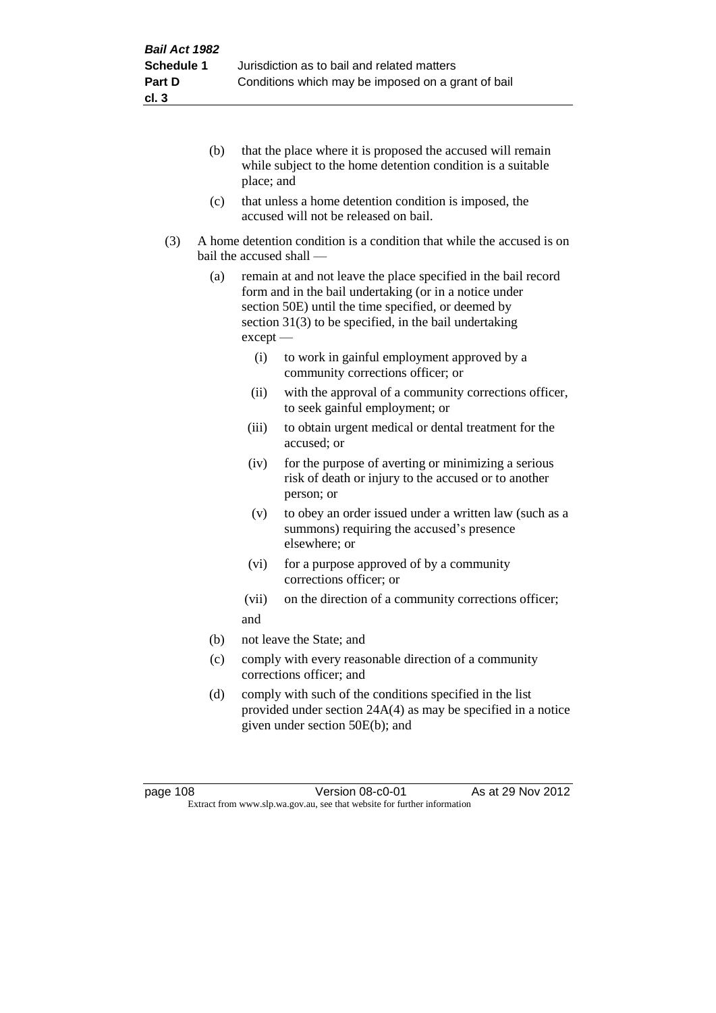- (b) that the place where it is proposed the accused will remain while subject to the home detention condition is a suitable place; and
- (c) that unless a home detention condition is imposed, the accused will not be released on bail.
- (3) A home detention condition is a condition that while the accused is on bail the accused shall —
	- (a) remain at and not leave the place specified in the bail record form and in the bail undertaking (or in a notice under section 50E) until the time specified, or deemed by section 31(3) to be specified, in the bail undertaking except —
		- (i) to work in gainful employment approved by a community corrections officer; or
		- (ii) with the approval of a community corrections officer, to seek gainful employment; or
		- (iii) to obtain urgent medical or dental treatment for the accused; or
		- (iv) for the purpose of averting or minimizing a serious risk of death or injury to the accused or to another person; or
		- (v) to obey an order issued under a written law (such as a summons) requiring the accused's presence elsewhere; or
		- (vi) for a purpose approved of by a community corrections officer; or
		- (vii) on the direction of a community corrections officer; and
	- (b) not leave the State; and
	- (c) comply with every reasonable direction of a community corrections officer; and
	- (d) comply with such of the conditions specified in the list provided under section 24A(4) as may be specified in a notice given under section 50E(b); and

page 108 **Version 08-c0-01** As at 29 Nov 2012 Extract from www.slp.wa.gov.au, see that website for further information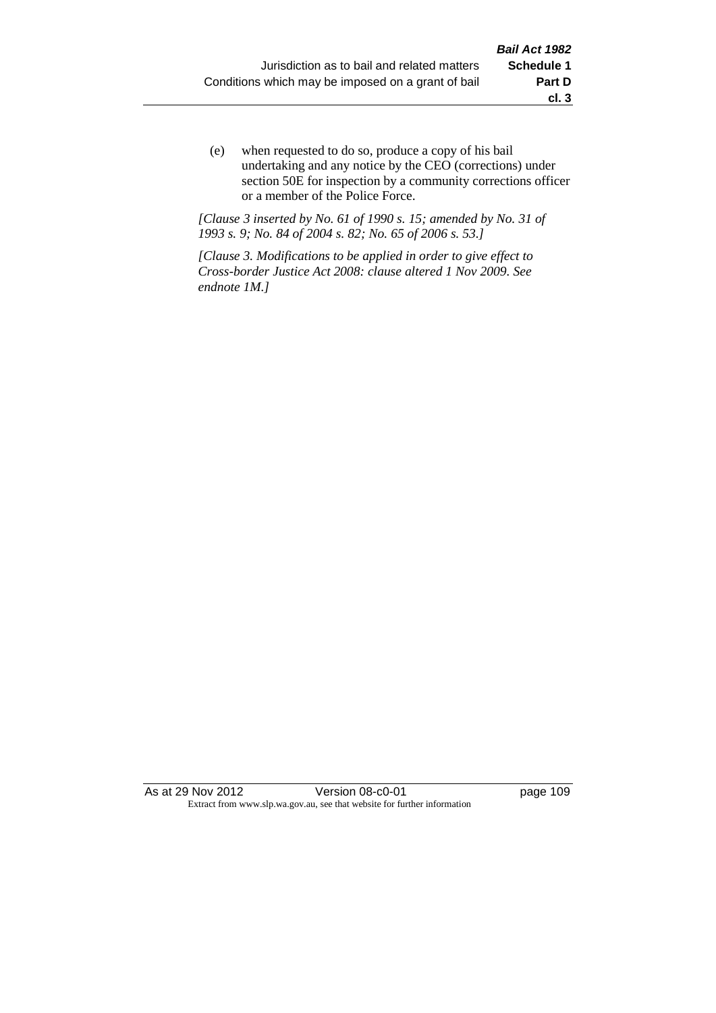(e) when requested to do so, produce a copy of his bail undertaking and any notice by the CEO (corrections) under section 50E for inspection by a community corrections officer or a member of the Police Force.

*[Clause 3 inserted by No. 61 of 1990 s. 15; amended by No. 31 of 1993 s. 9; No. 84 of 2004 s. 82; No. 65 of 2006 s. 53.]*

*[Clause 3. Modifications to be applied in order to give effect to Cross-border Justice Act 2008: clause altered 1 Nov 2009. See endnote 1M.]*

As at 29 Nov 2012 <br>
Version 08-c0-01 <br>
page 109 Extract from www.slp.wa.gov.au, see that website for further information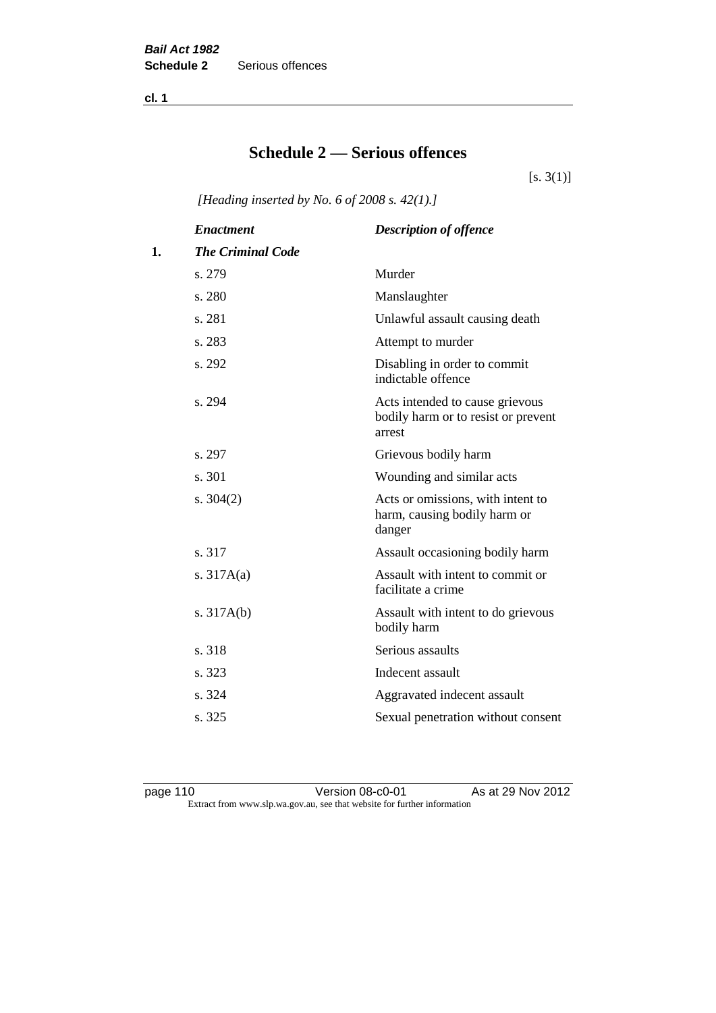**cl. 1**

# **Schedule 2 — Serious offences**

 $[s. 3(1)]$ 

*[Heading inserted by No. 6 of 2008 s. 42(1).]*

|    | <b>Enactment</b>         | <b>Description of offence</b>                                                    |
|----|--------------------------|----------------------------------------------------------------------------------|
| 1. | <b>The Criminal Code</b> |                                                                                  |
|    | s. 279                   | Murder                                                                           |
|    | s. 280                   | Manslaughter                                                                     |
|    | s. 281                   | Unlawful assault causing death                                                   |
|    | s. 283                   | Attempt to murder                                                                |
|    | s. 292                   | Disabling in order to commit<br>indictable offence                               |
|    | s. 294                   | Acts intended to cause grievous<br>bodily harm or to resist or prevent<br>arrest |
|    | s. 297                   | Grievous bodily harm                                                             |
|    | s. 301                   | Wounding and similar acts                                                        |
|    | s. $304(2)$              | Acts or omissions, with intent to<br>harm, causing bodily harm or<br>danger      |
|    | s. 317                   | Assault occasioning bodily harm                                                  |
|    | s. $317A(a)$             | Assault with intent to commit or<br>facilitate a crime                           |
|    | s. $317A(b)$             | Assault with intent to do grievous<br>bodily harm                                |
|    | s. 318                   | Serious assaults                                                                 |
|    | s. 323                   | Indecent assault                                                                 |
|    | s. 324                   | Aggravated indecent assault                                                      |
|    | s. 325                   | Sexual penetration without consent                                               |
|    |                          |                                                                                  |

page 110 Version 08-c0-01 As at 29 Nov 2012 Extract from www.slp.wa.gov.au, see that website for further information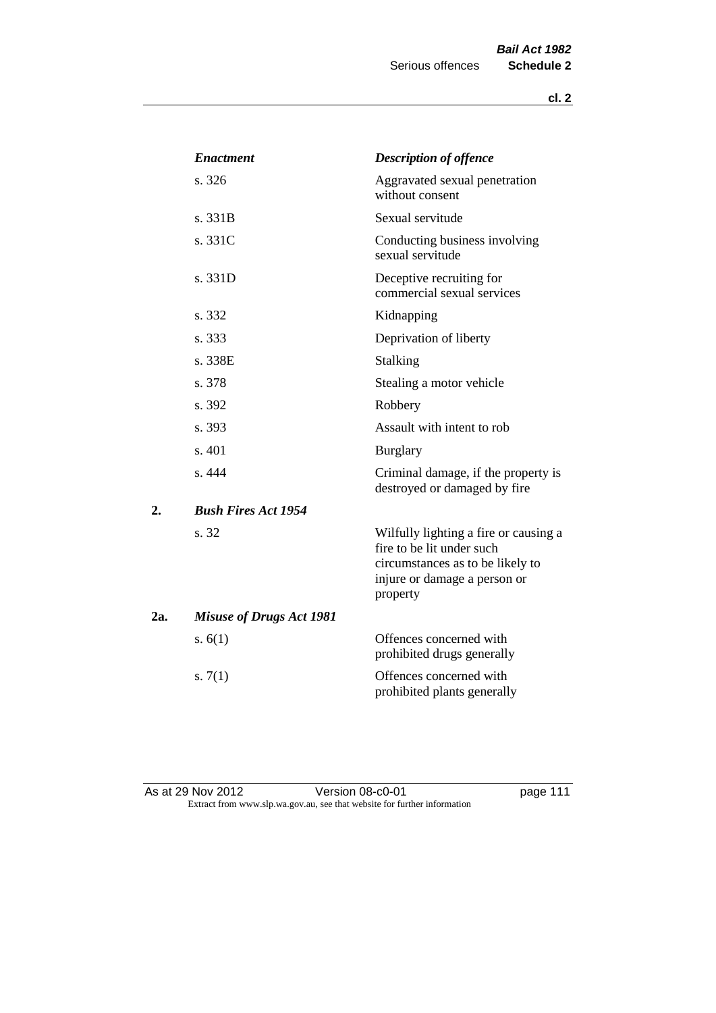|     | <b>Enactment</b>                | <b>Description of offence</b>                                                                                                                      |
|-----|---------------------------------|----------------------------------------------------------------------------------------------------------------------------------------------------|
|     | s. 326                          | Aggravated sexual penetration<br>without consent                                                                                                   |
|     | s. 331B                         | Sexual servitude                                                                                                                                   |
|     | s. 331C                         | Conducting business involving<br>sexual servitude                                                                                                  |
|     | s. 331D                         | Deceptive recruiting for<br>commercial sexual services                                                                                             |
|     | s. 332                          | Kidnapping                                                                                                                                         |
|     | s. 333                          | Deprivation of liberty                                                                                                                             |
|     | s. 338E                         | Stalking                                                                                                                                           |
|     | s. 378                          | Stealing a motor vehicle                                                                                                                           |
|     | s. 392                          | Robbery                                                                                                                                            |
|     | s. 393                          | Assault with intent to rob                                                                                                                         |
|     | s. 401                          | <b>Burglary</b>                                                                                                                                    |
|     | s. 444                          | Criminal damage, if the property is<br>destroyed or damaged by fire                                                                                |
| 2.  | <b>Bush Fires Act 1954</b>      |                                                                                                                                                    |
|     | s. 32                           | Wilfully lighting a fire or causing a<br>fire to be lit under such<br>circumstances as to be likely to<br>injure or damage a person or<br>property |
| 2a. | <b>Misuse of Drugs Act 1981</b> |                                                                                                                                                    |
|     | s. $6(1)$                       | Offences concerned with<br>prohibited drugs generally                                                                                              |
|     | s. $7(1)$                       | Offences concerned with<br>prohibited plants generally                                                                                             |

As at 29 Nov 2012 **Disk Contact Version 08-c0-01 page 111** Extract from www.slp.wa.gov.au, see that website for further information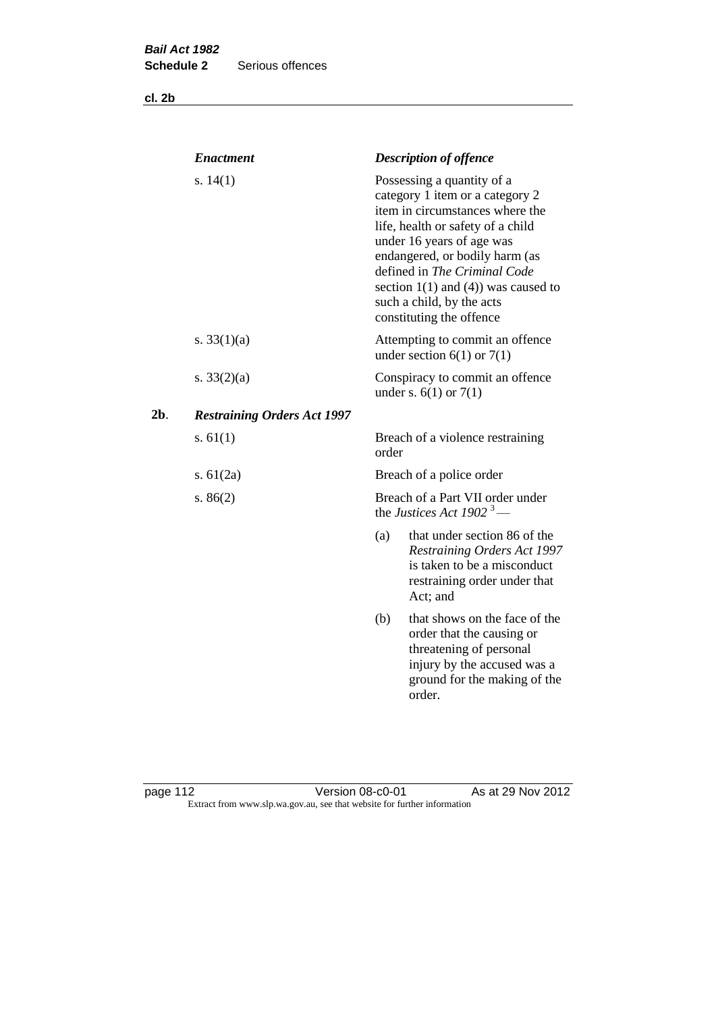**cl. 2b**

|     | <b>Enactment</b>                   |       | <b>Description of offence</b>                                                                                                                                                                                                                                                                                                             |
|-----|------------------------------------|-------|-------------------------------------------------------------------------------------------------------------------------------------------------------------------------------------------------------------------------------------------------------------------------------------------------------------------------------------------|
|     | s. $14(1)$                         |       | Possessing a quantity of a<br>category 1 item or a category 2<br>item in circumstances where the<br>life, health or safety of a child<br>under 16 years of age was<br>endangered, or bodily harm (as<br>defined in The Criminal Code<br>section $1(1)$ and $(4)$ ) was caused to<br>such a child, by the acts<br>constituting the offence |
|     | s. $33(1)(a)$                      |       | Attempting to commit an offence<br>under section $6(1)$ or $7(1)$                                                                                                                                                                                                                                                                         |
|     | s. $33(2)(a)$                      |       | Conspiracy to commit an offence<br>under s. $6(1)$ or $7(1)$                                                                                                                                                                                                                                                                              |
| 2b. | <b>Restraining Orders Act 1997</b> |       |                                                                                                                                                                                                                                                                                                                                           |
|     | s. $61(1)$                         | order | Breach of a violence restraining                                                                                                                                                                                                                                                                                                          |
|     | s. $61(2a)$                        |       | Breach of a police order                                                                                                                                                                                                                                                                                                                  |
|     | s. $86(2)$                         |       | Breach of a Part VII order under<br>the Justices Act 1902 <sup>3</sup> —                                                                                                                                                                                                                                                                  |
|     |                                    | (a)   | that under section 86 of the<br><b>Restraining Orders Act 1997</b><br>is taken to be a misconduct<br>restraining order under that<br>Act; and                                                                                                                                                                                             |
|     |                                    | (b)   | that shows on the face of the<br>order that the causing or<br>threatening of personal<br>injury by the accused was a<br>ground for the making of the<br>order.                                                                                                                                                                            |
|     |                                    |       |                                                                                                                                                                                                                                                                                                                                           |

page 112 **Detail Contract Version 08-c0-01** As at 29 Nov 2012 Extract from www.slp.wa.gov.au, see that website for further information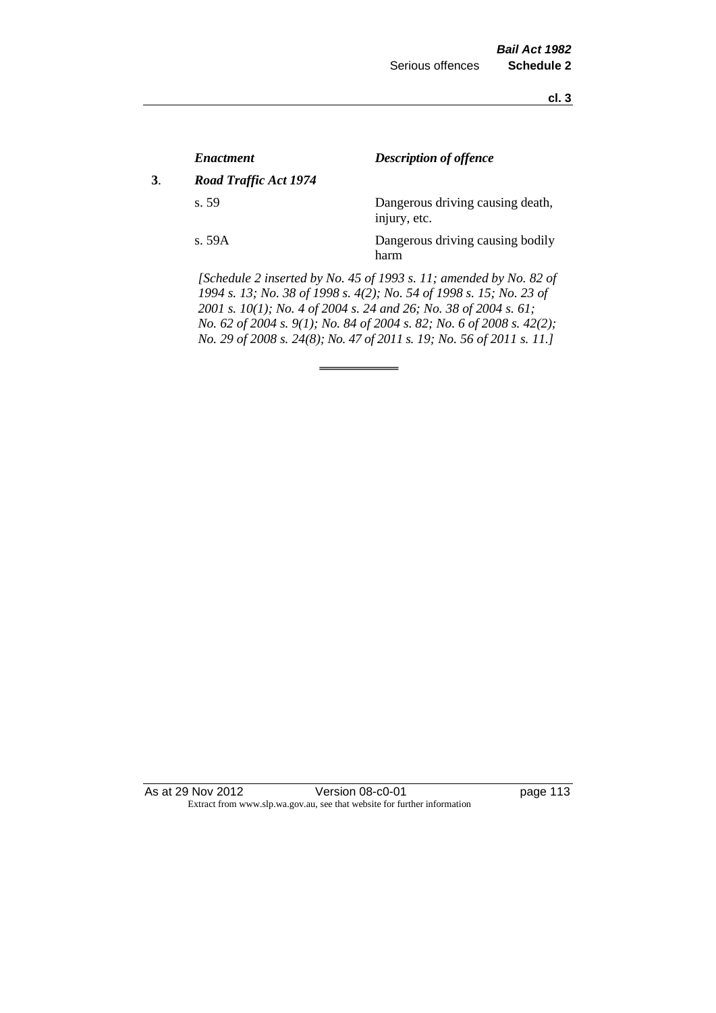**cl. 3**

|    | <i><b>Enactment</b></i> | <b>Description of offence</b>                                                                                                                                                                                                                                                          |
|----|-------------------------|----------------------------------------------------------------------------------------------------------------------------------------------------------------------------------------------------------------------------------------------------------------------------------------|
| 3. | Road Traffic Act 1974   |                                                                                                                                                                                                                                                                                        |
|    | s.59                    | Dangerous driving causing death,<br>injury, etc.                                                                                                                                                                                                                                       |
|    | s. 59A                  | Dangerous driving causing bodily<br>harm                                                                                                                                                                                                                                               |
|    |                         | [Schedule 2 inserted by No. 45 of 1993 s. 11; amended by No. 82 of<br>1994 s. 13; No. 38 of 1998 s. 4(2); No. 54 of 1998 s. 15; No. 23 of<br>2001 s. 10(1); No. 4 of 2004 s. 24 and 26; No. 38 of 2004 s. 61;<br>No. 62 of 2004 s. 9(1); No. 84 of 2004 s. 82; No. 6 of 2008 s. 42(2); |

*No. 29 of 2008 s. 24(8); No. 47 of 2011 s. 19; No. 56 of 2011 s. 11.]* 

As at 29 Nov 2012 Version 08-c0-01 page 113 Extract from www.slp.wa.gov.au, see that website for further information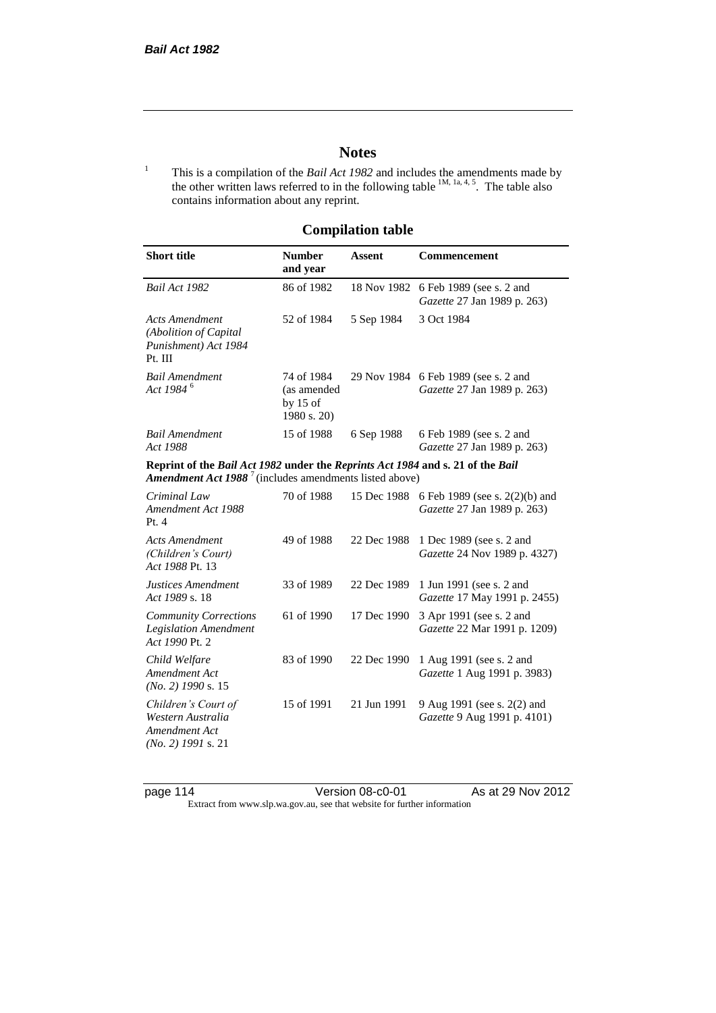### **Notes**

<sup>1</sup> This is a compilation of the *Bail Act 1982* and includes the amendments made by the other written laws referred to in the following table  $^{1M, 1a, 4, 5}$ . The table also contains information about any reprint.

## **Compilation table**

| <b>Short title</b>                                                                                                                                          | <b>Number</b><br>and year                              | Assent      | Commencement                                                  |
|-------------------------------------------------------------------------------------------------------------------------------------------------------------|--------------------------------------------------------|-------------|---------------------------------------------------------------|
| Bail Act 1982                                                                                                                                               | 86 of 1982                                             | 18 Nov 1982 | 6 Feb 1989 (see s. 2 and<br>Gazette 27 Jan 1989 p. 263)       |
| <b>Acts Amendment</b><br>(Abolition of Capital<br>Punishment) Act 1984<br>Pt. III                                                                           | 52 of 1984                                             | 5 Sep 1984  | 3 Oct 1984                                                    |
| <b>Bail Amendment</b><br>Act 1984 <sup>6</sup>                                                                                                              | 74 of 1984<br>(as amended<br>by $15$ of<br>1980 s. 20) | 29 Nov 1984 | 6 Feb 1989 (see s. 2 and<br>Gazette 27 Jan 1989 p. 263)       |
| <b>Bail Amendment</b><br>Act 1988                                                                                                                           | 15 of 1988                                             | 6 Sep 1988  | 6 Feb 1989 (see s. 2 and<br>Gazette 27 Jan 1989 p. 263)       |
| Reprint of the Bail Act 1982 under the Reprints Act 1984 and s. 21 of the Bail<br><b>Amendment Act 1988</b> <sup>7</sup> (includes amendments listed above) |                                                        |             |                                                               |
| Criminal Law<br>Amendment Act 1988<br>Pt.4                                                                                                                  | 70 of 1988                                             | 15 Dec 1988 | 6 Feb 1989 (see s. 2(2)(b) and<br>Gazette 27 Jan 1989 p. 263) |
| <b>Acts Amendment</b><br>(Children's Court)<br>Act 1988 Pt. 13                                                                                              | 49 of 1988                                             | 22 Dec 1988 | 1 Dec 1989 (see s. 2 and<br>Gazette 24 Nov 1989 p. 4327)      |
| Justices Amendment<br>Act 1989 s. 18                                                                                                                        | 33 of 1989                                             | 22 Dec 1989 | 1 Jun 1991 (see s. 2 and<br>Gazette 17 May 1991 p. 2455)      |
| <b>Community Corrections</b><br><b>Legislation Amendment</b><br>Act 1990 Pt. 2                                                                              | 61 of 1990                                             | 17 Dec 1990 | 3 Apr 1991 (see s. 2 and<br>Gazette 22 Mar 1991 p. 1209)      |
| Child Welfare<br>Amendment Act<br>$(No. 2)$ 1990 s. 15                                                                                                      | 83 of 1990                                             | 22 Dec 1990 | 1 Aug 1991 (see s. 2 and<br>Gazette 1 Aug 1991 p. 3983)       |
| Children's Court of<br>Western Australia<br>Amendment Act<br>$(No. 2)$ 1991 s. 21                                                                           | 15 of 1991                                             | 21 Jun 1991 | 9 Aug 1991 (see s. 2(2) and<br>Gazette 9 Aug 1991 p. 4101)    |

page 114 Version 08-c0-01 As at 29 Nov 2012 Extract from www.slp.wa.gov.au, see that website for further information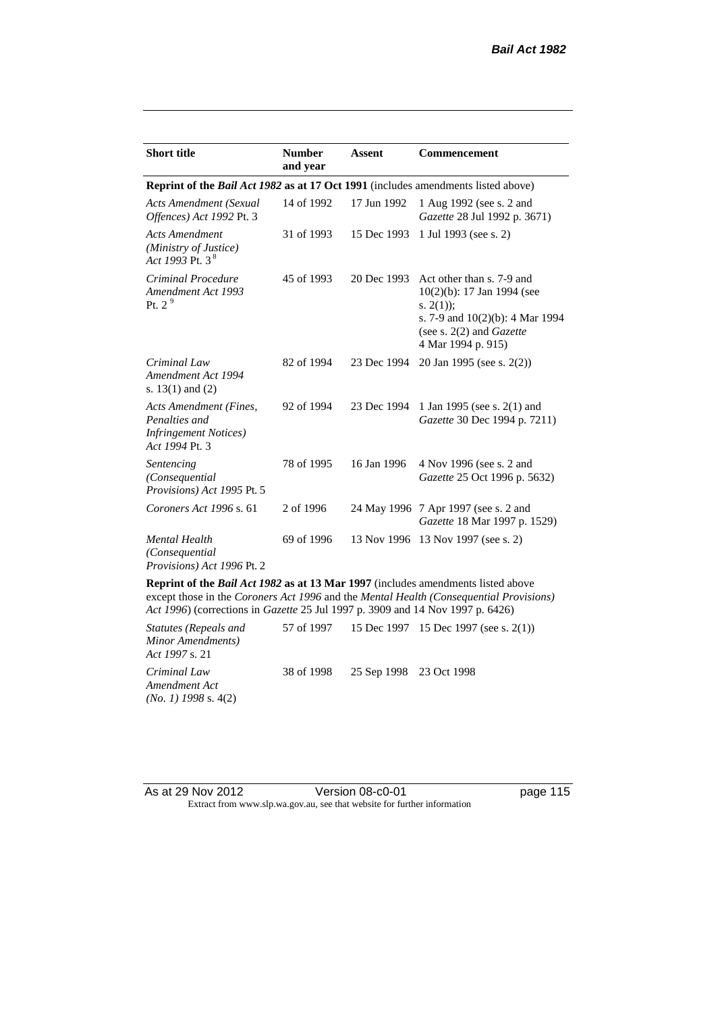| <b>Short title</b>                                                                         | <b>Number</b><br>and year | Assent      | <b>Commencement</b>                                                                                                                                                        |  |
|--------------------------------------------------------------------------------------------|---------------------------|-------------|----------------------------------------------------------------------------------------------------------------------------------------------------------------------------|--|
| Reprint of the <i>Bail Act 1982</i> as at 17 Oct 1991 (includes amendments listed above)   |                           |             |                                                                                                                                                                            |  |
| <b>Acts Amendment (Sexual</b><br>Offences) Act 1992 Pt. 3                                  | 14 of 1992                | 17 Jun 1992 | 1 Aug 1992 (see s. 2 and<br>Gazette 28 Jul 1992 p. 3671)                                                                                                                   |  |
| <b>Acts Amendment</b><br>(Ministry of Justice)<br>Act 1993 Pt. 3 $^{8}$                    | 31 of 1993                | 15 Dec 1993 | 1 Jul 1993 (see s. 2)                                                                                                                                                      |  |
| Criminal Procedure<br>Amendment Act 1993<br>Pt. $2^9$                                      | 45 of 1993                | 20 Dec 1993 | Act other than s. 7-9 and<br>$10(2)(b)$ : 17 Jan 1994 (see<br>s. $2(1)$ ;<br>s. 7-9 and $10(2)(b)$ : 4 Mar 1994<br>(see s. $2(2)$ and <i>Gazette</i><br>4 Mar 1994 p. 915) |  |
| Criminal Law<br>Amendment Act 1994<br>s. $13(1)$ and $(2)$                                 | 82 of 1994                | 23 Dec 1994 | 20 Jan 1995 (see s. 2(2))                                                                                                                                                  |  |
| Acts Amendment (Fines,<br>Penalties and<br><b>Infringement Notices</b> )<br>Act 1994 Pt. 3 | 92 of 1994                | 23 Dec 1994 | 1 Jan 1995 (see s. 2(1) and<br>Gazette 30 Dec 1994 p. 7211)                                                                                                                |  |
| Sentencing<br>(Consequential<br>Provisions) Act 1995 Pt. 5                                 | 78 of 1995                | 16 Jan 1996 | 4 Nov 1996 (see s. 2 and<br>Gazette 25 Oct 1996 p. 5632)                                                                                                                   |  |
| Coroners Act 1996 s. 61                                                                    | 2 of 1996                 |             | 24 May 1996 7 Apr 1997 (see s. 2 and<br>Gazette 18 Mar 1997 p. 1529)                                                                                                       |  |
| <b>Mental Health</b><br>(Consequential<br>Provisions) Act 1996 Pt. 2                       | 69 of 1996                | 13 Nov 1996 | 13 Nov 1997 (see s. 2)                                                                                                                                                     |  |

**Reprint of the** *Bail Act 1982* **as at 13 Mar 1997** (includes amendments listed above except those in the *Coroners Act 1996* and the *Mental Health (Consequential Provisions) Act 1996*) (corrections in *Gazette* 25 Jul 1997 p. 3909 and 14 Nov 1997 p. 6426)

*Statutes (Repeals and Minor Amendments) Act 1997* s. 21 57 of 1997 15 Dec 1997 15 Dec 1997 (see s. 2(1)) *Criminal Law Amendment Act (No. 1) 1998* s. 4(2) 38 of 1998 25 Sep 1998 23 Oct 1998

As at 29 Nov 2012 <br>Version 08-c0-01 **page 115** Extract from www.slp.wa.gov.au, see that website for further information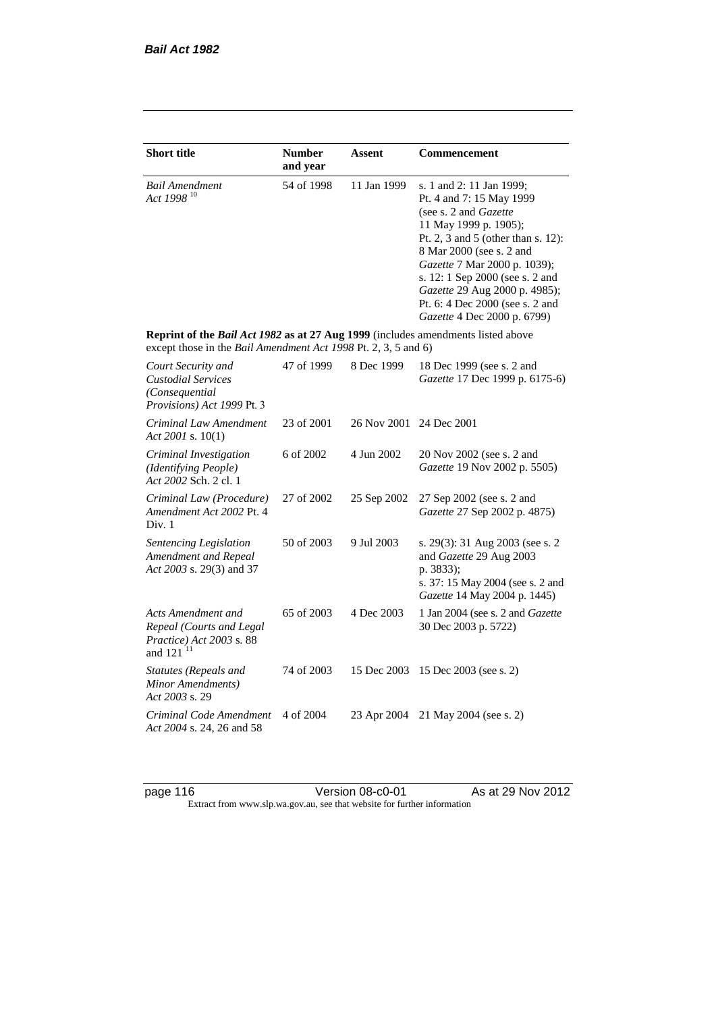| <b>Short title</b>                                                                                                                                 | <b>Number</b><br>and year | Assent      | Commencement                                                                                                                                                                                                                                                                                                                                            |
|----------------------------------------------------------------------------------------------------------------------------------------------------|---------------------------|-------------|---------------------------------------------------------------------------------------------------------------------------------------------------------------------------------------------------------------------------------------------------------------------------------------------------------------------------------------------------------|
| <b>Bail Amendment</b><br>Act 1998 <sup>10</sup>                                                                                                    | 54 of 1998                | 11 Jan 1999 | s. 1 and 2: 11 Jan 1999;<br>Pt. 4 and 7: 15 May 1999<br>(see s. 2 and <i>Gazette</i> )<br>11 May 1999 p. 1905);<br>Pt. 2, 3 and 5 (other than s. 12):<br>8 Mar 2000 (see s. 2 and<br>Gazette 7 Mar 2000 p. 1039);<br>s. 12: 1 Sep 2000 (see s. 2 and<br>Gazette 29 Aug 2000 p. 4985);<br>Pt. 6: 4 Dec 2000 (see s. 2 and<br>Gazette 4 Dec 2000 p. 6799) |
| Reprint of the Bail Act 1982 as at 27 Aug 1999 (includes amendments listed above<br>except those in the Bail Amendment Act 1998 Pt. 2, 3, 5 and 6) |                           |             |                                                                                                                                                                                                                                                                                                                                                         |
| Court Security and<br><b>Custodial Services</b><br>(Consequential<br>Provisions) Act 1999 Pt. 3                                                    | 47 of 1999                | 8 Dec 1999  | 18 Dec 1999 (see s. 2 and<br>Gazette 17 Dec 1999 p. 6175-6)                                                                                                                                                                                                                                                                                             |
| Criminal Law Amendment<br>Act 2001 s. $10(1)$                                                                                                      | 23 of 2001                | 26 Nov 2001 | 24 Dec 2001                                                                                                                                                                                                                                                                                                                                             |
| Criminal Investigation<br>(Identifying People)<br>Act 2002 Sch. 2 cl. 1                                                                            | 6 of 2002                 | 4 Jun 2002  | 20 Nov 2002 (see s. 2 and<br>Gazette 19 Nov 2002 p. 5505)                                                                                                                                                                                                                                                                                               |
| Criminal Law (Procedure)<br>Amendment Act 2002 Pt. 4<br>Div. 1                                                                                     | 27 of 2002                | 25 Sep 2002 | 27 Sep 2002 (see s. 2 and<br>Gazette 27 Sep 2002 p. 4875)                                                                                                                                                                                                                                                                                               |
| Sentencing Legislation<br>Amendment and Repeal<br>Act 2003 s. 29(3) and 37                                                                         | 50 of 2003                | 9 Jul 2003  | s. 29(3): 31 Aug 2003 (see s. 2)<br>and Gazette 29 Aug 2003<br>p. 3833);<br>s. 37: 15 May 2004 (see s. 2 and<br>Gazette 14 May 2004 p. 1445)                                                                                                                                                                                                            |
| Acts Amendment and<br>Repeal (Courts and Legal<br>Practice) Act 2003 s. 88<br>and 121 <sup>11</sup>                                                | 65 of 2003                | 4 Dec 2003  | 1 Jan 2004 (see s. 2 and Gazette<br>30 Dec 2003 p. 5722)                                                                                                                                                                                                                                                                                                |
| <b>Statutes (Repeals and</b><br>Minor Amendments)<br>Act 2003 s. 29                                                                                | 74 of 2003                | 15 Dec 2003 | 15 Dec 2003 (see s. 2)                                                                                                                                                                                                                                                                                                                                  |
| Criminal Code Amendment<br>Act 2004 s. 24, 26 and 58                                                                                               | 4 of 2004                 | 23 Apr 2004 | 21 May 2004 (see s. 2)                                                                                                                                                                                                                                                                                                                                  |

page 116 **Details 12 Update 12 Version 08-c0-01** As at 29 Nov 2012 Extract from www.slp.wa.gov.au, see that website for further information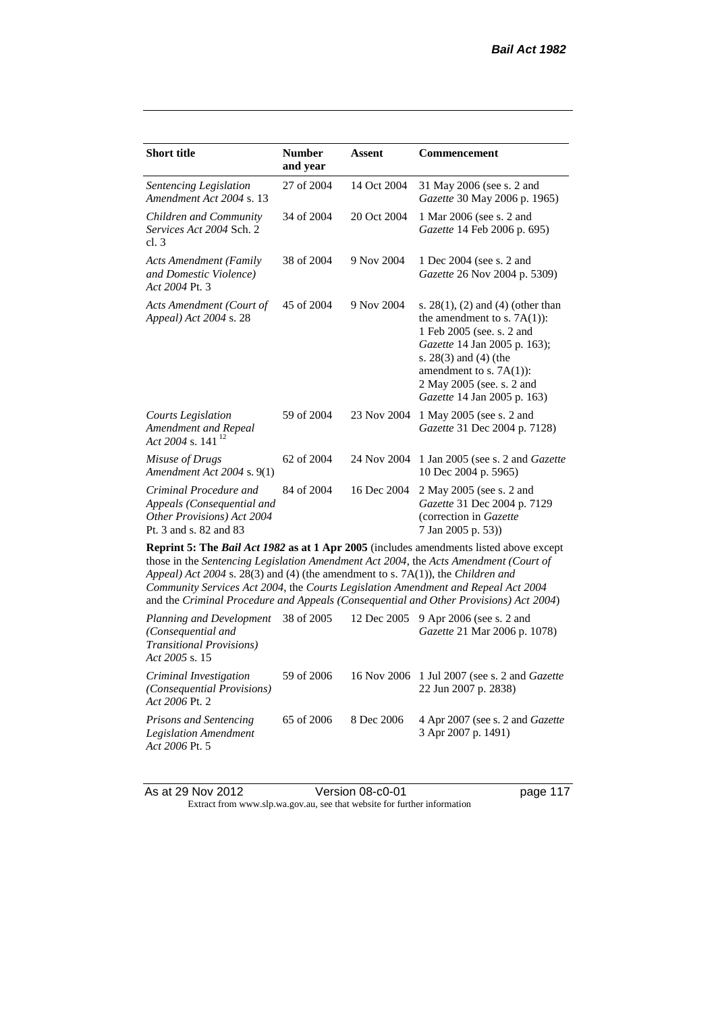| <b>Short title</b>                                                                                           | <b>Number</b><br>and year | Assent      | Commencement                                                                                                                                                                                                                                                                                                                                                        |
|--------------------------------------------------------------------------------------------------------------|---------------------------|-------------|---------------------------------------------------------------------------------------------------------------------------------------------------------------------------------------------------------------------------------------------------------------------------------------------------------------------------------------------------------------------|
| Sentencing Legislation<br>Amendment Act 2004 s. 13                                                           | 27 of 2004                | 14 Oct 2004 | 31 May 2006 (see s. 2 and<br>Gazette 30 May 2006 p. 1965)                                                                                                                                                                                                                                                                                                           |
| Children and Community<br>Services Act 2004 Sch. 2<br>cl.3                                                   | 34 of 2004                | 20 Oct 2004 | 1 Mar 2006 (see s. 2 and<br>Gazette 14 Feb 2006 p. 695)                                                                                                                                                                                                                                                                                                             |
| <b>Acts Amendment (Family</b><br>and Domestic Violence)<br>Act 2004 Pt. 3                                    | 38 of 2004                | 9 Nov 2004  | 1 Dec 2004 (see s. 2 and<br>Gazette 26 Nov 2004 p. 5309)                                                                                                                                                                                                                                                                                                            |
| Acts Amendment (Court of<br>Appeal) Act 2004 s. 28                                                           | 45 of 2004                | 9 Nov 2004  | s. $28(1)$ , (2) and (4) (other than<br>the amendment to s. $7A(1)$ :<br>1 Feb 2005 (see. s. 2 and<br>Gazette 14 Jan 2005 p. 163);<br>s. $28(3)$ and $(4)$ (the<br>amendment to s. $7A(1)$ :<br>2 May 2005 (see. s. 2 and<br>Gazette 14 Jan 2005 p. 163)                                                                                                            |
| <b>Courts Legislation</b><br>Amendment and Repeal<br>Act 2004 s. 141 $^{12}$                                 | 59 of 2004                | 23 Nov 2004 | 1 May 2005 (see s. 2 and<br>Gazette 31 Dec 2004 p. 7128)                                                                                                                                                                                                                                                                                                            |
| Misuse of Drugs<br>Amendment Act 2004 s. 9(1)                                                                | 62 of 2004                | 24 Nov 2004 | 1 Jan 2005 (see s. 2 and <i>Gazette</i><br>10 Dec 2004 p. 5965)                                                                                                                                                                                                                                                                                                     |
| Criminal Procedure and<br>Appeals (Consequential and<br>Other Provisions) Act 2004<br>Pt. 3 and s. 82 and 83 | 84 of 2004                | 16 Dec 2004 | 2 May 2005 (see s. 2 and<br>Gazette 31 Dec 2004 p. 7129<br>(correction in Gazette<br>7 Jan 2005 p. 53))                                                                                                                                                                                                                                                             |
| Appeal) Act 2004 s. 28(3) and (4) (the amendment to s. 7A(1)), the Children and                              |                           |             | <b>Reprint 5: The Bail Act 1982 as at 1 Apr 2005</b> (includes amendments listed above except<br>those in the Sentencing Legislation Amendment Act 2004, the Acts Amendment (Court of<br>Community Services Act 2004, the Courts Legislation Amendment and Repeal Act 2004<br>and the Criminal Procedure and Appeals (Consequential and Other Provisions) Act 2004) |
| Planning and Development<br>(Consequential and<br><b>Transitional Provisions</b> )<br>Act 2005 s. 15         | 38 of 2005                | 12 Dec 2005 | 9 Apr 2006 (see s. 2 and<br>Gazette 21 Mar 2006 p. 1078)                                                                                                                                                                                                                                                                                                            |

*Criminal Investigation (Consequential Provisions) Act 2006* Pt. 2 59 of 2006 16 Nov 2006 1 Jul 2007 (see s. 2 and *Gazette* 22 Jun 2007 p. 2838)

*Prisons and Sentencing Legislation Amendment Act 2006* Pt. 5 65 of 2006 8 Dec 2006 4 Apr 2007 (see s. 2 and *Gazette* 3 Apr 2007 p. 1491)

As at 29 Nov 2012 Version 08-c0-01 page 117 Extract from www.slp.wa.gov.au, see that website for further information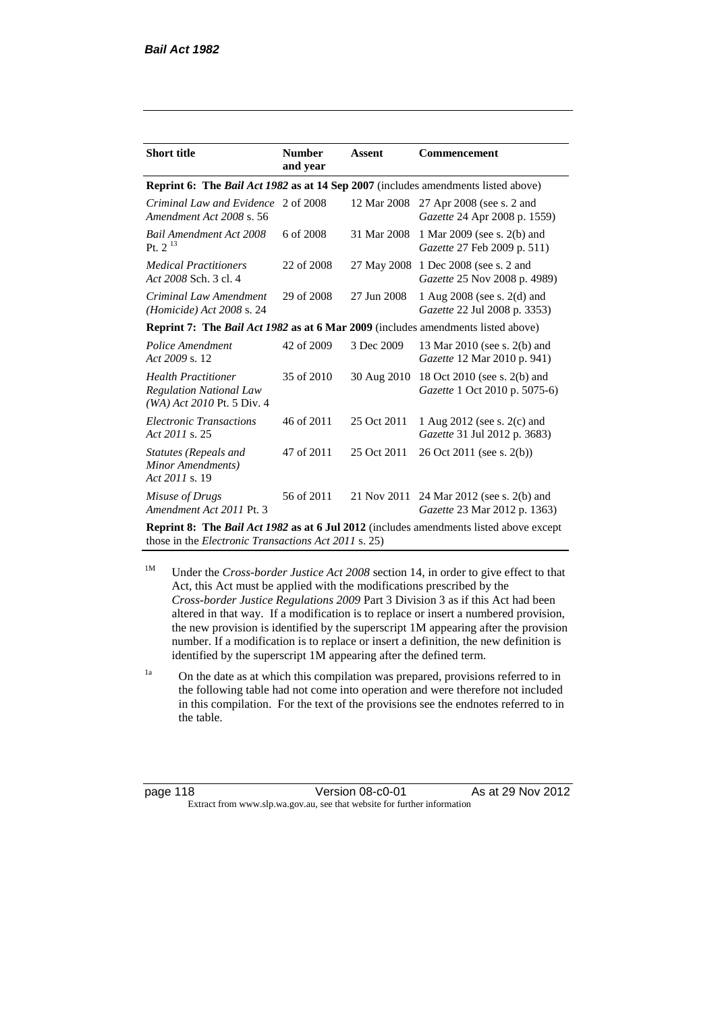| <b>Short title</b>                                                                            | <b>Number</b><br>and year | Assent      | <b>Commencement</b>                                           |  |  |
|-----------------------------------------------------------------------------------------------|---------------------------|-------------|---------------------------------------------------------------|--|--|
| <b>Reprint 6: The Bail Act 1982 as at 14 Sep 2007</b> (includes amendments listed above)      |                           |             |                                                               |  |  |
| Criminal Law and Evidence 2 of 2008<br>Amendment Act 2008 s. 56                               |                           | 12 Mar 2008 | 27 Apr 2008 (see s. 2 and<br>Gazette 24 Apr 2008 p. 1559)     |  |  |
| <b>Bail Amendment Act 2008</b><br>Pt. $2^{13}$                                                | 6 of 2008                 | 31 Mar 2008 | 1 Mar 2009 (see s. 2(b) and<br>Gazette 27 Feb 2009 p. 511)    |  |  |
| <i>Medical Practitioners</i><br>Act 2008 Sch. 3 cl. 4                                         | 22 of 2008                | 27 May 2008 | 1 Dec 2008 (see s. 2 and<br>Gazette 25 Nov 2008 p. 4989)      |  |  |
| Criminal Law Amendment<br>(Homicide) Act 2008 s. 24                                           | 29 of 2008                | 27 Jun 2008 | 1 Aug 2008 (see s. 2(d) and<br>Gazette 22 Jul 2008 p. 3353)   |  |  |
| <b>Reprint 7: The Bail Act 1982 as at 6 Mar 2009</b> (includes amendments listed above)       |                           |             |                                                               |  |  |
| Police Amendment<br>Act 2009 s. 12                                                            | 42 of 2009                | 3 Dec 2009  | 13 Mar 2010 (see s. 2(b) and<br>Gazette 12 Mar 2010 p. 941)   |  |  |
| <b>Health Practitioner</b><br><b>Regulation National Law</b><br>$(WA)$ Act 2010 Pt. 5 Div. 4  | 35 of 2010                | 30 Aug 2010 | 18 Oct 2010 (see s. 2(b) and<br>Gazette 1 Oct 2010 p. 5075-6) |  |  |
| <b>Electronic Transactions</b><br>Act 2011 s. 25                                              | 46 of 2011                | 25 Oct 2011 | 1 Aug 2012 (see s. 2(c) and<br>Gazette 31 Jul 2012 p. 3683)   |  |  |
| Statutes (Repeals and<br>Minor Amendments)<br>Act 2011 s. 19                                  | 47 of 2011                | 25 Oct 2011 | 26 Oct 2011 (see s. 2(b))                                     |  |  |
| Misuse of Drugs<br>Amendment Act 2011 Pt. 3                                                   | 56 of 2011                | 21 Nov 2011 | 24 Mar 2012 (see s. 2(b) and<br>Gazette 23 Mar 2012 p. 1363)  |  |  |
| <b>Reprint 8: The Bail Act 1982 as at 6 Jul 2012</b> (includes amendments listed above except |                           |             |                                                               |  |  |

those in the *Electronic Transactions Act 2011* s. 25)

<sup>1M</sup> Under the *Cross-border Justice Act 2008* section 14, in order to give effect to that Act, this Act must be applied with the modifications prescribed by the *Cross-border Justice Regulations 2009* Part 3 Division 3 as if this Act had been altered in that way. If a modification is to replace or insert a numbered provision, the new provision is identified by the superscript 1M appearing after the provision number. If a modification is to replace or insert a definition, the new definition is identified by the superscript 1M appearing after the defined term.

<sup>1a</sup> On the date as at which this compilation was prepared, provisions referred to in the following table had not come into operation and were therefore not included in this compilation. For the text of the provisions see the endnotes referred to in the table.

page 118 Version 08-c0-01 As at 29 Nov 2012 Extract from www.slp.wa.gov.au, see that website for further information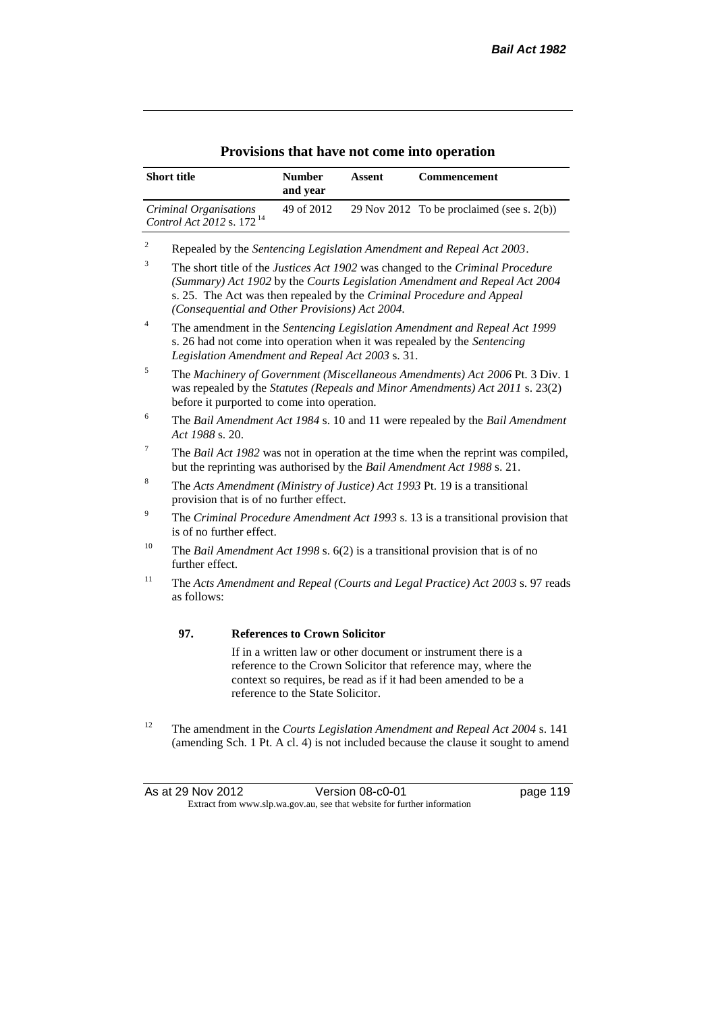|                | <b>Short title</b>                                              |                                                                                                                                                                                                              | <b>Number</b><br>and year                      | <b>Assent</b>                                    | Commencement                                                                                                                                                                                                                          |
|----------------|-----------------------------------------------------------------|--------------------------------------------------------------------------------------------------------------------------------------------------------------------------------------------------------------|------------------------------------------------|--------------------------------------------------|---------------------------------------------------------------------------------------------------------------------------------------------------------------------------------------------------------------------------------------|
|                | Criminal Organisations<br>Control Act 2012 s. 172 <sup>14</sup> |                                                                                                                                                                                                              | 49 of 2012                                     |                                                  | 29 Nov 2012 To be proclaimed (see s. $2(b)$ )                                                                                                                                                                                         |
| $\sqrt{2}$     |                                                                 |                                                                                                                                                                                                              |                                                |                                                  | Repealed by the Sentencing Legislation Amendment and Repeal Act 2003.                                                                                                                                                                 |
| 3              |                                                                 |                                                                                                                                                                                                              | (Consequential and Other Provisions) Act 2004. |                                                  | The short title of the Justices Act 1902 was changed to the Criminal Procedure<br>(Summary) Act 1902 by the Courts Legislation Amendment and Repeal Act 2004<br>s. 25. The Act was then repealed by the Criminal Procedure and Appeal |
| 4              |                                                                 |                                                                                                                                                                                                              |                                                | Legislation Amendment and Repeal Act 2003 s. 31. | The amendment in the Sentencing Legislation Amendment and Repeal Act 1999<br>s. 26 had not come into operation when it was repealed by the Sentencing                                                                                 |
| 5              |                                                                 | The Machinery of Government (Miscellaneous Amendments) Act 2006 Pt. 3 Div. 1<br>was repealed by the Statutes (Repeals and Minor Amendments) Act 2011 s. 23(2)<br>before it purported to come into operation. |                                                |                                                  |                                                                                                                                                                                                                                       |
| 6              |                                                                 | The Bail Amendment Act 1984 s. 10 and 11 were repealed by the Bail Amendment<br>Act 1988 s. 20.                                                                                                              |                                                |                                                  |                                                                                                                                                                                                                                       |
| $\overline{7}$ |                                                                 |                                                                                                                                                                                                              |                                                |                                                  | The Bail Act 1982 was not in operation at the time when the reprint was compiled,<br>but the reprinting was authorised by the Bail Amendment Act 1988 s. 21.                                                                          |
| 8              |                                                                 | The Acts Amendment (Ministry of Justice) Act 1993 Pt. 19 is a transitional<br>provision that is of no further effect.                                                                                        |                                                |                                                  |                                                                                                                                                                                                                                       |
| 9              |                                                                 | The Criminal Procedure Amendment Act 1993 s. 13 is a transitional provision that<br>is of no further effect.                                                                                                 |                                                |                                                  |                                                                                                                                                                                                                                       |
| 10             |                                                                 | The Bail Amendment Act 1998 s. $6(2)$ is a transitional provision that is of no<br>further effect.                                                                                                           |                                                |                                                  |                                                                                                                                                                                                                                       |
| 11             | as follows:                                                     |                                                                                                                                                                                                              |                                                |                                                  | The Acts Amendment and Repeal (Courts and Legal Practice) Act 2003 s. 97 reads                                                                                                                                                        |
|                | 97.                                                             |                                                                                                                                                                                                              | <b>References to Crown Solicitor</b>           |                                                  |                                                                                                                                                                                                                                       |
|                |                                                                 |                                                                                                                                                                                                              | reference to the State Solicitor.              |                                                  | If in a written law or other document or instrument there is a<br>reference to the Crown Solicitor that reference may, where the<br>context so requires, be read as if it had been amended to be a                                    |

<sup>12</sup> The amendment in the *Courts Legislation Amendment and Repeal Act 2004* s. 141 (amending Sch. 1 Pt. A cl. 4) is not included because the clause it sought to amend

As at 29 Nov 2012 Version 08-c0-01 page 119 Extract from www.slp.wa.gov.au, see that website for further information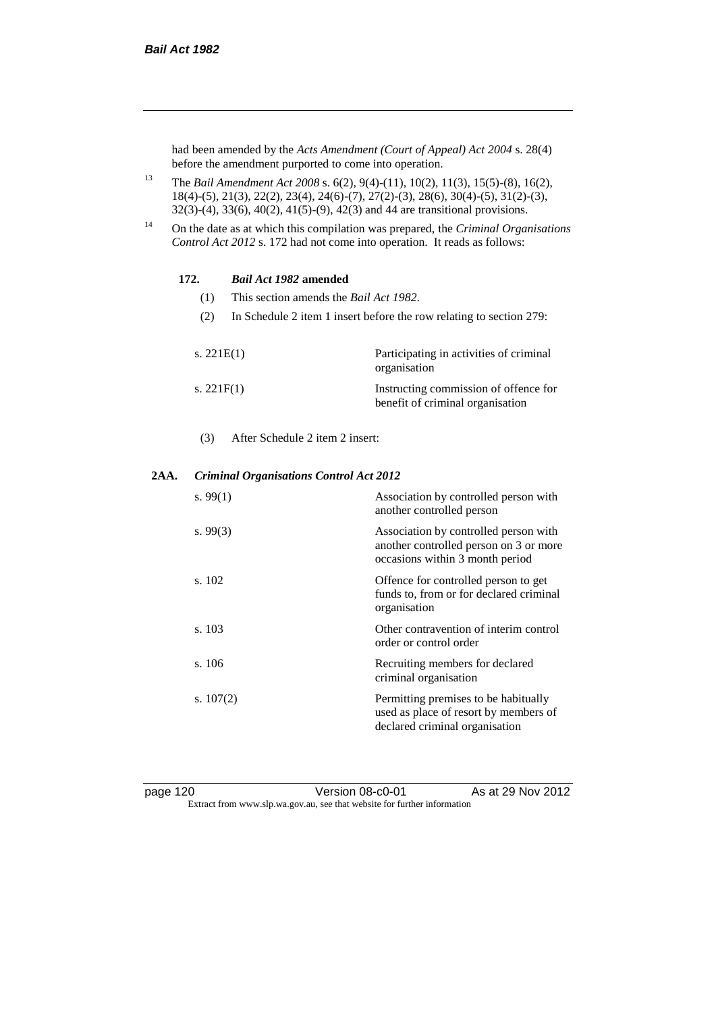had been amended by the *Acts Amendment (Court of Appeal) Act 2004* s. 28(4) before the amendment purported to come into operation.

- <sup>13</sup> The *Bail Amendment Act 2008* s. 6(2), 9(4)-(11), 10(2), 11(3), 15(5)-(8), 16(2), 18(4)-(5), 21(3), 22(2), 23(4), 24(6)-(7), 27(2)-(3), 28(6), 30(4)-(5), 31(2)-(3), 32(3)-(4), 33(6), 40(2), 41(5)-(9), 42(3) and 44 are transitional provisions.
- <sup>14</sup> On the date as at which this compilation was prepared, the *Criminal Organisations Control Act 2012* s. 172 had not come into operation. It reads as follows:

#### **172.** *Bail Act 1982* **amended**

- (1) This section amends the *Bail Act 1982*.
- (2) In Schedule 2 item 1 insert before the row relating to section 279:

| s. $221E(1)$ | Participating in activities of criminal<br>organisation                   |
|--------------|---------------------------------------------------------------------------|
| s. $221F(1)$ | Instructing commission of offence for<br>benefit of criminal organisation |

(3) After Schedule 2 item 2 insert:

#### **2AA.** *Criminal Organisations Control Act 2012*

| s. $99(1)$  | Association by controlled person with<br>another controlled person                                                 |
|-------------|--------------------------------------------------------------------------------------------------------------------|
| s. $99(3)$  | Association by controlled person with<br>another controlled person on 3 or more<br>occasions within 3 month period |
| s. 102      | Offence for controlled person to get<br>funds to, from or for declared criminal<br>organisation                    |
| s. 103      | Other contravention of interim control<br>order or control order                                                   |
| s.106       | Recruiting members for declared<br>criminal organisation                                                           |
| s. $107(2)$ | Permitting premises to be habitually<br>used as place of resort by members of<br>declared criminal organisation    |

page 120 Version 08-c0-01 As at 29 Nov 2012 Extract from www.slp.wa.gov.au, see that website for further information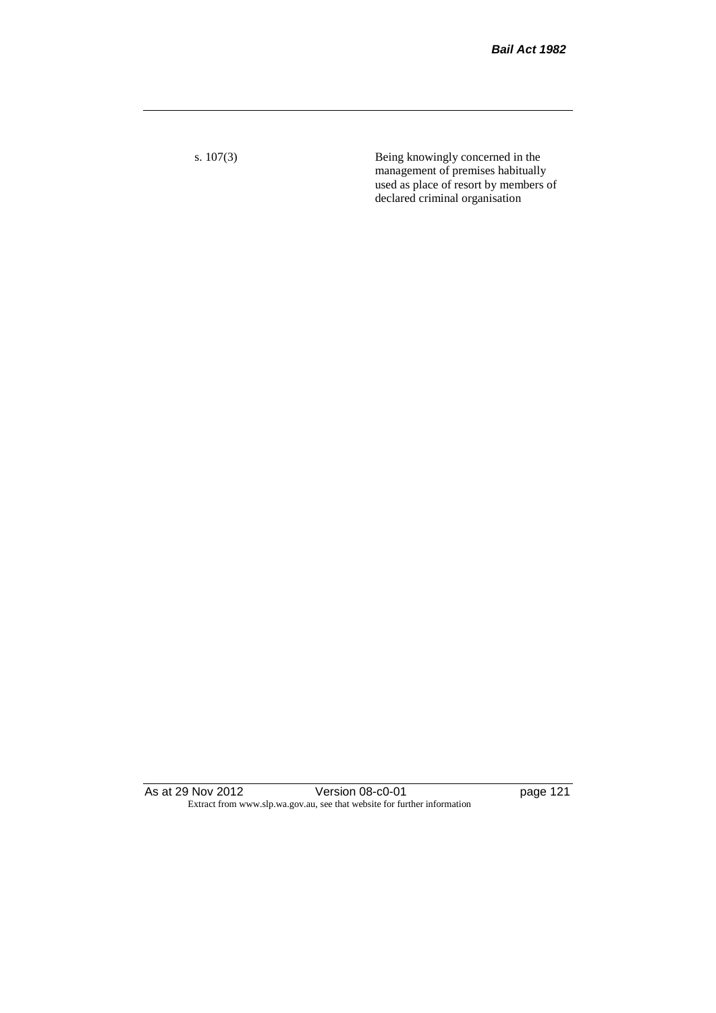s. 107(3) Being knowingly concerned in the management of premises habitually used as place of resort by members of declared criminal organisation

As at 29 Nov 2012 Version 08-c0-01 page 121 Extract from www.slp.wa.gov.au, see that website for further information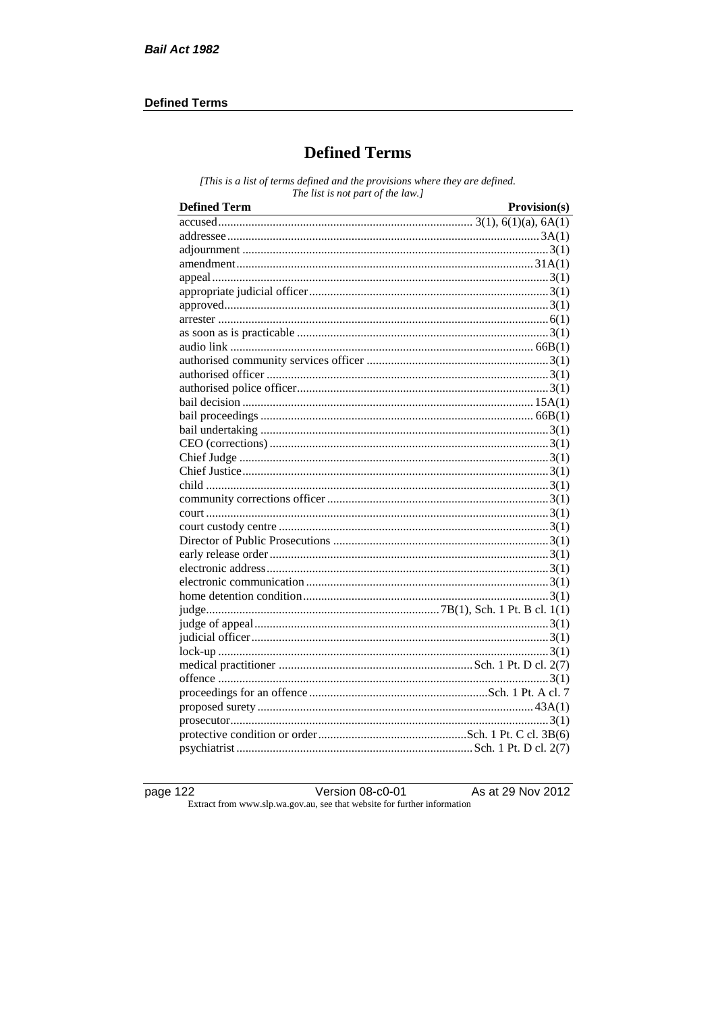#### **Defined Terms**

# **Defined Terms**

[This is a list of terms defined and the provisions where they are defined. The list is not part of the law.]

| <b>Defined Term</b> | Provision(s) |
|---------------------|--------------|
|                     |              |
|                     |              |
|                     |              |
|                     |              |
|                     |              |
|                     |              |
|                     |              |
|                     |              |
|                     |              |
|                     |              |
|                     |              |
|                     |              |
|                     |              |
|                     |              |
|                     |              |
|                     |              |
|                     |              |
|                     |              |
|                     |              |
|                     |              |
|                     |              |
|                     |              |
|                     |              |
|                     |              |
|                     |              |
|                     |              |
|                     |              |
|                     |              |
|                     |              |
|                     |              |
|                     |              |
|                     |              |
|                     |              |
|                     |              |
|                     |              |
|                     |              |
|                     |              |
|                     |              |
|                     |              |

page 122

Version  $08$ -c0- $\overline{01}$ Extract from www.slp.wa.gov.au, see that website for further information

As at 29 Nov 2012